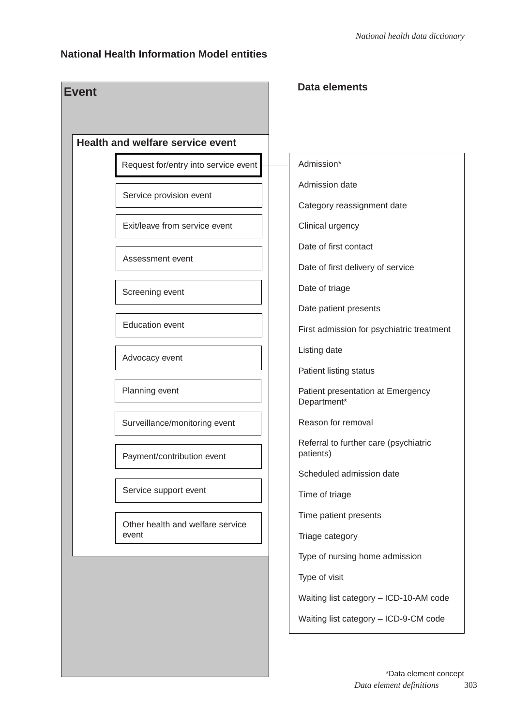### **National Health Information Model entities**

| <b>Event</b> |                                         | Data elements                                      |
|--------------|-----------------------------------------|----------------------------------------------------|
|              |                                         |                                                    |
|              | <b>Health and welfare service event</b> |                                                    |
|              | Request for/entry into service event    | Admission*                                         |
|              | Service provision event                 | Admission date                                     |
|              |                                         | Category reassignment date                         |
|              | Exit/leave from service event           | Clinical urgency                                   |
|              | Assessment event                        | Date of first contact                              |
|              |                                         | Date of first delivery of service                  |
|              | Screening event                         | Date of triage                                     |
|              |                                         | Date patient presents                              |
|              | <b>Education event</b>                  | First admission for psychiatric treatment          |
|              | Advocacy event                          | Listing date                                       |
|              |                                         | Patient listing status                             |
|              | Planning event                          | Patient presentation at Emergency<br>Department*   |
|              | Surveillance/monitoring event           | Reason for removal                                 |
|              | Payment/contribution event              | Referral to further care (psychiatric<br>patients) |
|              |                                         | Scheduled admission date                           |
|              | Service support event                   | Time of triage                                     |
|              | Other health and welfare service        | Time patient presents                              |
|              | event                                   | Triage category                                    |
|              |                                         | Type of nursing home admission                     |
|              |                                         | Type of visit                                      |
|              |                                         | Waiting list category - ICD-10-AM code             |
|              |                                         | Waiting list category - ICD-9-CM code              |
|              |                                         |                                                    |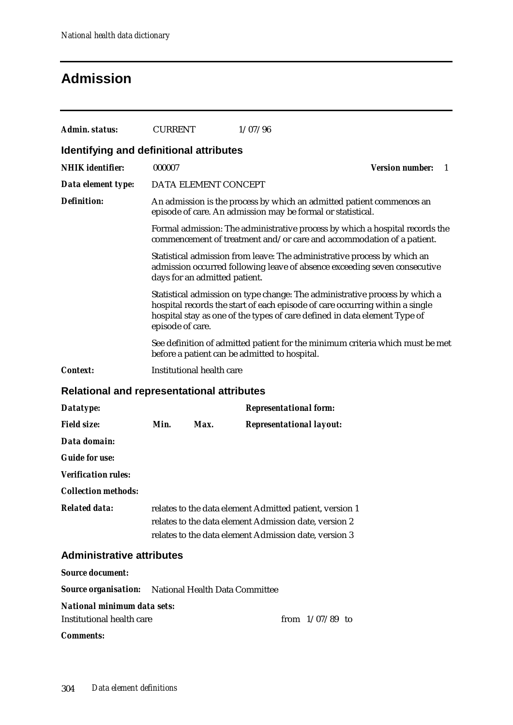### **Admission**

| Admin. status:                                             | <b>CURRENT</b> |                                                                                                                                                                                                                                                              | 1/07/96                                       |                                                             |                                                                                                                                                       |    |  |  |
|------------------------------------------------------------|----------------|--------------------------------------------------------------------------------------------------------------------------------------------------------------------------------------------------------------------------------------------------------------|-----------------------------------------------|-------------------------------------------------------------|-------------------------------------------------------------------------------------------------------------------------------------------------------|----|--|--|
| Identifying and definitional attributes                    |                |                                                                                                                                                                                                                                                              |                                               |                                                             |                                                                                                                                                       |    |  |  |
| <b>NHIK</b> identifier:                                    | 000007         |                                                                                                                                                                                                                                                              |                                               |                                                             | <b>Version number:</b>                                                                                                                                | -1 |  |  |
| Data element type:                                         |                | DATA ELEMENT CONCEPT                                                                                                                                                                                                                                         |                                               |                                                             |                                                                                                                                                       |    |  |  |
| <b>Definition:</b>                                         |                |                                                                                                                                                                                                                                                              |                                               | episode of care. An admission may be formal or statistical. | An admission is the process by which an admitted patient commences an                                                                                 |    |  |  |
|                                                            |                |                                                                                                                                                                                                                                                              |                                               |                                                             | Formal admission: The administrative process by which a hospital records the<br>commencement of treatment and/or care and accommodation of a patient. |    |  |  |
|                                                            |                | days for an admitted patient.                                                                                                                                                                                                                                |                                               |                                                             | Statistical admission from leave: The administrative process by which an<br>admission occurred following leave of absence exceeding seven consecutive |    |  |  |
|                                                            |                | Statistical admission on type change: The administrative process by which a<br>hospital records the start of each episode of care occurring within a single<br>hospital stay as one of the types of care defined in data element Type of<br>episode of care. |                                               |                                                             |                                                                                                                                                       |    |  |  |
|                                                            |                |                                                                                                                                                                                                                                                              | before a patient can be admitted to hospital. |                                                             | See definition of admitted patient for the minimum criteria which must be met                                                                         |    |  |  |
| <b>Context:</b>                                            |                | Institutional health care                                                                                                                                                                                                                                    |                                               |                                                             |                                                                                                                                                       |    |  |  |
| <b>Relational and representational attributes</b>          |                |                                                                                                                                                                                                                                                              |                                               |                                                             |                                                                                                                                                       |    |  |  |
| Datatype:                                                  |                |                                                                                                                                                                                                                                                              |                                               | <b>Representational form:</b>                               |                                                                                                                                                       |    |  |  |
| <b>Field size:</b>                                         | Min.           | Max.                                                                                                                                                                                                                                                         |                                               | <b>Representational layout:</b>                             |                                                                                                                                                       |    |  |  |
| Data domain:                                               |                |                                                                                                                                                                                                                                                              |                                               |                                                             |                                                                                                                                                       |    |  |  |
| <b>Guide for use:</b>                                      |                |                                                                                                                                                                                                                                                              |                                               |                                                             |                                                                                                                                                       |    |  |  |
| <b>Verification rules:</b>                                 |                |                                                                                                                                                                                                                                                              |                                               |                                                             |                                                                                                                                                       |    |  |  |
| <b>Collection methods:</b>                                 |                |                                                                                                                                                                                                                                                              |                                               |                                                             |                                                                                                                                                       |    |  |  |
| <b>Related data:</b>                                       |                | relates to the data element Admitted patient, version 1<br>relates to the data element Admission date, version 2<br>relates to the data element Admission date, version 3                                                                                    |                                               |                                                             |                                                                                                                                                       |    |  |  |
| <b>Administrative attributes</b>                           |                |                                                                                                                                                                                                                                                              |                                               |                                                             |                                                                                                                                                       |    |  |  |
| <b>Source document:</b>                                    |                |                                                                                                                                                                                                                                                              |                                               |                                                             |                                                                                                                                                       |    |  |  |
| <b>Source organisation:</b> National Health Data Committee |                |                                                                                                                                                                                                                                                              |                                               |                                                             |                                                                                                                                                       |    |  |  |
| <b>National minimum data sets:</b>                         |                |                                                                                                                                                                                                                                                              |                                               |                                                             |                                                                                                                                                       |    |  |  |
| <b>Institutional health care</b>                           |                |                                                                                                                                                                                                                                                              |                                               | from $1/07/89$ to                                           |                                                                                                                                                       |    |  |  |
| <b>Comments:</b>                                           |                |                                                                                                                                                                                                                                                              |                                               |                                                             |                                                                                                                                                       |    |  |  |
|                                                            |                |                                                                                                                                                                                                                                                              |                                               |                                                             |                                                                                                                                                       |    |  |  |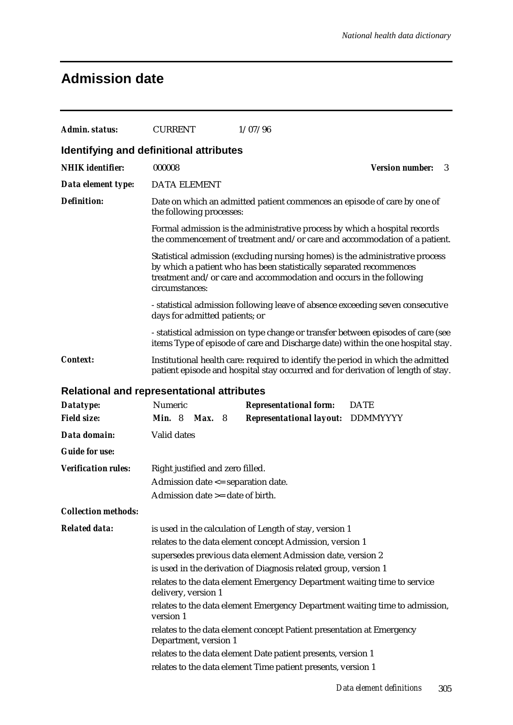### **Admission date**

| Admin. status:             | <b>CURRENT</b>                                                                                                                                                                                                                                | 1/07/96                                                                                                                                                 |                             |  |  |  |  |  |
|----------------------------|-----------------------------------------------------------------------------------------------------------------------------------------------------------------------------------------------------------------------------------------------|---------------------------------------------------------------------------------------------------------------------------------------------------------|-----------------------------|--|--|--|--|--|
|                            | Identifying and definitional attributes                                                                                                                                                                                                       |                                                                                                                                                         |                             |  |  |  |  |  |
| <b>NHIK</b> identifier:    | 000008                                                                                                                                                                                                                                        |                                                                                                                                                         | <b>Version number:</b><br>3 |  |  |  |  |  |
| Data element type:         | <b>DATA ELEMENT</b>                                                                                                                                                                                                                           |                                                                                                                                                         |                             |  |  |  |  |  |
| <b>Definition:</b>         | the following processes:                                                                                                                                                                                                                      | Date on which an admitted patient commences an episode of care by one of                                                                                |                             |  |  |  |  |  |
|                            |                                                                                                                                                                                                                                               | Formal admission is the administrative process by which a hospital records<br>the commencement of treatment and/or care and accommodation of a patient. |                             |  |  |  |  |  |
|                            | Statistical admission (excluding nursing homes) is the administrative process<br>by which a patient who has been statistically separated recommences<br>treatment and/or care and accommodation and occurs in the following<br>circumstances: |                                                                                                                                                         |                             |  |  |  |  |  |
|                            | - statistical admission following leave of absence exceeding seven consecutive<br>days for admitted patients; or                                                                                                                              |                                                                                                                                                         |                             |  |  |  |  |  |
|                            | - statistical admission on type change or transfer between episodes of care (see<br>items Type of episode of care and Discharge date) within the one hospital stay.                                                                           |                                                                                                                                                         |                             |  |  |  |  |  |
| <b>Context:</b>            | Institutional health care: required to identify the period in which the admitted<br>patient episode and hospital stay occurred and for derivation of length of stay.                                                                          |                                                                                                                                                         |                             |  |  |  |  |  |
|                            | <b>Relational and representational attributes</b>                                                                                                                                                                                             |                                                                                                                                                         |                             |  |  |  |  |  |
| Datatype:                  | Numeric                                                                                                                                                                                                                                       | <b>Representational form:</b>                                                                                                                           | <b>DATE</b>                 |  |  |  |  |  |
| <b>Field size:</b>         | <b>Min.</b> 8<br><b>Max.</b> 8                                                                                                                                                                                                                | <b>Representational layout: DDMMYYYY</b>                                                                                                                |                             |  |  |  |  |  |
| Data domain:               | Valid dates                                                                                                                                                                                                                                   |                                                                                                                                                         |                             |  |  |  |  |  |
| <b>Guide for use:</b>      |                                                                                                                                                                                                                                               |                                                                                                                                                         |                             |  |  |  |  |  |
| <b>Verification rules:</b> | Right justified and zero filled.                                                                                                                                                                                                              |                                                                                                                                                         |                             |  |  |  |  |  |
|                            | Admission date <= separation date.                                                                                                                                                                                                            |                                                                                                                                                         |                             |  |  |  |  |  |
|                            | Admission date >= date of birth.                                                                                                                                                                                                              |                                                                                                                                                         |                             |  |  |  |  |  |
| <b>Collection methods:</b> |                                                                                                                                                                                                                                               |                                                                                                                                                         |                             |  |  |  |  |  |
| <b>Related data:</b>       |                                                                                                                                                                                                                                               | is used in the calculation of Length of stay, version 1                                                                                                 |                             |  |  |  |  |  |
|                            |                                                                                                                                                                                                                                               | relates to the data element concept Admission, version 1                                                                                                |                             |  |  |  |  |  |
|                            |                                                                                                                                                                                                                                               | supersedes previous data element Admission date, version 2                                                                                              |                             |  |  |  |  |  |
|                            |                                                                                                                                                                                                                                               | is used in the derivation of Diagnosis related group, version 1<br>relates to the data element Emergency Department waiting time to service             |                             |  |  |  |  |  |
|                            | delivery, version 1                                                                                                                                                                                                                           |                                                                                                                                                         |                             |  |  |  |  |  |
|                            | version 1                                                                                                                                                                                                                                     | relates to the data element Emergency Department waiting time to admission,                                                                             |                             |  |  |  |  |  |
|                            | Department, version 1                                                                                                                                                                                                                         | relates to the data element concept Patient presentation at Emergency                                                                                   |                             |  |  |  |  |  |
|                            |                                                                                                                                                                                                                                               | relates to the data element Date patient presents, version 1                                                                                            |                             |  |  |  |  |  |
|                            | relates to the data element Time patient presents, version 1                                                                                                                                                                                  |                                                                                                                                                         |                             |  |  |  |  |  |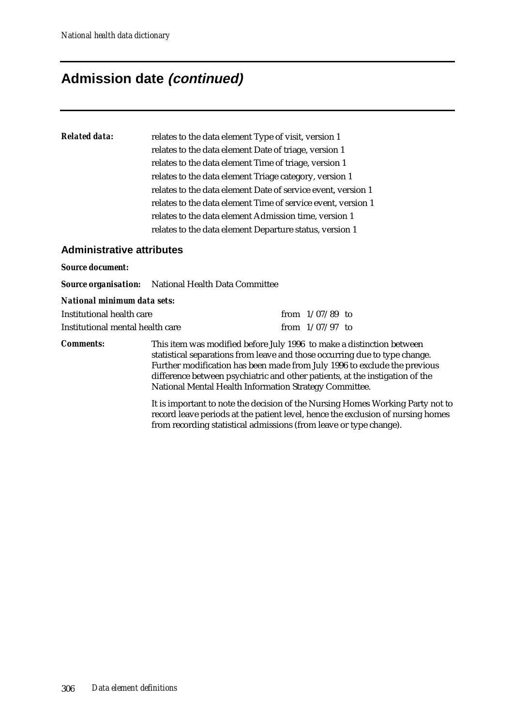### **Admission date (continued)**

### *Related data:* relates to the data element Type of visit, version 1 relates to the data element Date of triage, version 1 relates to the data element Time of triage, version 1 relates to the data element Triage category, version 1 relates to the data element Date of service event, version 1 relates to the data element Time of service event, version 1 relates to the data element Admission time, version 1 relates to the data element Departure status, version 1

#### **Administrative attributes**

| Administrative attributes        |                                                                                                                                 |  |                   |                                                                                                                                                                                                                                                                                                                                                                                                              |  |  |  |
|----------------------------------|---------------------------------------------------------------------------------------------------------------------------------|--|-------------------|--------------------------------------------------------------------------------------------------------------------------------------------------------------------------------------------------------------------------------------------------------------------------------------------------------------------------------------------------------------------------------------------------------------|--|--|--|
| <b>Source document:</b>          |                                                                                                                                 |  |                   |                                                                                                                                                                                                                                                                                                                                                                                                              |  |  |  |
|                                  | <b>Source organisation:</b> National Health Data Committee                                                                      |  |                   |                                                                                                                                                                                                                                                                                                                                                                                                              |  |  |  |
| National minimum data sets:      |                                                                                                                                 |  |                   |                                                                                                                                                                                                                                                                                                                                                                                                              |  |  |  |
| Institutional health care        |                                                                                                                                 |  | from $1/07/89$ to |                                                                                                                                                                                                                                                                                                                                                                                                              |  |  |  |
| Institutional mental health care |                                                                                                                                 |  | from $1/07/97$ to |                                                                                                                                                                                                                                                                                                                                                                                                              |  |  |  |
| <b>Comments:</b>                 | This item was modified before July 1996 to make a distinction between<br>National Mental Health Information Strategy Committee. |  |                   | statistical separations from leave and those occurring due to type change.<br>Further modification has been made from July 1996 to exclude the previous<br>difference between psychiatric and other patients, at the instigation of the<br>It is important to note the decision of the Nursing Homes Working Party not to<br>record leave periods at the patient level, hence the exclusion of nursing homes |  |  |  |

from recording statistical admissions (from leave or type change).

306 *Data element definitions*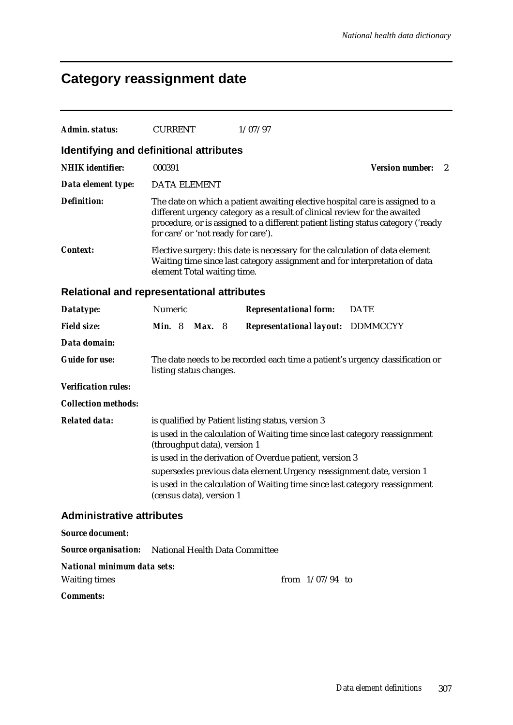# **Category reassignment date**

| <b>Admin. status:</b>                                      | <b>CURRENT</b>                                                                                                                                                                            | 1/07/97                                                                                                                                                                                                                                       |                              |  |  |  |
|------------------------------------------------------------|-------------------------------------------------------------------------------------------------------------------------------------------------------------------------------------------|-----------------------------------------------------------------------------------------------------------------------------------------------------------------------------------------------------------------------------------------------|------------------------------|--|--|--|
| Identifying and definitional attributes                    |                                                                                                                                                                                           |                                                                                                                                                                                                                                               |                              |  |  |  |
| <b>NHIK</b> identifier:                                    | 000391                                                                                                                                                                                    |                                                                                                                                                                                                                                               | <b>Version number:</b><br>-2 |  |  |  |
| Data element type:                                         | <b>DATA ELEMENT</b>                                                                                                                                                                       |                                                                                                                                                                                                                                               |                              |  |  |  |
| <b>Definition:</b>                                         | for care' or 'not ready for care').                                                                                                                                                       | The date on which a patient awaiting elective hospital care is assigned to a<br>different urgency category as a result of clinical review for the awaited<br>procedure, or is assigned to a different patient listing status category ('ready |                              |  |  |  |
| <b>Context:</b>                                            | Elective surgery: this date is necessary for the calculation of data element<br>Waiting time since last category assignment and for interpretation of data<br>element Total waiting time. |                                                                                                                                                                                                                                               |                              |  |  |  |
| <b>Relational and representational attributes</b>          |                                                                                                                                                                                           |                                                                                                                                                                                                                                               |                              |  |  |  |
| Datatype:                                                  | Numeric                                                                                                                                                                                   | <b>Representational form:</b>                                                                                                                                                                                                                 | <b>DATE</b>                  |  |  |  |
| <b>Field size:</b>                                         | <b>Min.</b> 8<br><b>Max.</b> 8                                                                                                                                                            | <b>Representational layout: DDMMCCYY</b>                                                                                                                                                                                                      |                              |  |  |  |
| Data domain:                                               |                                                                                                                                                                                           |                                                                                                                                                                                                                                               |                              |  |  |  |
| <b>Guide for use:</b>                                      | listing status changes.                                                                                                                                                                   | The date needs to be recorded each time a patient's urgency classification or                                                                                                                                                                 |                              |  |  |  |
| <b>Verification rules:</b>                                 |                                                                                                                                                                                           |                                                                                                                                                                                                                                               |                              |  |  |  |
| <b>Collection methods:</b>                                 |                                                                                                                                                                                           |                                                                                                                                                                                                                                               |                              |  |  |  |
| <b>Related data:</b>                                       |                                                                                                                                                                                           | is qualified by Patient listing status, version 3                                                                                                                                                                                             |                              |  |  |  |
|                                                            | (throughput data), version 1                                                                                                                                                              | is used in the calculation of Waiting time since last category reassignment                                                                                                                                                                   |                              |  |  |  |
|                                                            |                                                                                                                                                                                           | is used in the derivation of Overdue patient, version 3                                                                                                                                                                                       |                              |  |  |  |
|                                                            |                                                                                                                                                                                           | supersedes previous data element Urgency reassignment date, version 1                                                                                                                                                                         |                              |  |  |  |
|                                                            | (census data), version 1                                                                                                                                                                  | is used in the calculation of Waiting time since last category reassignment                                                                                                                                                                   |                              |  |  |  |
| <b>Administrative attributes</b>                           |                                                                                                                                                                                           |                                                                                                                                                                                                                                               |                              |  |  |  |
| <b>Source document:</b>                                    |                                                                                                                                                                                           |                                                                                                                                                                                                                                               |                              |  |  |  |
| <b>Source organisation:</b> National Health Data Committee |                                                                                                                                                                                           |                                                                                                                                                                                                                                               |                              |  |  |  |
| <b>National minimum data sets:</b>                         |                                                                                                                                                                                           |                                                                                                                                                                                                                                               |                              |  |  |  |
| <b>Waiting times</b>                                       |                                                                                                                                                                                           | from $1/07/94$ to                                                                                                                                                                                                                             |                              |  |  |  |
| <b>Comments:</b>                                           |                                                                                                                                                                                           |                                                                                                                                                                                                                                               |                              |  |  |  |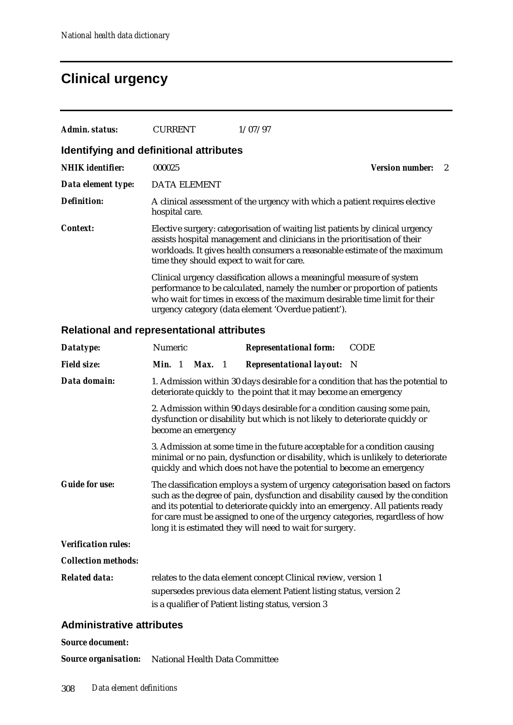# **Clinical urgency**

| <b>Admin. status:</b>                             | <b>CURRENT</b>                            | 1/07/97                                                                                                                                                                                                                                                                                                                                                                                         |                              |
|---------------------------------------------------|-------------------------------------------|-------------------------------------------------------------------------------------------------------------------------------------------------------------------------------------------------------------------------------------------------------------------------------------------------------------------------------------------------------------------------------------------------|------------------------------|
| Identifying and definitional attributes           |                                           |                                                                                                                                                                                                                                                                                                                                                                                                 |                              |
| <b>NHIK</b> identifier:                           | 000025                                    |                                                                                                                                                                                                                                                                                                                                                                                                 | <b>Version number:</b><br>-2 |
| Data element type:                                | <b>DATA ELEMENT</b>                       |                                                                                                                                                                                                                                                                                                                                                                                                 |                              |
| <b>Definition:</b>                                | hospital care.                            | A clinical assessment of the urgency with which a patient requires elective                                                                                                                                                                                                                                                                                                                     |                              |
| <b>Context:</b>                                   | time they should expect to wait for care. | Elective surgery: categorisation of waiting list patients by clinical urgency<br>assists hospital management and clinicians in the prioritisation of their<br>workloads. It gives health consumers a reasonable estimate of the maximum                                                                                                                                                         |                              |
|                                                   |                                           | Clinical urgency classification allows a meaningful measure of system<br>performance to be calculated, namely the number or proportion of patients<br>who wait for times in excess of the maximum desirable time limit for their<br>urgency category (data element 'Overdue patient').                                                                                                          |                              |
| <b>Relational and representational attributes</b> |                                           |                                                                                                                                                                                                                                                                                                                                                                                                 |                              |
| Datatype:                                         | Numeric                                   | <b>Representational form:</b><br><b>CODE</b>                                                                                                                                                                                                                                                                                                                                                    |                              |
| <b>Field size:</b>                                | Min. 1<br>Max. 1                          | <b>Representational layout:</b><br>- N                                                                                                                                                                                                                                                                                                                                                          |                              |
| Data domain:                                      |                                           | 1. Admission within 30 days desirable for a condition that has the potential to<br>deteriorate quickly to the point that it may become an emergency                                                                                                                                                                                                                                             |                              |
|                                                   | become an emergency                       | 2. Admission within 90 days desirable for a condition causing some pain,<br>dysfunction or disability but which is not likely to deteriorate quickly or                                                                                                                                                                                                                                         |                              |
|                                                   |                                           | 3. Admission at some time in the future acceptable for a condition causing<br>minimal or no pain, dysfunction or disability, which is unlikely to deteriorate<br>quickly and which does not have the potential to become an emergency                                                                                                                                                           |                              |
| <b>Guide for use:</b>                             |                                           | The classification employs a system of urgency categorisation based on factors<br>such as the degree of pain, dysfunction and disability caused by the condition<br>and its potential to deteriorate quickly into an emergency. All patients ready<br>for care must be assigned to one of the urgency categories, regardless of how<br>long it is estimated they will need to wait for surgery. |                              |
| <b>Verification rules:</b>                        |                                           |                                                                                                                                                                                                                                                                                                                                                                                                 |                              |
| <b>Collection methods:</b>                        |                                           |                                                                                                                                                                                                                                                                                                                                                                                                 |                              |
| <b>Related data:</b>                              |                                           | relates to the data element concept Clinical review, version 1<br>supersedes previous data element Patient listing status, version 2<br>is a qualifier of Patient listing status, version 3                                                                                                                                                                                                     |                              |
| Administrative attributes                         |                                           |                                                                                                                                                                                                                                                                                                                                                                                                 |                              |

### **Administrative attributes**

#### *Source document:*

| <b>Source organisation:</b> National Health Data Committee |
|------------------------------------------------------------|
|                                                            |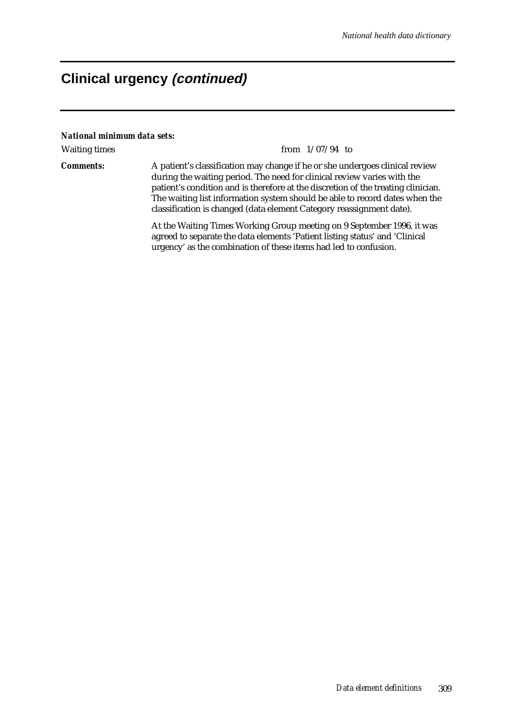### **Clinical urgency (continued)**

#### *National minimum data sets:*

Waiting times from  $1/07/94$  to **Comments:** A patient's classification may change if he or she undergoes clinical review during the waiting period. The need for clinical review varies with the patient's condition and is therefore at the discretion of the treating clinician. The waiting list information system should be able to record dates when the classification is changed (data element Category reassignment date). At the Waiting Times Working Group meeting on 9 September 1996, it was agreed to separate the data elements 'Patient listing status' and 'Clinical urgency' as the combination of these items had led to confusion.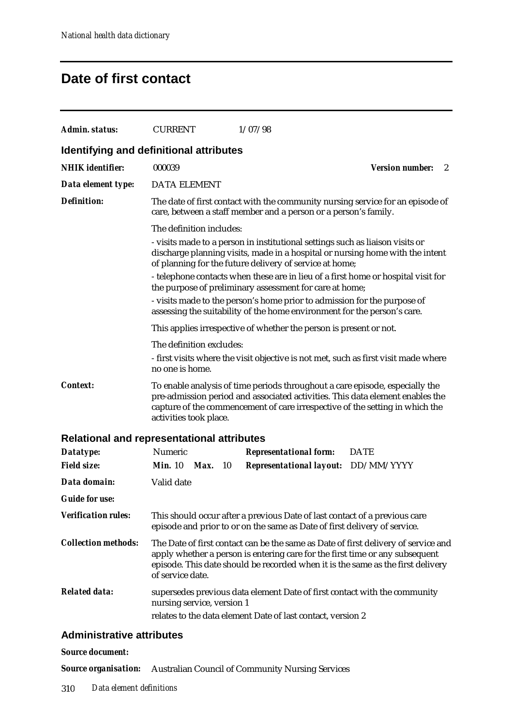### **Date of first contact**

| Admin. status:                          | <b>CURRENT</b>                                                                                                                               | 1/07/98                                                                                                                                                                                                                                       |                                                                               |   |  |  |  |  |
|-----------------------------------------|----------------------------------------------------------------------------------------------------------------------------------------------|-----------------------------------------------------------------------------------------------------------------------------------------------------------------------------------------------------------------------------------------------|-------------------------------------------------------------------------------|---|--|--|--|--|
| Identifying and definitional attributes |                                                                                                                                              |                                                                                                                                                                                                                                               |                                                                               |   |  |  |  |  |
| <b>NHIK</b> identifier:                 | 000039                                                                                                                                       |                                                                                                                                                                                                                                               | <b>Version number:</b>                                                        | 2 |  |  |  |  |
| Data element type:                      | <b>DATA ELEMENT</b>                                                                                                                          |                                                                                                                                                                                                                                               |                                                                               |   |  |  |  |  |
| <b>Definition:</b>                      |                                                                                                                                              | The date of first contact with the community nursing service for an episode of<br>care, between a staff member and a person or a person's family.                                                                                             |                                                                               |   |  |  |  |  |
|                                         | The definition includes:                                                                                                                     |                                                                                                                                                                                                                                               |                                                                               |   |  |  |  |  |
|                                         |                                                                                                                                              | - visits made to a person in institutional settings such as liaison visits or<br>of planning for the future delivery of service at home;                                                                                                      | discharge planning visits, made in a hospital or nursing home with the intent |   |  |  |  |  |
|                                         | - telephone contacts when these are in lieu of a first home or hospital visit for<br>the purpose of preliminary assessment for care at home; |                                                                                                                                                                                                                                               |                                                                               |   |  |  |  |  |
|                                         |                                                                                                                                              | - visits made to the person's home prior to admission for the purpose of<br>assessing the suitability of the home environment for the person's care.                                                                                          |                                                                               |   |  |  |  |  |
|                                         |                                                                                                                                              | This applies irrespective of whether the person is present or not.                                                                                                                                                                            |                                                                               |   |  |  |  |  |
|                                         | The definition excludes:                                                                                                                     |                                                                                                                                                                                                                                               |                                                                               |   |  |  |  |  |
|                                         | no one is home.                                                                                                                              | - first visits where the visit objective is not met, such as first visit made where                                                                                                                                                           |                                                                               |   |  |  |  |  |
| <b>Context:</b>                         | activities took place.                                                                                                                       | To enable analysis of time periods throughout a care episode, especially the<br>pre-admission period and associated activities. This data element enables the<br>capture of the commencement of care irrespective of the setting in which the |                                                                               |   |  |  |  |  |

#### **Relational and representational attributes**

| Datatype:                  | <b>Numeric</b>             |         | <b>Representational form:</b>                                                                                                                                                                                                                         | <b>DATE</b> |
|----------------------------|----------------------------|---------|-------------------------------------------------------------------------------------------------------------------------------------------------------------------------------------------------------------------------------------------------------|-------------|
| <b>Field size:</b>         | <b>Min.</b> $10$           | Max. 10 | Representational layout: DD/MM/YYYY                                                                                                                                                                                                                   |             |
| Data domain:               | Valid date                 |         |                                                                                                                                                                                                                                                       |             |
| <b>Guide for use:</b>      |                            |         |                                                                                                                                                                                                                                                       |             |
| <b>Verification rules:</b> |                            |         | This should occur after a previous Date of last contact of a previous care<br>episode and prior to or on the same as Date of first delivery of service.                                                                                               |             |
| <b>Collection methods:</b> | of service date.           |         | The Date of first contact can be the same as Date of first delivery of service and<br>apply whether a person is entering care for the first time or any subsequent<br>episode. This date should be recorded when it is the same as the first delivery |             |
| <b>Related data:</b>       | nursing service, version 1 |         | supersedes previous data element Date of first contact with the community<br>relates to the data element Date of last contact, version 2                                                                                                              |             |

#### **Administrative attributes**

#### *Source document:*

*Source organisation:* Australian Council of Community Nursing Services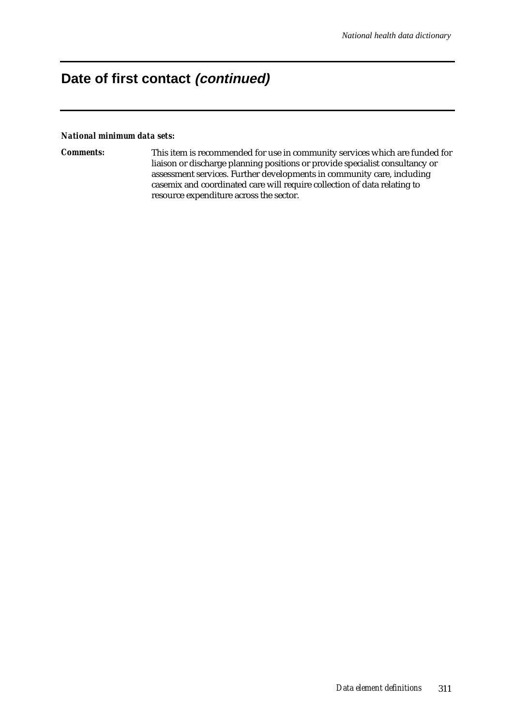# **Date of first contact (continued)**

#### *National minimum data sets:*

*Comments:* This item is recommended for use in community services which are funded for liaison or discharge planning positions or provide specialist consultancy or assessment services. Further developments in community care, including casemix and coordinated care will require collection of data relating to resource expenditure across the sector.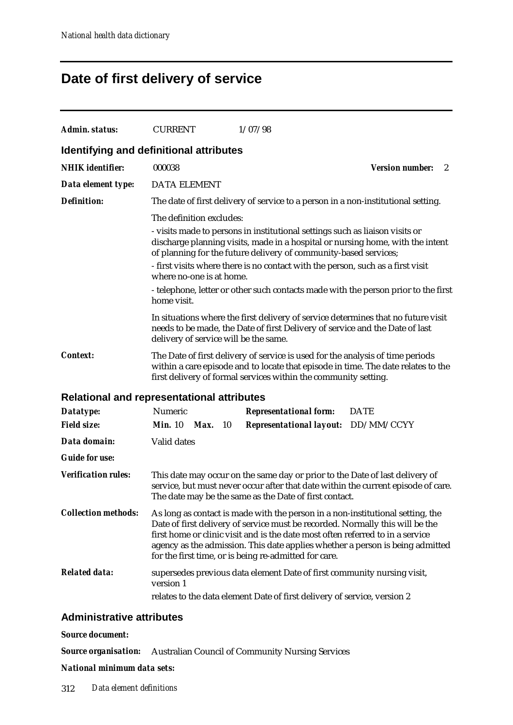# **Date of first delivery of service**

| <b>Admin. status:</b>                             | <b>CURRENT</b>                                                                                                                                                                                                                                                                                                                                                                              | 1/07/98                                                                                                                                                                                                                            |                             |  |  |  |  |
|---------------------------------------------------|---------------------------------------------------------------------------------------------------------------------------------------------------------------------------------------------------------------------------------------------------------------------------------------------------------------------------------------------------------------------------------------------|------------------------------------------------------------------------------------------------------------------------------------------------------------------------------------------------------------------------------------|-----------------------------|--|--|--|--|
| Identifying and definitional attributes           |                                                                                                                                                                                                                                                                                                                                                                                             |                                                                                                                                                                                                                                    |                             |  |  |  |  |
| <b>NHIK</b> identifier:                           | 000038                                                                                                                                                                                                                                                                                                                                                                                      |                                                                                                                                                                                                                                    | <b>Version number:</b><br>2 |  |  |  |  |
| Data element type:                                | <b>DATA ELEMENT</b>                                                                                                                                                                                                                                                                                                                                                                         |                                                                                                                                                                                                                                    |                             |  |  |  |  |
| <b>Definition:</b>                                |                                                                                                                                                                                                                                                                                                                                                                                             | The date of first delivery of service to a person in a non-institutional setting.                                                                                                                                                  |                             |  |  |  |  |
|                                                   | The definition excludes:                                                                                                                                                                                                                                                                                                                                                                    |                                                                                                                                                                                                                                    |                             |  |  |  |  |
|                                                   |                                                                                                                                                                                                                                                                                                                                                                                             | - visits made to persons in institutional settings such as liaison visits or<br>discharge planning visits, made in a hospital or nursing home, with the intent<br>of planning for the future delivery of community-based services; |                             |  |  |  |  |
|                                                   | where no-one is at home.                                                                                                                                                                                                                                                                                                                                                                    | - first visits where there is no contact with the person, such as a first visit                                                                                                                                                    |                             |  |  |  |  |
|                                                   | - telephone, letter or other such contacts made with the person prior to the first<br>home visit.                                                                                                                                                                                                                                                                                           |                                                                                                                                                                                                                                    |                             |  |  |  |  |
|                                                   | In situations where the first delivery of service determines that no future visit<br>needs to be made, the Date of first Delivery of service and the Date of last<br>delivery of service will be the same.                                                                                                                                                                                  |                                                                                                                                                                                                                                    |                             |  |  |  |  |
| <b>Context:</b>                                   | The Date of first delivery of service is used for the analysis of time periods<br>within a care episode and to locate that episode in time. The date relates to the<br>first delivery of formal services within the community setting.                                                                                                                                                      |                                                                                                                                                                                                                                    |                             |  |  |  |  |
| <b>Relational and representational attributes</b> |                                                                                                                                                                                                                                                                                                                                                                                             |                                                                                                                                                                                                                                    |                             |  |  |  |  |
| Datatype:                                         | Numeric                                                                                                                                                                                                                                                                                                                                                                                     | <b>Representational form:</b>                                                                                                                                                                                                      | <b>DATE</b>                 |  |  |  |  |
| <b>Field size:</b>                                | <b>Min.</b> 10 <b>Max.</b> 10                                                                                                                                                                                                                                                                                                                                                               | Representational layout: DD/MM/CCYY                                                                                                                                                                                                |                             |  |  |  |  |
| Data domain:                                      | Valid dates                                                                                                                                                                                                                                                                                                                                                                                 |                                                                                                                                                                                                                                    |                             |  |  |  |  |
| <b>Guide for use:</b>                             |                                                                                                                                                                                                                                                                                                                                                                                             |                                                                                                                                                                                                                                    |                             |  |  |  |  |
| <b>Verification rules:</b>                        |                                                                                                                                                                                                                                                                                                                                                                                             | This date may occur on the same day or prior to the Date of last delivery of<br>service, but must never occur after that date within the current episode of care.<br>The date may be the same as the Date of first contact.        |                             |  |  |  |  |
| <b>Collection methods:</b>                        | As long as contact is made with the person in a non-institutional setting, the<br>Date of first delivery of service must be recorded. Normally this will be the<br>first home or clinic visit and is the date most often referred to in a service<br>agency as the admission. This date applies whether a person is being admitted<br>for the first time, or is being re-admitted for care. |                                                                                                                                                                                                                                    |                             |  |  |  |  |
| <b>Related data:</b>                              | version 1                                                                                                                                                                                                                                                                                                                                                                                   | supersedes previous data element Date of first community nursing visit,                                                                                                                                                            |                             |  |  |  |  |
|                                                   |                                                                                                                                                                                                                                                                                                                                                                                             | relates to the data element Date of first delivery of service, version 2                                                                                                                                                           |                             |  |  |  |  |

#### **Administrative attributes**

*Source document:*

*Source organisation:* Australian Council of Community Nursing Services

*National minimum data sets:*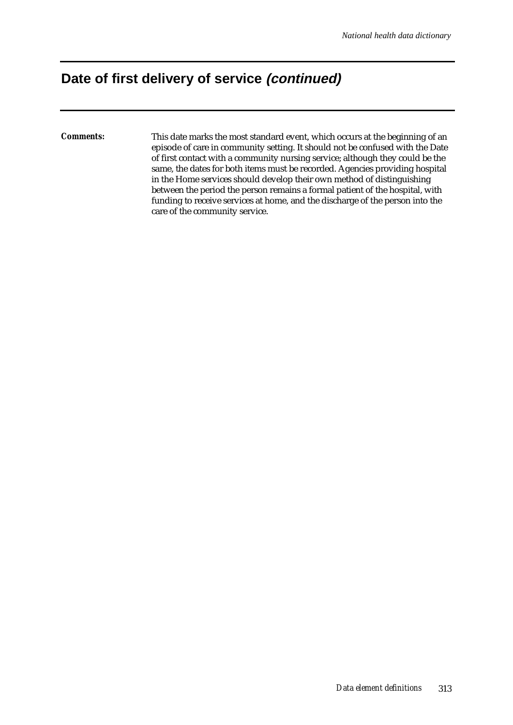### **Date of first delivery of service (continued)**

**Comments:** This date marks the most standard event, which occurs at the beginning of an episode of care in community setting. It should not be confused with the Date of first contact with a community nursing service; although they could be the same, the dates for both items must be recorded. Agencies providing hospital in the Home services should develop their own method of distinguishing between the period the person remains a formal patient of the hospital, with funding to receive services at home, and the discharge of the person into the care of the community service.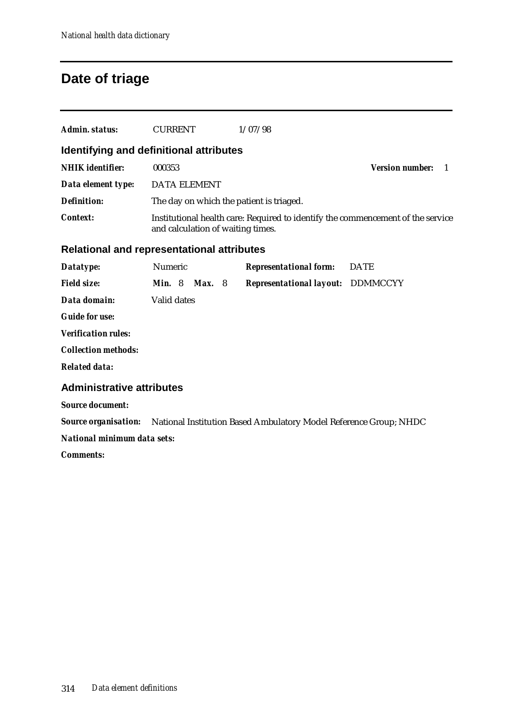# **Date of triage**

| Admin. status:                                    | <b>CURRENT</b>                                                                                                       |  |                             |  | 1/07/98                                                                                       |                              |  |  |
|---------------------------------------------------|----------------------------------------------------------------------------------------------------------------------|--|-----------------------------|--|-----------------------------------------------------------------------------------------------|------------------------------|--|--|
| Identifying and definitional attributes           |                                                                                                                      |  |                             |  |                                                                                               |                              |  |  |
| <b>NHIK</b> identifier:                           | 000353                                                                                                               |  |                             |  |                                                                                               | <b>Version number:</b><br>-1 |  |  |
| Data element type:                                | <b>DATA ELEMENT</b>                                                                                                  |  |                             |  |                                                                                               |                              |  |  |
| <b>Definition:</b>                                | The day on which the patient is triaged.                                                                             |  |                             |  |                                                                                               |                              |  |  |
| <b>Context:</b>                                   | Institutional health care: Required to identify the commencement of the service<br>and calculation of waiting times. |  |                             |  |                                                                                               |                              |  |  |
| <b>Relational and representational attributes</b> |                                                                                                                      |  |                             |  |                                                                                               |                              |  |  |
| Datatype:                                         | Numeric                                                                                                              |  |                             |  | <b>Representational form:</b>                                                                 | <b>DATE</b>                  |  |  |
| <b>Field size:</b>                                |                                                                                                                      |  | <b>Min.</b> 8 <b>Max.</b> 8 |  | <b>Representational layout: DDMMCCYY</b>                                                      |                              |  |  |
| Data domain:                                      | Valid dates                                                                                                          |  |                             |  |                                                                                               |                              |  |  |
| <b>Guide for use:</b>                             |                                                                                                                      |  |                             |  |                                                                                               |                              |  |  |
| <b>Verification rules:</b>                        |                                                                                                                      |  |                             |  |                                                                                               |                              |  |  |
| <b>Collection methods:</b>                        |                                                                                                                      |  |                             |  |                                                                                               |                              |  |  |
| <b>Related data:</b>                              |                                                                                                                      |  |                             |  |                                                                                               |                              |  |  |
| <b>Administrative attributes</b>                  |                                                                                                                      |  |                             |  |                                                                                               |                              |  |  |
| <b>Source document:</b>                           |                                                                                                                      |  |                             |  |                                                                                               |                              |  |  |
|                                                   |                                                                                                                      |  |                             |  | <b>Source organisation:</b> National Institution Based Ambulatory Model Reference Group; NHDC |                              |  |  |
| National minimum data sets:                       |                                                                                                                      |  |                             |  |                                                                                               |                              |  |  |
| <b>Comments:</b>                                  |                                                                                                                      |  |                             |  |                                                                                               |                              |  |  |
|                                                   |                                                                                                                      |  |                             |  |                                                                                               |                              |  |  |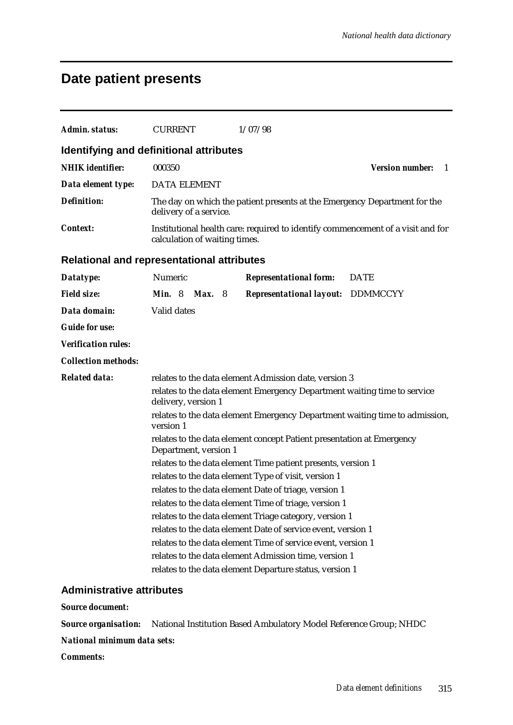# **Date patient presents**

| Admin. status:                                    | <b>CURRENT</b>                                            |                                                                                                                  |  | 1/07/98                                                                                                                                                                                                                                                                                                                                                                                                                                                                                                                                                                                                                                                                                                                                                            |                                                                             |  |  |  |
|---------------------------------------------------|-----------------------------------------------------------|------------------------------------------------------------------------------------------------------------------|--|--------------------------------------------------------------------------------------------------------------------------------------------------------------------------------------------------------------------------------------------------------------------------------------------------------------------------------------------------------------------------------------------------------------------------------------------------------------------------------------------------------------------------------------------------------------------------------------------------------------------------------------------------------------------------------------------------------------------------------------------------------------------|-----------------------------------------------------------------------------|--|--|--|
| Identifying and definitional attributes           |                                                           |                                                                                                                  |  |                                                                                                                                                                                                                                                                                                                                                                                                                                                                                                                                                                                                                                                                                                                                                                    |                                                                             |  |  |  |
| <b>NHIK</b> identifier:                           | 000350                                                    |                                                                                                                  |  |                                                                                                                                                                                                                                                                                                                                                                                                                                                                                                                                                                                                                                                                                                                                                                    | <b>Version number:</b><br>-1                                                |  |  |  |
| Data element type:                                | <b>DATA ELEMENT</b>                                       |                                                                                                                  |  |                                                                                                                                                                                                                                                                                                                                                                                                                                                                                                                                                                                                                                                                                                                                                                    |                                                                             |  |  |  |
| <b>Definition:</b>                                |                                                           | The day on which the patient presents at the Emergency Department for the<br>delivery of a service.              |  |                                                                                                                                                                                                                                                                                                                                                                                                                                                                                                                                                                                                                                                                                                                                                                    |                                                                             |  |  |  |
| <b>Context:</b>                                   |                                                           | Institutional health care: required to identify commencement of a visit and for<br>calculation of waiting times. |  |                                                                                                                                                                                                                                                                                                                                                                                                                                                                                                                                                                                                                                                                                                                                                                    |                                                                             |  |  |  |
| <b>Relational and representational attributes</b> |                                                           |                                                                                                                  |  |                                                                                                                                                                                                                                                                                                                                                                                                                                                                                                                                                                                                                                                                                                                                                                    |                                                                             |  |  |  |
| Datatype:                                         | Numeric                                                   |                                                                                                                  |  | <b>Representational form:</b>                                                                                                                                                                                                                                                                                                                                                                                                                                                                                                                                                                                                                                                                                                                                      | <b>DATE</b>                                                                 |  |  |  |
| <b>Field size:</b>                                | <b>Min.</b> 8                                             | <b>Max.</b> 8                                                                                                    |  | <b>Representational layout: DDMMCCYY</b>                                                                                                                                                                                                                                                                                                                                                                                                                                                                                                                                                                                                                                                                                                                           |                                                                             |  |  |  |
| Data domain:                                      | Valid dates                                               |                                                                                                                  |  |                                                                                                                                                                                                                                                                                                                                                                                                                                                                                                                                                                                                                                                                                                                                                                    |                                                                             |  |  |  |
| <b>Guide for use:</b>                             |                                                           |                                                                                                                  |  |                                                                                                                                                                                                                                                                                                                                                                                                                                                                                                                                                                                                                                                                                                                                                                    |                                                                             |  |  |  |
| <b>Verification rules:</b>                        |                                                           |                                                                                                                  |  |                                                                                                                                                                                                                                                                                                                                                                                                                                                                                                                                                                                                                                                                                                                                                                    |                                                                             |  |  |  |
| <b>Collection methods:</b>                        |                                                           |                                                                                                                  |  |                                                                                                                                                                                                                                                                                                                                                                                                                                                                                                                                                                                                                                                                                                                                                                    |                                                                             |  |  |  |
| <b>Related data:</b>                              | delivery, version 1<br>version 1<br>Department, version 1 |                                                                                                                  |  | relates to the data element Admission date, version 3<br>relates to the data element Emergency Department waiting time to service<br>relates to the data element concept Patient presentation at Emergency<br>relates to the data element Time patient presents, version 1<br>relates to the data element Type of visit, version 1<br>relates to the data element Date of triage, version 1<br>relates to the data element Time of triage, version 1<br>relates to the data element Triage category, version 1<br>relates to the data element Date of service event, version 1<br>relates to the data element Time of service event, version 1<br>relates to the data element Admission time, version 1<br>relates to the data element Departure status, version 1 | relates to the data element Emergency Department waiting time to admission, |  |  |  |
| <b>Administrative attributes</b>                  |                                                           |                                                                                                                  |  |                                                                                                                                                                                                                                                                                                                                                                                                                                                                                                                                                                                                                                                                                                                                                                    |                                                                             |  |  |  |
| <b>Source document:</b>                           |                                                           |                                                                                                                  |  |                                                                                                                                                                                                                                                                                                                                                                                                                                                                                                                                                                                                                                                                                                                                                                    |                                                                             |  |  |  |
|                                                   |                                                           |                                                                                                                  |  | Source organisation: National Institution Based Ambulatory Model Reference Group; NHDC                                                                                                                                                                                                                                                                                                                                                                                                                                                                                                                                                                                                                                                                             |                                                                             |  |  |  |
| National minimum data sets:                       |                                                           |                                                                                                                  |  |                                                                                                                                                                                                                                                                                                                                                                                                                                                                                                                                                                                                                                                                                                                                                                    |                                                                             |  |  |  |
| <b>Comments:</b>                                  |                                                           |                                                                                                                  |  |                                                                                                                                                                                                                                                                                                                                                                                                                                                                                                                                                                                                                                                                                                                                                                    |                                                                             |  |  |  |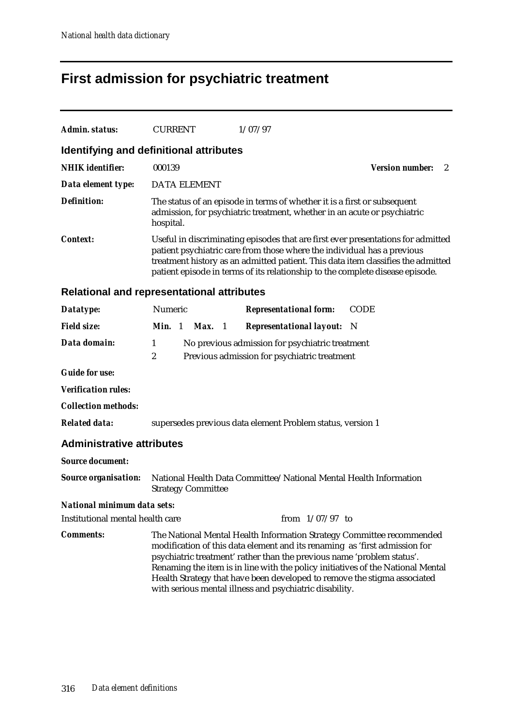# **First admission for psychiatric treatment**

| <b>Admin. status:</b>            | 1/07/97<br><b>CURRENT</b>                                                                                                                                                                                                                                                                                                                                                                                                                               |  |  |
|----------------------------------|---------------------------------------------------------------------------------------------------------------------------------------------------------------------------------------------------------------------------------------------------------------------------------------------------------------------------------------------------------------------------------------------------------------------------------------------------------|--|--|
|                                  | Identifying and definitional attributes                                                                                                                                                                                                                                                                                                                                                                                                                 |  |  |
| <b>NHIK</b> identifier:          | 000139<br><b>Version number:</b><br>2                                                                                                                                                                                                                                                                                                                                                                                                                   |  |  |
| Data element type:               | <b>DATA ELEMENT</b>                                                                                                                                                                                                                                                                                                                                                                                                                                     |  |  |
| <b>Definition:</b>               | The status of an episode in terms of whether it is a first or subsequent<br>admission, for psychiatric treatment, whether in an acute or psychiatric<br>hospital.                                                                                                                                                                                                                                                                                       |  |  |
| <b>Context:</b>                  | Useful in discriminating episodes that are first ever presentations for admitted<br>patient psychiatric care from those where the individual has a previous<br>treatment history as an admitted patient. This data item classifies the admitted<br>patient episode in terms of its relationship to the complete disease episode.                                                                                                                        |  |  |
|                                  | <b>Relational and representational attributes</b>                                                                                                                                                                                                                                                                                                                                                                                                       |  |  |
| Datatype:                        | Numeric<br><b>CODE</b><br><b>Representational form:</b>                                                                                                                                                                                                                                                                                                                                                                                                 |  |  |
| <b>Field size:</b>               | Min. 1<br><b>Representational layout:</b><br><b>Max.</b> 1<br>- N                                                                                                                                                                                                                                                                                                                                                                                       |  |  |
| Data domain:                     | No previous admission for psychiatric treatment<br>$\mathbf{1}$                                                                                                                                                                                                                                                                                                                                                                                         |  |  |
|                                  | $\boldsymbol{2}$<br>Previous admission for psychiatric treatment                                                                                                                                                                                                                                                                                                                                                                                        |  |  |
| <b>Guide for use:</b>            |                                                                                                                                                                                                                                                                                                                                                                                                                                                         |  |  |
| <b>Verification rules:</b>       |                                                                                                                                                                                                                                                                                                                                                                                                                                                         |  |  |
| <b>Collection methods:</b>       |                                                                                                                                                                                                                                                                                                                                                                                                                                                         |  |  |
| <b>Related data:</b>             | supersedes previous data element Problem status, version 1                                                                                                                                                                                                                                                                                                                                                                                              |  |  |
| <b>Administrative attributes</b> |                                                                                                                                                                                                                                                                                                                                                                                                                                                         |  |  |
| <b>Source document:</b>          |                                                                                                                                                                                                                                                                                                                                                                                                                                                         |  |  |
| <b>Source organisation:</b>      | National Health Data Committee/National Mental Health Information<br><b>Strategy Committee</b>                                                                                                                                                                                                                                                                                                                                                          |  |  |
| National minimum data sets:      |                                                                                                                                                                                                                                                                                                                                                                                                                                                         |  |  |
| Institutional mental health care | from $1/07/97$ to                                                                                                                                                                                                                                                                                                                                                                                                                                       |  |  |
| <b>Comments:</b>                 | The National Mental Health Information Strategy Committee recommended<br>modification of this data element and its renaming as 'first admission for<br>psychiatric treatment' rather than the previous name 'problem status'.<br>Renaming the item is in line with the policy initiatives of the National Mental<br>Health Strategy that have been developed to remove the stigma associated<br>with serious mental illness and psychiatric disability. |  |  |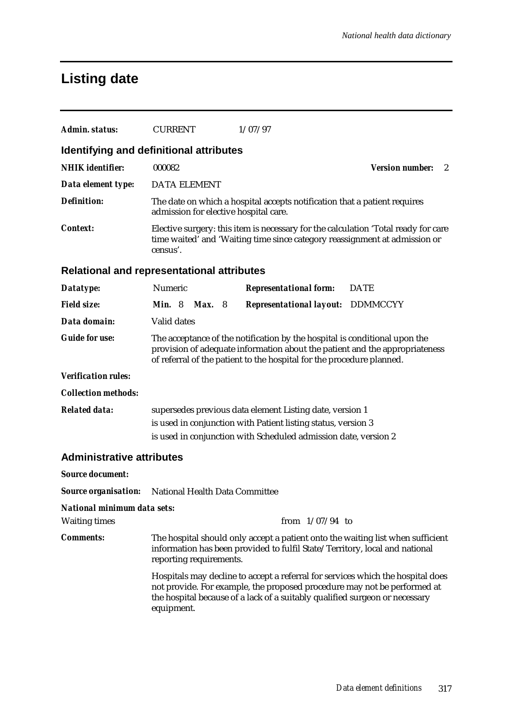# **Listing date**

| Admin. status:                                    | <b>CURRENT</b>                                                                                                                                                                                                                     | 1/07/97                                                                                                                                                                                                                                    |                             |  |  |  |
|---------------------------------------------------|------------------------------------------------------------------------------------------------------------------------------------------------------------------------------------------------------------------------------------|--------------------------------------------------------------------------------------------------------------------------------------------------------------------------------------------------------------------------------------------|-----------------------------|--|--|--|
| Identifying and definitional attributes           |                                                                                                                                                                                                                                    |                                                                                                                                                                                                                                            |                             |  |  |  |
| <b>NHIK</b> identifier:                           | 000082                                                                                                                                                                                                                             |                                                                                                                                                                                                                                            | <b>Version number:</b><br>2 |  |  |  |
| Data element type:                                | <b>DATA ELEMENT</b>                                                                                                                                                                                                                |                                                                                                                                                                                                                                            |                             |  |  |  |
| <b>Definition:</b>                                |                                                                                                                                                                                                                                    | The date on which a hospital accepts notification that a patient requires<br>admission for elective hospital care.                                                                                                                         |                             |  |  |  |
| <b>Context:</b>                                   | Elective surgery: this item is necessary for the calculation 'Total ready for care<br>time waited' and 'Waiting time since category reassignment at admission or<br>census'.                                                       |                                                                                                                                                                                                                                            |                             |  |  |  |
| <b>Relational and representational attributes</b> |                                                                                                                                                                                                                                    |                                                                                                                                                                                                                                            |                             |  |  |  |
| Datatype:                                         | Numeric                                                                                                                                                                                                                            | <b>Representational form:</b>                                                                                                                                                                                                              | <b>DATE</b>                 |  |  |  |
| <b>Field size:</b>                                | Min.8<br><b>Max.</b> 8                                                                                                                                                                                                             | <b>Representational layout: DDMMCCYY</b>                                                                                                                                                                                                   |                             |  |  |  |
| Data domain:                                      | Valid dates                                                                                                                                                                                                                        |                                                                                                                                                                                                                                            |                             |  |  |  |
| <b>Guide for use:</b>                             | The acceptance of the notification by the hospital is conditional upon the<br>provision of adequate information about the patient and the appropriateness<br>of referral of the patient to the hospital for the procedure planned. |                                                                                                                                                                                                                                            |                             |  |  |  |
| <b>Verification rules:</b>                        |                                                                                                                                                                                                                                    |                                                                                                                                                                                                                                            |                             |  |  |  |
| <b>Collection methods:</b>                        |                                                                                                                                                                                                                                    |                                                                                                                                                                                                                                            |                             |  |  |  |
| <b>Related data:</b>                              | supersedes previous data element Listing date, version 1                                                                                                                                                                           |                                                                                                                                                                                                                                            |                             |  |  |  |
|                                                   | is used in conjunction with Patient listing status, version 3                                                                                                                                                                      |                                                                                                                                                                                                                                            |                             |  |  |  |
|                                                   |                                                                                                                                                                                                                                    | is used in conjunction with Scheduled admission date, version 2                                                                                                                                                                            |                             |  |  |  |
| <b>Administrative attributes</b>                  |                                                                                                                                                                                                                                    |                                                                                                                                                                                                                                            |                             |  |  |  |
| <b>Source document:</b>                           |                                                                                                                                                                                                                                    |                                                                                                                                                                                                                                            |                             |  |  |  |
| <b>Source organisation:</b>                       | National Health Data Committee                                                                                                                                                                                                     |                                                                                                                                                                                                                                            |                             |  |  |  |
| National minimum data sets:                       |                                                                                                                                                                                                                                    |                                                                                                                                                                                                                                            |                             |  |  |  |
| <b>Waiting times</b>                              | from $1/07/94$ to                                                                                                                                                                                                                  |                                                                                                                                                                                                                                            |                             |  |  |  |
| <b>Comments:</b>                                  | reporting requirements.                                                                                                                                                                                                            | The hospital should only accept a patient onto the waiting list when sufficient<br>information has been provided to fulfil State/Territory, local and national                                                                             |                             |  |  |  |
|                                                   | equipment.                                                                                                                                                                                                                         | Hospitals may decline to accept a referral for services which the hospital does<br>not provide. For example, the proposed procedure may not be performed at<br>the hospital because of a lack of a suitably qualified surgeon or necessary |                             |  |  |  |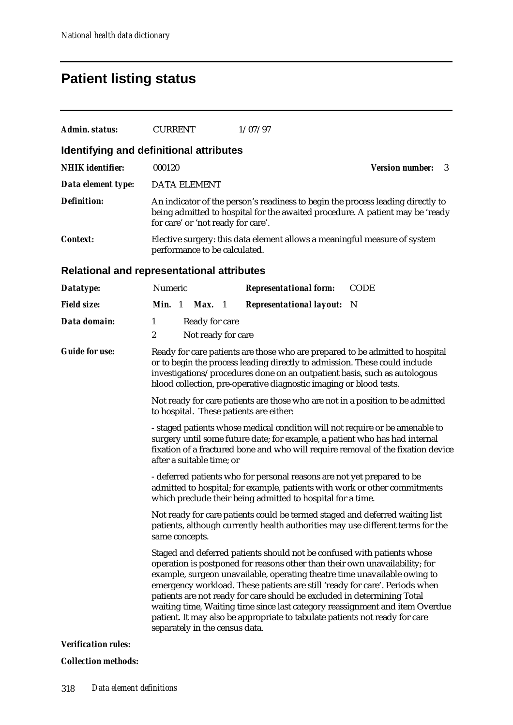# **Patient listing status**

| <b>Admin. status:</b>                      | <b>CURRENT</b>                                                                                                                                                                                                                                                                                                 | 1/07/97                                                                                                                                                                                                                                                                                                                                                                                                                                                                                                                                                      |                              |  |  |  |
|--------------------------------------------|----------------------------------------------------------------------------------------------------------------------------------------------------------------------------------------------------------------------------------------------------------------------------------------------------------------|--------------------------------------------------------------------------------------------------------------------------------------------------------------------------------------------------------------------------------------------------------------------------------------------------------------------------------------------------------------------------------------------------------------------------------------------------------------------------------------------------------------------------------------------------------------|------------------------------|--|--|--|
| Identifying and definitional attributes    |                                                                                                                                                                                                                                                                                                                |                                                                                                                                                                                                                                                                                                                                                                                                                                                                                                                                                              |                              |  |  |  |
| <b>NHIK</b> identifier:                    | 000120                                                                                                                                                                                                                                                                                                         |                                                                                                                                                                                                                                                                                                                                                                                                                                                                                                                                                              | <b>Version number:</b><br>-3 |  |  |  |
| Data element type:                         | <b>DATA ELEMENT</b>                                                                                                                                                                                                                                                                                            |                                                                                                                                                                                                                                                                                                                                                                                                                                                                                                                                                              |                              |  |  |  |
| <b>Definition:</b>                         |                                                                                                                                                                                                                                                                                                                | An indicator of the person's readiness to begin the process leading directly to<br>being admitted to hospital for the awaited procedure. A patient may be 'ready<br>for care' or 'not ready for care'.                                                                                                                                                                                                                                                                                                                                                       |                              |  |  |  |
| <b>Context:</b>                            | performance to be calculated.                                                                                                                                                                                                                                                                                  | Elective surgery: this data element allows a meaningful measure of system                                                                                                                                                                                                                                                                                                                                                                                                                                                                                    |                              |  |  |  |
| Relational and representational attributes |                                                                                                                                                                                                                                                                                                                |                                                                                                                                                                                                                                                                                                                                                                                                                                                                                                                                                              |                              |  |  |  |
| Datatype:                                  | Numeric                                                                                                                                                                                                                                                                                                        | <b>Representational form:</b>                                                                                                                                                                                                                                                                                                                                                                                                                                                                                                                                | <b>CODE</b>                  |  |  |  |
| <b>Field size:</b>                         | Min. 1<br><b>Max.</b> 1                                                                                                                                                                                                                                                                                        | <b>Representational layout:</b>                                                                                                                                                                                                                                                                                                                                                                                                                                                                                                                              | N                            |  |  |  |
| Data domain:                               | 1<br>Ready for care<br>2<br>Not ready for care                                                                                                                                                                                                                                                                 |                                                                                                                                                                                                                                                                                                                                                                                                                                                                                                                                                              |                              |  |  |  |
| <b>Guide for use:</b>                      | Ready for care patients are those who are prepared to be admitted to hospital<br>or to begin the process leading directly to admission. These could include<br>investigations/procedures done on an outpatient basis, such as autologous<br>blood collection, pre-operative diagnostic imaging or blood tests. |                                                                                                                                                                                                                                                                                                                                                                                                                                                                                                                                                              |                              |  |  |  |
|                                            | to hospital. These patients are either:                                                                                                                                                                                                                                                                        | Not ready for care patients are those who are not in a position to be admitted                                                                                                                                                                                                                                                                                                                                                                                                                                                                               |                              |  |  |  |
|                                            | after a suitable time; or                                                                                                                                                                                                                                                                                      | - staged patients whose medical condition will not require or be amenable to<br>surgery until some future date; for example, a patient who has had internal<br>fixation of a fractured bone and who will require removal of the fixation device                                                                                                                                                                                                                                                                                                              |                              |  |  |  |
|                                            |                                                                                                                                                                                                                                                                                                                | - deferred patients who for personal reasons are not yet prepared to be<br>admitted to hospital; for example, patients with work or other commitments<br>which preclude their being admitted to hospital for a time.                                                                                                                                                                                                                                                                                                                                         |                              |  |  |  |
|                                            | same concepts.                                                                                                                                                                                                                                                                                                 | Not ready for care patients could be termed staged and deferred waiting list<br>patients, although currently health authorities may use different terms for the                                                                                                                                                                                                                                                                                                                                                                                              |                              |  |  |  |
|                                            | separately in the census data.                                                                                                                                                                                                                                                                                 | Staged and deferred patients should not be confused with patients whose<br>operation is postponed for reasons other than their own unavailability; for<br>example, surgeon unavailable, operating theatre time unavailable owing to<br>emergency workload. These patients are still 'ready for care'. Periods when<br>patients are not ready for care should be excluded in determining Total<br>waiting time, Waiting time since last category reassignment and item Overdue<br>patient. It may also be appropriate to tabulate patients not ready for care |                              |  |  |  |
| <b>Verification rules:</b>                 |                                                                                                                                                                                                                                                                                                                |                                                                                                                                                                                                                                                                                                                                                                                                                                                                                                                                                              |                              |  |  |  |

#### *Collection methods:*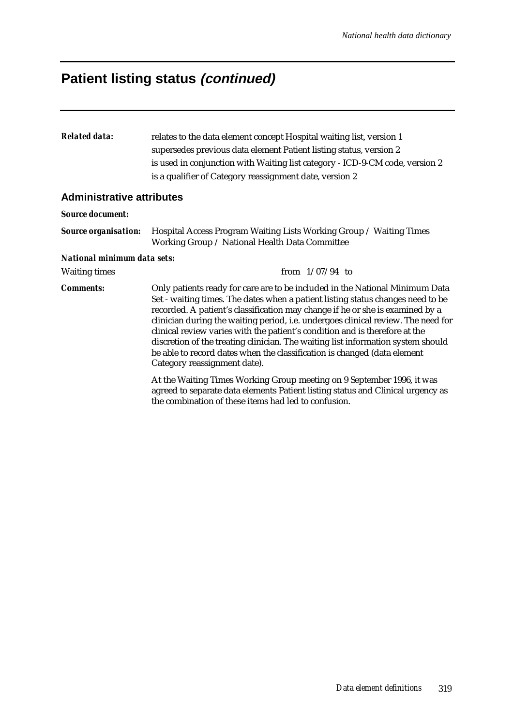### **Patient listing status (continued)**

| <b>Related data:</b>             | relates to the data element concept Hospital waiting list, version 1                                                                                            |
|----------------------------------|-----------------------------------------------------------------------------------------------------------------------------------------------------------------|
|                                  | supersedes previous data element Patient listing status, version 2                                                                                              |
|                                  | is used in conjunction with Waiting list category - ICD-9-CM code, version 2                                                                                    |
|                                  | is a qualifier of Category reassignment date, version 2                                                                                                         |
| <b>Administrative attributes</b> |                                                                                                                                                                 |
| <b>Source document:</b>          |                                                                                                                                                                 |
| <b>Source organisation:</b>      | Hospital Access Program Waiting Lists Working Group / Waiting Times<br>Working Group / National Health Data Committee                                           |
| National minimum data sets:      |                                                                                                                                                                 |
| <b>Waiting times</b>             | from $1/07/94$ to                                                                                                                                               |
| <b>Comments:</b>                 | Only patients ready for care are to be included in the National Minimum Data<br>Set - waiting times. The dates when a patient listing status changes need to be |

the combination of these items had led to confusion.

Category reassignment date).

recorded. A patient's classification may change if he or she is examined by a clinician during the waiting period, i.e. undergoes clinical review. The need for

clinical review varies with the patient's condition and is therefore at the discretion of the treating clinician. The waiting list information system should be able to record dates when the classification is changed (data element

At the Waiting Times Working Group meeting on 9 September 1996, it was agreed to separate data elements Patient listing status and Clinical urgency as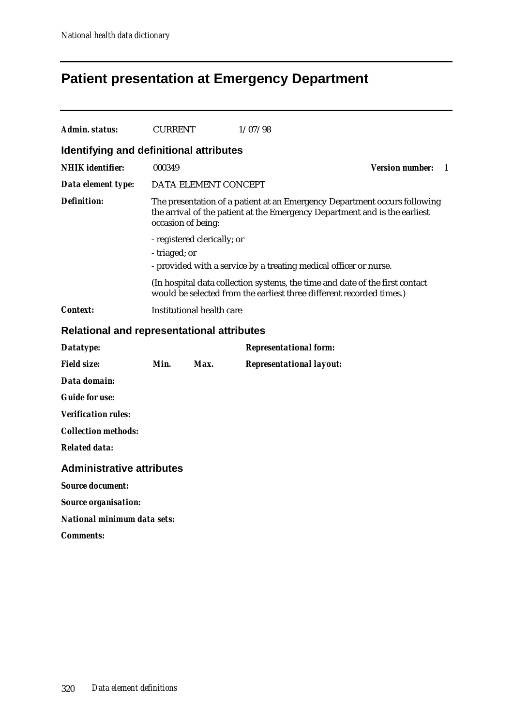# **Patient presentation at Emergency Department**

| Admin. status:                                    | <b>CURRENT</b>     |                             | 1/07/98                                                                                                                                                 |                        |   |
|---------------------------------------------------|--------------------|-----------------------------|---------------------------------------------------------------------------------------------------------------------------------------------------------|------------------------|---|
|                                                   |                    |                             |                                                                                                                                                         |                        |   |
| Identifying and definitional attributes           |                    |                             |                                                                                                                                                         |                        |   |
| <b>NHIK</b> identifier:                           | 000349             |                             |                                                                                                                                                         | <b>Version number:</b> | 1 |
| Data element type:                                |                    | DATA ELEMENT CONCEPT        |                                                                                                                                                         |                        |   |
| Definition:                                       | occasion of being: |                             | The presentation of a patient at an Emergency Department occurs following<br>the arrival of the patient at the Emergency Department and is the earliest |                        |   |
|                                                   |                    | - registered clerically; or |                                                                                                                                                         |                        |   |
|                                                   | - triaged; or      |                             |                                                                                                                                                         |                        |   |
|                                                   |                    |                             | - provided with a service by a treating medical officer or nurse.                                                                                       |                        |   |
|                                                   |                    |                             | (In hospital data collection systems, the time and date of the first contact<br>would be selected from the earliest three different recorded times.)    |                        |   |
| Context:                                          |                    | Institutional health care   |                                                                                                                                                         |                        |   |
| <b>Relational and representational attributes</b> |                    |                             |                                                                                                                                                         |                        |   |
| Datatype:                                         |                    |                             | <b>Representational form:</b>                                                                                                                           |                        |   |
| <b>Field size:</b>                                | Min.               | Max.                        | <b>Representational layout:</b>                                                                                                                         |                        |   |
| Data domain:                                      |                    |                             |                                                                                                                                                         |                        |   |
| <b>Guide for use:</b>                             |                    |                             |                                                                                                                                                         |                        |   |
| <b>Verification rules:</b>                        |                    |                             |                                                                                                                                                         |                        |   |
| <b>Collection methods:</b>                        |                    |                             |                                                                                                                                                         |                        |   |
| <b>Related data:</b>                              |                    |                             |                                                                                                                                                         |                        |   |
| <b>Administrative attributes</b>                  |                    |                             |                                                                                                                                                         |                        |   |
| <b>Source document:</b>                           |                    |                             |                                                                                                                                                         |                        |   |
| <b>Source organisation:</b>                       |                    |                             |                                                                                                                                                         |                        |   |
| National minimum data sets:                       |                    |                             |                                                                                                                                                         |                        |   |
| <b>Comments:</b>                                  |                    |                             |                                                                                                                                                         |                        |   |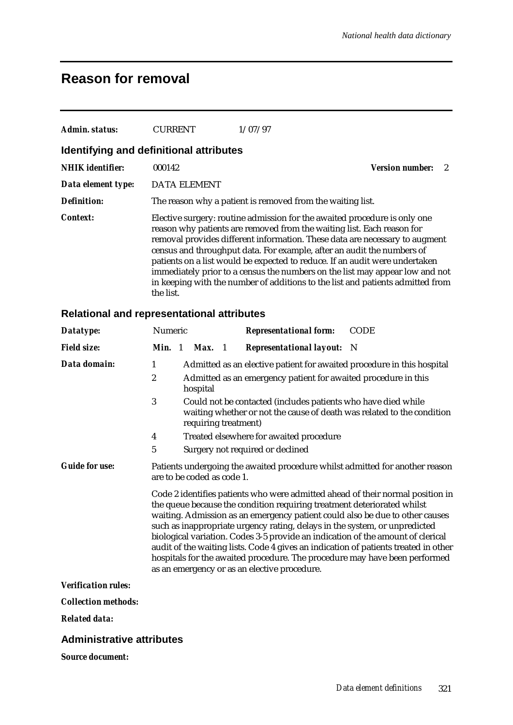### **Reason for removal**

| Admin. status:                          | <b>CURRENT</b>      | 1/07/97                                                                                                                                                                                                                                                                                                                                                                                                                                                                                                                                                       |                        |  |
|-----------------------------------------|---------------------|---------------------------------------------------------------------------------------------------------------------------------------------------------------------------------------------------------------------------------------------------------------------------------------------------------------------------------------------------------------------------------------------------------------------------------------------------------------------------------------------------------------------------------------------------------------|------------------------|--|
| Identifying and definitional attributes |                     |                                                                                                                                                                                                                                                                                                                                                                                                                                                                                                                                                               |                        |  |
| <b>NHIK</b> identifier:                 | 000142              |                                                                                                                                                                                                                                                                                                                                                                                                                                                                                                                                                               | <b>Version number:</b> |  |
| Data element type:                      | <b>DATA ELEMENT</b> |                                                                                                                                                                                                                                                                                                                                                                                                                                                                                                                                                               |                        |  |
| Definition:                             |                     | The reason why a patient is removed from the waiting list.                                                                                                                                                                                                                                                                                                                                                                                                                                                                                                    |                        |  |
| Context:                                | the list.           | Elective surgery: routine admission for the awaited procedure is only one<br>reason why patients are removed from the waiting list. Each reason for<br>removal provides different information. These data are necessary to augment<br>census and throughput data. For example, after an audit the numbers of<br>patients on a list would be expected to reduce. If an audit were undertaken<br>immediately prior to a census the numbers on the list may appear low and not<br>in keeping with the number of additions to the list and patients admitted from |                        |  |

#### **Relational and representational attributes**

| Datatype:             | Numeric |                             | <b>Representational form:</b>                                                                                                                                                                                                                                                            | <b>CODE</b>                                                                                                                                                                                                                                                                                                                         |
|-----------------------|---------|-----------------------------|------------------------------------------------------------------------------------------------------------------------------------------------------------------------------------------------------------------------------------------------------------------------------------------|-------------------------------------------------------------------------------------------------------------------------------------------------------------------------------------------------------------------------------------------------------------------------------------------------------------------------------------|
| <b>Field size:</b>    |         | <b>Min.</b> 1 <b>Max.</b> 1 | <b>Representational layout:</b> N                                                                                                                                                                                                                                                        |                                                                                                                                                                                                                                                                                                                                     |
| Data domain:          | 1       |                             |                                                                                                                                                                                                                                                                                          | Admitted as an elective patient for awaited procedure in this hospital                                                                                                                                                                                                                                                              |
|                       | 2       | hospital                    | Admitted as an emergency patient for awaited procedure in this                                                                                                                                                                                                                           |                                                                                                                                                                                                                                                                                                                                     |
|                       | 3       | requiring treatment)        | Could not be contacted (includes patients who have died while                                                                                                                                                                                                                            | waiting whether or not the cause of death was related to the condition                                                                                                                                                                                                                                                              |
|                       | 4       |                             | Treated elsewhere for awaited procedure                                                                                                                                                                                                                                                  |                                                                                                                                                                                                                                                                                                                                     |
|                       | 5       |                             | Surgery not required or declined                                                                                                                                                                                                                                                         |                                                                                                                                                                                                                                                                                                                                     |
| <b>Guide for use:</b> |         | are to be coded as code 1.  |                                                                                                                                                                                                                                                                                          | Patients undergoing the awaited procedure whilst admitted for another reason                                                                                                                                                                                                                                                        |
|                       |         |                             | the queue because the condition requiring treatment deteriorated whilst<br>such as inappropriate urgency rating, delays in the system, or unpredicted<br>biological variation. Codes 3-5 provide an indication of the amount of clerical<br>as an emergency or as an elective procedure. | Code 2 identifies patients who were admitted ahead of their normal position in<br>waiting. Admission as an emergency patient could also be due to other causes<br>audit of the waiting lists. Code 4 gives an indication of patients treated in other<br>hospitals for the awaited procedure. The procedure may have been performed |

#### *Verification rules:*

*Collection methods:*

*Related data:*

#### **Administrative attributes**

*Source document:*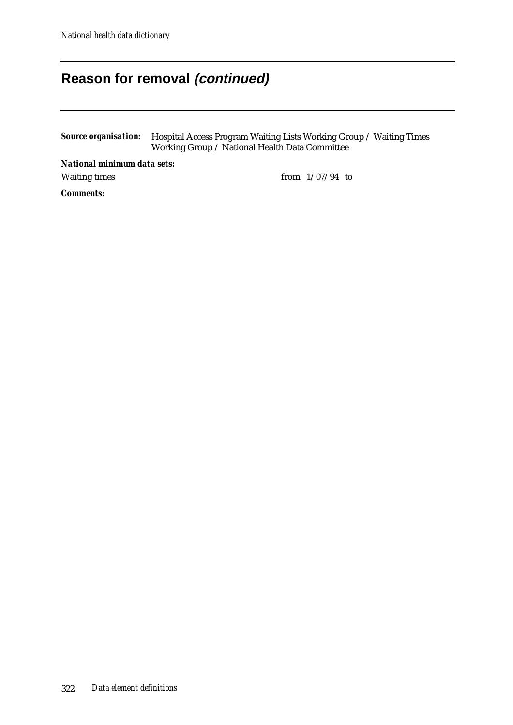# **Reason for removal (continued)**

| <b>Source organisation:</b> Hospital Access Program Waiting Lists Working Group / Waiting Times |
|-------------------------------------------------------------------------------------------------|
| Working Group / National Health Data Committee                                                  |

*National minimum data sets:*

Waiting times from  $1/07/94$  to

*Comments:*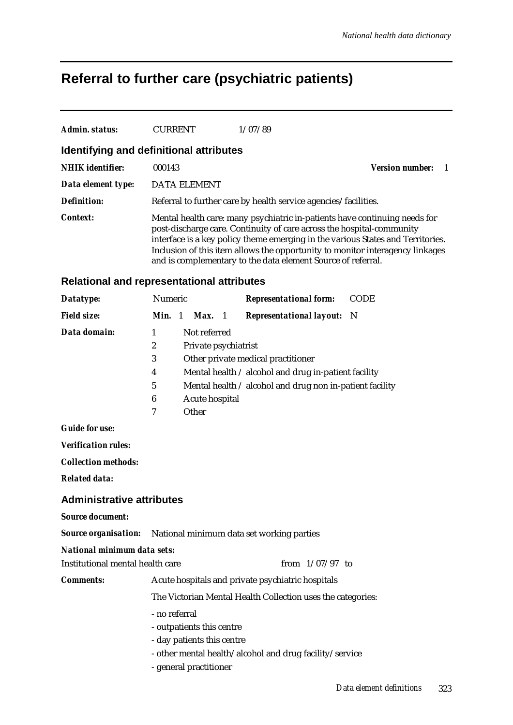### **Referral to further care (psychiatric patients)**

| Admin. status:                          | <b>CURRENT</b> | 1/07/89                                                                                                                               |                                                                                                                                                                                                                                                |
|-----------------------------------------|----------------|---------------------------------------------------------------------------------------------------------------------------------------|------------------------------------------------------------------------------------------------------------------------------------------------------------------------------------------------------------------------------------------------|
| Identifying and definitional attributes |                |                                                                                                                                       |                                                                                                                                                                                                                                                |
| <b>NHIK</b> identifier:                 | 000143         |                                                                                                                                       | <b>Version number:</b>                                                                                                                                                                                                                         |
| Data element type:                      | DATA ELEMENT   |                                                                                                                                       |                                                                                                                                                                                                                                                |
| Definition:                             |                | Referral to further care by health service agencies/facilities.                                                                       |                                                                                                                                                                                                                                                |
| Context:                                |                | post-discharge care. Continuity of care across the hospital-community<br>and is complementary to the data element Source of referral. | Mental health care: many psychiatric in-patients have continuing needs for<br>interface is a key policy theme emerging in the various States and Territories.<br>Inclusion of this item allows the opportunity to monitor interagency linkages |

#### **Relational and representational attributes**

|   |                                    | <b>Representational form:</b>     | <b>CODE</b>                                                                                                                                        |  |  |
|---|------------------------------------|-----------------------------------|----------------------------------------------------------------------------------------------------------------------------------------------------|--|--|
|   | Max. 1                             | <b>Representational layout:</b> N |                                                                                                                                                    |  |  |
|   | Not referred                       |                                   |                                                                                                                                                    |  |  |
| 2 |                                    |                                   |                                                                                                                                                    |  |  |
| 3 | Other private medical practitioner |                                   |                                                                                                                                                    |  |  |
| 4 |                                    |                                   |                                                                                                                                                    |  |  |
| 5 |                                    |                                   |                                                                                                                                                    |  |  |
| 6 | Acute hospital                     |                                   |                                                                                                                                                    |  |  |
|   | Other                              |                                   |                                                                                                                                                    |  |  |
|   |                                    | <b>Numeric</b><br>Min. 1          | Private psychiatrist<br>Mental health $\ell$ alcohol and drug in-patient facility<br>Mental health $\ell$ alcohol and drug non in-patient facility |  |  |

*Guide for use:*

*Verification rules:*

*Collection methods:*

*Related data:*

#### **Administrative attributes**

#### *Source document:*

*Source organisation:* National minimum data set working parties

#### *National minimum data sets:*

| Institutional mental health care- | from $1/07/97$ to |  |
|-----------------------------------|-------------------|--|
|                                   |                   |  |

#### *Comments:* Acute hospitals and private psychiatric hospitals

The Victorian Mental Health Collection uses the categories:

- no referral
- outpatients this centre
- day patients this centre
- other mental health/alcohol and drug facility/service
- general practitioner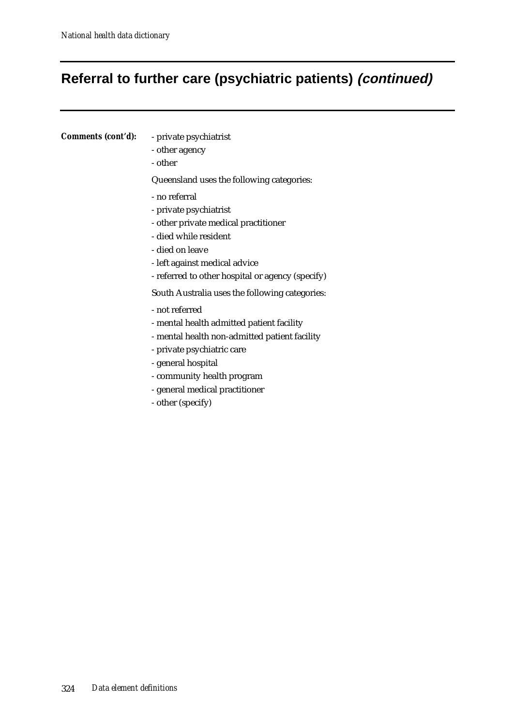# **Referral to further care (psychiatric patients) (continued)**

| Comments (cont'd): | - private psychiatrist<br>- other agency<br>- other |
|--------------------|-----------------------------------------------------|
|                    | Queensland uses the following categories:           |
|                    | - no referral                                       |
|                    | - private psychiatrist                              |
|                    | - other private medical practitioner                |
|                    | - died while resident                               |
|                    | - died on leave                                     |
|                    | - left against medical advice                       |
|                    | - referred to other hospital or agency (specify)    |
|                    | South Australia uses the following categories:      |
|                    | - not referred                                      |
|                    | - mental health admitted patient facility           |
|                    | - mental health non-admitted patient facility       |
|                    | - private psychiatric care                          |
|                    | - general hospital                                  |
|                    | - community health program                          |
|                    | - general medical practitioner                      |
|                    | - other (specify)                                   |
|                    |                                                     |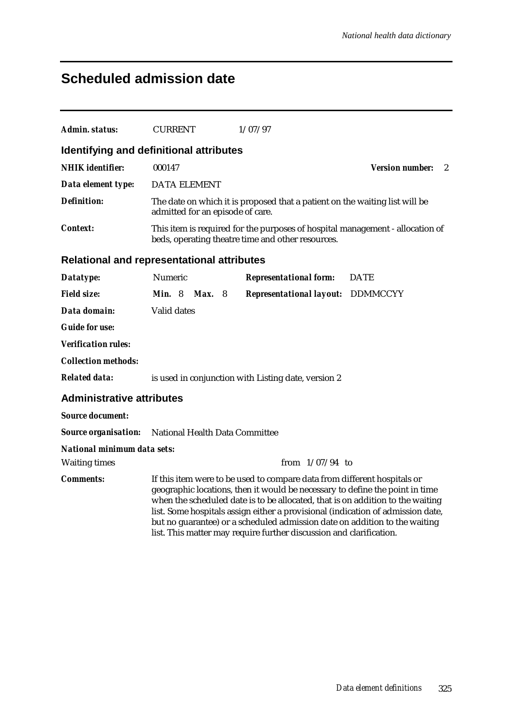### **Scheduled admission date**

| <b>Admin. status:</b>                             | <b>CURRENT</b>                                      | 1/07/97                                                                                                                                                                                                                                                                                                                                                                                                                                                                            |                             |  |  |
|---------------------------------------------------|-----------------------------------------------------|------------------------------------------------------------------------------------------------------------------------------------------------------------------------------------------------------------------------------------------------------------------------------------------------------------------------------------------------------------------------------------------------------------------------------------------------------------------------------------|-----------------------------|--|--|
| Identifying and definitional attributes           |                                                     |                                                                                                                                                                                                                                                                                                                                                                                                                                                                                    |                             |  |  |
| <b>NHIK</b> identifier:                           | 000147                                              |                                                                                                                                                                                                                                                                                                                                                                                                                                                                                    | <b>Version number:</b><br>2 |  |  |
| Data element type:                                | <b>DATA ELEMENT</b>                                 |                                                                                                                                                                                                                                                                                                                                                                                                                                                                                    |                             |  |  |
| <b>Definition:</b>                                | admitted for an episode of care.                    | The date on which it is proposed that a patient on the waiting list will be                                                                                                                                                                                                                                                                                                                                                                                                        |                             |  |  |
| <b>Context:</b>                                   |                                                     | This item is required for the purposes of hospital management - allocation of<br>beds, operating theatre time and other resources.                                                                                                                                                                                                                                                                                                                                                 |                             |  |  |
| <b>Relational and representational attributes</b> |                                                     |                                                                                                                                                                                                                                                                                                                                                                                                                                                                                    |                             |  |  |
| Datatype:                                         | Numeric                                             | <b>Representational form:</b>                                                                                                                                                                                                                                                                                                                                                                                                                                                      | <b>DATE</b>                 |  |  |
| <b>Field size:</b>                                | Min. 8 Max. 8                                       | <b>Representational layout: DDMMCCYY</b>                                                                                                                                                                                                                                                                                                                                                                                                                                           |                             |  |  |
| Data domain:                                      | Valid dates                                         |                                                                                                                                                                                                                                                                                                                                                                                                                                                                                    |                             |  |  |
| <b>Guide for use:</b>                             |                                                     |                                                                                                                                                                                                                                                                                                                                                                                                                                                                                    |                             |  |  |
| <b>Verification rules:</b>                        |                                                     |                                                                                                                                                                                                                                                                                                                                                                                                                                                                                    |                             |  |  |
| <b>Collection methods:</b>                        |                                                     |                                                                                                                                                                                                                                                                                                                                                                                                                                                                                    |                             |  |  |
| <b>Related data:</b>                              | is used in conjunction with Listing date, version 2 |                                                                                                                                                                                                                                                                                                                                                                                                                                                                                    |                             |  |  |
| <b>Administrative attributes</b>                  |                                                     |                                                                                                                                                                                                                                                                                                                                                                                                                                                                                    |                             |  |  |
| <b>Source document:</b>                           |                                                     |                                                                                                                                                                                                                                                                                                                                                                                                                                                                                    |                             |  |  |
| <b>Source organisation:</b>                       | National Health Data Committee                      |                                                                                                                                                                                                                                                                                                                                                                                                                                                                                    |                             |  |  |
| National minimum data sets:                       |                                                     |                                                                                                                                                                                                                                                                                                                                                                                                                                                                                    |                             |  |  |
| <b>Waiting times</b>                              |                                                     | from $1/07/94$ to                                                                                                                                                                                                                                                                                                                                                                                                                                                                  |                             |  |  |
| <b>Comments:</b>                                  |                                                     | If this item were to be used to compare data from different hospitals or<br>geographic locations, then it would be necessary to define the point in time<br>when the scheduled date is to be allocated, that is on addition to the waiting<br>list. Some hospitals assign either a provisional (indication of admission date,<br>but no guarantee) or a scheduled admission date on addition to the waiting<br>list. This matter may require further discussion and clarification. |                             |  |  |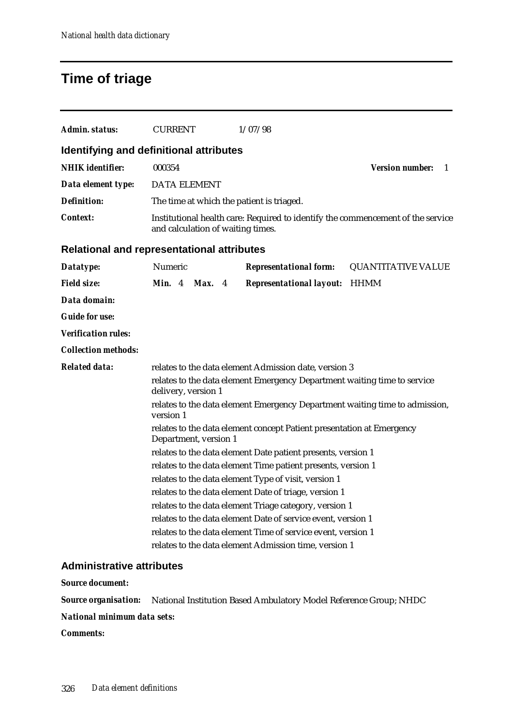# **Time of triage**

| Admin. status:                                    | <b>CURRENT</b>                    |        | 1/07/98                                                                         |                             |
|---------------------------------------------------|-----------------------------------|--------|---------------------------------------------------------------------------------|-----------------------------|
| Identifying and definitional attributes           |                                   |        |                                                                                 |                             |
| <b>NHIK</b> identifier:                           | 000354                            |        |                                                                                 | <b>Version number:</b><br>1 |
| Data element type:                                | <b>DATA ELEMENT</b>               |        |                                                                                 |                             |
| <b>Definition:</b>                                |                                   |        | The time at which the patient is triaged.                                       |                             |
| Context:                                          | and calculation of waiting times. |        | Institutional health care: Required to identify the commencement of the service |                             |
| <b>Relational and representational attributes</b> |                                   |        |                                                                                 |                             |
| Datatype:                                         | Numeric                           |        | <b>Representational form:</b>                                                   | <b>QUANTITATIVE VALUE</b>   |
| <b>Field size:</b>                                | Min. 4                            | Max. 4 | <b>Representational layout:</b>                                                 | <b>HHMM</b>                 |
| Data domain:                                      |                                   |        |                                                                                 |                             |
| <b>Guide for use:</b>                             |                                   |        |                                                                                 |                             |
| <b>Verification rules:</b>                        |                                   |        |                                                                                 |                             |
| <b>Collection methods:</b>                        |                                   |        |                                                                                 |                             |
| <b>Related data:</b>                              |                                   |        | relates to the data element Admission date, version 3                           |                             |
|                                                   | delivery, version 1               |        | relates to the data element Emergency Department waiting time to service        |                             |
|                                                   | version 1                         |        | relates to the data element Emergency Department waiting time to admission,     |                             |
|                                                   | Department, version 1             |        | relates to the data element concept Patient presentation at Emergency           |                             |
|                                                   |                                   |        | relates to the data element Date patient presents, version 1                    |                             |
|                                                   |                                   |        | relates to the data element Time patient presents, version 1                    |                             |
|                                                   |                                   |        | relates to the data element Type of visit, version 1                            |                             |
|                                                   |                                   |        | relates to the data element Date of triage, version 1                           |                             |
|                                                   |                                   |        | relates to the data element Triage category, version 1                          |                             |
|                                                   |                                   |        | relates to the data element Date of service event, version 1                    |                             |
|                                                   |                                   |        | relates to the data element Time of service event, version 1                    |                             |
|                                                   |                                   |        | relates to the data element Admission time, version 1                           |                             |
|                                                   |                                   |        |                                                                                 |                             |

#### **Administrative attributes**

*Source document:*

*Source organisation:* National Institution Based Ambulatory Model Reference Group; NHDC

#### *National minimum data sets:*

*Comments:*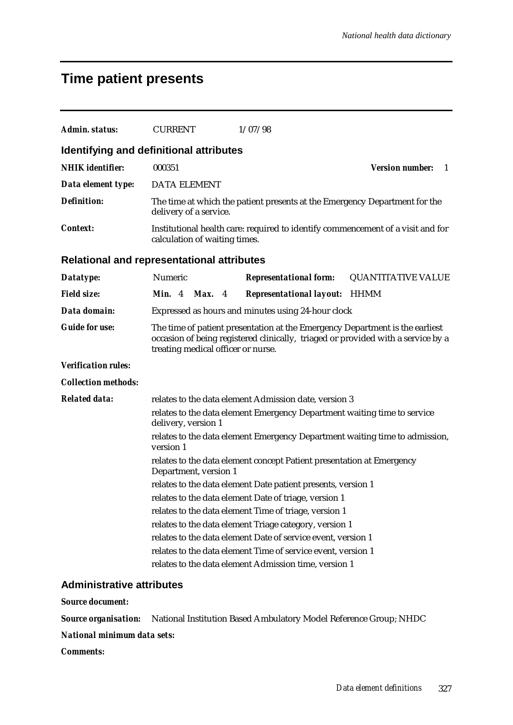# **Time patient presents**

| <b>Admin. status:</b>                             | <b>CURRENT</b>                                                                                  |        |  | 1/07/98                                                                      |                                                                                  |
|---------------------------------------------------|-------------------------------------------------------------------------------------------------|--------|--|------------------------------------------------------------------------------|----------------------------------------------------------------------------------|
| <b>Identifying and definitional attributes</b>    |                                                                                                 |        |  |                                                                              |                                                                                  |
| <b>NHIK</b> identifier:                           | 000351                                                                                          |        |  |                                                                              | <b>Version number:</b><br>- 1                                                    |
| Data element type:                                | <b>DATA ELEMENT</b>                                                                             |        |  |                                                                              |                                                                                  |
| <b>Definition:</b>                                | delivery of a service.                                                                          |        |  | The time at which the patient presents at the Emergency Department for the   |                                                                                  |
| <b>Context:</b>                                   | calculation of waiting times.                                                                   |        |  |                                                                              | Institutional health care: required to identify commencement of a visit and for  |
| <b>Relational and representational attributes</b> |                                                                                                 |        |  |                                                                              |                                                                                  |
| Datatype:                                         | Numeric                                                                                         |        |  | <b>Representational form:</b>                                                | <b>QUANTITATIVE VALUE</b>                                                        |
| <b>Field size:</b>                                | Min. $4$                                                                                        | Max. 4 |  | <b>Representational layout: HHMM</b>                                         |                                                                                  |
| Data domain:                                      |                                                                                                 |        |  | Expressed as hours and minutes using 24-hour clock                           |                                                                                  |
| <b>Guide for use:</b>                             | treating medical officer or nurse.                                                              |        |  | The time of patient presentation at the Emergency Department is the earliest | occasion of being registered clinically, triaged or provided with a service by a |
| <b>Verification rules:</b>                        |                                                                                                 |        |  |                                                                              |                                                                                  |
| <b>Collection methods:</b>                        |                                                                                                 |        |  |                                                                              |                                                                                  |
| <b>Related data:</b>                              |                                                                                                 |        |  | relates to the data element Admission date, version 3                        |                                                                                  |
|                                                   | relates to the data element Emergency Department waiting time to service<br>delivery, version 1 |        |  |                                                                              |                                                                                  |
|                                                   | relates to the data element Emergency Department waiting time to admission,<br>version 1        |        |  |                                                                              |                                                                                  |
|                                                   | relates to the data element concept Patient presentation at Emergency<br>Department, version 1  |        |  |                                                                              |                                                                                  |
|                                                   |                                                                                                 |        |  | relates to the data element Date patient presents, version 1                 |                                                                                  |
|                                                   |                                                                                                 |        |  | relates to the data element Date of triage, version 1                        |                                                                                  |
|                                                   |                                                                                                 |        |  | relates to the data element Time of triage, version 1                        |                                                                                  |
|                                                   |                                                                                                 |        |  | relates to the data element Triage category, version 1                       |                                                                                  |
|                                                   |                                                                                                 |        |  | relates to the data element Date of service event, version 1                 |                                                                                  |
|                                                   |                                                                                                 |        |  | relates to the data element Time of service event, version 1                 |                                                                                  |
|                                                   |                                                                                                 |        |  | relates to the data element Admission time, version 1                        |                                                                                  |
| <b>Administrative attributes</b>                  |                                                                                                 |        |  |                                                                              |                                                                                  |
| <b>Source document:</b>                           |                                                                                                 |        |  |                                                                              |                                                                                  |
| <b>Source organisation:</b>                       |                                                                                                 |        |  | National Institution Based Ambulatory Model Reference Group; NHDC            |                                                                                  |
| National minimum data sets:                       |                                                                                                 |        |  |                                                                              |                                                                                  |
| <b>Comments:</b>                                  |                                                                                                 |        |  |                                                                              |                                                                                  |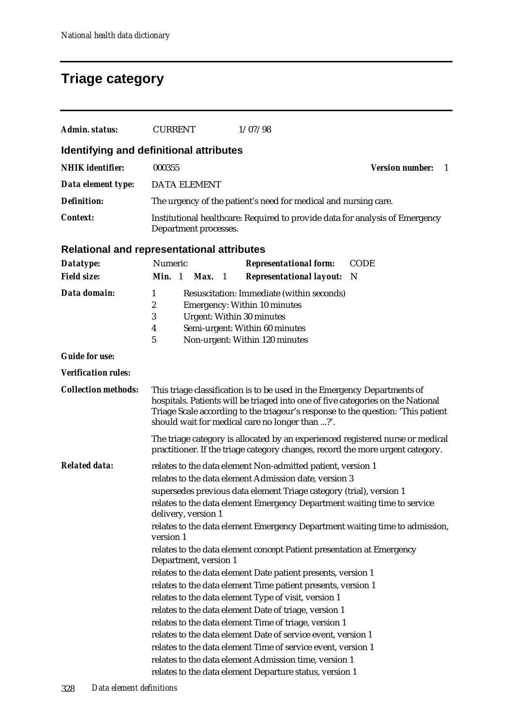# **Triage category**

| <b>CURRENT</b>                   | 1/07/98                       |                                                                                                                                                                                                                                                                                                                                                                                                                                                                                                                                                                                                                                                                                                                                                                                                                                                                                                                                                                                                                                                                                                                                                                                                                                                                                                                                                                                                                                                                                                                                                                                                                                                                                                                                                                                                                                                                                                                                                  |
|----------------------------------|-------------------------------|--------------------------------------------------------------------------------------------------------------------------------------------------------------------------------------------------------------------------------------------------------------------------------------------------------------------------------------------------------------------------------------------------------------------------------------------------------------------------------------------------------------------------------------------------------------------------------------------------------------------------------------------------------------------------------------------------------------------------------------------------------------------------------------------------------------------------------------------------------------------------------------------------------------------------------------------------------------------------------------------------------------------------------------------------------------------------------------------------------------------------------------------------------------------------------------------------------------------------------------------------------------------------------------------------------------------------------------------------------------------------------------------------------------------------------------------------------------------------------------------------------------------------------------------------------------------------------------------------------------------------------------------------------------------------------------------------------------------------------------------------------------------------------------------------------------------------------------------------------------------------------------------------------------------------------------------------|
|                                  |                               |                                                                                                                                                                                                                                                                                                                                                                                                                                                                                                                                                                                                                                                                                                                                                                                                                                                                                                                                                                                                                                                                                                                                                                                                                                                                                                                                                                                                                                                                                                                                                                                                                                                                                                                                                                                                                                                                                                                                                  |
| 000355                           |                               | <b>Version number:</b><br>-1                                                                                                                                                                                                                                                                                                                                                                                                                                                                                                                                                                                                                                                                                                                                                                                                                                                                                                                                                                                                                                                                                                                                                                                                                                                                                                                                                                                                                                                                                                                                                                                                                                                                                                                                                                                                                                                                                                                     |
| <b>DATA ELEMENT</b>              |                               |                                                                                                                                                                                                                                                                                                                                                                                                                                                                                                                                                                                                                                                                                                                                                                                                                                                                                                                                                                                                                                                                                                                                                                                                                                                                                                                                                                                                                                                                                                                                                                                                                                                                                                                                                                                                                                                                                                                                                  |
|                                  |                               |                                                                                                                                                                                                                                                                                                                                                                                                                                                                                                                                                                                                                                                                                                                                                                                                                                                                                                                                                                                                                                                                                                                                                                                                                                                                                                                                                                                                                                                                                                                                                                                                                                                                                                                                                                                                                                                                                                                                                  |
|                                  |                               |                                                                                                                                                                                                                                                                                                                                                                                                                                                                                                                                                                                                                                                                                                                                                                                                                                                                                                                                                                                                                                                                                                                                                                                                                                                                                                                                                                                                                                                                                                                                                                                                                                                                                                                                                                                                                                                                                                                                                  |
|                                  |                               |                                                                                                                                                                                                                                                                                                                                                                                                                                                                                                                                                                                                                                                                                                                                                                                                                                                                                                                                                                                                                                                                                                                                                                                                                                                                                                                                                                                                                                                                                                                                                                                                                                                                                                                                                                                                                                                                                                                                                  |
| Numeric                          | <b>Representational form:</b> | <b>CODE</b><br>- N                                                                                                                                                                                                                                                                                                                                                                                                                                                                                                                                                                                                                                                                                                                                                                                                                                                                                                                                                                                                                                                                                                                                                                                                                                                                                                                                                                                                                                                                                                                                                                                                                                                                                                                                                                                                                                                                                                                               |
| 1<br>2<br>3<br>4<br>5            |                               |                                                                                                                                                                                                                                                                                                                                                                                                                                                                                                                                                                                                                                                                                                                                                                                                                                                                                                                                                                                                                                                                                                                                                                                                                                                                                                                                                                                                                                                                                                                                                                                                                                                                                                                                                                                                                                                                                                                                                  |
|                                  |                               |                                                                                                                                                                                                                                                                                                                                                                                                                                                                                                                                                                                                                                                                                                                                                                                                                                                                                                                                                                                                                                                                                                                                                                                                                                                                                                                                                                                                                                                                                                                                                                                                                                                                                                                                                                                                                                                                                                                                                  |
|                                  |                               |                                                                                                                                                                                                                                                                                                                                                                                                                                                                                                                                                                                                                                                                                                                                                                                                                                                                                                                                                                                                                                                                                                                                                                                                                                                                                                                                                                                                                                                                                                                                                                                                                                                                                                                                                                                                                                                                                                                                                  |
|                                  |                               |                                                                                                                                                                                                                                                                                                                                                                                                                                                                                                                                                                                                                                                                                                                                                                                                                                                                                                                                                                                                                                                                                                                                                                                                                                                                                                                                                                                                                                                                                                                                                                                                                                                                                                                                                                                                                                                                                                                                                  |
|                                  |                               |                                                                                                                                                                                                                                                                                                                                                                                                                                                                                                                                                                                                                                                                                                                                                                                                                                                                                                                                                                                                                                                                                                                                                                                                                                                                                                                                                                                                                                                                                                                                                                                                                                                                                                                                                                                                                                                                                                                                                  |
| delivery, version 1<br>version 1 |                               |                                                                                                                                                                                                                                                                                                                                                                                                                                                                                                                                                                                                                                                                                                                                                                                                                                                                                                                                                                                                                                                                                                                                                                                                                                                                                                                                                                                                                                                                                                                                                                                                                                                                                                                                                                                                                                                                                                                                                  |
|                                  | Min. 1<br>Max. 1              | Identifying and definitional attributes<br>The urgency of the patient's need for medical and nursing care.<br>Institutional healthcare: Required to provide data for analysis of Emergency<br>Department processes.<br><b>Relational and representational attributes</b><br><b>Representational layout:</b><br>Resuscitation: Immediate (within seconds)<br><b>Emergency: Within 10 minutes</b><br><b>Urgent: Within 30 minutes</b><br>Semi-urgent: Within 60 minutes<br>Non-urgent: Within 120 minutes<br>This triage classification is to be used in the Emergency Departments of<br>hospitals. Patients will be triaged into one of five categories on the National<br>Triage Scale according to the triageur's response to the question: 'This patient<br>should wait for medical care no longer than ?'.<br>The triage category is allocated by an experienced registered nurse or medical<br>practitioner. If the triage category changes, record the more urgent category.<br>relates to the data element Non-admitted patient, version 1<br>relates to the data element Admission date, version 3<br>supersedes previous data element Triage category (trial), version 1<br>relates to the data element Emergency Department waiting time to service<br>relates to the data element Emergency Department waiting time to admission,<br>relates to the data element concept Patient presentation at Emergency<br>Department, version 1<br>relates to the data element Date patient presents, version 1<br>relates to the data element Time patient presents, version 1<br>relates to the data element Type of visit, version 1<br>relates to the data element Date of triage, version 1<br>relates to the data element Time of triage, version 1<br>relates to the data element Date of service event, version 1<br>relates to the data element Time of service event, version 1<br>relates to the data element Admission time, version 1 |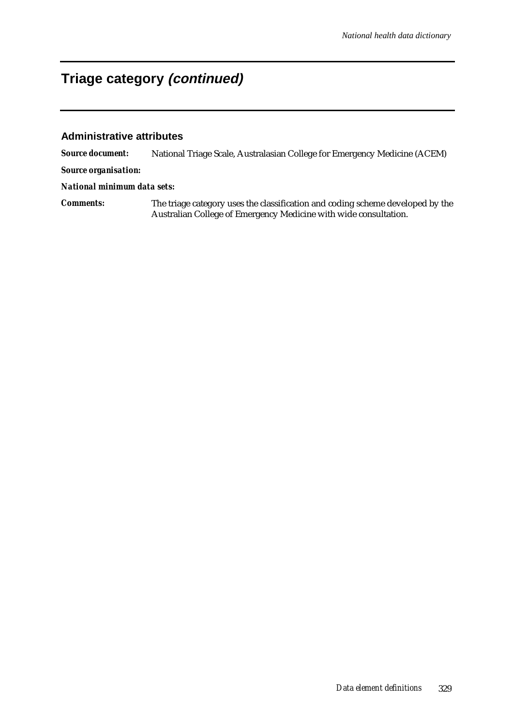### **Triage category (continued)**

#### **Administrative attributes**

*Source document:* National Triage Scale, Australasian College for Emergency Medicine (ACEM)

*Source organisation:*

*National minimum data sets:*

*Comments:* The triage category uses the classification and coding scheme developed by the Australian College of Emergency Medicine with wide consultation.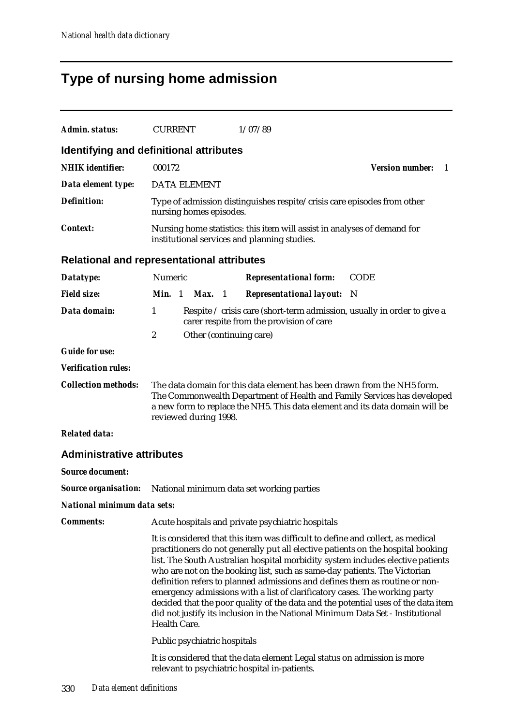# **Type of nursing home admission**

| <b>Admin. status:</b>                             | <b>CURRENT</b>               |                                                                                                                          |        | 1/07/89                                                                                                                                                                                                                                                                                                                                                                                                                                                                                                                                                                                                                                                                 |                              |  |
|---------------------------------------------------|------------------------------|--------------------------------------------------------------------------------------------------------------------------|--------|-------------------------------------------------------------------------------------------------------------------------------------------------------------------------------------------------------------------------------------------------------------------------------------------------------------------------------------------------------------------------------------------------------------------------------------------------------------------------------------------------------------------------------------------------------------------------------------------------------------------------------------------------------------------------|------------------------------|--|
| Identifying and definitional attributes           |                              |                                                                                                                          |        |                                                                                                                                                                                                                                                                                                                                                                                                                                                                                                                                                                                                                                                                         |                              |  |
| <b>NHIK</b> identifier:                           | 000172                       |                                                                                                                          |        |                                                                                                                                                                                                                                                                                                                                                                                                                                                                                                                                                                                                                                                                         | <b>Version number:</b><br>-1 |  |
| Data element type:                                | <b>DATA ELEMENT</b>          |                                                                                                                          |        |                                                                                                                                                                                                                                                                                                                                                                                                                                                                                                                                                                                                                                                                         |                              |  |
| <b>Definition:</b>                                | nursing homes episodes.      |                                                                                                                          |        | Type of admission distinguishes respite/crisis care episodes from other                                                                                                                                                                                                                                                                                                                                                                                                                                                                                                                                                                                                 |                              |  |
| Context:                                          |                              | Nursing home statistics: this item will assist in analyses of demand for<br>institutional services and planning studies. |        |                                                                                                                                                                                                                                                                                                                                                                                                                                                                                                                                                                                                                                                                         |                              |  |
| <b>Relational and representational attributes</b> |                              |                                                                                                                          |        |                                                                                                                                                                                                                                                                                                                                                                                                                                                                                                                                                                                                                                                                         |                              |  |
| Datatype:                                         | Numeric                      |                                                                                                                          |        | <b>Representational form:</b>                                                                                                                                                                                                                                                                                                                                                                                                                                                                                                                                                                                                                                           | <b>CODE</b>                  |  |
| <b>Field size:</b>                                | Min. 1                       |                                                                                                                          | Max. 1 | <b>Representational layout:</b>                                                                                                                                                                                                                                                                                                                                                                                                                                                                                                                                                                                                                                         | - N                          |  |
| Data domain:                                      | 1<br>$\boldsymbol{2}$        |                                                                                                                          |        | Respite / crisis care (short-term admission, usually in order to give a<br>carer respite from the provision of care<br>Other (continuing care)                                                                                                                                                                                                                                                                                                                                                                                                                                                                                                                          |                              |  |
| <b>Guide for use:</b>                             |                              |                                                                                                                          |        |                                                                                                                                                                                                                                                                                                                                                                                                                                                                                                                                                                                                                                                                         |                              |  |
| <b>Verification rules:</b>                        |                              |                                                                                                                          |        |                                                                                                                                                                                                                                                                                                                                                                                                                                                                                                                                                                                                                                                                         |                              |  |
| <b>Collection methods:</b>                        | reviewed during 1998.        |                                                                                                                          |        | The data domain for this data element has been drawn from the NH5 form.<br>The Commonwealth Department of Health and Family Services has developed<br>a new form to replace the NH5. This data element and its data domain will be                                                                                                                                                                                                                                                                                                                                                                                                                                      |                              |  |
| <b>Related data:</b>                              |                              |                                                                                                                          |        |                                                                                                                                                                                                                                                                                                                                                                                                                                                                                                                                                                                                                                                                         |                              |  |
| <b>Administrative attributes</b>                  |                              |                                                                                                                          |        |                                                                                                                                                                                                                                                                                                                                                                                                                                                                                                                                                                                                                                                                         |                              |  |
| <b>Source document:</b>                           |                              |                                                                                                                          |        |                                                                                                                                                                                                                                                                                                                                                                                                                                                                                                                                                                                                                                                                         |                              |  |
|                                                   |                              |                                                                                                                          |        | <b>Source organisation:</b> National minimum data set working parties                                                                                                                                                                                                                                                                                                                                                                                                                                                                                                                                                                                                   |                              |  |
| National minimum data sets:                       |                              |                                                                                                                          |        |                                                                                                                                                                                                                                                                                                                                                                                                                                                                                                                                                                                                                                                                         |                              |  |
| <b>Comments:</b>                                  |                              |                                                                                                                          |        | Acute hospitals and private psychiatric hospitals                                                                                                                                                                                                                                                                                                                                                                                                                                                                                                                                                                                                                       |                              |  |
|                                                   | Health Care.                 |                                                                                                                          |        | It is considered that this item was difficult to define and collect, as medical<br>practitioners do not generally put all elective patients on the hospital booking<br>list. The South Australian hospital morbidity system includes elective patients<br>who are not on the booking list, such as same-day patients. The Victorian<br>definition refers to planned admissions and defines them as routine or non-<br>emergency admissions with a list of clarificatory cases. The working party<br>decided that the poor quality of the data and the potential uses of the data item<br>did not justify its inclusion in the National Minimum Data Set - Institutional |                              |  |
|                                                   | Public psychiatric hospitals |                                                                                                                          |        |                                                                                                                                                                                                                                                                                                                                                                                                                                                                                                                                                                                                                                                                         |                              |  |
|                                                   |                              |                                                                                                                          |        | It is considered that the data element Legal status on admission is more<br>relevant to psychiatric hospital in-patients.                                                                                                                                                                                                                                                                                                                                                                                                                                                                                                                                               |                              |  |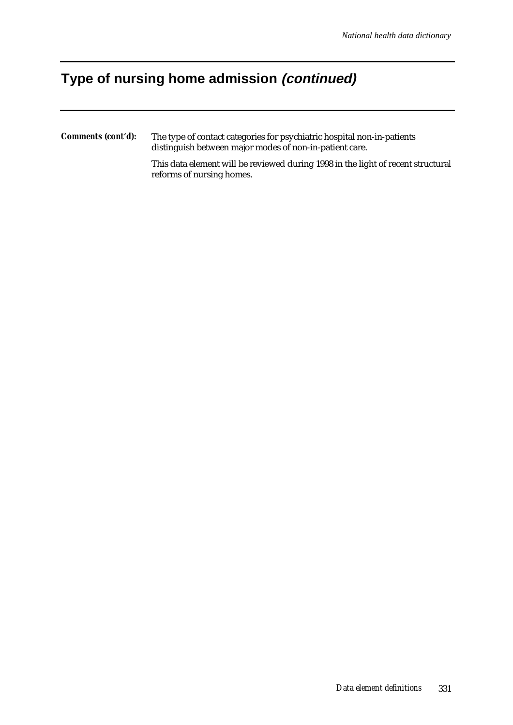### **Type of nursing home admission (continued)**

*Comments (cont'd):* The type of contact categories for psychiatric hospital non-in-patients distinguish between major modes of non-in-patient care.

> This data element will be reviewed during 1998 in the light of recent structural reforms of nursing homes.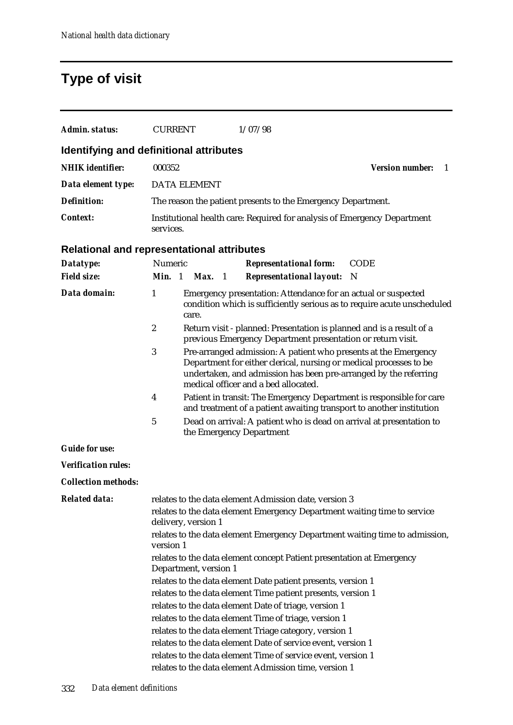# **Type of visit**

| Admin. status:                                    | <b>CURRENT</b>                                                                                                                                                                                                                                         |                                              |  | 1/07/98                                                                                                                                                                                                                                                                                                                                                                                                                                                                                                                                                                                                                                                                                                                               |                                                                         |
|---------------------------------------------------|--------------------------------------------------------------------------------------------------------------------------------------------------------------------------------------------------------------------------------------------------------|----------------------------------------------|--|---------------------------------------------------------------------------------------------------------------------------------------------------------------------------------------------------------------------------------------------------------------------------------------------------------------------------------------------------------------------------------------------------------------------------------------------------------------------------------------------------------------------------------------------------------------------------------------------------------------------------------------------------------------------------------------------------------------------------------------|-------------------------------------------------------------------------|
| Identifying and definitional attributes           |                                                                                                                                                                                                                                                        |                                              |  |                                                                                                                                                                                                                                                                                                                                                                                                                                                                                                                                                                                                                                                                                                                                       |                                                                         |
| <b>NHIK</b> identifier:                           | 000352                                                                                                                                                                                                                                                 |                                              |  |                                                                                                                                                                                                                                                                                                                                                                                                                                                                                                                                                                                                                                                                                                                                       | <b>Version number:</b><br>-1                                            |
| Data element type:                                |                                                                                                                                                                                                                                                        | <b>DATA ELEMENT</b>                          |  |                                                                                                                                                                                                                                                                                                                                                                                                                                                                                                                                                                                                                                                                                                                                       |                                                                         |
| <b>Definition:</b>                                |                                                                                                                                                                                                                                                        |                                              |  | The reason the patient presents to the Emergency Department.                                                                                                                                                                                                                                                                                                                                                                                                                                                                                                                                                                                                                                                                          |                                                                         |
| Context:                                          | services.                                                                                                                                                                                                                                              |                                              |  | Institutional health care: Required for analysis of Emergency Department                                                                                                                                                                                                                                                                                                                                                                                                                                                                                                                                                                                                                                                              |                                                                         |
| <b>Relational and representational attributes</b> |                                                                                                                                                                                                                                                        |                                              |  |                                                                                                                                                                                                                                                                                                                                                                                                                                                                                                                                                                                                                                                                                                                                       |                                                                         |
| Datatype:                                         | Numeric                                                                                                                                                                                                                                                |                                              |  | <b>Representational form:</b>                                                                                                                                                                                                                                                                                                                                                                                                                                                                                                                                                                                                                                                                                                         | <b>CODE</b>                                                             |
| <b>Field size:</b>                                |                                                                                                                                                                                                                                                        | Min. 1 Max. 1                                |  | <b>Representational layout:</b>                                                                                                                                                                                                                                                                                                                                                                                                                                                                                                                                                                                                                                                                                                       | -N                                                                      |
| Data domain:                                      | 1                                                                                                                                                                                                                                                      | care.                                        |  | Emergency presentation: Attendance for an actual or suspected                                                                                                                                                                                                                                                                                                                                                                                                                                                                                                                                                                                                                                                                         | condition which is sufficiently serious as to require acute unscheduled |
|                                                   | $\boldsymbol{2}$                                                                                                                                                                                                                                       |                                              |  | Return visit - planned: Presentation is planned and is a result of a<br>previous Emergency Department presentation or return visit.                                                                                                                                                                                                                                                                                                                                                                                                                                                                                                                                                                                                   |                                                                         |
|                                                   | 3<br>Pre-arranged admission: A patient who presents at the Emergency<br>Department for either clerical, nursing or medical processes to be<br>undertaken, and admission has been pre-arranged by the referring<br>medical officer and a bed allocated. |                                              |  |                                                                                                                                                                                                                                                                                                                                                                                                                                                                                                                                                                                                                                                                                                                                       |                                                                         |
|                                                   | 4                                                                                                                                                                                                                                                      |                                              |  | Patient in transit: The Emergency Department is responsible for care<br>and treatment of a patient awaiting transport to another institution                                                                                                                                                                                                                                                                                                                                                                                                                                                                                                                                                                                          |                                                                         |
|                                                   | $\mathbf 5$                                                                                                                                                                                                                                            |                                              |  | Dead on arrival: A patient who is dead on arrival at presentation to<br>the Emergency Department                                                                                                                                                                                                                                                                                                                                                                                                                                                                                                                                                                                                                                      |                                                                         |
| <b>Guide for use:</b>                             |                                                                                                                                                                                                                                                        |                                              |  |                                                                                                                                                                                                                                                                                                                                                                                                                                                                                                                                                                                                                                                                                                                                       |                                                                         |
| <b>Verification rules:</b>                        |                                                                                                                                                                                                                                                        |                                              |  |                                                                                                                                                                                                                                                                                                                                                                                                                                                                                                                                                                                                                                                                                                                                       |                                                                         |
| <b>Collection methods:</b>                        |                                                                                                                                                                                                                                                        |                                              |  |                                                                                                                                                                                                                                                                                                                                                                                                                                                                                                                                                                                                                                                                                                                                       |                                                                         |
| <b>Related data:</b>                              | version 1                                                                                                                                                                                                                                              | delivery, version 1<br>Department, version 1 |  | relates to the data element Admission date, version 3<br>relates to the data element Emergency Department waiting time to service<br>relates to the data element Emergency Department waiting time to admission,<br>relates to the data element concept Patient presentation at Emergency<br>relates to the data element Date patient presents, version 1<br>relates to the data element Time patient presents, version 1<br>relates to the data element Date of triage, version 1<br>relates to the data element Time of triage, version 1<br>relates to the data element Triage category, version 1<br>relates to the data element Date of service event, version 1<br>relates to the data element Time of service event, version 1 |                                                                         |
|                                                   |                                                                                                                                                                                                                                                        |                                              |  | relates to the data element Admission time, version 1                                                                                                                                                                                                                                                                                                                                                                                                                                                                                                                                                                                                                                                                                 |                                                                         |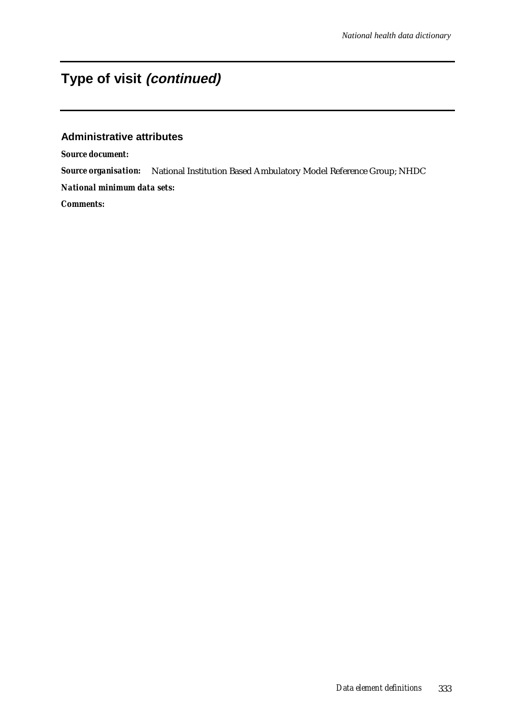### **Type of visit (continued)**

#### **Administrative attributes**

*Source document:*

*Source organisation:* National Institution Based Ambulatory Model Reference Group; NHDC

*National minimum data sets:*

*Comments:*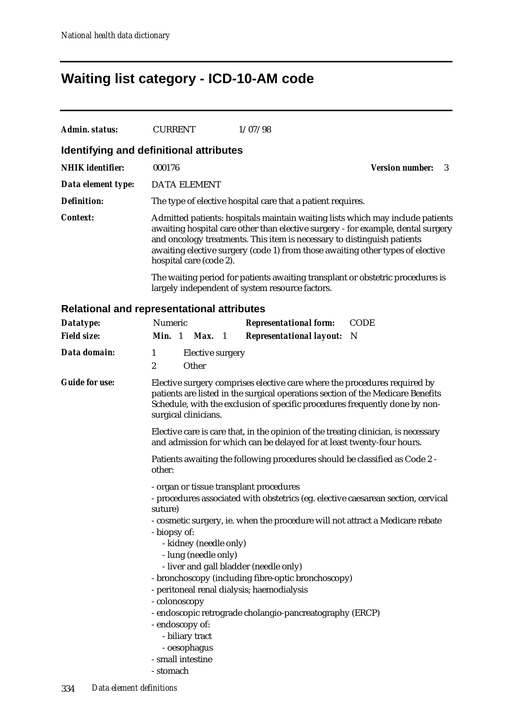### **Waiting list category - ICD-10-AM code**

| Admin. status:          | <b>CURRENT</b>                          | 1/07/98                                                                                                                                                                                                                                                                                                                                                                                                           |                             |
|-------------------------|-----------------------------------------|-------------------------------------------------------------------------------------------------------------------------------------------------------------------------------------------------------------------------------------------------------------------------------------------------------------------------------------------------------------------------------------------------------------------|-----------------------------|
|                         | Identifying and definitional attributes |                                                                                                                                                                                                                                                                                                                                                                                                                   |                             |
| <b>NHIK</b> identifier: | 000176                                  |                                                                                                                                                                                                                                                                                                                                                                                                                   | <b>Version number:</b><br>3 |
| Data element type:      | <b>DATA ELEMENT</b>                     |                                                                                                                                                                                                                                                                                                                                                                                                                   |                             |
| <b>Definition:</b>      |                                         | The type of elective hospital care that a patient requires.                                                                                                                                                                                                                                                                                                                                                       |                             |
| Context:                | hospital care (code 2).                 | Admitted patients: hospitals maintain waiting lists which may include patients<br>awaiting hospital care other than elective surgery - for example, dental surgery<br>and oncology treatments. This item is necessary to distinguish patients<br>awaiting elective surgery (code 1) from those awaiting other types of elective<br>The waiting period for patients awaiting transplant or obstetric procedures is |                             |
|                         |                                         | largely independent of system resource factors.                                                                                                                                                                                                                                                                                                                                                                   |                             |

#### **Relational and representational attributes**

| Datatype:             | Numeric                                                                                                                                                                                                                                                                                                               | <b>Representational form:</b>                                                                                                                                                                                                                                                         | <b>CODE</b> |  |
|-----------------------|-----------------------------------------------------------------------------------------------------------------------------------------------------------------------------------------------------------------------------------------------------------------------------------------------------------------------|---------------------------------------------------------------------------------------------------------------------------------------------------------------------------------------------------------------------------------------------------------------------------------------|-------------|--|
| <b>Field size:</b>    | Min. 1<br>Max. 1                                                                                                                                                                                                                                                                                                      | <b>Representational layout:</b> N                                                                                                                                                                                                                                                     |             |  |
| Data domain:          | 1<br>Elective surgery                                                                                                                                                                                                                                                                                                 |                                                                                                                                                                                                                                                                                       |             |  |
|                       | 2<br>Other                                                                                                                                                                                                                                                                                                            |                                                                                                                                                                                                                                                                                       |             |  |
| <b>Guide for use:</b> | surgical clinicians.                                                                                                                                                                                                                                                                                                  | Elective surgery comprises elective care where the procedures required by<br>patients are listed in the surgical operations section of the Medicare Benefits<br>Schedule, with the exclusion of specific procedures frequently done by non-                                           |             |  |
|                       |                                                                                                                                                                                                                                                                                                                       | Elective care is care that, in the opinion of the treating clinician, is necessary<br>and admission for which can be delayed for at least twenty-four hours.                                                                                                                          |             |  |
|                       | Patients awaiting the following procedures should be classified as Code 2 -<br>other:                                                                                                                                                                                                                                 |                                                                                                                                                                                                                                                                                       |             |  |
|                       | - organ or tissue transplant procedures<br>suture)<br>- biopsy of:<br>- kidney (needle only)<br>- lung (needle only)<br>- liver and gall bladder (needle only)<br>- peritoneal renal dialysis; haemodialysis<br>- colonoscopy<br>- endoscopy of:<br>- biliary tract<br>- oesophagus<br>- small intestine<br>- stomach | - procedures associated with obstetrics (eg. elective caesarean section, cervical<br>- cosmetic surgery, ie. when the procedure will not attract a Medicare rebate<br>- bronchoscopy (including fibre-optic bronchoscopy)<br>- endoscopic retrograde cholangio-pancreatography (ERCP) |             |  |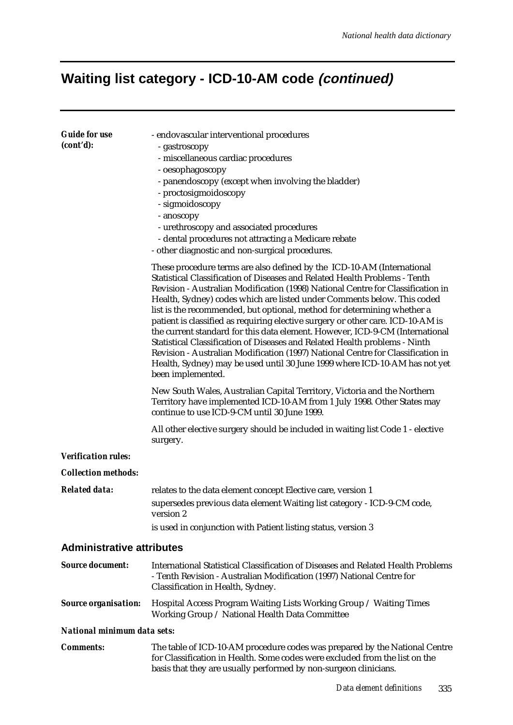### **Waiting list category - ICD-10-AM code (continued)**

| <b>Guide for use</b><br>(cont'd): | - endovascular interventional procedures<br>- gastroscopy<br>- miscellaneous cardiac procedures<br>- oesophagoscopy<br>- panendoscopy (except when involving the bladder)<br>- proctosigmoidoscopy<br>- sigmoidoscopy<br>- anoscopy<br>- urethroscopy and associated procedures<br>- dental procedures not attracting a Medicare rebate<br>- other diagnostic and non-surgical procedures.                                                                                                                                                                                                                                                                                                                                                                                                                                           |
|-----------------------------------|--------------------------------------------------------------------------------------------------------------------------------------------------------------------------------------------------------------------------------------------------------------------------------------------------------------------------------------------------------------------------------------------------------------------------------------------------------------------------------------------------------------------------------------------------------------------------------------------------------------------------------------------------------------------------------------------------------------------------------------------------------------------------------------------------------------------------------------|
|                                   | These procedure terms are also defined by the ICD-10-AM (International<br>Statistical Classification of Diseases and Related Health Problems - Tenth<br>Revision - Australian Modification (1998) National Centre for Classification in<br>Health, Sydney) codes which are listed under Comments below. This coded<br>list is the recommended, but optional, method for determining whether a<br>patient is classified as requiring elective surgery or other care. ICD-10-AM is<br>the current standard for this data element. However, ICD-9-CM (International<br>Statistical Classification of Diseases and Related Health problems - Ninth<br>Revision - Australian Modification (1997) National Centre for Classification in<br>Health, Sydney) may be used until 30 June 1999 where ICD-10-AM has not yet<br>been implemented. |
|                                   | New South Wales, Australian Capital Territory, Victoria and the Northern<br>Territory have implemented ICD-10-AM from 1 July 1998. Other States may<br>continue to use ICD-9-CM until 30 June 1999.                                                                                                                                                                                                                                                                                                                                                                                                                                                                                                                                                                                                                                  |
|                                   | All other elective surgery should be included in waiting list Code 1 - elective<br>surgery.                                                                                                                                                                                                                                                                                                                                                                                                                                                                                                                                                                                                                                                                                                                                          |
| <b>Verification rules:</b>        |                                                                                                                                                                                                                                                                                                                                                                                                                                                                                                                                                                                                                                                                                                                                                                                                                                      |
| <b>Collection methods:</b>        |                                                                                                                                                                                                                                                                                                                                                                                                                                                                                                                                                                                                                                                                                                                                                                                                                                      |
| <b>Related data:</b>              | relates to the data element concept Elective care, version 1<br>supersedes previous data element Waiting list category - ICD-9-CM code,<br>version 2<br>is used in conjunction with Patient listing status, version 3                                                                                                                                                                                                                                                                                                                                                                                                                                                                                                                                                                                                                |
| <b>Administrative attributes</b>  |                                                                                                                                                                                                                                                                                                                                                                                                                                                                                                                                                                                                                                                                                                                                                                                                                                      |
| <b>Source document:</b>           | International Statistical Classification of Diseases and Related Health Problems<br>- Tenth Revision - Australian Modification (1997) National Centre for<br>Classification in Health, Sydney.                                                                                                                                                                                                                                                                                                                                                                                                                                                                                                                                                                                                                                       |
| <b>Source organisation:</b>       | Hospital Access Program Waiting Lists Working Group / Waiting Times<br>Working Group / National Health Data Committee                                                                                                                                                                                                                                                                                                                                                                                                                                                                                                                                                                                                                                                                                                                |
| National minimum data sets:       |                                                                                                                                                                                                                                                                                                                                                                                                                                                                                                                                                                                                                                                                                                                                                                                                                                      |
|                                   |                                                                                                                                                                                                                                                                                                                                                                                                                                                                                                                                                                                                                                                                                                                                                                                                                                      |

*Comments:* The table of ICD-10-AM procedure codes was prepared by the National Centre for Classification in Health. Some codes were excluded from the list on the basis that they are usually performed by non-surgeon clinicians.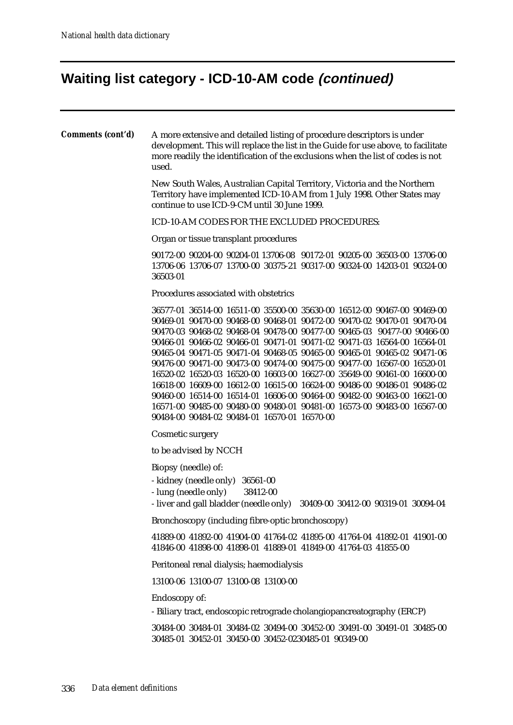# **Waiting list category - ICD-10-AM code (continued)**

| Comments (cont'd) | A more extensive and detailed listing of procedure descriptors is under<br>development. This will replace the list in the Guide for use above, to facilitate<br>more readily the identification of the exclusions when the list of codes is not<br>used.                                                                                                                                                                                                                                                                                                                                                                                                                                                                                                                                                                                                                                                                          |  |  |  |  |  |  |
|-------------------|-----------------------------------------------------------------------------------------------------------------------------------------------------------------------------------------------------------------------------------------------------------------------------------------------------------------------------------------------------------------------------------------------------------------------------------------------------------------------------------------------------------------------------------------------------------------------------------------------------------------------------------------------------------------------------------------------------------------------------------------------------------------------------------------------------------------------------------------------------------------------------------------------------------------------------------|--|--|--|--|--|--|
|                   | New South Wales, Australian Capital Territory, Victoria and the Northern<br>Territory have implemented ICD-10-AM from 1 July 1998. Other States may<br>continue to use ICD-9-CM until 30 June 1999.                                                                                                                                                                                                                                                                                                                                                                                                                                                                                                                                                                                                                                                                                                                               |  |  |  |  |  |  |
|                   | ICD-10-AM CODES FOR THE EXCLUDED PROCEDURES:                                                                                                                                                                                                                                                                                                                                                                                                                                                                                                                                                                                                                                                                                                                                                                                                                                                                                      |  |  |  |  |  |  |
|                   | Organ or tissue transplant procedures                                                                                                                                                                                                                                                                                                                                                                                                                                                                                                                                                                                                                                                                                                                                                                                                                                                                                             |  |  |  |  |  |  |
|                   | 90172-00 90204-00 90204-01 13706-08 90172-01 90205-00 36503-00 13706-00<br>13706-06 13706-07 13700-00 30375-21 90317-00 90324-00 14203-01 90324-00<br>36503-01                                                                                                                                                                                                                                                                                                                                                                                                                                                                                                                                                                                                                                                                                                                                                                    |  |  |  |  |  |  |
|                   | Procedures associated with obstetrics                                                                                                                                                                                                                                                                                                                                                                                                                                                                                                                                                                                                                                                                                                                                                                                                                                                                                             |  |  |  |  |  |  |
|                   | 36577-01 36514-00 16511-00 35500-00 35630-00 16512-00 90467-00 90469-00<br>90469-01 90470-00 90468-00 90468-01 90472-00 90470-02 90470-01 90470-04<br>90470-03 90468-02 90468-04 90478-00 90477-00 90465-03 90477-00 90466-00<br>90466-01 90466-02 90466-01 90471-01 90471-02 90471-03 16564-00 16564-01<br>90465-04 90471-05 90471-04 90468-05 90465-00 90465-01 90465-02 90471-06<br>90476-00 90471-00 90473-00 90474-00 90475-00 90477-00 16567-00 16520-01<br>16520-02 16520-03 16520-00 16603-00 16627-00 35649-00 90461-00 16600-00<br>16618-00 16609-00 16612-00 16615-00 16624-00 90486-00 90486-01 90486-02<br>90460-00 16514-00 16514-01 16606-00 90464-00 90482-00 90463-00 16621-00<br>16571-00 90485-00 90480-00 90480-01 90481-00 16573-00 90483-00 16567-00<br>90484-00 90484-02 90484-01 16570-01 16570-00<br>Cosmetic surgery<br>to be advised by NCCH<br>Biopsy (needle) of:<br>- kidney (needle only) 36561-00 |  |  |  |  |  |  |
|                   | - lung (needle only)<br>38412-00                                                                                                                                                                                                                                                                                                                                                                                                                                                                                                                                                                                                                                                                                                                                                                                                                                                                                                  |  |  |  |  |  |  |
|                   | - liver and gall bladder (needle only) 30409-00 30412-00 90319-01 30094-04<br>Bronchoscopy (including fibre-optic bronchoscopy)                                                                                                                                                                                                                                                                                                                                                                                                                                                                                                                                                                                                                                                                                                                                                                                                   |  |  |  |  |  |  |
|                   | 41889-00 41892-00 41904-00 41764-02 41895-00 41764-04 41892-01 41901-00<br>41846-00 41898-00 41898-01 41889-01 41849-00 41764-03 41855-00                                                                                                                                                                                                                                                                                                                                                                                                                                                                                                                                                                                                                                                                                                                                                                                         |  |  |  |  |  |  |
|                   | Peritoneal renal dialysis; haemodialysis                                                                                                                                                                                                                                                                                                                                                                                                                                                                                                                                                                                                                                                                                                                                                                                                                                                                                          |  |  |  |  |  |  |
|                   | 13100-06 13100-07 13100-08 13100-00                                                                                                                                                                                                                                                                                                                                                                                                                                                                                                                                                                                                                                                                                                                                                                                                                                                                                               |  |  |  |  |  |  |
|                   | Endoscopy of:<br>- Biliary tract, endoscopic retrograde cholangiopancreatography (ERCP)                                                                                                                                                                                                                                                                                                                                                                                                                                                                                                                                                                                                                                                                                                                                                                                                                                           |  |  |  |  |  |  |
|                   | 30484-00 30484-01 30484-02 30494-00 30452-00 30491-00 30491-01 30485-00<br>30485-01 30452-01 30450-00 30452-0230485-01 90349-00                                                                                                                                                                                                                                                                                                                                                                                                                                                                                                                                                                                                                                                                                                                                                                                                   |  |  |  |  |  |  |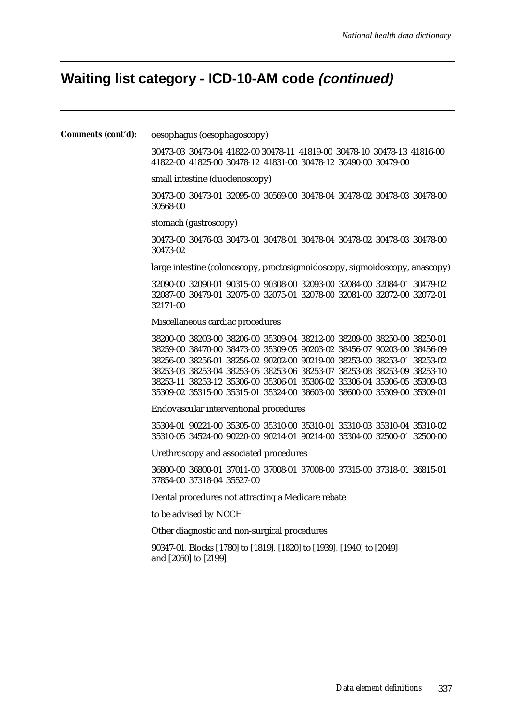### **Waiting list category - ICD-10-AM code (continued)**

#### *Comments (cont'd):* oesophagus (oesophagoscopy)

30473-03 30473-04 41822-00 30478-11 41819-00 30478-10 30478-13 41816-00 41822-00 41825-00 30478-12 41831-00 30478-12 30490-00 30479-00

small intestine (duodenoscopy)

30473-00 30473-01 32095-00 30569-00 30478-04 30478-02 30478-03 30478-00 30568-00

stomach (gastroscopy)

30473-00 30476-03 30473-01 30478-01 30478-04 30478-02 30478-03 30478-00 30473-02

large intestine (colonoscopy, proctosigmoidoscopy, sigmoidoscopy, anascopy)

32090-00 32090-01 90315-00 90308-00 32093-00 32084-00 32084-01 30479-02 32087-00 30479-01 32075-00 32075-01 32078-00 32081-00 32072-00 32072-01 32171-00

Miscellaneous cardiac procedures

38200-00 38203-00 38206-00 35309-04 38212-00 38209-00 38250-00 38250-01 38259-00 38470-00 38473-00 35309-05 90203-02 38456-07 90203-00 38456-09 38256-00 38256-01 38256-02 90202-00 90219-00 38253-00 38253-01 38253-02 38253-03 38253-04 38253-05 38253-06 38253-07 38253-08 38253-09 38253-10 38253-11 38253-12 35306-00 35306-01 35306-02 35306-04 35306-05 35309-03 35309-02 35315-00 35315-01 35324-00 38603-00 38600-00 35309-00 35309-01

Endovascular interventional procedures

35304-01 90221-00 35305-00 35310-00 35310-01 35310-03 35310-04 35310-02 35310-05 34524-00 90220-00 90214-01 90214-00 35304-00 32500-01 32500-00

Urethroscopy and associated procedures

36800-00 36800-01 37011-00 37008-01 37008-00 37315-00 37318-01 36815-01 37854-00 37318-04 35527-00

Dental procedures not attracting a Medicare rebate

to be advised by NCCH

Other diagnostic and non-surgical procedures

90347-01, Blocks [1780] to [1819], [1820] to [1939], [1940] to [2049] and [2050] to [2199]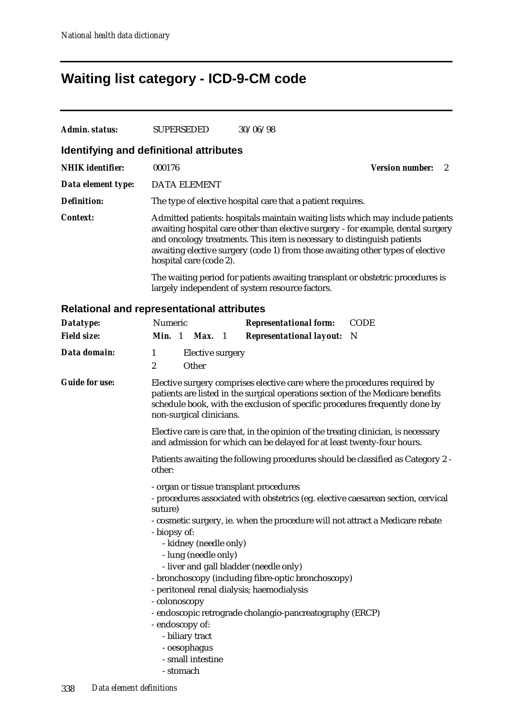# **Waiting list category - ICD-9-CM code**

| Admin. status:          | <b>SUPERSEDED</b>                       | 30/06/98                                                                                                                                                                                                                                                                                                                        |                        |   |
|-------------------------|-----------------------------------------|---------------------------------------------------------------------------------------------------------------------------------------------------------------------------------------------------------------------------------------------------------------------------------------------------------------------------------|------------------------|---|
|                         | Identifying and definitional attributes |                                                                                                                                                                                                                                                                                                                                 |                        |   |
| <b>NHIK</b> identifier: | 000176                                  |                                                                                                                                                                                                                                                                                                                                 | <b>Version number:</b> | 2 |
| Data element type:      | <b>DATA ELEMENT</b>                     |                                                                                                                                                                                                                                                                                                                                 |                        |   |
| <b>Definition:</b>      |                                         | The type of elective hospital care that a patient requires.                                                                                                                                                                                                                                                                     |                        |   |
| <b>Context:</b>         | hospital care (code 2).                 | Admitted patients: hospitals maintain waiting lists which may include patients<br>awaiting hospital care other than elective surgery - for example, dental surgery<br>and oncology treatments. This item is necessary to distinguish patients<br>awaiting elective surgery (code 1) from those awaiting other types of elective |                        |   |
|                         |                                         | The waiting period for patients awaiting transplant or obstetric procedures is<br>largely independent of system resource factors.                                                                                                                                                                                               |                        |   |

#### **Relational and representational attributes**

| Datatype:             | Numeric<br><b>Representational form:</b><br><b>CODE</b>                                                                                                                                                                                                                                                                                                                                                                                                                                                                                                                                                        |
|-----------------------|----------------------------------------------------------------------------------------------------------------------------------------------------------------------------------------------------------------------------------------------------------------------------------------------------------------------------------------------------------------------------------------------------------------------------------------------------------------------------------------------------------------------------------------------------------------------------------------------------------------|
| <b>Field size:</b>    | Min. 1<br><b>Representational layout:</b> N<br>Max. 1                                                                                                                                                                                                                                                                                                                                                                                                                                                                                                                                                          |
| Data domain:          | $\mathbf{1}$<br>Elective surgery                                                                                                                                                                                                                                                                                                                                                                                                                                                                                                                                                                               |
|                       | 2<br>Other                                                                                                                                                                                                                                                                                                                                                                                                                                                                                                                                                                                                     |
| <b>Guide for use:</b> | Elective surgery comprises elective care where the procedures required by<br>patients are listed in the surgical operations section of the Medicare benefits<br>schedule book, with the exclusion of specific procedures frequently done by<br>non-surgical clinicians.                                                                                                                                                                                                                                                                                                                                        |
|                       | Elective care is care that, in the opinion of the treating clinician, is necessary<br>and admission for which can be delayed for at least twenty-four hours.                                                                                                                                                                                                                                                                                                                                                                                                                                                   |
|                       | Patients awaiting the following procedures should be classified as Category 2 -<br>other:                                                                                                                                                                                                                                                                                                                                                                                                                                                                                                                      |
|                       | - organ or tissue transplant procedures<br>- procedures associated with obstetrics (eg. elective caesarean section, cervical<br>suture)<br>- cosmetic surgery, ie. when the procedure will not attract a Medicare rebate<br>- biopsy of:<br>- kidney (needle only)<br>- lung (needle only)<br>- liver and gall bladder (needle only)<br>- bronchoscopy (including fibre-optic bronchoscopy)<br>- peritoneal renal dialysis; haemodialysis<br>- colonoscopy<br>- endoscopic retrograde cholangio-pancreatography (ERCP)<br>- endoscopy of:<br>- biliary tract<br>- oesophagus<br>- small intestine<br>- stomach |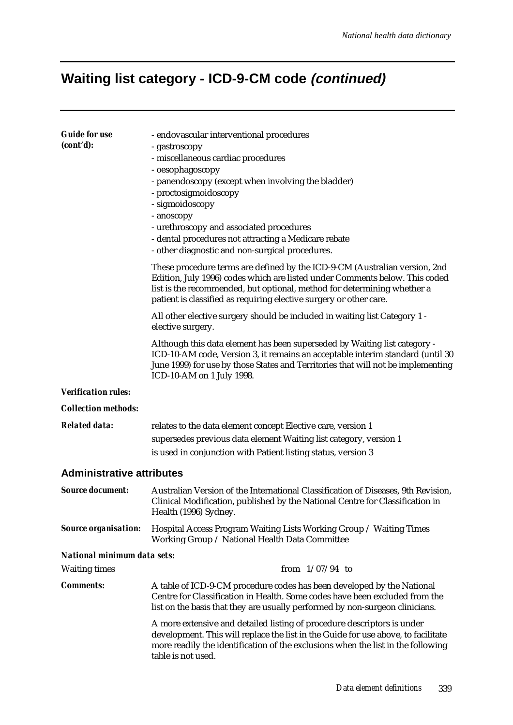# **Waiting list category - ICD-9-CM code (continued)**

| <b>Guide for use</b><br>(cont'd):  | - endovascular interventional procedures<br>- gastroscopy<br>- miscellaneous cardiac procedures<br>- oesophagoscopy<br>- panendoscopy (except when involving the bladder)<br>- proctosigmoidoscopy<br>- sigmoidoscopy<br>- anoscopy<br>- urethroscopy and associated procedures<br>- dental procedures not attracting a Medicare rebate<br>- other diagnostic and non-surgical procedures.<br>These procedure terms are defined by the ICD-9-CM (Australian version, 2nd<br>Edition, July 1996) codes which are listed under Comments below. This coded<br>list is the recommended, but optional, method for determining whether a<br>patient is classified as requiring elective surgery or other care. |  |  |
|------------------------------------|----------------------------------------------------------------------------------------------------------------------------------------------------------------------------------------------------------------------------------------------------------------------------------------------------------------------------------------------------------------------------------------------------------------------------------------------------------------------------------------------------------------------------------------------------------------------------------------------------------------------------------------------------------------------------------------------------------|--|--|
|                                    | All other elective surgery should be included in waiting list Category 1 -<br>elective surgery.                                                                                                                                                                                                                                                                                                                                                                                                                                                                                                                                                                                                          |  |  |
|                                    | Although this data element has been superseded by Waiting list category -<br>ICD-10-AM code, Version 3, it remains an acceptable interim standard (until 30<br>June 1999) for use by those States and Territories that will not be implementing<br>ICD-10-AM on 1 July 1998.                                                                                                                                                                                                                                                                                                                                                                                                                             |  |  |
| <b>Verification rules:</b>         |                                                                                                                                                                                                                                                                                                                                                                                                                                                                                                                                                                                                                                                                                                          |  |  |
| <b>Collection methods:</b>         |                                                                                                                                                                                                                                                                                                                                                                                                                                                                                                                                                                                                                                                                                                          |  |  |
| <b>Related data:</b>               | relates to the data element concept Elective care, version 1                                                                                                                                                                                                                                                                                                                                                                                                                                                                                                                                                                                                                                             |  |  |
|                                    | supersedes previous data element Waiting list category, version 1                                                                                                                                                                                                                                                                                                                                                                                                                                                                                                                                                                                                                                        |  |  |
|                                    | is used in conjunction with Patient listing status, version 3                                                                                                                                                                                                                                                                                                                                                                                                                                                                                                                                                                                                                                            |  |  |
| <b>Administrative attributes</b>   |                                                                                                                                                                                                                                                                                                                                                                                                                                                                                                                                                                                                                                                                                                          |  |  |
| <b>Source document:</b>            | Australian Version of the International Classification of Diseases, 9th Revision,<br>Clinical Modification, published by the National Centre for Classification in<br>Health (1996) Sydney.                                                                                                                                                                                                                                                                                                                                                                                                                                                                                                              |  |  |
| <b>Source organisation:</b>        | Hospital Access Program Waiting Lists Working Group / Waiting Times<br>Working Group / National Health Data Committee                                                                                                                                                                                                                                                                                                                                                                                                                                                                                                                                                                                    |  |  |
| <b>National minimum data sets:</b> |                                                                                                                                                                                                                                                                                                                                                                                                                                                                                                                                                                                                                                                                                                          |  |  |
| <b>Waiting times</b>               | from $1/07/94$ to                                                                                                                                                                                                                                                                                                                                                                                                                                                                                                                                                                                                                                                                                        |  |  |
| <b>Comments:</b>                   | A table of ICD-9-CM procedure codes has been developed by the National<br>Centre for Classification in Health. Some codes have been excluded from the<br>list on the basis that they are usually performed by non-surgeon clinicians.                                                                                                                                                                                                                                                                                                                                                                                                                                                                    |  |  |
|                                    | A more extensive and detailed listing of procedure descriptors is under<br>development. This will replace the list in the Guide for use above, to facilitate<br>more readily the identification of the exclusions when the list in the following<br>table is not used.                                                                                                                                                                                                                                                                                                                                                                                                                                   |  |  |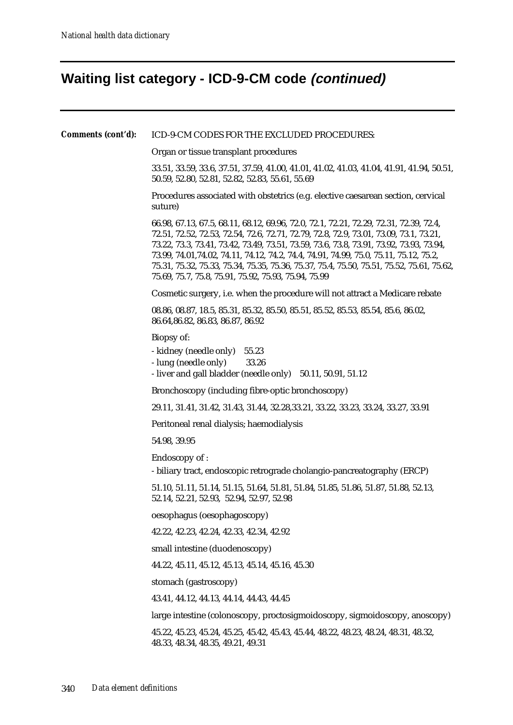# **Waiting list category - ICD-9-CM code (continued)**

| Comments (cont'd): | ICD-9-CM CODES FOR THE EXCLUDED PROCEDURES:                                                                                                                                                                                                                                                                                                                                                                                                                                                                                |  |  |  |  |
|--------------------|----------------------------------------------------------------------------------------------------------------------------------------------------------------------------------------------------------------------------------------------------------------------------------------------------------------------------------------------------------------------------------------------------------------------------------------------------------------------------------------------------------------------------|--|--|--|--|
|                    | Organ or tissue transplant procedures                                                                                                                                                                                                                                                                                                                                                                                                                                                                                      |  |  |  |  |
|                    | 33.51, 33.59, 33.6, 37.51, 37.59, 41.00, 41.01, 41.02, 41.03, 41.04, 41.91, 41.94, 50.51,<br>50.59, 52.80, 52.81, 52.82, 52.83, 55.61, 55.69                                                                                                                                                                                                                                                                                                                                                                               |  |  |  |  |
|                    | Procedures associated with obstetrics (e.g. elective caesarean section, cervical<br>suture)                                                                                                                                                                                                                                                                                                                                                                                                                                |  |  |  |  |
|                    | 66.98, 67.13, 67.5, 68.11, 68.12, 69.96, 72.0, 72.1, 72.21, 72.29, 72.31, 72.39, 72.4,<br>72.51, 72.52, 72.53, 72.54, 72.6, 72.71, 72.79, 72.8, 72.9, 73.01, 73.09, 73.1, 73.21,<br>73.22, 73.3, 73.41, 73.42, 73.49, 73.51, 73.59, 73.6, 73.8, 73.91, 73.92, 73.93, 73.94,<br>73.99, 74.01, 74.02, 74.11, 74.12, 74.2, 74.4, 74.91, 74.99, 75.0, 75.11, 75.12, 75.2,<br>75.31, 75.32, 75.33, 75.34, 75.35, 75.36, 75.37, 75.4, 75.50, 75.51, 75.52, 75.61, 75.62,<br>75.69, 75.7, 75.8, 75.91, 75.92, 75.93, 75.94, 75.99 |  |  |  |  |
|                    | Cosmetic surgery, i.e. when the procedure will not attract a Medicare rebate                                                                                                                                                                                                                                                                                                                                                                                                                                               |  |  |  |  |
|                    | 08.86, 08.87, 18.5, 85.31, 85.32, 85.50, 85.51, 85.52, 85.53, 85.54, 85.6, 86.02,<br>86.64, 86.82, 86.83, 86.87, 86.92                                                                                                                                                                                                                                                                                                                                                                                                     |  |  |  |  |
|                    | Biopsy of:<br>- kidney (needle only)<br>55.23<br>- lung (needle only)<br>33.26<br>- liver and gall bladder (needle only) 50.11, 50.91, 51.12                                                                                                                                                                                                                                                                                                                                                                               |  |  |  |  |
|                    | Bronchoscopy (including fibre-optic bronchoscopy)                                                                                                                                                                                                                                                                                                                                                                                                                                                                          |  |  |  |  |
|                    | 29.11, 31.41, 31.42, 31.43, 31.44, 32.28, 33.21, 33.22, 33.23, 33.24, 33.27, 33.91                                                                                                                                                                                                                                                                                                                                                                                                                                         |  |  |  |  |
|                    | Peritoneal renal dialysis; haemodialysis                                                                                                                                                                                                                                                                                                                                                                                                                                                                                   |  |  |  |  |
|                    | 54.98, 39.95                                                                                                                                                                                                                                                                                                                                                                                                                                                                                                               |  |  |  |  |
|                    | Endoscopy of:                                                                                                                                                                                                                                                                                                                                                                                                                                                                                                              |  |  |  |  |
|                    | - biliary tract, endoscopic retrograde cholangio-pancreatography (ERCP)                                                                                                                                                                                                                                                                                                                                                                                                                                                    |  |  |  |  |
|                    | 51.10, 51.11, 51.14, 51.15, 51.64, 51.81, 51.84, 51.85, 51.86, 51.87, 51.88, 52.13,<br>52.14, 52.21, 52.93, 52.94, 52.97, 52.98                                                                                                                                                                                                                                                                                                                                                                                            |  |  |  |  |
|                    | oesophagus (oesophagoscopy)                                                                                                                                                                                                                                                                                                                                                                                                                                                                                                |  |  |  |  |
|                    | 42.22, 42.23, 42.24, 42.33, 42.34, 42.92                                                                                                                                                                                                                                                                                                                                                                                                                                                                                   |  |  |  |  |
|                    | small intestine (duodenoscopy)                                                                                                                                                                                                                                                                                                                                                                                                                                                                                             |  |  |  |  |
|                    | 44.22, 45.11, 45.12, 45.13, 45.14, 45.16, 45.30                                                                                                                                                                                                                                                                                                                                                                                                                                                                            |  |  |  |  |
|                    | stomach (gastroscopy)                                                                                                                                                                                                                                                                                                                                                                                                                                                                                                      |  |  |  |  |
|                    | 43.41, 44.12, 44.13, 44.14, 44.43, 44.45                                                                                                                                                                                                                                                                                                                                                                                                                                                                                   |  |  |  |  |
|                    | large intestine (colonoscopy, proctosigmoidoscopy, sigmoidoscopy, anoscopy)                                                                                                                                                                                                                                                                                                                                                                                                                                                |  |  |  |  |
|                    | 45.22, 45.23, 45.24, 45.25, 45.42, 45.43, 45.44, 48.22, 48.23, 48.24, 48.31, 48.32,<br>48.33, 48.34, 48.35, 49.21, 49.31                                                                                                                                                                                                                                                                                                                                                                                                   |  |  |  |  |
|                    |                                                                                                                                                                                                                                                                                                                                                                                                                                                                                                                            |  |  |  |  |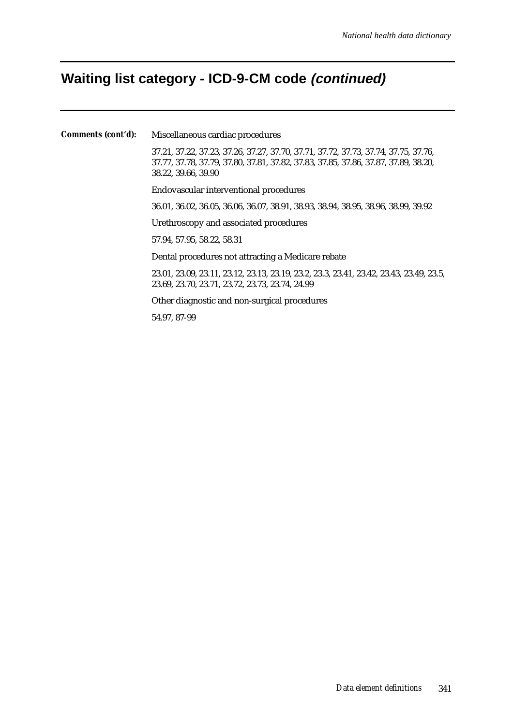#### **Waiting list category - ICD-9-CM code (continued)**

*Comments (cont'd):* Miscellaneous cardiac procedures 37.21, 37.22, 37.23, 37.26, 37.27, 37.70, 37.71, 37.72, 37.73, 37.74, 37.75, 37.76, 37.77, 37.78, 37.79, 37.80, 37.81, 37.82, 37.83, 37.85, 37.86, 37.87, 37.89, 38.20, 38.22, 39.66, 39.90 Endovascular interventional procedures 36.01, 36.02, 36.05, 36.06, 36.07, 38.91, 38.93, 38.94, 38.95, 38.96, 38.99, 39.92 Urethroscopy and associated procedures 57.94, 57.95, 58.22, 58.31 Dental procedures not attracting a Medicare rebate 23.01, 23.09, 23.11, 23.12, 23.13, 23.19, 23.2, 23.3, 23.41, 23.42, 23.43, 23.49, 23.5, 23.69, 23.70, 23.71, 23.72, 23.73, 23.74, 24.99 Other diagnostic and non-surgical procedures

54.97, 87-99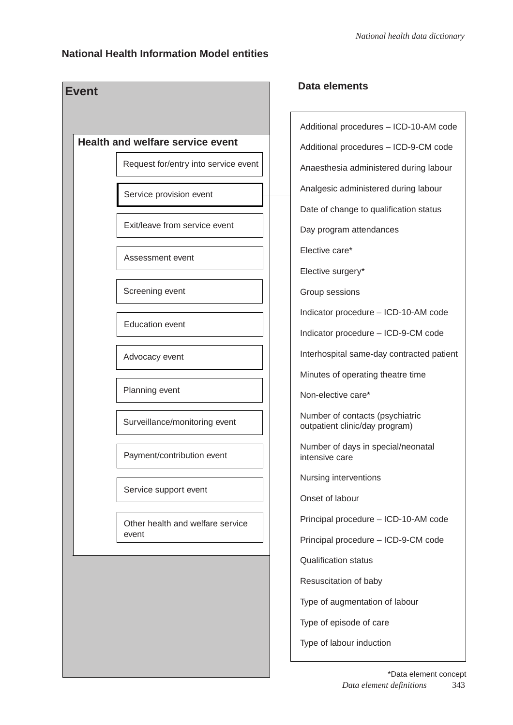#### **National Health Information Model entities**



| Additional procedures - ICD-10-AM code                            |
|-------------------------------------------------------------------|
| Additional procedures - ICD-9-CM code                             |
| Anaesthesia administered during labour                            |
| Analgesic administered during labour                              |
| Date of change to qualification status                            |
| Day program attendances                                           |
| Elective care*                                                    |
| Elective surgery*                                                 |
| Group sessions                                                    |
| Indicator procedure - ICD-10-AM code                              |
| Indicator procedure - ICD-9-CM code                               |
| Interhospital same-day contracted patient                         |
| Minutes of operating theatre time                                 |
| Non-elective care*                                                |
| Number of contacts (psychiatric<br>outpatient clinic/day program) |
| Number of days in special/neonatal<br>intensive care              |
| Nursing interventions                                             |
| Onset of labour                                                   |
| Principal procedure - ICD-10-AM code                              |
| Principal procedure - ICD-9-CM code                               |
| <b>Qualification status</b>                                       |
| Resuscitation of baby                                             |
| Type of augmentation of labour                                    |
| Type of episode of care                                           |
| Type of labour induction                                          |
|                                                                   |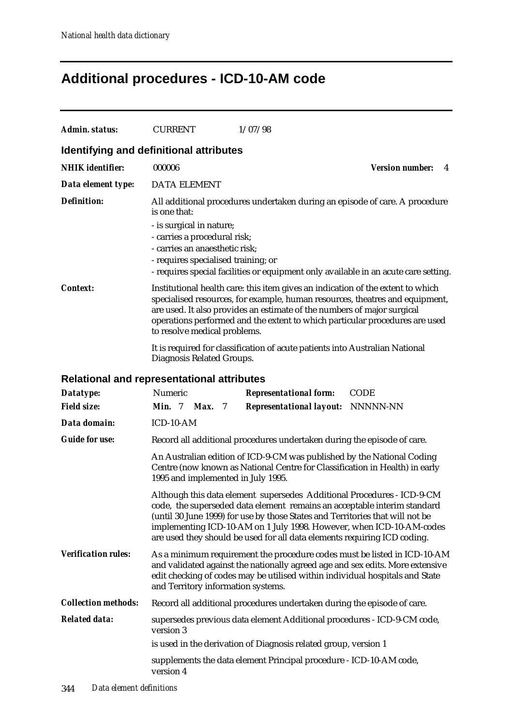# **Additional procedures - ICD-10-AM code**

| <b>Admin. status:</b>                   | <b>CURRENT</b><br>1/07/98                                                                                                                                                                                                                                                                                                                                                                                                                                                                                                                                                              |  |  |  |  |
|-----------------------------------------|----------------------------------------------------------------------------------------------------------------------------------------------------------------------------------------------------------------------------------------------------------------------------------------------------------------------------------------------------------------------------------------------------------------------------------------------------------------------------------------------------------------------------------------------------------------------------------------|--|--|--|--|
| Identifying and definitional attributes |                                                                                                                                                                                                                                                                                                                                                                                                                                                                                                                                                                                        |  |  |  |  |
| <b>NHIK</b> identifier:                 | 000006<br><b>Version number:</b><br>4                                                                                                                                                                                                                                                                                                                                                                                                                                                                                                                                                  |  |  |  |  |
| Data element type:                      | <b>DATA ELEMENT</b>                                                                                                                                                                                                                                                                                                                                                                                                                                                                                                                                                                    |  |  |  |  |
| <b>Definition:</b>                      | All additional procedures undertaken during an episode of care. A procedure<br>is one that:<br>- is surgical in nature;<br>- carries a procedural risk;<br>- carries an anaesthetic risk;<br>- requires specialised training; or<br>- requires special facilities or equipment only available in an acute care setting.                                                                                                                                                                                                                                                                |  |  |  |  |
| <b>Context:</b>                         | Institutional health care: this item gives an indication of the extent to which<br>specialised resources, for example, human resources, theatres and equipment,<br>are used. It also provides an estimate of the numbers of major surgical<br>operations performed and the extent to which particular procedures are used<br>to resolve medical problems.                                                                                                                                                                                                                              |  |  |  |  |
|                                         | It is required for classification of acute patients into Australian National<br>Diagnosis Related Groups.                                                                                                                                                                                                                                                                                                                                                                                                                                                                              |  |  |  |  |
|                                         | <b>Relational and representational attributes</b>                                                                                                                                                                                                                                                                                                                                                                                                                                                                                                                                      |  |  |  |  |
| Datatype:                               | Numeric<br><b>CODE</b><br><b>Representational form:</b>                                                                                                                                                                                                                                                                                                                                                                                                                                                                                                                                |  |  |  |  |
| <b>Field size:</b>                      | <b>Min.</b> 7 <b>Max.</b> 7<br><b>Representational layout: NNNNN-NN</b>                                                                                                                                                                                                                                                                                                                                                                                                                                                                                                                |  |  |  |  |
| Data domain:                            | ICD-10-AM                                                                                                                                                                                                                                                                                                                                                                                                                                                                                                                                                                              |  |  |  |  |
| <b>Guide for use:</b>                   | Record all additional procedures undertaken during the episode of care.                                                                                                                                                                                                                                                                                                                                                                                                                                                                                                                |  |  |  |  |
|                                         | An Australian edition of ICD-9-CM was published by the National Coding<br>Centre (now known as National Centre for Classification in Health) in early<br>1995 and implemented in July 1995.<br>Although this data element supersedes Additional Procedures - ICD-9-CM<br>code, the superseded data element remains an acceptable interim standard<br>(until 30 June 1999) for use by those States and Territories that will not be<br>implementing ICD-10-AM on 1 July 1998. However, when ICD-10-AM-codes<br>are used they should be used for all data elements requiring ICD coding. |  |  |  |  |
|                                         |                                                                                                                                                                                                                                                                                                                                                                                                                                                                                                                                                                                        |  |  |  |  |
| <b>Verification rules:</b>              | As a minimum requirement the procedure codes must be listed in ICD-10-AM<br>and validated against the nationally agreed age and sex edits. More extensive<br>edit checking of codes may be utilised within individual hospitals and State<br>and Territory information systems.                                                                                                                                                                                                                                                                                                        |  |  |  |  |
| <b>Collection methods:</b>              | Record all additional procedures undertaken during the episode of care.                                                                                                                                                                                                                                                                                                                                                                                                                                                                                                                |  |  |  |  |
| <b>Related data:</b>                    | supersedes previous data element Additional procedures - ICD-9-CM code,<br>version 3                                                                                                                                                                                                                                                                                                                                                                                                                                                                                                   |  |  |  |  |
|                                         | is used in the derivation of Diagnosis related group, version 1                                                                                                                                                                                                                                                                                                                                                                                                                                                                                                                        |  |  |  |  |
|                                         | supplements the data element Principal procedure - ICD-10-AM code,<br>version 4                                                                                                                                                                                                                                                                                                                                                                                                                                                                                                        |  |  |  |  |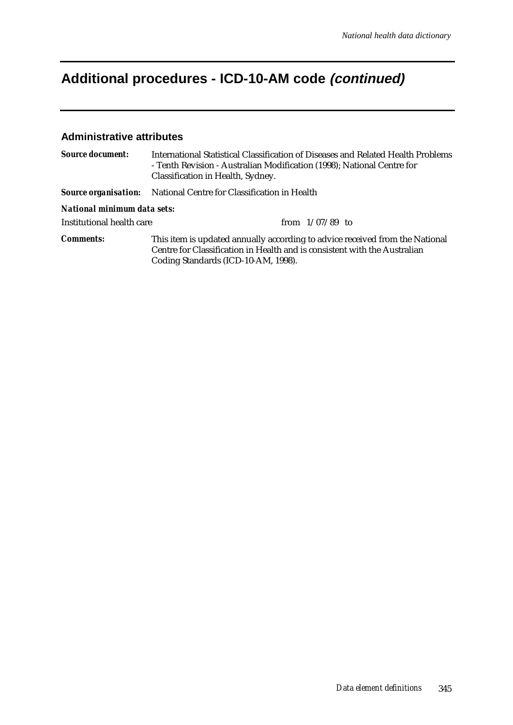# **Additional procedures - ICD-10-AM code (continued)**

#### **Administrative attributes**

| <b>Source document:</b>     | International Statistical Classification of Diseases and Related Health Problems<br>- Tenth Revision - Australian Modification (1998); National Centre for<br>Classification in Health, Sydney.  |  |  |  |
|-----------------------------|--------------------------------------------------------------------------------------------------------------------------------------------------------------------------------------------------|--|--|--|
|                             | <b>Source organisation:</b> National Centre for Classification in Health                                                                                                                         |  |  |  |
| National minimum data sets: |                                                                                                                                                                                                  |  |  |  |
| Institutional health care   | from $1/07/89$ to                                                                                                                                                                                |  |  |  |
| <b>Comments:</b>            | This item is updated annually according to advice received from the National<br>Centre for Classification in Health and is consistent with the Australian<br>Coding Standards (ICD-10-AM, 1998). |  |  |  |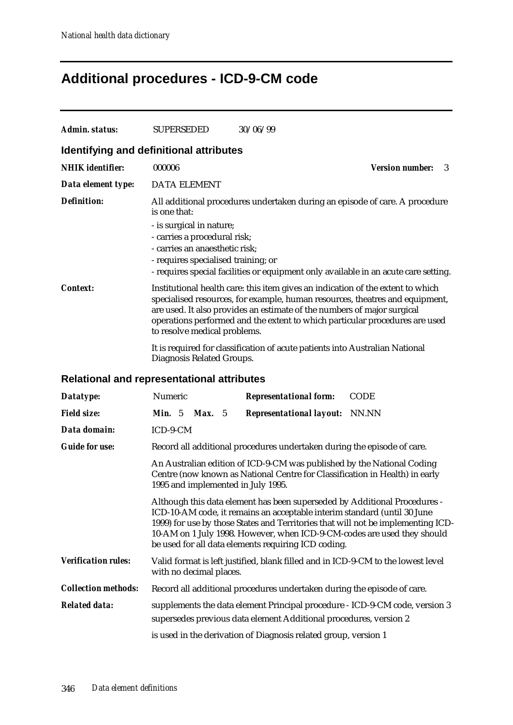## **Additional procedures - ICD-9-CM code**

| Admin. status:             | <b>SUPERSEDED</b><br>30/06/99                                                                                                                                                                                                                                                                                                                                                                                                                                          |  |  |  |
|----------------------------|------------------------------------------------------------------------------------------------------------------------------------------------------------------------------------------------------------------------------------------------------------------------------------------------------------------------------------------------------------------------------------------------------------------------------------------------------------------------|--|--|--|
|                            | Identifying and definitional attributes                                                                                                                                                                                                                                                                                                                                                                                                                                |  |  |  |
| <b>NHIK</b> identifier:    | 000006<br><b>Version number:</b><br>3                                                                                                                                                                                                                                                                                                                                                                                                                                  |  |  |  |
| Data element type:         | <b>DATA ELEMENT</b>                                                                                                                                                                                                                                                                                                                                                                                                                                                    |  |  |  |
| <b>Definition:</b>         | All additional procedures undertaken during an episode of care. A procedure<br>is one that:<br>- is surgical in nature;<br>- carries a procedural risk;<br>- carries an anaesthetic risk;<br>- requires specialised training; or<br>- requires special facilities or equipment only available in an acute care setting.                                                                                                                                                |  |  |  |
| <b>Context:</b>            | Institutional health care: this item gives an indication of the extent to which<br>specialised resources, for example, human resources, theatres and equipment,<br>are used. It also provides an estimate of the numbers of major surgical<br>operations performed and the extent to which particular procedures are used<br>to resolve medical problems.<br>It is required for classification of acute patients into Australian National<br>Diagnosis Related Groups. |  |  |  |
|                            | <b>Relational and representational attributes</b>                                                                                                                                                                                                                                                                                                                                                                                                                      |  |  |  |
| Datatype:                  | Numeric<br><b>Representational form:</b><br><b>CODE</b>                                                                                                                                                                                                                                                                                                                                                                                                                |  |  |  |
| <b>Field size:</b>         | <b>Min.</b> $5$<br><b>Max.</b> 5<br><b>Representational layout:</b> NN.NN                                                                                                                                                                                                                                                                                                                                                                                              |  |  |  |
| Data domain:               | ICD-9-CM                                                                                                                                                                                                                                                                                                                                                                                                                                                               |  |  |  |
| <b>Guide for use:</b>      | Record all additional procedures undertaken during the episode of care.                                                                                                                                                                                                                                                                                                                                                                                                |  |  |  |
|                            | An Australian edition of ICD-9-CM was published by the National Coding<br>Centre (now known as National Centre for Classification in Health) in early<br>1995 and implemented in July 1995.                                                                                                                                                                                                                                                                            |  |  |  |
|                            | Although this data element has been superseded by Additional Procedures -<br>ICD-10-AM code, it remains an acceptable interim standard (until 30 June<br>1999) for use by those States and Territories that will not be implementing ICD-<br>10-AM on 1 July 1998. However, when ICD-9-CM-codes are used they should<br>be used for all data elements requiring ICD coding.                                                                                            |  |  |  |
| <b>Verification rules:</b> | Valid format is left justified, blank filled and in ICD-9-CM to the lowest level<br>with no decimal places.                                                                                                                                                                                                                                                                                                                                                            |  |  |  |
| <b>Collection methods:</b> | Record all additional procedures undertaken during the episode of care.                                                                                                                                                                                                                                                                                                                                                                                                |  |  |  |
| <b>Related data:</b>       | supplements the data element Principal procedure - ICD-9-CM code, version 3<br>supersedes previous data element Additional procedures, version 2                                                                                                                                                                                                                                                                                                                       |  |  |  |
|                            | is used in the derivation of Diagnosis related group, version 1                                                                                                                                                                                                                                                                                                                                                                                                        |  |  |  |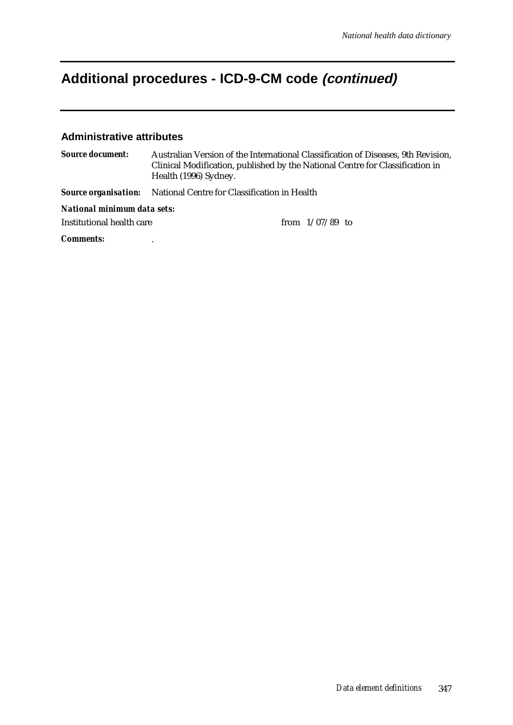# **Additional procedures - ICD-9-CM code (continued)**

#### **Administrative attributes**

| <i><b>Source document:</b></i> | Australian Version of the International Classification of Diseases, 9th Revision,<br>Clinical Modification, published by the National Centre for Classification in<br>Health (1996) Sydney. |  |                   |  |
|--------------------------------|---------------------------------------------------------------------------------------------------------------------------------------------------------------------------------------------|--|-------------------|--|
|                                | <b>Source organisation:</b> National Centre for Classification in Health                                                                                                                    |  |                   |  |
| National minimum data sets:    |                                                                                                                                                                                             |  |                   |  |
| Institutional health care      |                                                                                                                                                                                             |  | from $1/07/89$ to |  |
| <b>Comments:</b>               |                                                                                                                                                                                             |  |                   |  |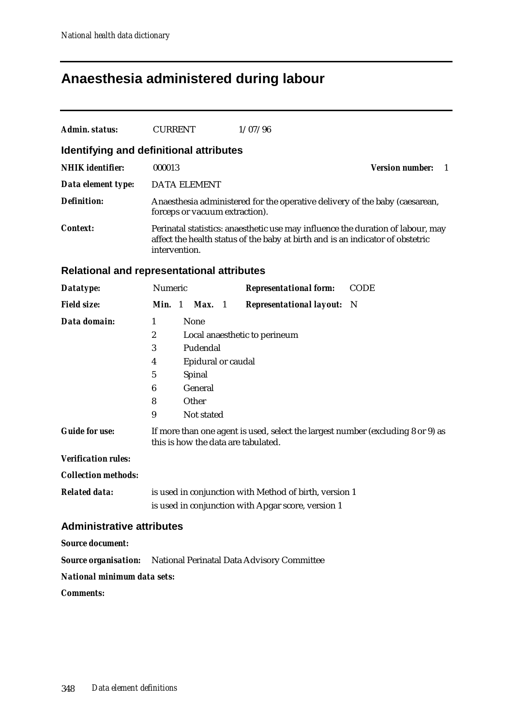# **Anaesthesia administered during labour**

| Admin. status:                   | <b>CURRENT</b>                                                                                                                                                                      | 1/07/96                                                                     |  |
|----------------------------------|-------------------------------------------------------------------------------------------------------------------------------------------------------------------------------------|-----------------------------------------------------------------------------|--|
|                                  | Identifying and definitional attributes                                                                                                                                             |                                                                             |  |
| <b>NHIK</b> identifier:          | 000013                                                                                                                                                                              | <b>Version number:</b><br>$\overline{1}$                                    |  |
| Data element type:               | <b>DATA ELEMENT</b>                                                                                                                                                                 |                                                                             |  |
| <b>Definition:</b>               | forceps or vacuum extraction).                                                                                                                                                      | Anaesthesia administered for the operative delivery of the baby (caesarean, |  |
| <i>Context:</i>                  | Perinatal statistics: anaesthetic use may influence the duration of labour, may<br>affect the health status of the baby at birth and is an indicator of obstetric<br>intervention.  |                                                                             |  |
|                                  | <b>Relational and representational attributes</b>                                                                                                                                   |                                                                             |  |
| Datatype:                        | Numeric                                                                                                                                                                             | <b>Representational form:</b><br><b>CODE</b>                                |  |
| <b>Field size:</b>               | Min. 1<br><b>Max.</b> 1                                                                                                                                                             | <b>Representational layout:</b><br>N                                        |  |
| Data domain:                     | None<br>1<br>$\boldsymbol{2}$<br>Local anaesthetic to perineum<br>Pudendal<br>3<br>Epidural or caudal<br>4<br>$\sqrt{5}$<br>Spinal<br>General<br>6<br>8<br>Other<br>9<br>Not stated |                                                                             |  |
| <b>Guide for use:</b>            | If more than one agent is used, select the largest number (excluding 8 or 9) as<br>this is how the data are tabulated.                                                              |                                                                             |  |
| <b>Verification rules:</b>       |                                                                                                                                                                                     |                                                                             |  |
| <b>Collection methods:</b>       |                                                                                                                                                                                     |                                                                             |  |
| <b>Related data:</b>             | is used in conjunction with Method of birth, version 1<br>is used in conjunction with Apgar score, version 1                                                                        |                                                                             |  |
| <b>Administrative attributes</b> |                                                                                                                                                                                     |                                                                             |  |
| <b>Source document:</b>          |                                                                                                                                                                                     |                                                                             |  |
| <b>Source organisation:</b>      | National Perinatal Data Advisory Committee                                                                                                                                          |                                                                             |  |
| National minimum data sets:      |                                                                                                                                                                                     |                                                                             |  |
| <b>Comments:</b>                 |                                                                                                                                                                                     |                                                                             |  |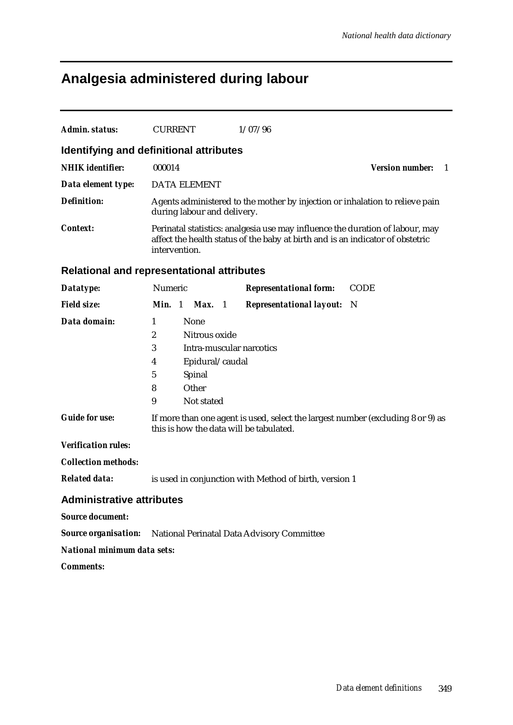# **Analgesia administered during labour**

| Admin. status:                          | <b>CURRENT</b><br>1/07/96                                                                                                                                                        |  |  |  |  |
|-----------------------------------------|----------------------------------------------------------------------------------------------------------------------------------------------------------------------------------|--|--|--|--|
| Identifying and definitional attributes |                                                                                                                                                                                  |  |  |  |  |
| <b>NHIK</b> identifier:                 | 000014<br><b>Version number:</b><br>- 1                                                                                                                                          |  |  |  |  |
| Data element type:                      | <b>DATA ELEMENT</b>                                                                                                                                                              |  |  |  |  |
| <b>Definition:</b>                      | Agents administered to the mother by injection or inhalation to relieve pain<br>during labour and delivery.                                                                      |  |  |  |  |
| <b>Context:</b>                         | Perinatal statistics: analgesia use may influence the duration of labour, may<br>affect the health status of the baby at birth and is an indicator of obstetric<br>intervention. |  |  |  |  |
|                                         | <b>Relational and representational attributes</b>                                                                                                                                |  |  |  |  |
| Datatype:                               | Numeric<br><b>Representational form:</b><br><b>CODE</b>                                                                                                                          |  |  |  |  |
| <b>Field size:</b>                      | Min. 1<br>Max. 1<br><b>Representational layout:</b><br>$\mathbf N$                                                                                                               |  |  |  |  |
| Data domain:                            | None<br>1<br>$\boldsymbol{2}$<br>Nitrous oxide<br>Intra-muscular narcotics<br>3<br>Epidural/caudal<br>4<br>5<br>Spinal<br>Other<br>8<br>9<br>Not stated                          |  |  |  |  |
| <b>Guide for use:</b>                   | If more than one agent is used, select the largest number (excluding 8 or 9) as<br>this is how the data will be tabulated.                                                       |  |  |  |  |
| <b>Verification rules:</b>              |                                                                                                                                                                                  |  |  |  |  |
| <b>Collection methods:</b>              |                                                                                                                                                                                  |  |  |  |  |
| <b>Related data:</b>                    | is used in conjunction with Method of birth, version 1                                                                                                                           |  |  |  |  |
| <b>Administrative attributes</b>        |                                                                                                                                                                                  |  |  |  |  |
| <b>Source document:</b>                 |                                                                                                                                                                                  |  |  |  |  |
|                                         | <b>Source organisation:</b> National Perinatal Data Advisory Committee                                                                                                           |  |  |  |  |
| National minimum data sets:             |                                                                                                                                                                                  |  |  |  |  |
| <b>Comments:</b>                        |                                                                                                                                                                                  |  |  |  |  |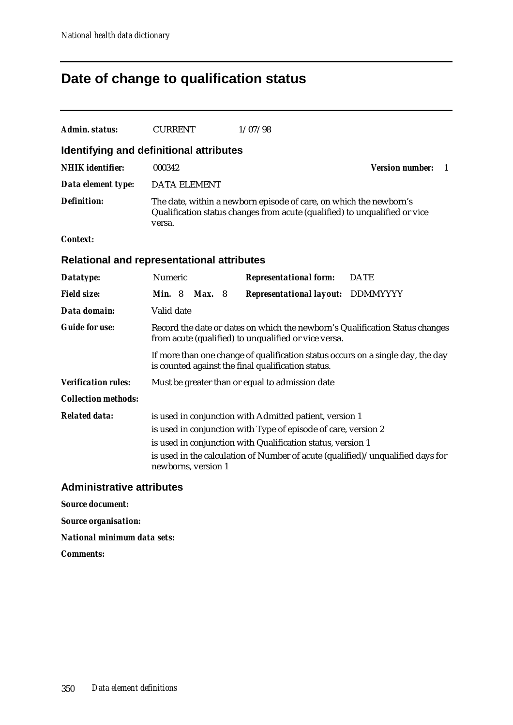## **Date of change to qualification status**

| Admin. status:                                    | <b>CURRENT</b>                                                                                                                                                                                                                                                                                    | 1/07/98                                                                                                                               |                              |  |  |
|---------------------------------------------------|---------------------------------------------------------------------------------------------------------------------------------------------------------------------------------------------------------------------------------------------------------------------------------------------------|---------------------------------------------------------------------------------------------------------------------------------------|------------------------------|--|--|
| Identifying and definitional attributes           |                                                                                                                                                                                                                                                                                                   |                                                                                                                                       |                              |  |  |
| <b>NHIK</b> identifier:                           | 000342                                                                                                                                                                                                                                                                                            |                                                                                                                                       | <b>Version number:</b><br>-1 |  |  |
| Data element type:                                | <b>DATA ELEMENT</b>                                                                                                                                                                                                                                                                               |                                                                                                                                       |                              |  |  |
| <b>Definition:</b>                                | The date, within a newborn episode of care, on which the newborn's<br>Qualification status changes from acute (qualified) to unqualified or vice<br>versa.                                                                                                                                        |                                                                                                                                       |                              |  |  |
| <b>Context:</b>                                   |                                                                                                                                                                                                                                                                                                   |                                                                                                                                       |                              |  |  |
| <b>Relational and representational attributes</b> |                                                                                                                                                                                                                                                                                                   |                                                                                                                                       |                              |  |  |
| Datatype:                                         | Numeric                                                                                                                                                                                                                                                                                           | <b>Representational form:</b>                                                                                                         | <b>DATE</b>                  |  |  |
| <b>Field size:</b>                                | <b>Min.</b> 8<br><b>Max.</b> 8                                                                                                                                                                                                                                                                    | Representational layout: DDMMYYYY                                                                                                     |                              |  |  |
| Data domain:                                      | Valid date                                                                                                                                                                                                                                                                                        |                                                                                                                                       |                              |  |  |
| <b>Guide for use:</b>                             | Record the date or dates on which the newborn's Qualification Status changes<br>from acute (qualified) to unqualified or vice versa.                                                                                                                                                              |                                                                                                                                       |                              |  |  |
|                                                   |                                                                                                                                                                                                                                                                                                   | If more than one change of qualification status occurs on a single day, the day<br>is counted against the final qualification status. |                              |  |  |
| <b>Verification rules:</b>                        | Must be greater than or equal to admission date                                                                                                                                                                                                                                                   |                                                                                                                                       |                              |  |  |
| <b>Collection methods:</b>                        |                                                                                                                                                                                                                                                                                                   |                                                                                                                                       |                              |  |  |
| <b>Related data:</b>                              | is used in conjunction with Admitted patient, version 1<br>is used in conjunction with Type of episode of care, version 2<br>is used in conjunction with Qualification status, version 1<br>is used in the calculation of Number of acute (qualified)/unqualified days for<br>newborns, version 1 |                                                                                                                                       |                              |  |  |

#### **Administrative attributes**

| Source document:            |  |
|-----------------------------|--|
| <b>Source organisation:</b> |  |
| National minimum data sets: |  |
| <b>Comments:</b>            |  |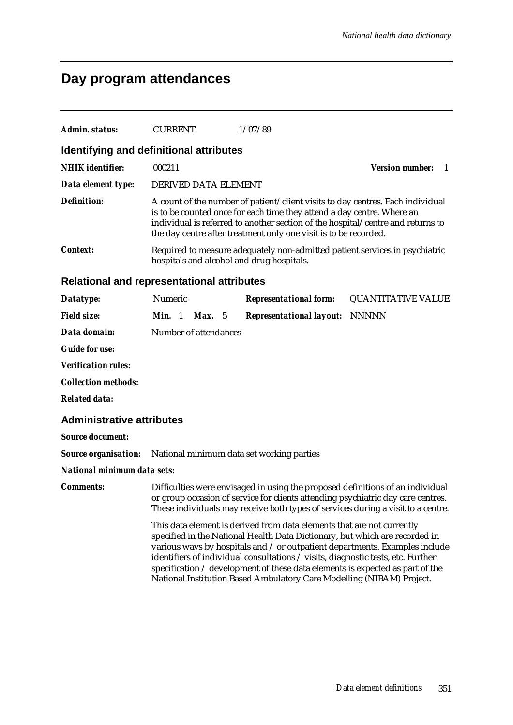## **Day program attendances**

| Admin. status:                                 | <b>CURRENT</b>                                                                                                                                                                                                                                                                                                  | 1/07/89                                                                                                                                                                                                                                                                                                                                                                                                                                                                            |                                          |  |  |
|------------------------------------------------|-----------------------------------------------------------------------------------------------------------------------------------------------------------------------------------------------------------------------------------------------------------------------------------------------------------------|------------------------------------------------------------------------------------------------------------------------------------------------------------------------------------------------------------------------------------------------------------------------------------------------------------------------------------------------------------------------------------------------------------------------------------------------------------------------------------|------------------------------------------|--|--|
| <b>Identifying and definitional attributes</b> |                                                                                                                                                                                                                                                                                                                 |                                                                                                                                                                                                                                                                                                                                                                                                                                                                                    |                                          |  |  |
| <b>NHIK</b> identifier:                        | 000211                                                                                                                                                                                                                                                                                                          |                                                                                                                                                                                                                                                                                                                                                                                                                                                                                    | <b>Version number:</b><br>$\blacksquare$ |  |  |
| Data element type:                             | DERIVED DATA ELEMENT                                                                                                                                                                                                                                                                                            |                                                                                                                                                                                                                                                                                                                                                                                                                                                                                    |                                          |  |  |
| <b>Definition:</b>                             | A count of the number of patient/client visits to day centres. Each individual<br>is to be counted once for each time they attend a day centre. Where an<br>individual is referred to another section of the hospital/centre and returns to<br>the day centre after treatment only one visit is to be recorded. |                                                                                                                                                                                                                                                                                                                                                                                                                                                                                    |                                          |  |  |
| <i>Context:</i>                                | hospitals and alcohol and drug hospitals.                                                                                                                                                                                                                                                                       | Required to measure adequately non-admitted patient services in psychiatric                                                                                                                                                                                                                                                                                                                                                                                                        |                                          |  |  |
| Relational and representational attributes     |                                                                                                                                                                                                                                                                                                                 |                                                                                                                                                                                                                                                                                                                                                                                                                                                                                    |                                          |  |  |
| Datatype:                                      | Numeric                                                                                                                                                                                                                                                                                                         | <b>Representational form:</b>                                                                                                                                                                                                                                                                                                                                                                                                                                                      | <b>QUANTITATIVE VALUE</b>                |  |  |
| <b>Field size:</b>                             | <b>Min.</b> $1$<br><b>Max.</b> 5                                                                                                                                                                                                                                                                                | <b>Representational layout:</b>                                                                                                                                                                                                                                                                                                                                                                                                                                                    | NNNNN                                    |  |  |
| Data domain:                                   | Number of attendances                                                                                                                                                                                                                                                                                           |                                                                                                                                                                                                                                                                                                                                                                                                                                                                                    |                                          |  |  |
| <b>Guide for use:</b>                          |                                                                                                                                                                                                                                                                                                                 |                                                                                                                                                                                                                                                                                                                                                                                                                                                                                    |                                          |  |  |
| <b>Verification rules:</b>                     |                                                                                                                                                                                                                                                                                                                 |                                                                                                                                                                                                                                                                                                                                                                                                                                                                                    |                                          |  |  |
| <b>Collection methods:</b>                     |                                                                                                                                                                                                                                                                                                                 |                                                                                                                                                                                                                                                                                                                                                                                                                                                                                    |                                          |  |  |
| <b>Related data:</b>                           |                                                                                                                                                                                                                                                                                                                 |                                                                                                                                                                                                                                                                                                                                                                                                                                                                                    |                                          |  |  |
| <b>Administrative attributes</b>               |                                                                                                                                                                                                                                                                                                                 |                                                                                                                                                                                                                                                                                                                                                                                                                                                                                    |                                          |  |  |
| <b>Source document:</b>                        |                                                                                                                                                                                                                                                                                                                 |                                                                                                                                                                                                                                                                                                                                                                                                                                                                                    |                                          |  |  |
| <b>Source organisation:</b>                    | National minimum data set working parties                                                                                                                                                                                                                                                                       |                                                                                                                                                                                                                                                                                                                                                                                                                                                                                    |                                          |  |  |
|                                                | National minimum data sets:                                                                                                                                                                                                                                                                                     |                                                                                                                                                                                                                                                                                                                                                                                                                                                                                    |                                          |  |  |
| <b>Comments:</b>                               | Difficulties were envisaged in using the proposed definitions of an individual<br>or group occasion of service for clients attending psychiatric day care centres.<br>These individuals may receive both types of services during a visit to a centre.                                                          |                                                                                                                                                                                                                                                                                                                                                                                                                                                                                    |                                          |  |  |
|                                                |                                                                                                                                                                                                                                                                                                                 | This data element is derived from data elements that are not currently<br>specified in the National Health Data Dictionary, but which are recorded in<br>various ways by hospitals and / or outpatient departments. Examples include<br>identifiers of individual consultations / visits, diagnostic tests, etc. Further<br>specification / development of these data elements is expected as part of the<br>National Institution Based Ambulatory Care Modelling (NIBAM) Project. |                                          |  |  |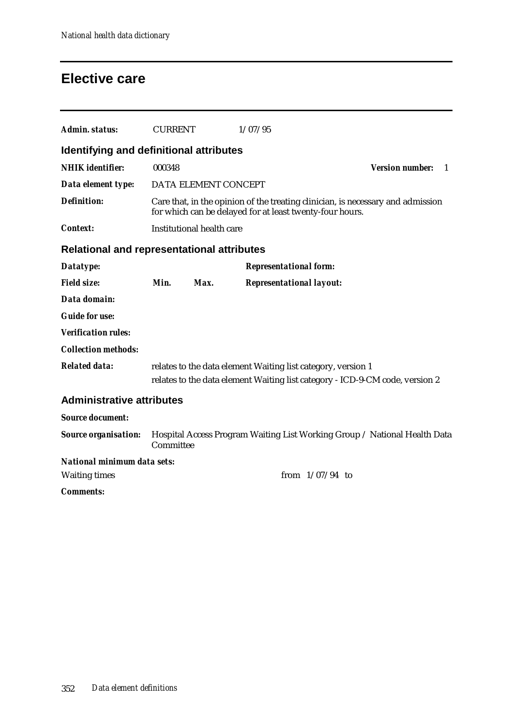### **Elective care**

| Admin. status:                                    | <b>CURRENT</b> |                           | 1/07/95                                                                                                                                      |                        |   |
|---------------------------------------------------|----------------|---------------------------|----------------------------------------------------------------------------------------------------------------------------------------------|------------------------|---|
| Identifying and definitional attributes           |                |                           |                                                                                                                                              |                        |   |
| <b>NHIK</b> identifier:                           | 000348         |                           |                                                                                                                                              | <b>Version number:</b> | 1 |
| Data element type:                                |                | DATA ELEMENT CONCEPT      |                                                                                                                                              |                        |   |
| <b>Definition:</b>                                |                |                           | Care that, in the opinion of the treating clinician, is necessary and admission<br>for which can be delayed for at least twenty-four hours.  |                        |   |
| <b>Context:</b>                                   |                | Institutional health care |                                                                                                                                              |                        |   |
| <b>Relational and representational attributes</b> |                |                           |                                                                                                                                              |                        |   |
| Datatype:                                         |                |                           | <b>Representational form:</b>                                                                                                                |                        |   |
| <b>Field size:</b>                                | Min.           | Max.                      | <b>Representational layout:</b>                                                                                                              |                        |   |
| Data domain:                                      |                |                           |                                                                                                                                              |                        |   |
| <b>Guide for use:</b>                             |                |                           |                                                                                                                                              |                        |   |
| <b>Verification rules:</b>                        |                |                           |                                                                                                                                              |                        |   |
| <b>Collection methods:</b>                        |                |                           |                                                                                                                                              |                        |   |
| <b>Related data:</b>                              |                |                           | relates to the data element Waiting list category, version 1<br>relates to the data element Waiting list category - ICD-9-CM code, version 2 |                        |   |
| <b>Administrative attributes</b>                  |                |                           |                                                                                                                                              |                        |   |
| <b>Source document:</b>                           |                |                           |                                                                                                                                              |                        |   |
| <b>Source organisation:</b>                       | Committee      |                           | Hospital Access Program Waiting List Working Group / National Health Data                                                                    |                        |   |
| National minimum data sets:                       |                |                           |                                                                                                                                              |                        |   |
| <b>Waiting times</b>                              |                |                           | from $1/07/94$ to                                                                                                                            |                        |   |
| <b>Comments:</b>                                  |                |                           |                                                                                                                                              |                        |   |
|                                                   |                |                           |                                                                                                                                              |                        |   |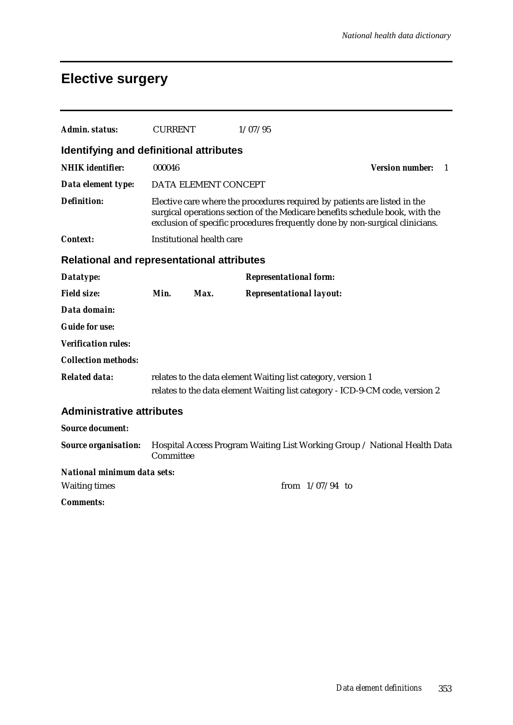## **Elective surgery**

| Admin. status:                                    | <b>CURRENT</b> |                           | 1/07/95                                                                                                                                                                                                                                   |                        |                |
|---------------------------------------------------|----------------|---------------------------|-------------------------------------------------------------------------------------------------------------------------------------------------------------------------------------------------------------------------------------------|------------------------|----------------|
| Identifying and definitional attributes           |                |                           |                                                                                                                                                                                                                                           |                        |                |
| <b>NHIK</b> identifier:                           | 000046         |                           |                                                                                                                                                                                                                                           | <b>Version number:</b> | $\overline{1}$ |
| Data element type:                                |                | DATA ELEMENT CONCEPT      |                                                                                                                                                                                                                                           |                        |                |
| <b>Definition:</b>                                |                |                           | Elective care where the procedures required by patients are listed in the<br>surgical operations section of the Medicare benefits schedule book, with the<br>exclusion of specific procedures frequently done by non-surgical clinicians. |                        |                |
| <b>Context:</b>                                   |                | Institutional health care |                                                                                                                                                                                                                                           |                        |                |
| <b>Relational and representational attributes</b> |                |                           |                                                                                                                                                                                                                                           |                        |                |
| Datatype:                                         |                |                           | <b>Representational form:</b>                                                                                                                                                                                                             |                        |                |
| <b>Field size:</b>                                | Min.           | Max.                      | <b>Representational layout:</b>                                                                                                                                                                                                           |                        |                |
| Data domain:                                      |                |                           |                                                                                                                                                                                                                                           |                        |                |
| <b>Guide for use:</b>                             |                |                           |                                                                                                                                                                                                                                           |                        |                |
| <b>Verification rules:</b>                        |                |                           |                                                                                                                                                                                                                                           |                        |                |
| <b>Collection methods:</b>                        |                |                           |                                                                                                                                                                                                                                           |                        |                |
| <b>Related data:</b>                              |                |                           | relates to the data element Waiting list category, version 1<br>relates to the data element Waiting list category - ICD-9-CM code, version 2                                                                                              |                        |                |
| <b>Administrative attributes</b>                  |                |                           |                                                                                                                                                                                                                                           |                        |                |
| <b>Source document:</b>                           |                |                           |                                                                                                                                                                                                                                           |                        |                |
| <b>Source organisation:</b>                       | Committee      |                           | Hospital Access Program Waiting List Working Group / National Health Data                                                                                                                                                                 |                        |                |
| <b>National minimum data sets:</b>                |                |                           |                                                                                                                                                                                                                                           |                        |                |
| <b>Waiting times</b>                              |                |                           | from $1/07/94$ to                                                                                                                                                                                                                         |                        |                |
| <b>Comments:</b>                                  |                |                           |                                                                                                                                                                                                                                           |                        |                |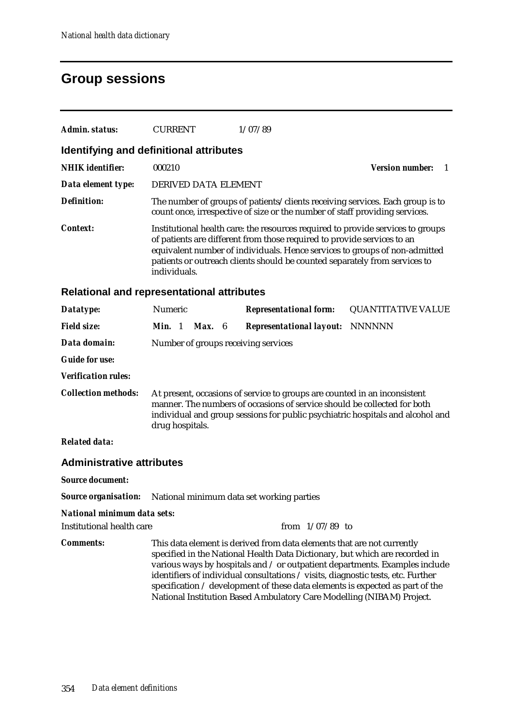## **Group sessions**

| <b>Admin. status:</b>                                          | <b>CURRENT</b>                                                                                                                                                                                                                                             |                                                                                                                                                                                                                                                                                                                                        |  | 1/07/89                                                                                                                                                                                                                                                                                                            |                                                                                                                                                              |  |  |  |
|----------------------------------------------------------------|------------------------------------------------------------------------------------------------------------------------------------------------------------------------------------------------------------------------------------------------------------|----------------------------------------------------------------------------------------------------------------------------------------------------------------------------------------------------------------------------------------------------------------------------------------------------------------------------------------|--|--------------------------------------------------------------------------------------------------------------------------------------------------------------------------------------------------------------------------------------------------------------------------------------------------------------------|--------------------------------------------------------------------------------------------------------------------------------------------------------------|--|--|--|
| Identifying and definitional attributes                        |                                                                                                                                                                                                                                                            |                                                                                                                                                                                                                                                                                                                                        |  |                                                                                                                                                                                                                                                                                                                    |                                                                                                                                                              |  |  |  |
| <b>NHIK</b> identifier:                                        | 000210                                                                                                                                                                                                                                                     |                                                                                                                                                                                                                                                                                                                                        |  |                                                                                                                                                                                                                                                                                                                    | <b>Version number:</b><br>1                                                                                                                                  |  |  |  |
| Data element type:                                             | DERIVED DATA ELEMENT                                                                                                                                                                                                                                       |                                                                                                                                                                                                                                                                                                                                        |  |                                                                                                                                                                                                                                                                                                                    |                                                                                                                                                              |  |  |  |
| <b>Definition:</b>                                             |                                                                                                                                                                                                                                                            |                                                                                                                                                                                                                                                                                                                                        |  | count once, irrespective of size or the number of staff providing services.                                                                                                                                                                                                                                        | The number of groups of patients/clients receiving services. Each group is to                                                                                |  |  |  |
| Context:                                                       |                                                                                                                                                                                                                                                            | Institutional health care: the resources required to provide services to groups<br>of patients are different from those required to provide services to an<br>equivalent number of individuals. Hence services to groups of non-admitted<br>patients or outreach clients should be counted separately from services to<br>individuals. |  |                                                                                                                                                                                                                                                                                                                    |                                                                                                                                                              |  |  |  |
| <b>Relational and representational attributes</b>              |                                                                                                                                                                                                                                                            |                                                                                                                                                                                                                                                                                                                                        |  |                                                                                                                                                                                                                                                                                                                    |                                                                                                                                                              |  |  |  |
| Datatype:                                                      | Numeric                                                                                                                                                                                                                                                    |                                                                                                                                                                                                                                                                                                                                        |  | <b>Representational form:</b>                                                                                                                                                                                                                                                                                      | <b>QUANTITATIVE VALUE</b>                                                                                                                                    |  |  |  |
| <b>Field size:</b>                                             | Min. 1                                                                                                                                                                                                                                                     | Max. 6                                                                                                                                                                                                                                                                                                                                 |  | <b>Representational layout: NNNNNN</b>                                                                                                                                                                                                                                                                             |                                                                                                                                                              |  |  |  |
| Data domain:                                                   |                                                                                                                                                                                                                                                            | Number of groups receiving services                                                                                                                                                                                                                                                                                                    |  |                                                                                                                                                                                                                                                                                                                    |                                                                                                                                                              |  |  |  |
| <b>Guide for use:</b>                                          |                                                                                                                                                                                                                                                            |                                                                                                                                                                                                                                                                                                                                        |  |                                                                                                                                                                                                                                                                                                                    |                                                                                                                                                              |  |  |  |
| <b>Verification rules:</b>                                     |                                                                                                                                                                                                                                                            |                                                                                                                                                                                                                                                                                                                                        |  |                                                                                                                                                                                                                                                                                                                    |                                                                                                                                                              |  |  |  |
| <b>Collection methods:</b>                                     | At present, occasions of service to groups are counted in an inconsistent<br>manner. The numbers of occasions of service should be collected for both<br>individual and group sessions for public psychiatric hospitals and alcohol and<br>drug hospitals. |                                                                                                                                                                                                                                                                                                                                        |  |                                                                                                                                                                                                                                                                                                                    |                                                                                                                                                              |  |  |  |
| <b>Related data:</b>                                           |                                                                                                                                                                                                                                                            |                                                                                                                                                                                                                                                                                                                                        |  |                                                                                                                                                                                                                                                                                                                    |                                                                                                                                                              |  |  |  |
| <b>Administrative attributes</b>                               |                                                                                                                                                                                                                                                            |                                                                                                                                                                                                                                                                                                                                        |  |                                                                                                                                                                                                                                                                                                                    |                                                                                                                                                              |  |  |  |
| <b>Source document:</b>                                        |                                                                                                                                                                                                                                                            |                                                                                                                                                                                                                                                                                                                                        |  |                                                                                                                                                                                                                                                                                                                    |                                                                                                                                                              |  |  |  |
| Source organisation: National minimum data set working parties |                                                                                                                                                                                                                                                            |                                                                                                                                                                                                                                                                                                                                        |  |                                                                                                                                                                                                                                                                                                                    |                                                                                                                                                              |  |  |  |
| <b>National minimum data sets:</b>                             |                                                                                                                                                                                                                                                            |                                                                                                                                                                                                                                                                                                                                        |  |                                                                                                                                                                                                                                                                                                                    |                                                                                                                                                              |  |  |  |
| Institutional health care                                      |                                                                                                                                                                                                                                                            |                                                                                                                                                                                                                                                                                                                                        |  | from $1/07/89$ to                                                                                                                                                                                                                                                                                                  |                                                                                                                                                              |  |  |  |
| <b>Comments:</b>                                               |                                                                                                                                                                                                                                                            |                                                                                                                                                                                                                                                                                                                                        |  | This data element is derived from data elements that are not currently<br>specified in the National Health Data Dictionary, but which are recorded in<br>identifiers of individual consultations / visits, diagnostic tests, etc. Further<br>National Institution Based Ambulatory Care Modelling (NIBAM) Project. | various ways by hospitals and / or outpatient departments. Examples include<br>specification / development of these data elements is expected as part of the |  |  |  |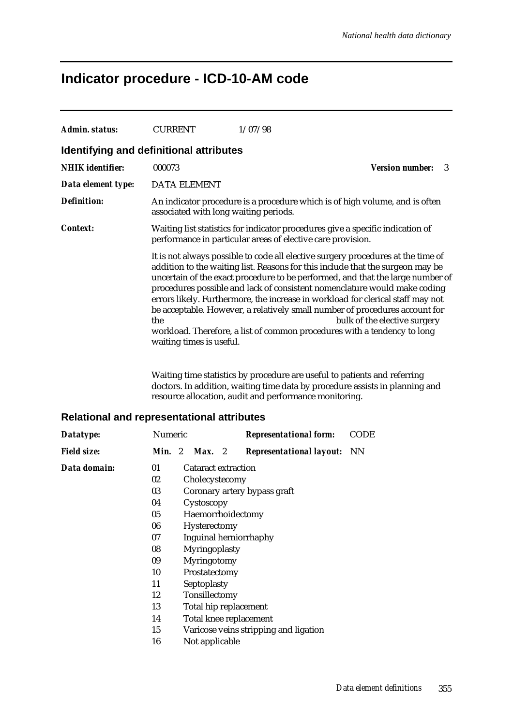#### **Indicator procedure - ICD-10-AM code**

| Admin. status:                          | <b>CURRENT</b>                        | 1/07/98                                                                                                                                                                                                                                                                                                                                                                                                                                                                                                                                                                                                         |
|-----------------------------------------|---------------------------------------|-----------------------------------------------------------------------------------------------------------------------------------------------------------------------------------------------------------------------------------------------------------------------------------------------------------------------------------------------------------------------------------------------------------------------------------------------------------------------------------------------------------------------------------------------------------------------------------------------------------------|
| Identifying and definitional attributes |                                       |                                                                                                                                                                                                                                                                                                                                                                                                                                                                                                                                                                                                                 |
| <b>NHIK</b> identifier:                 | 000073                                | <b>Version number:</b><br>3                                                                                                                                                                                                                                                                                                                                                                                                                                                                                                                                                                                     |
| Data element type:                      | <b>DATA ELEMENT</b>                   |                                                                                                                                                                                                                                                                                                                                                                                                                                                                                                                                                                                                                 |
| <b>Definition:</b>                      | associated with long waiting periods. | An indicator procedure is a procedure which is of high volume, and is often                                                                                                                                                                                                                                                                                                                                                                                                                                                                                                                                     |
| Context:                                |                                       | Waiting list statistics for indicator procedures give a specific indication of<br>performance in particular areas of elective care provision.                                                                                                                                                                                                                                                                                                                                                                                                                                                                   |
|                                         | the<br>waiting times is useful.       | It is not always possible to code all elective surgery procedures at the time of<br>addition to the waiting list. Reasons for this include that the surgeon may be<br>uncertain of the exact procedure to be performed, and that the large number of<br>procedures possible and lack of consistent nomenclature would make coding<br>errors likely. Furthermore, the increase in workload for clerical staff may not<br>be acceptable. However, a relatively small number of procedures account for<br>bulk of the elective surgery<br>workload. Therefore, a list of common procedures with a tendency to long |

Waiting time statistics by procedure are useful to patients and referring doctors. In addition, waiting time data by procedure assists in planning and resource allocation, audit and performance monitoring.

#### **Relational and representational attributes**

| Datatype:          |               | <b>Numeric</b>               |                            |                            | <b>Representational form:</b><br><b>CODE</b> |  |  |  |  |  |
|--------------------|---------------|------------------------------|----------------------------|----------------------------|----------------------------------------------|--|--|--|--|--|
| <b>Field size:</b> | <b>Min.</b> 2 |                              | Max.                       | $\overline{\phantom{a}}^2$ | <b>Representational layout:</b> NN           |  |  |  |  |  |
| Data domain:       | 01            |                              | <b>Cataract extraction</b> |                            |                                              |  |  |  |  |  |
|                    | 02            | Cholecystecomy               |                            |                            |                                              |  |  |  |  |  |
|                    | 03            | Coronary artery bypass graft |                            |                            |                                              |  |  |  |  |  |
|                    | 04            |                              | Cystoscopy                 |                            |                                              |  |  |  |  |  |
|                    | 05            |                              | Haemorrhoidectomy          |                            |                                              |  |  |  |  |  |
|                    | 06            |                              | <b>Hysterectomy</b>        |                            |                                              |  |  |  |  |  |
|                    | 07            |                              |                            |                            | Inguinal herniorrhaphy                       |  |  |  |  |  |
|                    | 08            |                              | Myringoplasty              |                            |                                              |  |  |  |  |  |
|                    | 09            |                              | <b>Myringotomy</b>         |                            |                                              |  |  |  |  |  |
|                    | 10            |                              | Prostatectomy              |                            |                                              |  |  |  |  |  |
|                    | 11            |                              | Septoplasty                |                            |                                              |  |  |  |  |  |
|                    | 12            |                              | Tonsillectomy              |                            |                                              |  |  |  |  |  |
|                    | 13            |                              | Total hip replacement      |                            |                                              |  |  |  |  |  |
|                    | 14            |                              |                            |                            | Total knee replacement                       |  |  |  |  |  |
|                    | 15            |                              |                            |                            | Varicose veins stripping and ligation        |  |  |  |  |  |
|                    | 16            |                              | Not applicable             |                            |                                              |  |  |  |  |  |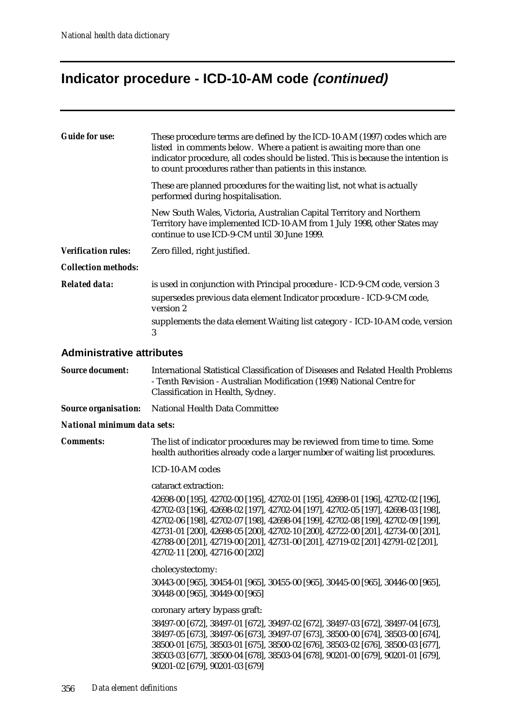#### **Indicator procedure - ICD-10-AM code (continued)**

| <b>Guide for use:</b>            | These procedure terms are defined by the ICD-10-AM (1997) codes which are<br>listed in comments below. Where a patient is awaiting more than one<br>indicator procedure, all codes should be listed. This is because the intention is<br>to count procedures rather than patients in this instance.                                                                                                                                                          |
|----------------------------------|--------------------------------------------------------------------------------------------------------------------------------------------------------------------------------------------------------------------------------------------------------------------------------------------------------------------------------------------------------------------------------------------------------------------------------------------------------------|
|                                  | These are planned procedures for the waiting list, not what is actually<br>performed during hospitalisation.                                                                                                                                                                                                                                                                                                                                                 |
|                                  | New South Wales, Victoria, Australian Capital Territory and Northern<br>Territory have implemented ICD-10-AM from 1 July 1998, other States may<br>continue to use ICD-9-CM until 30 June 1999.                                                                                                                                                                                                                                                              |
| <b>Verification rules:</b>       | Zero filled, right justified.                                                                                                                                                                                                                                                                                                                                                                                                                                |
| <b>Collection methods:</b>       |                                                                                                                                                                                                                                                                                                                                                                                                                                                              |
| <b>Related data:</b>             | is used in conjunction with Principal procedure - ICD-9-CM code, version 3<br>supersedes previous data element Indicator procedure - ICD-9-CM code,<br>version 2                                                                                                                                                                                                                                                                                             |
|                                  | supplements the data element Waiting list category - ICD-10-AM code, version<br>3                                                                                                                                                                                                                                                                                                                                                                            |
| <b>Administrative attributes</b> |                                                                                                                                                                                                                                                                                                                                                                                                                                                              |
| <b>Source document:</b>          | International Statistical Classification of Diseases and Related Health Problems<br>- Tenth Revision - Australian Modification (1998) National Centre for<br>Classification in Health, Sydney.                                                                                                                                                                                                                                                               |
| <b>Source organisation:</b>      | National Health Data Committee                                                                                                                                                                                                                                                                                                                                                                                                                               |
| National minimum data sets:      |                                                                                                                                                                                                                                                                                                                                                                                                                                                              |
| <b>Comments:</b>                 | The list of indicator procedures may be reviewed from time to time. Some<br>health authorities already code a larger number of waiting list procedures.                                                                                                                                                                                                                                                                                                      |
|                                  | ICD-10-AM codes                                                                                                                                                                                                                                                                                                                                                                                                                                              |
|                                  | cataract extraction:                                                                                                                                                                                                                                                                                                                                                                                                                                         |
|                                  | 42698-00 [195], 42702-00 [195], 42702-01 [195], 42698-01 [196], 42702-02 [196],<br>42702-03 [196], 42698-02 [197], 42702-04 [197], 42702-05 [197], 42698-03 [198],<br>42702-06 [198], 42702-07 [198], 42698-04 [199], 42702-08 [199], 42702-09 [199],<br>42731-01 [200], 42698-05 [200], 42702-10 [200], 42722-00 [201], 42734-00 [201],<br>42788-00 [201], 42719-00 [201], 42731-00 [201], 42719-02 [201] 42791-02 [201],<br>42702-11 [200], 42716-00 [202] |
|                                  | cholecystectomy:                                                                                                                                                                                                                                                                                                                                                                                                                                             |
|                                  | 30443-00 [965], 30454-01 [965], 30455-00 [965], 30445-00 [965], 30446-00 [965],<br>30448-00 [965], 30449-00 [965]                                                                                                                                                                                                                                                                                                                                            |
|                                  | coronary artery bypass graft:<br>38497-00 [672], 38497-01 [672], 39497-02 [672], 38497-03 [672], 38497-04 [673],<br>00 [070] 00407 07 [070] 00500 00 [074]                                                                                                                                                                                                                                                                                                   |

38497-05 [673], 38497-06 [673], 39497-07 [673], 38500-00 [674], 38503-00 [674], 38500-01 [675], 38503-01 [675], 38500-02 [676], 38503-02 [676], 38500-03 [677], 38503-03 [677], 38500-04 [678], 38503-04 [678], 90201-00 [679], 90201-01 [679], 90201-02 [679], 90201-03 [679]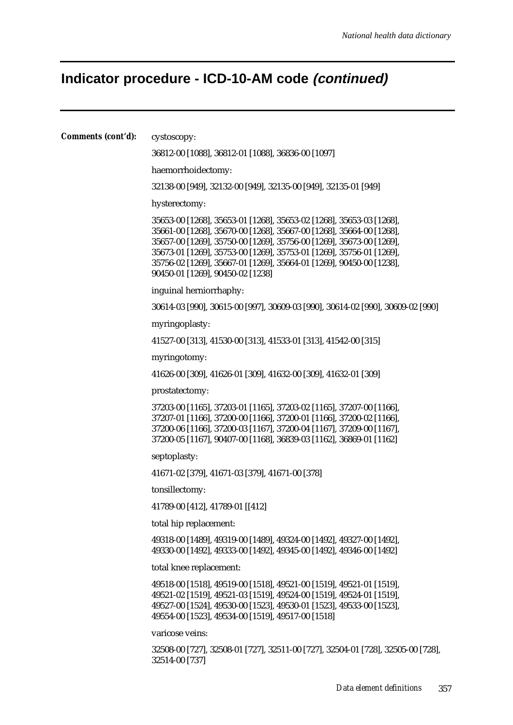# **Indicator procedure - ICD-10-AM code (continued)**

| Comments (cont'd): | cystoscopy:                                                                                                                                                                                                                                                                                                                                                                                         |  |  |  |  |  |  |  |
|--------------------|-----------------------------------------------------------------------------------------------------------------------------------------------------------------------------------------------------------------------------------------------------------------------------------------------------------------------------------------------------------------------------------------------------|--|--|--|--|--|--|--|
|                    | 36812-00 [1088], 36812-01 [1088], 36836-00 [1097]                                                                                                                                                                                                                                                                                                                                                   |  |  |  |  |  |  |  |
|                    | haemorrhoidectomy:                                                                                                                                                                                                                                                                                                                                                                                  |  |  |  |  |  |  |  |
|                    | 32138-00 [949], 32132-00 [949], 32135-00 [949], 32135-01 [949]                                                                                                                                                                                                                                                                                                                                      |  |  |  |  |  |  |  |
|                    | hysterectomy:                                                                                                                                                                                                                                                                                                                                                                                       |  |  |  |  |  |  |  |
|                    | 35653-00 [1268], 35653-01 [1268], 35653-02 [1268], 35653-03 [1268],<br>35661-00 [1268], 35670-00 [1268], 35667-00 [1268], 35664-00 [1268],<br>35657-00 [1269], 35750-00 [1269], 35756-00 [1269], 35673-00 [1269],<br>35673-01 [1269], 35753-00 [1269], 35753-01 [1269], 35756-01 [1269],<br>35756-02 [1269], 35667-01 [1269], 35664-01 [1269], 90450-00 [1238],<br>90450-01 [1269], 90450-02 [1238] |  |  |  |  |  |  |  |
|                    | inguinal herniorrhaphy:                                                                                                                                                                                                                                                                                                                                                                             |  |  |  |  |  |  |  |
|                    | 30614-03 [990], 30615-00 [997], 30609-03 [990], 30614-02 [990], 30609-02 [990]                                                                                                                                                                                                                                                                                                                      |  |  |  |  |  |  |  |
|                    | myringoplasty:                                                                                                                                                                                                                                                                                                                                                                                      |  |  |  |  |  |  |  |
|                    | 41527-00 [313], 41530-00 [313], 41533-01 [313], 41542-00 [315]                                                                                                                                                                                                                                                                                                                                      |  |  |  |  |  |  |  |
|                    | myringotomy:                                                                                                                                                                                                                                                                                                                                                                                        |  |  |  |  |  |  |  |
|                    | 41626-00 [309], 41626-01 [309], 41632-00 [309], 41632-01 [309]                                                                                                                                                                                                                                                                                                                                      |  |  |  |  |  |  |  |
|                    | prostatectomy:                                                                                                                                                                                                                                                                                                                                                                                      |  |  |  |  |  |  |  |
|                    | 37203-00 [1165], 37203-01 [1165], 37203-02 [1165], 37207-00 [1166],<br>37207-01 [1166], 37200-00 [1166], 37200-01 [1166], 37200-02 [1166],<br>37200-06 [1166], 37200-03 [1167], 37200-04 [1167], 37209-00 [1167],<br>37200-05 [1167], 90407-00 [1168], 36839-03 [1162], 36869-01 [1162]                                                                                                             |  |  |  |  |  |  |  |
|                    | septoplasty:                                                                                                                                                                                                                                                                                                                                                                                        |  |  |  |  |  |  |  |
|                    | 41671-02 [379], 41671-03 [379], 41671-00 [378]                                                                                                                                                                                                                                                                                                                                                      |  |  |  |  |  |  |  |
|                    | tonsillectomy:                                                                                                                                                                                                                                                                                                                                                                                      |  |  |  |  |  |  |  |
|                    | 41789-00 [412], 41789-01 [[412]                                                                                                                                                                                                                                                                                                                                                                     |  |  |  |  |  |  |  |
|                    | total hip replacement:                                                                                                                                                                                                                                                                                                                                                                              |  |  |  |  |  |  |  |
|                    | 49318-00 [1489], 49319-00 [1489], 49324-00 [1492], 49327-00 [1492],<br>49330-00 [1492], 49333-00 [1492], 49345-00 [1492], 49346-00 [1492]                                                                                                                                                                                                                                                           |  |  |  |  |  |  |  |
|                    | total knee replacement:                                                                                                                                                                                                                                                                                                                                                                             |  |  |  |  |  |  |  |
|                    | 49518-00 [1518], 49519-00 [1518], 49521-00 [1519], 49521-01 [1519],<br>49521-02 [1519], 49521-03 [1519], 49524-00 [1519], 49524-01 [1519],<br>49527-00 [1524], 49530-00 [1523], 49530-01 [1523], 49533-00 [1523],<br>49554-00 [1523], 49534-00 [1519], 49517-00 [1518]                                                                                                                              |  |  |  |  |  |  |  |
|                    | varicose veins:                                                                                                                                                                                                                                                                                                                                                                                     |  |  |  |  |  |  |  |
|                    | 32508-00 [727], 32508-01 [727], 32511-00 [727], 32504-01 [728], 32505-00 [728],<br>32514-00 [737]                                                                                                                                                                                                                                                                                                   |  |  |  |  |  |  |  |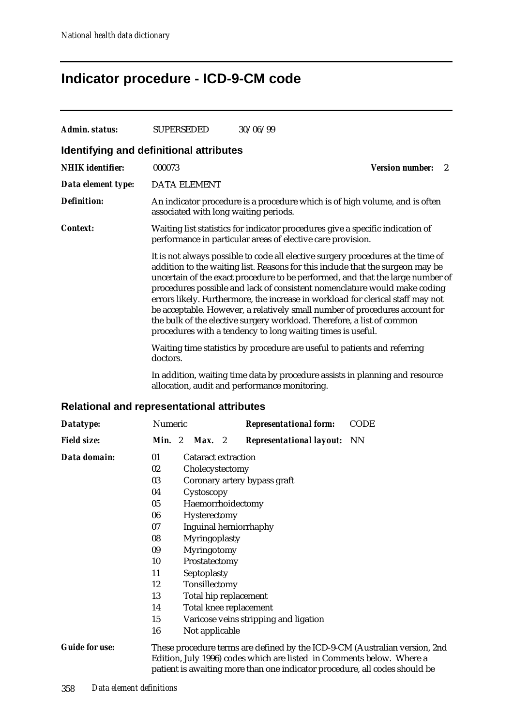## **Indicator procedure - ICD-9-CM code**

| Admin. status:          | <b>SUPERSEDED</b>                                           | 30/06/99                                                                                                                                                                                                                                                                                                                                                                                                                                                                                                                                                                                                                                     |                                                                           |  |  |
|-------------------------|-------------------------------------------------------------|----------------------------------------------------------------------------------------------------------------------------------------------------------------------------------------------------------------------------------------------------------------------------------------------------------------------------------------------------------------------------------------------------------------------------------------------------------------------------------------------------------------------------------------------------------------------------------------------------------------------------------------------|---------------------------------------------------------------------------|--|--|
|                         | Identifying and definitional attributes                     |                                                                                                                                                                                                                                                                                                                                                                                                                                                                                                                                                                                                                                              |                                                                           |  |  |
| <b>NHIK</b> identifier: | 000073                                                      |                                                                                                                                                                                                                                                                                                                                                                                                                                                                                                                                                                                                                                              | <b>Version number:</b><br>2                                               |  |  |
| Data element type:      | <b>DATA ELEMENT</b>                                         |                                                                                                                                                                                                                                                                                                                                                                                                                                                                                                                                                                                                                                              |                                                                           |  |  |
| <b>Definition:</b>      | associated with long waiting periods.                       | An indicator procedure is a procedure which is of high volume, and is often                                                                                                                                                                                                                                                                                                                                                                                                                                                                                                                                                                  |                                                                           |  |  |
| <b>Context:</b>         | performance in particular areas of elective care provision. | Waiting list statistics for indicator procedures give a specific indication of                                                                                                                                                                                                                                                                                                                                                                                                                                                                                                                                                               |                                                                           |  |  |
|                         |                                                             | It is not always possible to code all elective surgery procedures at the time of<br>addition to the waiting list. Reasons for this include that the surgeon may be<br>uncertain of the exact procedure to be performed, and that the large number of<br>procedures possible and lack of consistent nomenclature would make coding<br>errors likely. Furthermore, the increase in workload for clerical staff may not<br>be acceptable. However, a relatively small number of procedures account for<br>the bulk of the elective surgery workload. Therefore, a list of common<br>procedures with a tendency to long waiting times is useful. |                                                                           |  |  |
|                         | doctors.                                                    |                                                                                                                                                                                                                                                                                                                                                                                                                                                                                                                                                                                                                                              | Waiting time statistics by procedure are useful to patients and referring |  |  |
|                         |                                                             | In addition, waiting time data by procedure assists in planning and resource<br>allocation, audit and performance monitoring.                                                                                                                                                                                                                                                                                                                                                                                                                                                                                                                |                                                                           |  |  |
|                         | <b>Relational and representational attributes</b>           |                                                                                                                                                                                                                                                                                                                                                                                                                                                                                                                                                                                                                                              |                                                                           |  |  |
| Datatype:               | Numeric                                                     | <b>Representational form:</b>                                                                                                                                                                                                                                                                                                                                                                                                                                                                                                                                                                                                                | <b>CODE</b>                                                               |  |  |
| Field size:             |                                                             | Min. 2 Max. 2 Representational layout: NN                                                                                                                                                                                                                                                                                                                                                                                                                                                                                                                                                                                                    |                                                                           |  |  |

| Datat y pt.           |               |                              |                            |  | пергезентастонат готні.                                                                                                                                                                                                           |  |  |  |  |
|-----------------------|---------------|------------------------------|----------------------------|--|-----------------------------------------------------------------------------------------------------------------------------------------------------------------------------------------------------------------------------------|--|--|--|--|
| <b>Field size:</b>    | <b>Min.</b> 2 |                              | <b>Max.</b> 2              |  | <b>Representational layout:</b> NN                                                                                                                                                                                                |  |  |  |  |
| Data domain:          | 01            |                              | <b>Cataract extraction</b> |  |                                                                                                                                                                                                                                   |  |  |  |  |
|                       | 02            | Cholecystectomy              |                            |  |                                                                                                                                                                                                                                   |  |  |  |  |
|                       | 03            | Coronary artery bypass graft |                            |  |                                                                                                                                                                                                                                   |  |  |  |  |
|                       | 04            |                              | Cystoscopy                 |  |                                                                                                                                                                                                                                   |  |  |  |  |
|                       | 05            |                              | Haemorrhoidectomy          |  |                                                                                                                                                                                                                                   |  |  |  |  |
|                       | 06            |                              | Hysterectomy               |  |                                                                                                                                                                                                                                   |  |  |  |  |
|                       | 07            |                              |                            |  | Inguinal herniorrhaphy                                                                                                                                                                                                            |  |  |  |  |
|                       | 08            |                              | Myringoplasty              |  |                                                                                                                                                                                                                                   |  |  |  |  |
|                       | 09            |                              | Myringotomy                |  |                                                                                                                                                                                                                                   |  |  |  |  |
|                       | 10            |                              | Prostatectomy              |  |                                                                                                                                                                                                                                   |  |  |  |  |
|                       | 11            |                              | Septoplasty                |  |                                                                                                                                                                                                                                   |  |  |  |  |
|                       | 12            |                              | Tonsillectomy              |  |                                                                                                                                                                                                                                   |  |  |  |  |
|                       | 13            |                              |                            |  | Total hip replacement                                                                                                                                                                                                             |  |  |  |  |
|                       | 14            |                              |                            |  | Total knee replacement                                                                                                                                                                                                            |  |  |  |  |
|                       | 15            |                              |                            |  | Varicose veins stripping and ligation                                                                                                                                                                                             |  |  |  |  |
|                       | 16            |                              | Not applicable             |  |                                                                                                                                                                                                                                   |  |  |  |  |
| <b>Guide for use:</b> |               |                              |                            |  | These procedure terms are defined by the ICD-9-CM (Australian version, 2nd<br>Edition, July 1996) codes which are listed in Comments below. Where a<br>patient is awaiting more than one indicator procedure, all codes should be |  |  |  |  |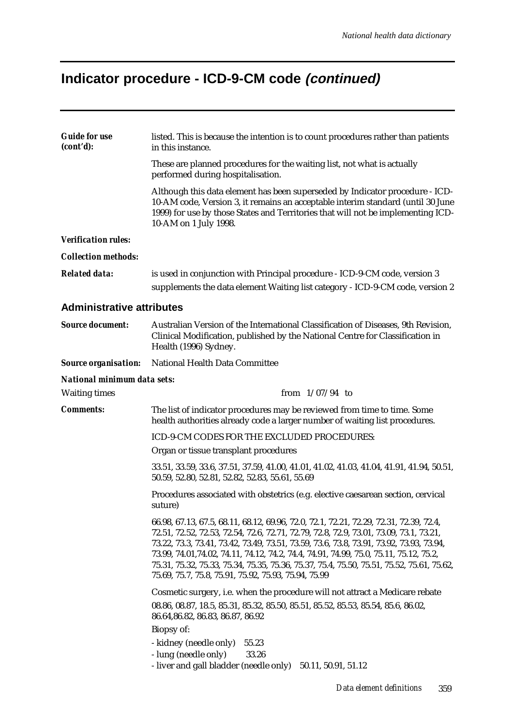# **Indicator procedure - ICD-9-CM code (continued)**

| <b>Guide for use</b><br>(cont'd):  | listed. This is because the intention is to count procedures rather than patients<br>in this instance.                                                                                                                                                                                                                                                                                                                                                                                                                     |
|------------------------------------|----------------------------------------------------------------------------------------------------------------------------------------------------------------------------------------------------------------------------------------------------------------------------------------------------------------------------------------------------------------------------------------------------------------------------------------------------------------------------------------------------------------------------|
|                                    | These are planned procedures for the waiting list, not what is actually<br>performed during hospitalisation.                                                                                                                                                                                                                                                                                                                                                                                                               |
|                                    | Although this data element has been superseded by Indicator procedure - ICD-<br>10-AM code, Version 3, it remains an acceptable interim standard (until 30 June<br>1999) for use by those States and Territories that will not be implementing ICD-<br>10-AM on 1 July 1998.                                                                                                                                                                                                                                               |
| <b>Verification rules:</b>         |                                                                                                                                                                                                                                                                                                                                                                                                                                                                                                                            |
| <b>Collection methods:</b>         |                                                                                                                                                                                                                                                                                                                                                                                                                                                                                                                            |
| <b>Related data:</b>               | is used in conjunction with Principal procedure - ICD-9-CM code, version 3<br>supplements the data element Waiting list category - ICD-9-CM code, version 2                                                                                                                                                                                                                                                                                                                                                                |
| <b>Administrative attributes</b>   |                                                                                                                                                                                                                                                                                                                                                                                                                                                                                                                            |
| <b>Source document:</b>            | Australian Version of the International Classification of Diseases, 9th Revision,<br>Clinical Modification, published by the National Centre for Classification in<br>Health (1996) Sydney.                                                                                                                                                                                                                                                                                                                                |
| <b>Source organisation:</b>        | National Health Data Committee                                                                                                                                                                                                                                                                                                                                                                                                                                                                                             |
| <b>National minimum data sets:</b> |                                                                                                                                                                                                                                                                                                                                                                                                                                                                                                                            |
| <b>Waiting times</b>               | from $1/07/94$ to                                                                                                                                                                                                                                                                                                                                                                                                                                                                                                          |
| <b>Comments:</b>                   | The list of indicator procedures may be reviewed from time to time. Some<br>health authorities already code a larger number of waiting list procedures.                                                                                                                                                                                                                                                                                                                                                                    |
|                                    | ICD-9-CM CODES FOR THE EXCLUDED PROCEDURES:                                                                                                                                                                                                                                                                                                                                                                                                                                                                                |
|                                    | Organ or tissue transplant procedures                                                                                                                                                                                                                                                                                                                                                                                                                                                                                      |
|                                    | 33.51, 33.59, 33.6, 37.51, 37.59, 41.00, 41.01, 41.02, 41.03, 41.04, 41.91, 41.94, 50.51,<br>50.59, 52.80, 52.81, 52.82, 52.83, 55.61, 55.69                                                                                                                                                                                                                                                                                                                                                                               |
|                                    | Procedures associated with obstetrics (e.g. elective caesarean section, cervical<br>suture)                                                                                                                                                                                                                                                                                                                                                                                                                                |
|                                    | 66.98, 67.13, 67.5, 68.11, 68.12, 69.96, 72.0, 72.1, 72.21, 72.29, 72.31, 72.39, 72.4,<br>72.51, 72.52, 72.53, 72.54, 72.6, 72.71, 72.79, 72.8, 72.9, 73.01, 73.09, 73.1, 73.21,<br>73.22, 73.3, 73.41, 73.42, 73.49, 73.51, 73.59, 73.6, 73.8, 73.91, 73.92, 73.93, 73.94,<br>73.99, 74.01, 74.02, 74.11, 74.12, 74.2, 74.4, 74.91, 74.99, 75.0, 75.11, 75.12, 75.2,<br>75.31, 75.32, 75.33, 75.34, 75.35, 75.36, 75.37, 75.4, 75.50, 75.51, 75.52, 75.61, 75.62,<br>75.69, 75.7, 75.8, 75.91, 75.92, 75.93, 75.94, 75.99 |
|                                    | Cosmetic surgery, i.e. when the procedure will not attract a Medicare rebate<br>08.86, 08.87, 18.5, 85.31, 85.32, 85.50, 85.51, 85.52, 85.53, 85.54, 85.6, 86.02,<br>86.64, 86.82, 86.83, 86.87, 86.92<br>Biopsy of:                                                                                                                                                                                                                                                                                                       |
|                                    | - kidney (needle only)<br>55.23<br>- lung (needle only)<br>33.26                                                                                                                                                                                                                                                                                                                                                                                                                                                           |
|                                    | - liver and gall bladder (needle only)<br>50.11, 50.91, 51.12                                                                                                                                                                                                                                                                                                                                                                                                                                                              |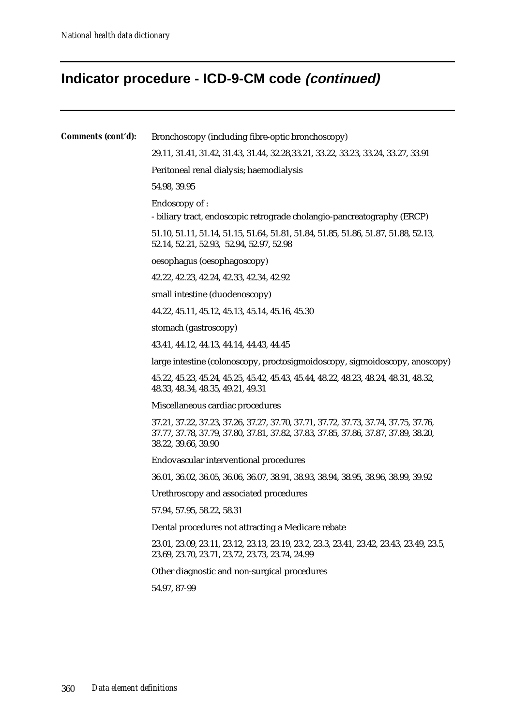# **Indicator procedure - ICD-9-CM code (continued)**

| Comments (cont'd): | Bronchoscopy (including fibre-optic bronchoscopy)                                                                                                                                                 |  |  |  |  |  |  |  |
|--------------------|---------------------------------------------------------------------------------------------------------------------------------------------------------------------------------------------------|--|--|--|--|--|--|--|
|                    | 29.11, 31.41, 31.42, 31.43, 31.44, 32.28, 33.21, 33.22, 33.23, 33.24, 33.27, 33.91                                                                                                                |  |  |  |  |  |  |  |
|                    | Peritoneal renal dialysis; haemodialysis                                                                                                                                                          |  |  |  |  |  |  |  |
|                    | 54.98, 39.95                                                                                                                                                                                      |  |  |  |  |  |  |  |
|                    | Endoscopy of:                                                                                                                                                                                     |  |  |  |  |  |  |  |
|                    | - biliary tract, endoscopic retrograde cholangio-pancreatography (ERCP)                                                                                                                           |  |  |  |  |  |  |  |
|                    | 51.10, 51.11, 51.14, 51.15, 51.64, 51.81, 51.84, 51.85, 51.86, 51.87, 51.88, 52.13,<br>52.14, 52.21, 52.93, 52.94, 52.97, 52.98                                                                   |  |  |  |  |  |  |  |
|                    | oesophagus (oesophagoscopy)                                                                                                                                                                       |  |  |  |  |  |  |  |
|                    | 42.22, 42.23, 42.24, 42.33, 42.34, 42.92                                                                                                                                                          |  |  |  |  |  |  |  |
|                    | small intestine (duodenoscopy)                                                                                                                                                                    |  |  |  |  |  |  |  |
|                    | 44.22, 45.11, 45.12, 45.13, 45.14, 45.16, 45.30                                                                                                                                                   |  |  |  |  |  |  |  |
|                    | stomach (gastroscopy)                                                                                                                                                                             |  |  |  |  |  |  |  |
|                    | 43.41, 44.12, 44.13, 44.14, 44.43, 44.45                                                                                                                                                          |  |  |  |  |  |  |  |
|                    | large intestine (colonoscopy, proctosigmoidoscopy, sigmoidoscopy, anoscopy)                                                                                                                       |  |  |  |  |  |  |  |
|                    | 45.22, 45.23, 45.24, 45.25, 45.42, 45.43, 45.44, 48.22, 48.23, 48.24, 48.31, 48.32,<br>48.33, 48.34, 48.35, 49.21, 49.31                                                                          |  |  |  |  |  |  |  |
|                    | Miscellaneous cardiac procedures                                                                                                                                                                  |  |  |  |  |  |  |  |
|                    | 37.21, 37.22, 37.23, 37.26, 37.27, 37.70, 37.71, 37.72, 37.73, 37.74, 37.75, 37.76,<br>37.77, 37.78, 37.79, 37.80, 37.81, 37.82, 37.83, 37.85, 37.86, 37.87, 37.89, 38.20,<br>38.22, 39.66, 39.90 |  |  |  |  |  |  |  |
|                    | Endovascular interventional procedures                                                                                                                                                            |  |  |  |  |  |  |  |
|                    | 36.01, 36.02, 36.05, 36.06, 36.07, 38.91, 38.93, 38.94, 38.95, 38.96, 38.99, 39.92                                                                                                                |  |  |  |  |  |  |  |
|                    | Urethroscopy and associated procedures                                                                                                                                                            |  |  |  |  |  |  |  |
|                    | 57.94, 57.95, 58.22, 58.31                                                                                                                                                                        |  |  |  |  |  |  |  |
|                    | Dental procedures not attracting a Medicare rebate                                                                                                                                                |  |  |  |  |  |  |  |
|                    | 23.01, 23.09, 23.11, 23.12, 23.13, 23.19, 23.2, 23.3, 23.41, 23.42, 23.43, 23.49, 23.5,<br>23.69, 23.70, 23.71, 23.72, 23.73, 23.74, 24.99                                                        |  |  |  |  |  |  |  |
|                    | Other diagnostic and non-surgical procedures                                                                                                                                                      |  |  |  |  |  |  |  |
|                    | 54.97, 87-99                                                                                                                                                                                      |  |  |  |  |  |  |  |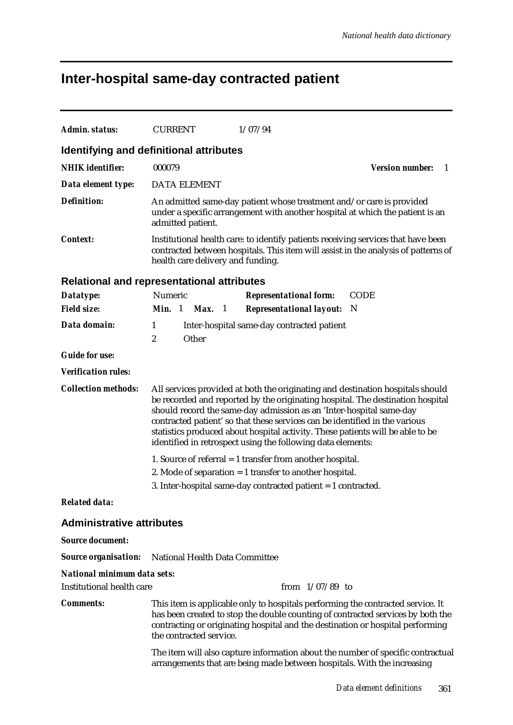# **Inter-hospital same-day contracted patient**

| Admin. status:                     | <b>CURRENT</b>                                                                                                                                                                                                                                                                                                                                                                                                                                                          | 1/07/94                                                                                                                                                                                                                                              |                             |  |  |
|------------------------------------|-------------------------------------------------------------------------------------------------------------------------------------------------------------------------------------------------------------------------------------------------------------------------------------------------------------------------------------------------------------------------------------------------------------------------------------------------------------------------|------------------------------------------------------------------------------------------------------------------------------------------------------------------------------------------------------------------------------------------------------|-----------------------------|--|--|
|                                    | <b>Identifying and definitional attributes</b>                                                                                                                                                                                                                                                                                                                                                                                                                          |                                                                                                                                                                                                                                                      |                             |  |  |
| <b>NHIK</b> identifier:            | 000079                                                                                                                                                                                                                                                                                                                                                                                                                                                                  |                                                                                                                                                                                                                                                      | <b>Version number:</b><br>1 |  |  |
| Data element type:                 | <b>DATA ELEMENT</b>                                                                                                                                                                                                                                                                                                                                                                                                                                                     |                                                                                                                                                                                                                                                      |                             |  |  |
| <b>Definition:</b>                 | admitted patient.                                                                                                                                                                                                                                                                                                                                                                                                                                                       | An admitted same-day patient whose treatment and/or care is provided<br>under a specific arrangement with another hospital at which the patient is an                                                                                                |                             |  |  |
| Context:                           | health care delivery and funding.                                                                                                                                                                                                                                                                                                                                                                                                                                       | Institutional health care: to identify patients receiving services that have been<br>contracted between hospitals. This item will assist in the analysis of patterns of                                                                              |                             |  |  |
|                                    | <b>Relational and representational attributes</b>                                                                                                                                                                                                                                                                                                                                                                                                                       |                                                                                                                                                                                                                                                      |                             |  |  |
| Datatype:                          | Numeric                                                                                                                                                                                                                                                                                                                                                                                                                                                                 | <b>Representational form:</b>                                                                                                                                                                                                                        | <b>CODE</b>                 |  |  |
| <b>Field size:</b>                 | Min. 1<br>Max. 1                                                                                                                                                                                                                                                                                                                                                                                                                                                        | <b>Representational layout:</b>                                                                                                                                                                                                                      | N                           |  |  |
| Data domain:                       | $\mathbf{1}$<br>2<br>Other                                                                                                                                                                                                                                                                                                                                                                                                                                              | Inter-hospital same-day contracted patient                                                                                                                                                                                                           |                             |  |  |
| <b>Guide for use:</b>              |                                                                                                                                                                                                                                                                                                                                                                                                                                                                         |                                                                                                                                                                                                                                                      |                             |  |  |
| <b>Verification rules:</b>         |                                                                                                                                                                                                                                                                                                                                                                                                                                                                         |                                                                                                                                                                                                                                                      |                             |  |  |
| <b>Collection methods:</b>         | All services provided at both the originating and destination hospitals should<br>be recorded and reported by the originating hospital. The destination hospital<br>should record the same-day admission as an 'Inter-hospital same-day<br>contracted patient' so that these services can be identified in the various<br>statistics produced about hospital activity. These patients will be able to be<br>identified in retrospect using the following data elements: |                                                                                                                                                                                                                                                      |                             |  |  |
|                                    |                                                                                                                                                                                                                                                                                                                                                                                                                                                                         | 1. Source of referral = 1 transfer from another hospital.<br>2. Mode of separation $= 1$ transfer to another hospital.<br>3. Inter-hospital same-day contracted patient = 1 contracted.                                                              |                             |  |  |
| <b>Related data:</b>               |                                                                                                                                                                                                                                                                                                                                                                                                                                                                         |                                                                                                                                                                                                                                                      |                             |  |  |
| <b>Administrative attributes</b>   |                                                                                                                                                                                                                                                                                                                                                                                                                                                                         |                                                                                                                                                                                                                                                      |                             |  |  |
| <b>Source document:</b>            |                                                                                                                                                                                                                                                                                                                                                                                                                                                                         |                                                                                                                                                                                                                                                      |                             |  |  |
|                                    | <b>Source organisation:</b> National Health Data Committee                                                                                                                                                                                                                                                                                                                                                                                                              |                                                                                                                                                                                                                                                      |                             |  |  |
| <b>National minimum data sets:</b> |                                                                                                                                                                                                                                                                                                                                                                                                                                                                         |                                                                                                                                                                                                                                                      |                             |  |  |
| <b>Institutional health care</b>   |                                                                                                                                                                                                                                                                                                                                                                                                                                                                         | from $1/07/89$ to                                                                                                                                                                                                                                    |                             |  |  |
| <b>Comments:</b>                   | the contracted service.                                                                                                                                                                                                                                                                                                                                                                                                                                                 | This item is applicable only to hospitals performing the contracted service. It<br>has been created to stop the double counting of contracted services by both the<br>contracting or originating hospital and the destination or hospital performing |                             |  |  |
|                                    |                                                                                                                                                                                                                                                                                                                                                                                                                                                                         | The item will also capture information about the number of specific contractual<br>arrangements that are being made between hospitals. With the increasing                                                                                           |                             |  |  |
|                                    |                                                                                                                                                                                                                                                                                                                                                                                                                                                                         |                                                                                                                                                                                                                                                      |                             |  |  |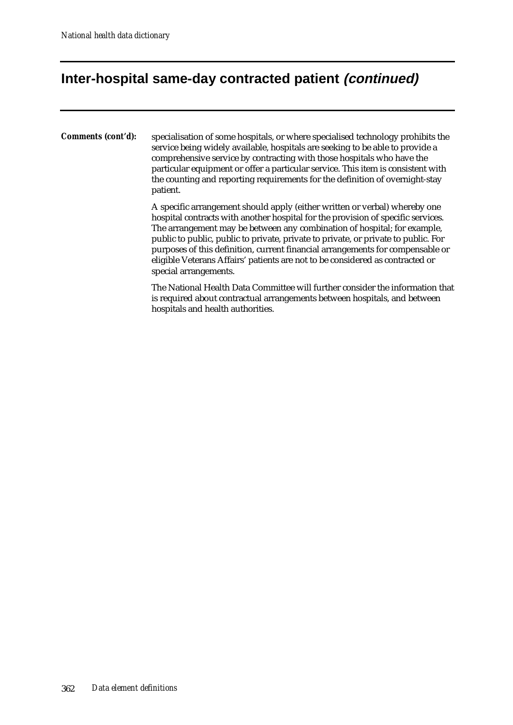#### **Inter-hospital same-day contracted patient (continued)**

*Comments (cont'd):* specialisation of some hospitals, or where specialised technology prohibits the service being widely available, hospitals are seeking to be able to provide a comprehensive service by contracting with those hospitals who have the particular equipment or offer a particular service. This item is consistent with the counting and reporting requirements for the definition of overnight-stay patient.

> A specific arrangement should apply (either written or verbal) whereby one hospital contracts with another hospital for the provision of specific services. The arrangement may be between any combination of hospital; for example, public to public, public to private, private to private, or private to public. For purposes of this definition, current financial arrangements for compensable or eligible Veterans Affairs' patients are not to be considered as contracted or special arrangements.

The National Health Data Committee will further consider the information that is required about contractual arrangements between hospitals, and between hospitals and health authorities.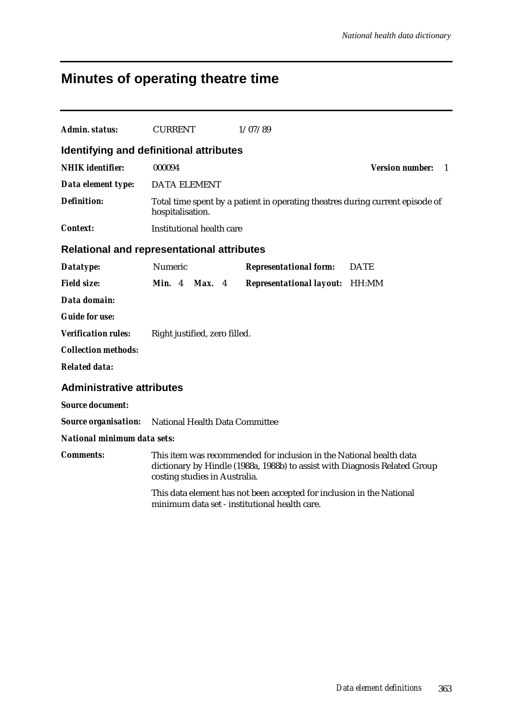# **Minutes of operating theatre time**

| <b>Admin. status:</b>                                      | <b>CURRENT</b>                |        | 1/07/89                                                                                                                                           |                                          |
|------------------------------------------------------------|-------------------------------|--------|---------------------------------------------------------------------------------------------------------------------------------------------------|------------------------------------------|
| Identifying and definitional attributes                    |                               |        |                                                                                                                                                   |                                          |
| <b>NHIK</b> identifier:                                    | 000094                        |        |                                                                                                                                                   | <b>Version number:</b><br>$\blacksquare$ |
| Data element type:                                         | <b>DATA ELEMENT</b>           |        |                                                                                                                                                   |                                          |
| <b>Definition:</b>                                         | hospitalisation.              |        | Total time spent by a patient in operating theatres during current episode of                                                                     |                                          |
| <b>Context:</b>                                            | Institutional health care     |        |                                                                                                                                                   |                                          |
| Relational and representational attributes                 |                               |        |                                                                                                                                                   |                                          |
| Datatype:                                                  | Numeric                       |        | <b>Representational form:</b>                                                                                                                     | <b>DATE</b>                              |
| <b>Field size:</b>                                         | <b>Min.</b> 4                 | Max. 4 | Representational layout: HH:MM                                                                                                                    |                                          |
| Data domain:                                               |                               |        |                                                                                                                                                   |                                          |
| <b>Guide for use:</b>                                      |                               |        |                                                                                                                                                   |                                          |
| <b>Verification rules:</b>                                 | Right justified, zero filled. |        |                                                                                                                                                   |                                          |
| <b>Collection methods:</b>                                 |                               |        |                                                                                                                                                   |                                          |
| <b>Related data:</b>                                       |                               |        |                                                                                                                                                   |                                          |
| <b>Administrative attributes</b>                           |                               |        |                                                                                                                                                   |                                          |
| <b>Source document:</b>                                    |                               |        |                                                                                                                                                   |                                          |
| <b>Source organisation:</b> National Health Data Committee |                               |        |                                                                                                                                                   |                                          |
| <b>National minimum data sets:</b>                         |                               |        |                                                                                                                                                   |                                          |
| <b>Comments:</b>                                           | costing studies in Australia. |        | This item was recommended for inclusion in the National health data<br>dictionary by Hindle (1988a, 1988b) to assist with Diagnosis Related Group |                                          |
|                                                            |                               |        | This data element has not been accepted for inclusion in the National<br>minimum data set - institutional health care.                            |                                          |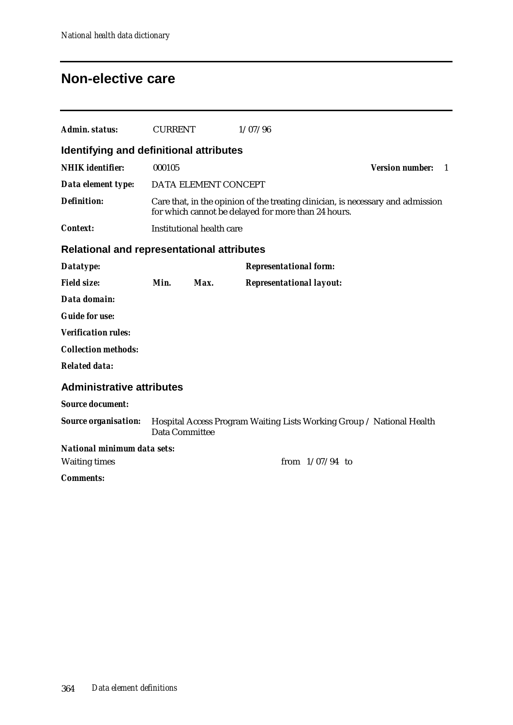### **Non-elective care**

| Admin. status:                                    | <b>CURRENT</b> |                           | 1/07/96                                                                                                                                |                              |
|---------------------------------------------------|----------------|---------------------------|----------------------------------------------------------------------------------------------------------------------------------------|------------------------------|
| Identifying and definitional attributes           |                |                           |                                                                                                                                        |                              |
| <b>NHIK</b> identifier:                           | 000105         |                           |                                                                                                                                        | <b>Version number:</b><br>-1 |
| Data element type:                                |                | DATA ELEMENT CONCEPT      |                                                                                                                                        |                              |
| <b>Definition:</b>                                |                |                           | Care that, in the opinion of the treating clinician, is necessary and admission<br>for which cannot be delayed for more than 24 hours. |                              |
| <b>Context:</b>                                   |                | Institutional health care |                                                                                                                                        |                              |
| <b>Relational and representational attributes</b> |                |                           |                                                                                                                                        |                              |
| Datatype:                                         |                |                           | <b>Representational form:</b>                                                                                                          |                              |
| <b>Field size:</b>                                | Min.           | Max.                      | <b>Representational layout:</b>                                                                                                        |                              |
| Data domain:                                      |                |                           |                                                                                                                                        |                              |
| <b>Guide for use:</b>                             |                |                           |                                                                                                                                        |                              |
| <b>Verification rules:</b>                        |                |                           |                                                                                                                                        |                              |
| <b>Collection methods:</b>                        |                |                           |                                                                                                                                        |                              |
| <b>Related data:</b>                              |                |                           |                                                                                                                                        |                              |
| <b>Administrative attributes</b>                  |                |                           |                                                                                                                                        |                              |
| <b>Source document:</b>                           |                |                           |                                                                                                                                        |                              |
| <b>Source organisation:</b>                       | Data Committee |                           | Hospital Access Program Waiting Lists Working Group / National Health                                                                  |                              |
| National minimum data sets:                       |                |                           |                                                                                                                                        |                              |
| <b>Waiting times</b>                              |                |                           | from $1/07/94$ to                                                                                                                      |                              |
| <b>Comments:</b>                                  |                |                           |                                                                                                                                        |                              |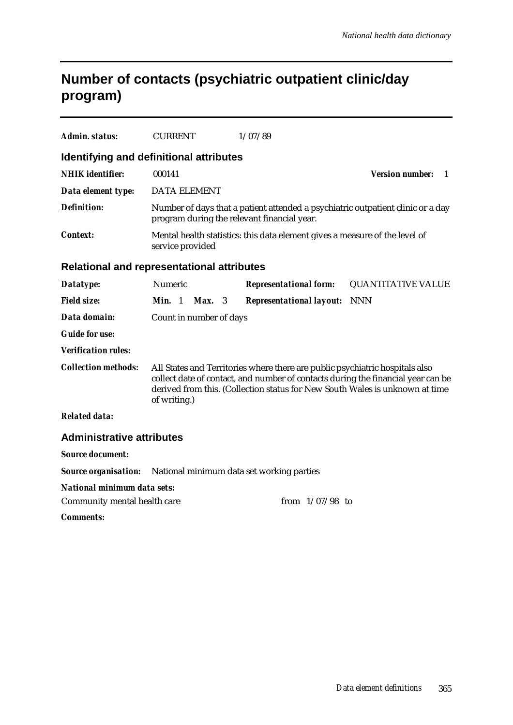### **Number of contacts (psychiatric outpatient clinic/day program)**

| Admin. status:                                                        | <b>CURRENT</b>                                                                                                                                                                                                                                                   |                 | 1/07/89                                     |                   |                                                                                 |
|-----------------------------------------------------------------------|------------------------------------------------------------------------------------------------------------------------------------------------------------------------------------------------------------------------------------------------------------------|-----------------|---------------------------------------------|-------------------|---------------------------------------------------------------------------------|
| Identifying and definitional attributes                               |                                                                                                                                                                                                                                                                  |                 |                                             |                   |                                                                                 |
| <b>NHIK</b> identifier:                                               | 000141                                                                                                                                                                                                                                                           |                 |                                             |                   | <b>Version number:</b><br>1                                                     |
| Data element type:                                                    | <b>DATA ELEMENT</b>                                                                                                                                                                                                                                              |                 |                                             |                   |                                                                                 |
| Definition:                                                           |                                                                                                                                                                                                                                                                  |                 | program during the relevant financial year. |                   | Number of days that a patient attended a psychiatric outpatient clinic or a day |
| <b>Context:</b>                                                       | service provided                                                                                                                                                                                                                                                 |                 |                                             |                   | Mental health statistics: this data element gives a measure of the level of     |
| <b>Relational and representational attributes</b>                     |                                                                                                                                                                                                                                                                  |                 |                                             |                   |                                                                                 |
| Datatype:                                                             | Numeric                                                                                                                                                                                                                                                          |                 | <b>Representational form:</b>               |                   | <b>QUANTITATIVE VALUE</b>                                                       |
| <b>Field size:</b>                                                    | Min. 1                                                                                                                                                                                                                                                           | <b>Max.</b> $3$ | <b>Representational layout:</b>             |                   | NNN                                                                             |
| Data domain:                                                          | Count in number of days                                                                                                                                                                                                                                          |                 |                                             |                   |                                                                                 |
| <b>Guide for use:</b>                                                 |                                                                                                                                                                                                                                                                  |                 |                                             |                   |                                                                                 |
| <b>Verification rules:</b>                                            |                                                                                                                                                                                                                                                                  |                 |                                             |                   |                                                                                 |
| <b>Collection methods:</b>                                            | All States and Territories where there are public psychiatric hospitals also<br>collect date of contact, and number of contacts during the financial year can be<br>derived from this. (Collection status for New South Wales is unknown at time<br>of writing.) |                 |                                             |                   |                                                                                 |
| <b>Related data:</b>                                                  |                                                                                                                                                                                                                                                                  |                 |                                             |                   |                                                                                 |
| <b>Administrative attributes</b>                                      |                                                                                                                                                                                                                                                                  |                 |                                             |                   |                                                                                 |
| <b>Source document:</b>                                               |                                                                                                                                                                                                                                                                  |                 |                                             |                   |                                                                                 |
| <b>Source organisation:</b> National minimum data set working parties |                                                                                                                                                                                                                                                                  |                 |                                             |                   |                                                                                 |
| National minimum data sets:<br>Community mental health care           |                                                                                                                                                                                                                                                                  |                 |                                             | from $1/07/98$ to |                                                                                 |
| <b>Comments:</b>                                                      |                                                                                                                                                                                                                                                                  |                 |                                             |                   |                                                                                 |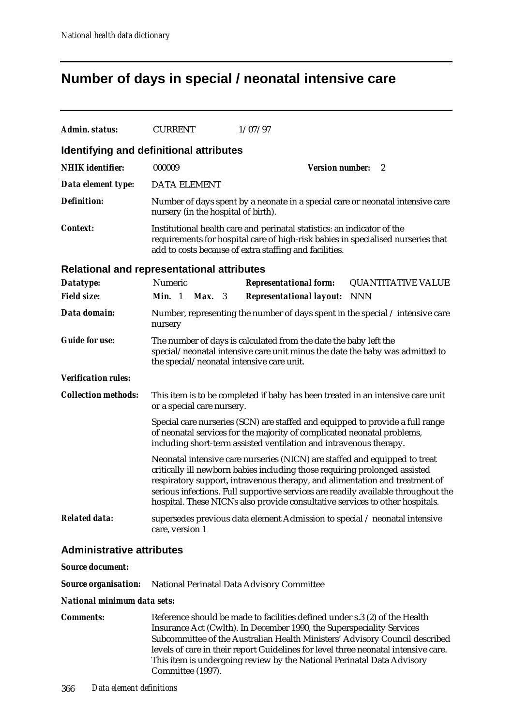### **Number of days in special / neonatal intensive care**

| Admin. status:                                    | <b>CURRENT</b>                                                                                                                                                                                                                 |  | 1/07/97                                                                                                                                                                                                                                                                                                                                                                                                      |  |                        |                           |  |
|---------------------------------------------------|--------------------------------------------------------------------------------------------------------------------------------------------------------------------------------------------------------------------------------|--|--------------------------------------------------------------------------------------------------------------------------------------------------------------------------------------------------------------------------------------------------------------------------------------------------------------------------------------------------------------------------------------------------------------|--|------------------------|---------------------------|--|
| Identifying and definitional attributes           |                                                                                                                                                                                                                                |  |                                                                                                                                                                                                                                                                                                                                                                                                              |  |                        |                           |  |
| <b>NHIK</b> identifier:                           | 000009                                                                                                                                                                                                                         |  |                                                                                                                                                                                                                                                                                                                                                                                                              |  | <b>Version number:</b> | 2                         |  |
| Data element type:                                | <b>DATA ELEMENT</b>                                                                                                                                                                                                            |  |                                                                                                                                                                                                                                                                                                                                                                                                              |  |                        |                           |  |
| <b>Definition:</b>                                | Number of days spent by a neonate in a special care or neonatal intensive care<br>nursery (in the hospital of birth).                                                                                                          |  |                                                                                                                                                                                                                                                                                                                                                                                                              |  |                        |                           |  |
| <b>Context:</b>                                   | Institutional health care and perinatal statistics: an indicator of the<br>requirements for hospital care of high-risk babies in specialised nurseries that<br>add to costs because of extra staffing and facilities.          |  |                                                                                                                                                                                                                                                                                                                                                                                                              |  |                        |                           |  |
| <b>Relational and representational attributes</b> |                                                                                                                                                                                                                                |  |                                                                                                                                                                                                                                                                                                                                                                                                              |  |                        |                           |  |
| Datatype:                                         | Numeric                                                                                                                                                                                                                        |  | <b>Representational form:</b>                                                                                                                                                                                                                                                                                                                                                                                |  |                        | <b>QUANTITATIVE VALUE</b> |  |
| <b>Field size:</b>                                | Min. 1<br>$Max.$ 3                                                                                                                                                                                                             |  | <b>Representational layout:</b>                                                                                                                                                                                                                                                                                                                                                                              |  | <b>NNN</b>             |                           |  |
| Data domain:                                      | Number, representing the number of days spent in the special $\ell$ intensive care<br>nursery                                                                                                                                  |  |                                                                                                                                                                                                                                                                                                                                                                                                              |  |                        |                           |  |
| <b>Guide for use:</b>                             | The number of days is calculated from the date the baby left the<br>special/neonatal intensive care unit minus the date the baby was admitted to<br>the special/neonatal intensive care unit.                                  |  |                                                                                                                                                                                                                                                                                                                                                                                                              |  |                        |                           |  |
| <b>Verification rules:</b>                        |                                                                                                                                                                                                                                |  |                                                                                                                                                                                                                                                                                                                                                                                                              |  |                        |                           |  |
| <b>Collection methods:</b>                        | or a special care nursery.                                                                                                                                                                                                     |  | This item is to be completed if baby has been treated in an intensive care unit                                                                                                                                                                                                                                                                                                                              |  |                        |                           |  |
|                                                   | Special care nurseries (SCN) are staffed and equipped to provide a full range<br>of neonatal services for the majority of complicated neonatal problems,<br>including short-term assisted ventilation and intravenous therapy. |  |                                                                                                                                                                                                                                                                                                                                                                                                              |  |                        |                           |  |
|                                                   |                                                                                                                                                                                                                                |  | Neonatal intensive care nurseries (NICN) are staffed and equipped to treat<br>critically ill newborn babies including those requiring prolonged assisted<br>respiratory support, intravenous therapy, and alimentation and treatment of<br>serious infections. Full supportive services are readily available throughout the<br>hospital. These NICNs also provide consultative services to other hospitals. |  |                        |                           |  |
| <b>Related data:</b>                              | care, version 1                                                                                                                                                                                                                |  | supersedes previous data element Admission to special / neonatal intensive                                                                                                                                                                                                                                                                                                                                   |  |                        |                           |  |
| <b>Administrative attributes</b>                  |                                                                                                                                                                                                                                |  |                                                                                                                                                                                                                                                                                                                                                                                                              |  |                        |                           |  |
| <b>Source document:</b>                           |                                                                                                                                                                                                                                |  |                                                                                                                                                                                                                                                                                                                                                                                                              |  |                        |                           |  |
| <b>Source organisation:</b>                       |                                                                                                                                                                                                                                |  | National Perinatal Data Advisory Committee                                                                                                                                                                                                                                                                                                                                                                   |  |                        |                           |  |

*National minimum data sets:*

**Comments:** Reference should be made to facilities defined under s.3 (2) of the Health Insurance Act (Cwlth). In December 1990, the Superspeciality Services Subcommittee of the Australian Health Ministers' Advisory Council described levels of care in their report Guidelines for level three neonatal intensive care. This item is undergoing review by the National Perinatal Data Advisory Committee (1997).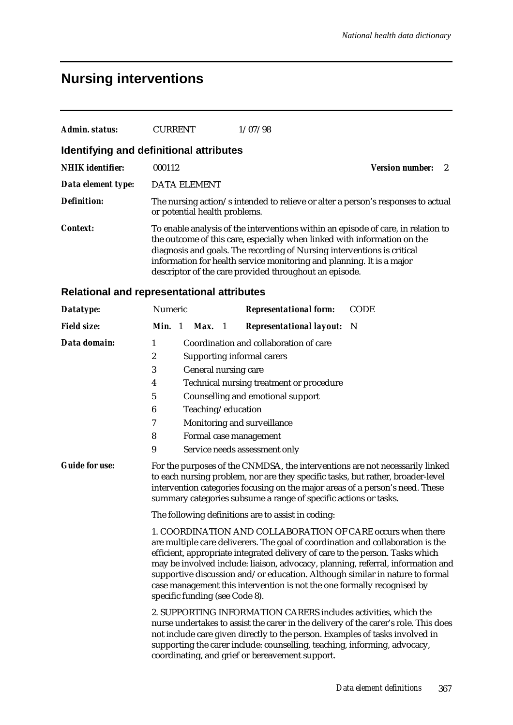# **Nursing interventions**

| Admin. status:          | <b>CURRENT</b>                          | 1/07/98                                                                                                                                                                                                                                                                                                                                                                     |                        |
|-------------------------|-----------------------------------------|-----------------------------------------------------------------------------------------------------------------------------------------------------------------------------------------------------------------------------------------------------------------------------------------------------------------------------------------------------------------------------|------------------------|
|                         | Identifying and definitional attributes |                                                                                                                                                                                                                                                                                                                                                                             |                        |
| <b>NHIK</b> identifier: | 000112                                  |                                                                                                                                                                                                                                                                                                                                                                             | <b>Version number:</b> |
| Data element type:      | <b>DATA ELEMENT</b>                     |                                                                                                                                                                                                                                                                                                                                                                             |                        |
| <b>Definition:</b>      | or potential health problems.           | The nursing action/s intended to relieve or alter a person's responses to actual                                                                                                                                                                                                                                                                                            |                        |
| <b>Context:</b>         |                                         | To enable analysis of the interventions within an episode of care, in relation to<br>the outcome of this care, especially when linked with information on the<br>diagnosis and goals. The recording of Nursing interventions is critical<br>information for health service monitoring and planning. It is a major<br>descriptor of the care provided throughout an episode. |                        |

#### **Relational and representational attributes**

| Datatype:             | Numeric                                                                                                                                                                                                                                                                                                                                                                                                                                                                                                         |                |                      |                | <b>Representational form:</b>                                                                                                                                                                                                                                                   | <b>CODE</b>                                                                         |
|-----------------------|-----------------------------------------------------------------------------------------------------------------------------------------------------------------------------------------------------------------------------------------------------------------------------------------------------------------------------------------------------------------------------------------------------------------------------------------------------------------------------------------------------------------|----------------|----------------------|----------------|---------------------------------------------------------------------------------------------------------------------------------------------------------------------------------------------------------------------------------------------------------------------------------|-------------------------------------------------------------------------------------|
| <b>Field size:</b>    | Min.                                                                                                                                                                                                                                                                                                                                                                                                                                                                                                            | $\overline{1}$ | Max.                 | $\blacksquare$ | <b>Representational layout:</b>                                                                                                                                                                                                                                                 | - N                                                                                 |
| Data domain:          | $\mathbf{1}$                                                                                                                                                                                                                                                                                                                                                                                                                                                                                                    |                |                      |                | Coordination and collaboration of care                                                                                                                                                                                                                                          |                                                                                     |
|                       | 2                                                                                                                                                                                                                                                                                                                                                                                                                                                                                                               |                |                      |                | Supporting informal carers                                                                                                                                                                                                                                                      |                                                                                     |
|                       | 3                                                                                                                                                                                                                                                                                                                                                                                                                                                                                                               |                | General nursing care |                |                                                                                                                                                                                                                                                                                 |                                                                                     |
|                       | $\boldsymbol{4}$                                                                                                                                                                                                                                                                                                                                                                                                                                                                                                |                |                      |                | Technical nursing treatment or procedure                                                                                                                                                                                                                                        |                                                                                     |
|                       | $\mathbf 5$                                                                                                                                                                                                                                                                                                                                                                                                                                                                                                     |                |                      |                | Counselling and emotional support                                                                                                                                                                                                                                               |                                                                                     |
|                       | $\boldsymbol{6}$                                                                                                                                                                                                                                                                                                                                                                                                                                                                                                |                | Teaching/education   |                |                                                                                                                                                                                                                                                                                 |                                                                                     |
|                       | 7                                                                                                                                                                                                                                                                                                                                                                                                                                                                                                               |                |                      |                | Monitoring and surveillance                                                                                                                                                                                                                                                     |                                                                                     |
|                       | 8                                                                                                                                                                                                                                                                                                                                                                                                                                                                                                               |                |                      |                | Formal case management                                                                                                                                                                                                                                                          |                                                                                     |
|                       | 9                                                                                                                                                                                                                                                                                                                                                                                                                                                                                                               |                |                      |                | Service needs assessment only                                                                                                                                                                                                                                                   |                                                                                     |
| <b>Guide for use:</b> | For the purposes of the CNMDSA, the interventions are not necessarily linked<br>to each nursing problem, nor are they specific tasks, but rather, broader-level<br>intervention categories focusing on the major areas of a person's need. These<br>summary categories subsume a range of specific actions or tasks.                                                                                                                                                                                            |                |                      |                |                                                                                                                                                                                                                                                                                 |                                                                                     |
|                       | The following definitions are to assist in coding:                                                                                                                                                                                                                                                                                                                                                                                                                                                              |                |                      |                |                                                                                                                                                                                                                                                                                 |                                                                                     |
|                       | 1. COORDINATION AND COLLABORATION OF CARE occurs when there<br>are multiple care deliverers. The goal of coordination and collaboration is the<br>efficient, appropriate integrated delivery of care to the person. Tasks which<br>may be involved include: liaison, advocacy, planning, referral, information and<br>supportive discussion and/or education. Although similar in nature to formal<br>case management this intervention is not the one formally recognised by<br>specific funding (see Code 8). |                |                      |                |                                                                                                                                                                                                                                                                                 |                                                                                     |
|                       |                                                                                                                                                                                                                                                                                                                                                                                                                                                                                                                 |                |                      |                | 2. SUPPORTING INFORMATION CARERS includes activities, which the<br>not include care given directly to the person. Examples of tasks involved in<br>supporting the carer include: counselling, teaching, informing, advocacy,<br>coordinating, and grief or bereavement support. | nurse undertakes to assist the carer in the delivery of the carer's role. This does |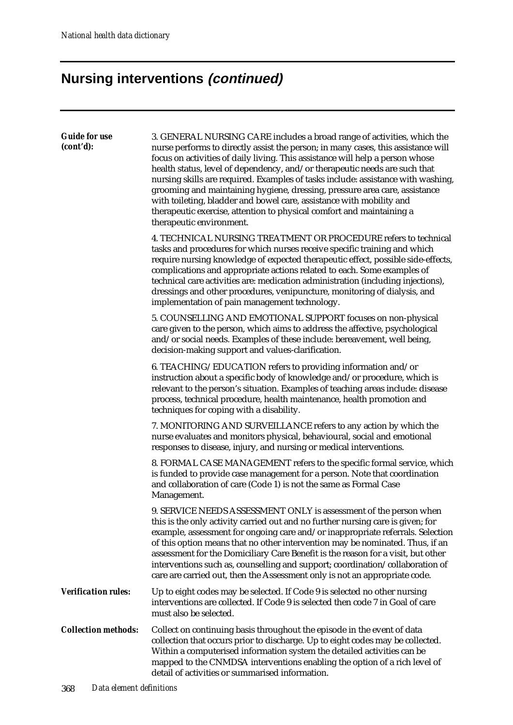# **Nursing interventions (continued)**

| <b>Guide for use</b><br>(cont'd): | 3. GENERAL NURSING CARE includes a broad range of activities, which the<br>nurse performs to directly assist the person; in many cases, this assistance will<br>focus on activities of daily living. This assistance will help a person whose<br>health status, level of dependency, and/or therapeutic needs are such that<br>nursing skills are required. Examples of tasks include: assistance with washing,<br>grooming and maintaining hygiene, dressing, pressure area care, assistance<br>with toileting, bladder and bowel care, assistance with mobility and<br>therapeutic exercise, attention to physical comfort and maintaining a<br>therapeutic environment. |
|-----------------------------------|----------------------------------------------------------------------------------------------------------------------------------------------------------------------------------------------------------------------------------------------------------------------------------------------------------------------------------------------------------------------------------------------------------------------------------------------------------------------------------------------------------------------------------------------------------------------------------------------------------------------------------------------------------------------------|
|                                   | 4. TECHNICAL NURSING TREATMENT OR PROCEDURE refers to technical<br>tasks and procedures for which nurses receive specific training and which<br>require nursing knowledge of expected therapeutic effect, possible side-effects,<br>complications and appropriate actions related to each. Some examples of<br>technical care activities are: medication administration (including injections),<br>dressings and other procedures, venipuncture, monitoring of dialysis, and<br>implementation of pain management technology.                                                                                                                                              |
|                                   | 5. COUNSELLING AND EMOTIONAL SUPPORT focuses on non-physical<br>care given to the person, which aims to address the affective, psychological<br>and/or social needs. Examples of these include: bereavement, well being,<br>decision-making support and values-clarification.                                                                                                                                                                                                                                                                                                                                                                                              |
|                                   | 6. TEACHING/EDUCATION refers to providing information and/or<br>instruction about a specific body of knowledge and/or procedure, which is<br>relevant to the person's situation. Examples of teaching areas include: disease<br>process, technical procedure, health maintenance, health promotion and<br>techniques for coping with a disability.                                                                                                                                                                                                                                                                                                                         |
|                                   | 7. MONITORING AND SURVEILLANCE refers to any action by which the<br>nurse evaluates and monitors physical, behavioural, social and emotional<br>responses to disease, injury, and nursing or medical interventions.                                                                                                                                                                                                                                                                                                                                                                                                                                                        |
|                                   | 8. FORMAL CASE MANAGEMENT refers to the specific formal service, which<br>is funded to provide case management for a person. Note that coordination<br>and collaboration of care (Code 1) is not the same as Formal Case<br>Management.                                                                                                                                                                                                                                                                                                                                                                                                                                    |
|                                   | 9. SERVICE NEEDS ASSESSMENT ONLY is assessment of the person when<br>this is the only activity carried out and no further nursing care is given; for<br>example, assessment for ongoing care and/or inappropriate referrals. Selection<br>of this option means that no other intervention may be nominated. Thus, if an<br>assessment for the Domiciliary Care Benefit is the reason for a visit, but other<br>interventions such as, counselling and support; coordination/collaboration of<br>care are carried out, then the Assessment only is not an appropriate code.                                                                                                 |
| <b>Verification rules:</b>        | Up to eight codes may be selected. If Code 9 is selected no other nursing<br>interventions are collected. If Code 9 is selected then code 7 in Goal of care<br>must also be selected.                                                                                                                                                                                                                                                                                                                                                                                                                                                                                      |
| <b>Collection methods:</b>        | Collect on continuing basis throughout the episode in the event of data<br>collection that occurs prior to discharge. Up to eight codes may be collected.<br>Within a computerised information system the detailed activities can be<br>mapped to the CNMDSA interventions enabling the option of a rich level of<br>detail of activities or summarised information.                                                                                                                                                                                                                                                                                                       |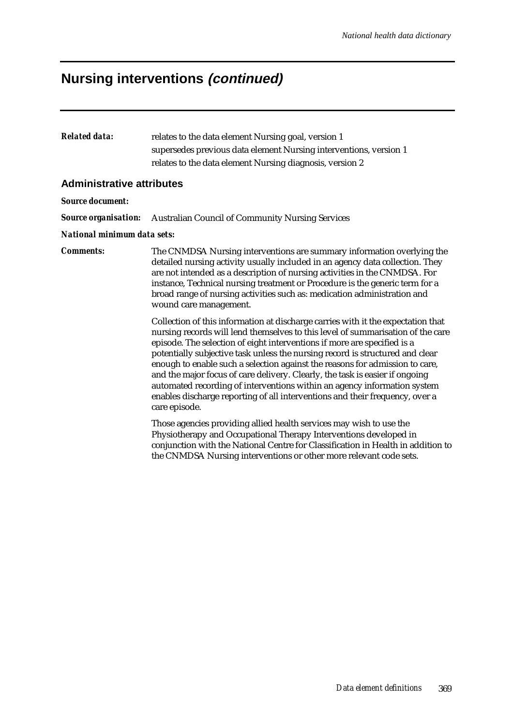#### **Nursing interventions (continued)**

| Related data: | relates to the data element Nursing goal, version 1               |
|---------------|-------------------------------------------------------------------|
|               | supersedes previous data element Nursing interventions, version 1 |
|               | relates to the data element Nursing diagnosis, version 2          |

#### **Administrative attributes**

*Source document:*

*Source organisation:* Australian Council of Community Nursing Services

*National minimum data sets:*

*Comments:* The CNMDSA Nursing interventions are summary information overlying the detailed nursing activity usually included in an agency data collection. They are not intended as a description of nursing activities in the CNMDSA. For instance, Technical nursing treatment or Procedure is the generic term for a broad range of nursing activities such as: medication administration and wound care management.

> Collection of this information at discharge carries with it the expectation that nursing records will lend themselves to this level of summarisation of the care episode. The selection of eight interventions if more are specified is a potentially subjective task unless the nursing record is structured and clear enough to enable such a selection against the reasons for admission to care, and the major focus of care delivery. Clearly, the task is easier if ongoing automated recording of interventions within an agency information system enables discharge reporting of all interventions and their frequency, over a care episode.

> Those agencies providing allied health services may wish to use the Physiotherapy and Occupational Therapy Interventions developed in conjunction with the National Centre for Classification in Health in addition to the CNMDSA Nursing interventions or other more relevant code sets.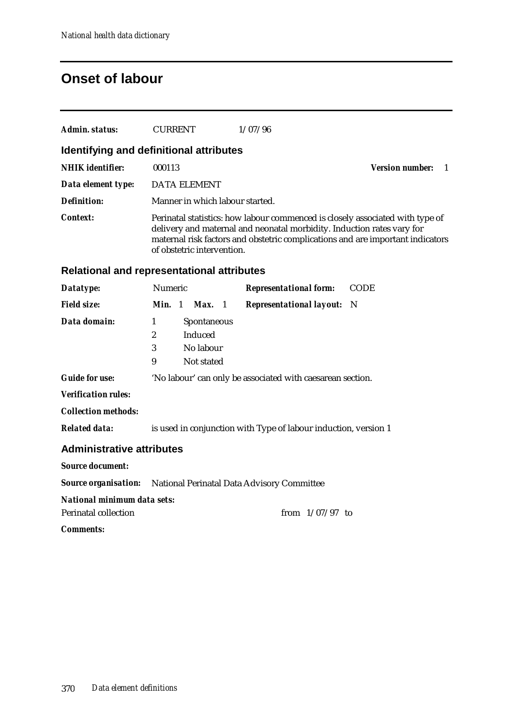### **Onset of labour**

| Admin. status:                                    | <b>CURRENT</b>                                                                       | 1/07/96                                                                                                                                                                                                                                                                 |  |  |  |  |  |
|---------------------------------------------------|--------------------------------------------------------------------------------------|-------------------------------------------------------------------------------------------------------------------------------------------------------------------------------------------------------------------------------------------------------------------------|--|--|--|--|--|
|                                                   |                                                                                      |                                                                                                                                                                                                                                                                         |  |  |  |  |  |
| Identifying and definitional attributes           |                                                                                      |                                                                                                                                                                                                                                                                         |  |  |  |  |  |
| <b>NHIK</b> identifier:                           | 000113                                                                               | <b>Version number:</b><br>$\blacksquare$                                                                                                                                                                                                                                |  |  |  |  |  |
| Data element type:                                | <b>DATA ELEMENT</b>                                                                  |                                                                                                                                                                                                                                                                         |  |  |  |  |  |
| Definition:                                       | Manner in which labour started.                                                      |                                                                                                                                                                                                                                                                         |  |  |  |  |  |
| <b>Context:</b>                                   |                                                                                      | Perinatal statistics: how labour commenced is closely associated with type of<br>delivery and maternal and neonatal morbidity. Induction rates vary for<br>maternal risk factors and obstetric complications and are important indicators<br>of obstetric intervention. |  |  |  |  |  |
| <b>Relational and representational attributes</b> |                                                                                      |                                                                                                                                                                                                                                                                         |  |  |  |  |  |
| Datatype:                                         | <b>Numeric</b>                                                                       | <b>Representational form:</b><br><b>CODE</b>                                                                                                                                                                                                                            |  |  |  |  |  |
| <b>Field size:</b>                                | Min. 1<br>Max. 1                                                                     | <b>Representational layout:</b> N                                                                                                                                                                                                                                       |  |  |  |  |  |
| Data domain:                                      | Spontaneous<br>1<br>$\boldsymbol{2}$<br>Induced<br>No labour<br>3<br>9<br>Not stated |                                                                                                                                                                                                                                                                         |  |  |  |  |  |
| <b>Guide for use:</b>                             |                                                                                      | 'No labour' can only be associated with caesarean section.                                                                                                                                                                                                              |  |  |  |  |  |
| <b>Verification rules:</b>                        |                                                                                      |                                                                                                                                                                                                                                                                         |  |  |  |  |  |
| <b>Collection methods:</b>                        |                                                                                      |                                                                                                                                                                                                                                                                         |  |  |  |  |  |
| <b>Related data:</b>                              |                                                                                      | is used in conjunction with Type of labour induction, version 1                                                                                                                                                                                                         |  |  |  |  |  |
| <b>Administrative attributes</b>                  |                                                                                      |                                                                                                                                                                                                                                                                         |  |  |  |  |  |
| <b>Source document:</b>                           |                                                                                      |                                                                                                                                                                                                                                                                         |  |  |  |  |  |
|                                                   |                                                                                      | <b>Source organisation:</b> National Perinatal Data Advisory Committee                                                                                                                                                                                                  |  |  |  |  |  |
| National minimum data sets:                       |                                                                                      |                                                                                                                                                                                                                                                                         |  |  |  |  |  |
| Perinatal collection                              |                                                                                      | from $1/07/97$ to                                                                                                                                                                                                                                                       |  |  |  |  |  |
| <i>Comments:</i>                                  |                                                                                      |                                                                                                                                                                                                                                                                         |  |  |  |  |  |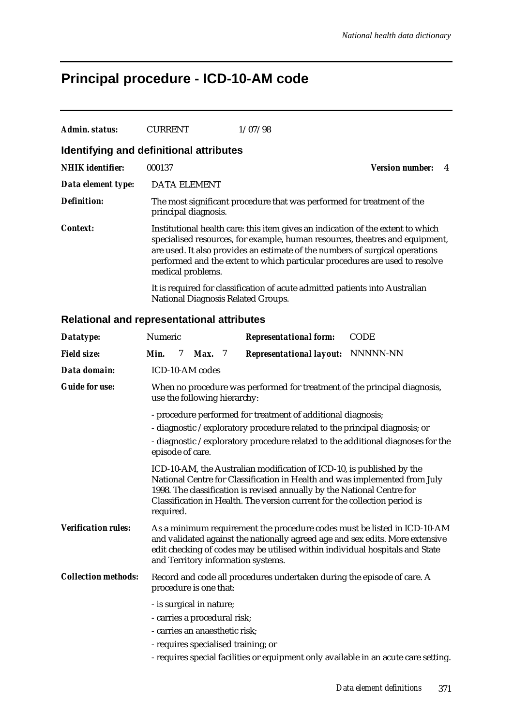### **Principal procedure - ICD-10-AM code**

| Admin. status:                          | <b>CURRENT</b>       | 1/07/98                                                                                                                                                                                                                                                                                                                        |                             |
|-----------------------------------------|----------------------|--------------------------------------------------------------------------------------------------------------------------------------------------------------------------------------------------------------------------------------------------------------------------------------------------------------------------------|-----------------------------|
| Identifying and definitional attributes |                      |                                                                                                                                                                                                                                                                                                                                |                             |
| <b>NHIK</b> identifier:                 | 000137               |                                                                                                                                                                                                                                                                                                                                | <b>Version number:</b><br>4 |
| Data element type:                      | <b>DATA ELEMENT</b>  |                                                                                                                                                                                                                                                                                                                                |                             |
| <b>Definition:</b>                      | principal diagnosis. | The most significant procedure that was performed for treatment of the                                                                                                                                                                                                                                                         |                             |
| <i>Context:</i>                         | medical problems.    | Institutional health care: this item gives an indication of the extent to which<br>specialised resources, for example, human resources, theatres and equipment,<br>are used. It also provides an estimate of the numbers of surgical operations<br>performed and the extent to which particular procedures are used to resolve |                             |
|                                         |                      | It is required for classification of acute admitted patients into Australian<br><b>National Diagnosis Related Groups.</b>                                                                                                                                                                                                      |                             |

#### **Relational and representational attributes**

| Datatype:                  | Numeric<br><b>CODE</b><br><b>Representational form:</b>                                                                                                                                                                                                                                                                   |  |  |  |  |  |
|----------------------------|---------------------------------------------------------------------------------------------------------------------------------------------------------------------------------------------------------------------------------------------------------------------------------------------------------------------------|--|--|--|--|--|
| <b>Field size:</b>         | Min.<br><b>Representational layout: NNNNN-NN</b><br>7<br><b>Max.</b> 7                                                                                                                                                                                                                                                    |  |  |  |  |  |
| Data domain:               | ICD-10-AM codes                                                                                                                                                                                                                                                                                                           |  |  |  |  |  |
| <b>Guide for use:</b>      | When no procedure was performed for treatment of the principal diagnosis,<br>use the following hierarchy:                                                                                                                                                                                                                 |  |  |  |  |  |
|                            | - procedure performed for treatment of additional diagnosis;<br>- diagnostic / exploratory procedure related to the principal diagnosis; or<br>- diagnostic /exploratory procedure related to the additional diagnoses for the<br>episode of care.                                                                        |  |  |  |  |  |
|                            | ICD-10-AM, the Australian modification of ICD-10, is published by the<br>National Centre for Classification in Health and was implemented from July<br>1998. The classification is revised annually by the National Centre for<br>Classification in Health. The version current for the collection period is<br>required. |  |  |  |  |  |
| <b>Verification rules:</b> | As a minimum requirement the procedure codes must be listed in ICD-10-AM<br>and validated against the nationally agreed age and sex edits. More extensive<br>edit checking of codes may be utilised within individual hospitals and State<br>and Territory information systems.                                           |  |  |  |  |  |
| <b>Collection methods:</b> | Record and code all procedures undertaken during the episode of care. A<br>procedure is one that:                                                                                                                                                                                                                         |  |  |  |  |  |
|                            | - is surgical in nature;<br>- carries a procedural risk;<br>- carries an anaesthetic risk;<br>- requires specialised training; or                                                                                                                                                                                         |  |  |  |  |  |
|                            | - requires special facilities or equipment only available in an acute care setting.                                                                                                                                                                                                                                       |  |  |  |  |  |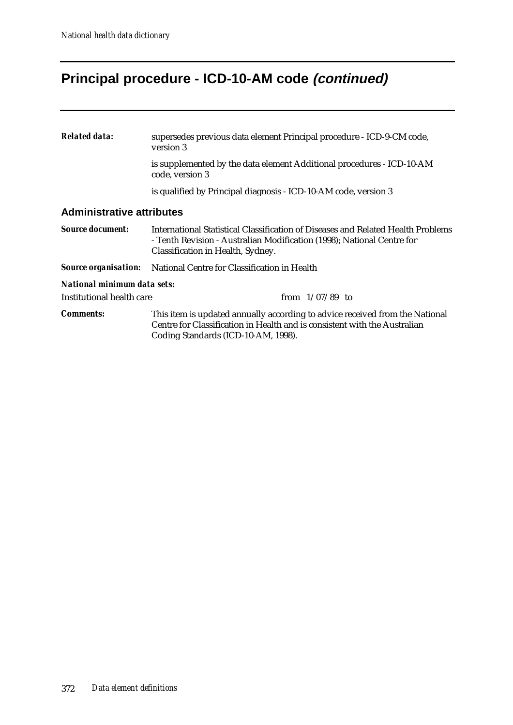# **Principal procedure - ICD-10-AM code (continued)**

| <b>Related data:</b>             | supersedes previous data element Principal procedure - ICD-9-CM code,<br>version 3                                                                                                               |  |  |  |  |  |
|----------------------------------|--------------------------------------------------------------------------------------------------------------------------------------------------------------------------------------------------|--|--|--|--|--|
|                                  | is supplemented by the data element Additional procedures - ICD-10-AM<br>code, version 3                                                                                                         |  |  |  |  |  |
|                                  | is qualified by Principal diagnosis - ICD-10-AM code, version 3                                                                                                                                  |  |  |  |  |  |
| <b>Administrative attributes</b> |                                                                                                                                                                                                  |  |  |  |  |  |
| <b>Source document:</b>          | International Statistical Classification of Diseases and Related Health Problems<br>- Tenth Revision - Australian Modification (1998); National Centre for<br>Classification in Health, Sydney.  |  |  |  |  |  |
| <b>Source organisation:</b>      | National Centre for Classification in Health                                                                                                                                                     |  |  |  |  |  |
| National minimum data sets:      |                                                                                                                                                                                                  |  |  |  |  |  |
| Institutional health care        | from $1/07/89$ to                                                                                                                                                                                |  |  |  |  |  |
| <b>Comments:</b>                 | This item is updated annually according to advice received from the National<br>Centre for Classification in Health and is consistent with the Australian<br>Coding Standards (ICD-10-AM, 1998). |  |  |  |  |  |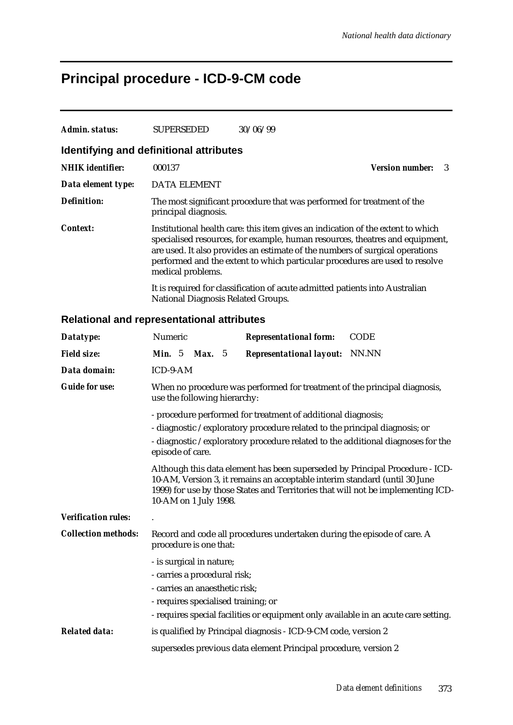# **Principal procedure - ICD-9-CM code**

| Admin. status:                          | <b>SUPERSEDED</b>                                                                                                                                                                                                                                                                                                                                   | 30/06/99                                                                     |  |  |  |  |
|-----------------------------------------|-----------------------------------------------------------------------------------------------------------------------------------------------------------------------------------------------------------------------------------------------------------------------------------------------------------------------------------------------------|------------------------------------------------------------------------------|--|--|--|--|
| Identifying and definitional attributes |                                                                                                                                                                                                                                                                                                                                                     |                                                                              |  |  |  |  |
| <b>NHIK</b> identifier:                 | 000137                                                                                                                                                                                                                                                                                                                                              | <b>Version number:</b><br>- 3                                                |  |  |  |  |
| Data element type:                      | DATA ELEMENT                                                                                                                                                                                                                                                                                                                                        |                                                                              |  |  |  |  |
| <b>Definition:</b>                      | The most significant procedure that was performed for treatment of the<br>principal diagnosis.                                                                                                                                                                                                                                                      |                                                                              |  |  |  |  |
| <i>Context:</i>                         | Institutional health care: this item gives an indication of the extent to which<br>specialised resources, for example, human resources, theatres and equipment,<br>are used. It also provides an estimate of the numbers of surgical operations<br>performed and the extent to which particular procedures are used to resolve<br>medical problems. |                                                                              |  |  |  |  |
|                                         | National Diagnosis Related Groups.                                                                                                                                                                                                                                                                                                                  | It is required for classification of acute admitted patients into Australian |  |  |  |  |

#### **Relational and representational attributes**

| Datatype:                    | Numeric                                                                                                                                                                                                                                                                 |  |               |  | <b>Representational form:</b>         | <b>CODE</b> |
|------------------------------|-------------------------------------------------------------------------------------------------------------------------------------------------------------------------------------------------------------------------------------------------------------------------|--|---------------|--|---------------------------------------|-------------|
| <b>Field size:</b>           | <b>Min.</b> $5$                                                                                                                                                                                                                                                         |  | <b>Max.</b> 5 |  | <b>Representational layout:</b> NN.NN |             |
| Data domain:                 | ICD-9-AM                                                                                                                                                                                                                                                                |  |               |  |                                       |             |
| <b>Guide for use:</b>        | When no procedure was performed for treatment of the principal diagnosis,<br>use the following hierarchy:                                                                                                                                                               |  |               |  |                                       |             |
|                              | - procedure performed for treatment of additional diagnosis;<br>- diagnostic / exploratory procedure related to the principal diagnosis; or                                                                                                                             |  |               |  |                                       |             |
|                              |                                                                                                                                                                                                                                                                         |  |               |  |                                       |             |
|                              | - diagnostic /exploratory procedure related to the additional diagnoses for the<br>episode of care.                                                                                                                                                                     |  |               |  |                                       |             |
|                              | Although this data element has been superseded by Principal Procedure - ICD-<br>10-AM, Version 3, it remains an acceptable interim standard (until 30 June<br>1999) for use by those States and Territories that will not be implementing ICD-<br>10-AM on 1 July 1998. |  |               |  |                                       |             |
| <b>Verification rules:</b>   |                                                                                                                                                                                                                                                                         |  |               |  |                                       |             |
| <b>Collection methods:</b>   | Record and code all procedures undertaken during the episode of care. A<br>procedure is one that:                                                                                                                                                                       |  |               |  |                                       |             |
|                              | - is surgical in nature;                                                                                                                                                                                                                                                |  |               |  |                                       |             |
| - carries a procedural risk; |                                                                                                                                                                                                                                                                         |  |               |  |                                       |             |
|                              | - carries an anaesthetic risk;                                                                                                                                                                                                                                          |  |               |  |                                       |             |
|                              | - requires specialised training; or                                                                                                                                                                                                                                     |  |               |  |                                       |             |
|                              | - requires special facilities or equipment only available in an acute care setting.                                                                                                                                                                                     |  |               |  |                                       |             |
| <b>Related data:</b>         | is qualified by Principal diagnosis - ICD-9-CM code, version 2                                                                                                                                                                                                          |  |               |  |                                       |             |
|                              | supersedes previous data element Principal procedure, version 2                                                                                                                                                                                                         |  |               |  |                                       |             |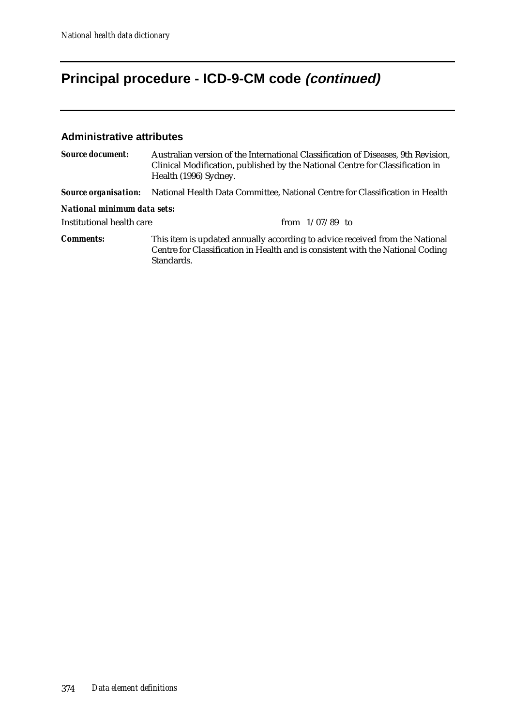# **Principal procedure - ICD-9-CM code (continued)**

#### **Administrative attributes**

| <b>Source document:</b>     | Australian version of the International Classification of Diseases, 9th Revision,<br>Clinical Modification, published by the National Centre for Classification in<br>Health (1996) Sydney. |  |  |  |
|-----------------------------|---------------------------------------------------------------------------------------------------------------------------------------------------------------------------------------------|--|--|--|
|                             | Source organisation: National Health Data Committee, National Centre for Classification in Health                                                                                           |  |  |  |
| National minimum data sets: |                                                                                                                                                                                             |  |  |  |
| Institutional health care   | from $1/07/89$ to                                                                                                                                                                           |  |  |  |
| <b>Comments:</b>            | This item is updated annually according to advice received from the National<br>Centre for Classification in Health and is consistent with the National Coding<br>Standards.                |  |  |  |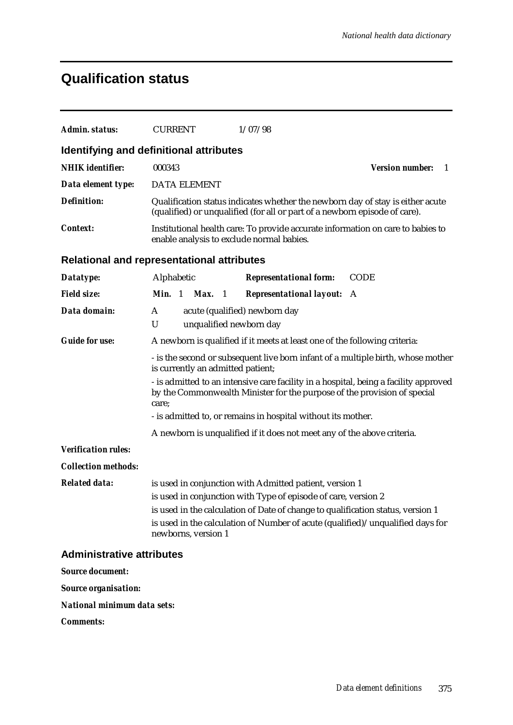### **Qualification status**

| <b>Admin. status:</b>                      | <b>CURRENT</b>                                                                                                                                                                                                                                                                                                        | 1/07/98                                                                                                                                                      |                             |
|--------------------------------------------|-----------------------------------------------------------------------------------------------------------------------------------------------------------------------------------------------------------------------------------------------------------------------------------------------------------------------|--------------------------------------------------------------------------------------------------------------------------------------------------------------|-----------------------------|
| Identifying and definitional attributes    |                                                                                                                                                                                                                                                                                                                       |                                                                                                                                                              |                             |
| <b>NHIK</b> identifier:                    | 000343                                                                                                                                                                                                                                                                                                                |                                                                                                                                                              | <b>Version number:</b><br>1 |
| Data element type:                         | <b>DATA ELEMENT</b>                                                                                                                                                                                                                                                                                                   |                                                                                                                                                              |                             |
| <b>Definition:</b>                         |                                                                                                                                                                                                                                                                                                                       | Qualification status indicates whether the newborn day of stay is either acute<br>(qualified) or unqualified (for all or part of a newborn episode of care). |                             |
| Context:                                   | enable analysis to exclude normal babies.                                                                                                                                                                                                                                                                             | Institutional health care: To provide accurate information on care to babies to                                                                              |                             |
| Relational and representational attributes |                                                                                                                                                                                                                                                                                                                       |                                                                                                                                                              |                             |
| Datatype:                                  | Alphabetic                                                                                                                                                                                                                                                                                                            | <b>Representational form:</b>                                                                                                                                | <b>CODE</b>                 |
| <b>Field size:</b>                         | Min. 1<br>Max.<br>$\blacksquare$                                                                                                                                                                                                                                                                                      | <b>Representational layout:</b>                                                                                                                              | A                           |
| Data domain:                               | A<br>U<br>unqualified newborn day                                                                                                                                                                                                                                                                                     | acute (qualified) newborn day                                                                                                                                |                             |
| <b>Guide for use:</b>                      |                                                                                                                                                                                                                                                                                                                       | A newborn is qualified if it meets at least one of the following criteria:                                                                                   |                             |
|                                            | - is the second or subsequent live born infant of a multiple birth, whose mother<br>is currently an admitted patient;                                                                                                                                                                                                 |                                                                                                                                                              |                             |
|                                            | - is admitted to an intensive care facility in a hospital, being a facility approved<br>by the Commonwealth Minister for the purpose of the provision of special<br>care;                                                                                                                                             |                                                                                                                                                              |                             |
|                                            | - is admitted to, or remains in hospital without its mother.                                                                                                                                                                                                                                                          |                                                                                                                                                              |                             |
|                                            |                                                                                                                                                                                                                                                                                                                       | A newborn is unqualified if it does not meet any of the above criteria.                                                                                      |                             |
| <b>Verification rules:</b>                 |                                                                                                                                                                                                                                                                                                                       |                                                                                                                                                              |                             |
| <b>Collection methods:</b>                 |                                                                                                                                                                                                                                                                                                                       |                                                                                                                                                              |                             |
| <b>Related data:</b>                       | is used in conjunction with Admitted patient, version 1<br>is used in conjunction with Type of episode of care, version 2<br>is used in the calculation of Date of change to qualification status, version 1<br>is used in the calculation of Number of acute (qualified)/unqualified days for<br>newborns, version 1 |                                                                                                                                                              |                             |
| <b>Administrative attributes</b>           |                                                                                                                                                                                                                                                                                                                       |                                                                                                                                                              |                             |

*Source document:*

*Source organisation:*

*National minimum data sets:*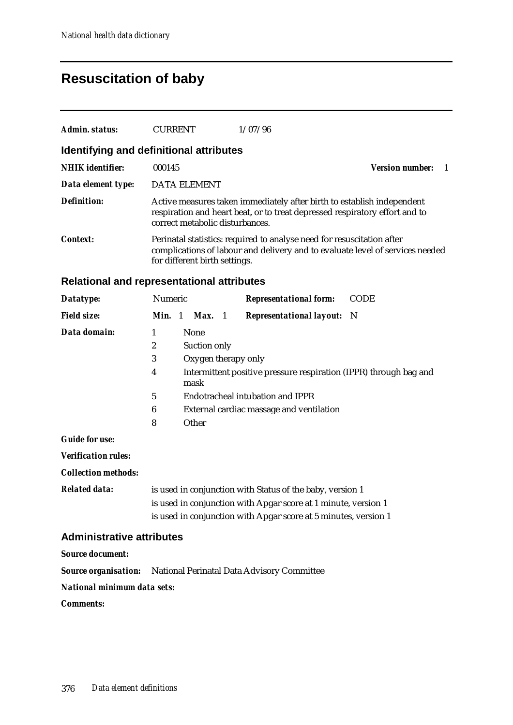## **Resuscitation of baby**

| Admin. status:                                    | <b>CURRENT</b>                                                                                                                                                                           | 1/07/96                           |                               |
|---------------------------------------------------|------------------------------------------------------------------------------------------------------------------------------------------------------------------------------------------|-----------------------------------|-------------------------------|
| Identifying and definitional attributes           |                                                                                                                                                                                          |                                   |                               |
| <b>NHIK</b> identifier:                           | 000145                                                                                                                                                                                   |                                   | <b>Version number:</b><br>- 1 |
| Data element type:                                | <b>DATA ELEMENT</b>                                                                                                                                                                      |                                   |                               |
| <b>Definition:</b>                                | Active measures taken immediately after birth to establish independent<br>respiration and heart beat, or to treat depressed respiratory effort and to<br>correct metabolic disturbances. |                                   |                               |
| Context:                                          | Perinatal statistics: required to analyse need for resuscitation after<br>complications of labour and delivery and to evaluate level of services needed<br>for different birth settings. |                                   |                               |
| <b>Relational and representational attributes</b> |                                                                                                                                                                                          |                                   |                               |
| Datatype:                                         | Numeric                                                                                                                                                                                  | <b>Representational form:</b>     | <b>CODE</b>                   |
| <b>Field size:</b>                                | Min. 1<br>Max. 1                                                                                                                                                                         | <b>Representational layout:</b> N |                               |

| Data domain:               |   | <b>None</b>                                                               |
|----------------------------|---|---------------------------------------------------------------------------|
|                            | 2 | Suction only                                                              |
|                            | 3 | Oxygen therapy only                                                       |
|                            | 4 | Intermittent positive pressure respiration (IPPR) through bag and<br>mask |
|                            | 5 | Endotracheal intubation and IPPR                                          |
|                            | 6 | External cardiac massage and ventilation                                  |
|                            | 8 | Other                                                                     |
| <b>Guide for use:</b>      |   |                                                                           |
| <b>Verification rules:</b> |   |                                                                           |
| <b>Collection methods:</b> |   |                                                                           |

| <b>Related data:</b> | is used in conjunction with Status of the baby, version 1       |
|----------------------|-----------------------------------------------------------------|
|                      | is used in conjunction with Apgar score at 1 minute, version 1  |
|                      | is used in conjunction with Apgar score at 5 minutes, version 1 |

#### **Administrative attributes**

*Source document:*

*Source organisation:* National Perinatal Data Advisory Committee

*National minimum data sets:*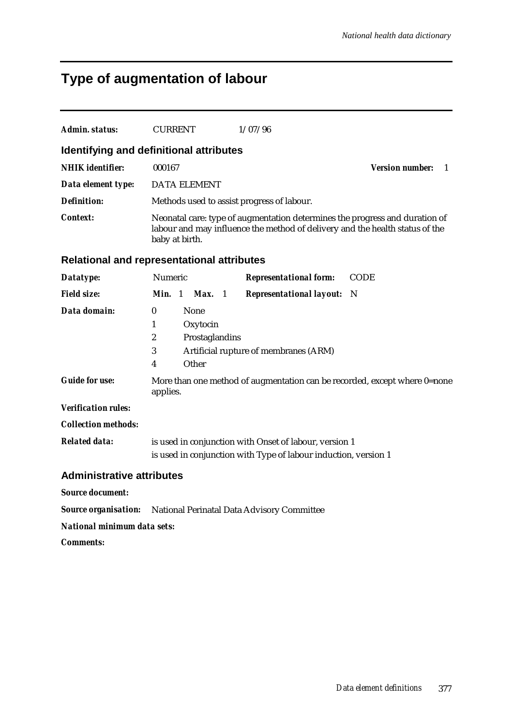## **Type of augmentation of labour**

| <b>Admin. status:</b>            | <b>CURRENT</b><br>1/07/96                                                                                                                   |                                                                                                                                                             |  |  |
|----------------------------------|---------------------------------------------------------------------------------------------------------------------------------------------|-------------------------------------------------------------------------------------------------------------------------------------------------------------|--|--|
|                                  | Identifying and definitional attributes                                                                                                     |                                                                                                                                                             |  |  |
| <b>NHIK</b> identifier:          | 000167                                                                                                                                      | <b>Version number:</b><br>$\mathbf{1}$                                                                                                                      |  |  |
| Data element type:               | <b>DATA ELEMENT</b>                                                                                                                         |                                                                                                                                                             |  |  |
| <b>Definition:</b>               | Methods used to assist progress of labour.                                                                                                  |                                                                                                                                                             |  |  |
| <b>Context:</b>                  | baby at birth.                                                                                                                              | Neonatal care: type of augmentation determines the progress and duration of<br>labour and may influence the method of delivery and the health status of the |  |  |
|                                  | <b>Relational and representational attributes</b>                                                                                           |                                                                                                                                                             |  |  |
| Datatype:                        | Numeric                                                                                                                                     | <b>Representational form:</b><br><b>CODE</b>                                                                                                                |  |  |
| <b>Field size:</b>               | Min. 1<br>Max. 1                                                                                                                            | <b>Representational layout:</b><br>N                                                                                                                        |  |  |
| Data domain:                     | $\boldsymbol{0}$<br>None<br>Oxytocin<br>1<br>$\boldsymbol{2}$<br>Prostaglandins<br>Artificial rupture of membranes (ARM)<br>3<br>Other<br>4 |                                                                                                                                                             |  |  |
| <b>Guide for use:</b>            | applies.                                                                                                                                    | More than one method of augmentation can be recorded, except where 0=none                                                                                   |  |  |
| <b>Verification rules:</b>       |                                                                                                                                             |                                                                                                                                                             |  |  |
| <b>Collection methods:</b>       |                                                                                                                                             |                                                                                                                                                             |  |  |
| <b>Related data:</b>             | is used in conjunction with Onset of labour, version 1<br>is used in conjunction with Type of labour induction, version 1                   |                                                                                                                                                             |  |  |
| <b>Administrative attributes</b> |                                                                                                                                             |                                                                                                                                                             |  |  |
| <b>Source document:</b>          |                                                                                                                                             |                                                                                                                                                             |  |  |
|                                  |                                                                                                                                             |                                                                                                                                                             |  |  |

*Source organisation:* National Perinatal Data Advisory Committee

*National minimum data sets:*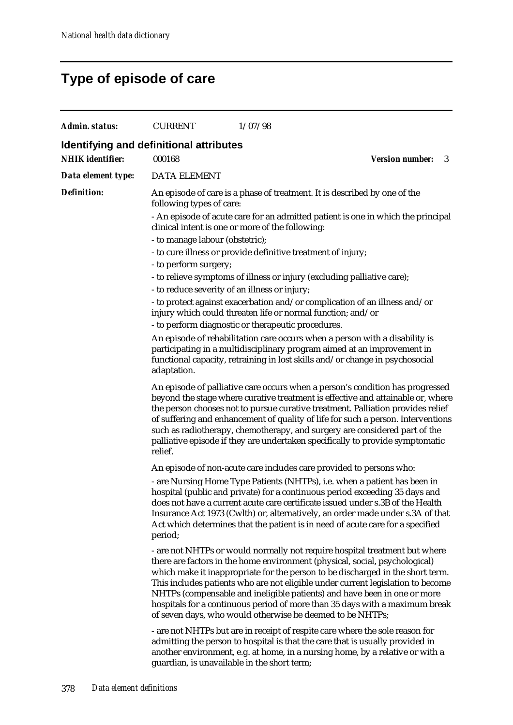# **Type of episode of care**

| Admin. status:                          | <b>CURRENT</b>                                | 1/07/98                                                                                                                                                                                                                                                                                                                                                                                                                                                                                                                                                |                        |   |
|-----------------------------------------|-----------------------------------------------|--------------------------------------------------------------------------------------------------------------------------------------------------------------------------------------------------------------------------------------------------------------------------------------------------------------------------------------------------------------------------------------------------------------------------------------------------------------------------------------------------------------------------------------------------------|------------------------|---|
| Identifying and definitional attributes |                                               |                                                                                                                                                                                                                                                                                                                                                                                                                                                                                                                                                        |                        |   |
| <b>NHIK</b> identifier:                 | 000168                                        |                                                                                                                                                                                                                                                                                                                                                                                                                                                                                                                                                        | <b>Version number:</b> | 3 |
| Data element type:                      | <b>DATA ELEMENT</b>                           |                                                                                                                                                                                                                                                                                                                                                                                                                                                                                                                                                        |                        |   |
| <b>Definition:</b>                      | following types of care:                      | An episode of care is a phase of treatment. It is described by one of the                                                                                                                                                                                                                                                                                                                                                                                                                                                                              |                        |   |
|                                         | - to manage labour (obstetric);               | - An episode of acute care for an admitted patient is one in which the principal<br>clinical intent is one or more of the following:                                                                                                                                                                                                                                                                                                                                                                                                                   |                        |   |
|                                         |                                               | - to cure illness or provide definitive treatment of injury;                                                                                                                                                                                                                                                                                                                                                                                                                                                                                           |                        |   |
|                                         | - to perform surgery;                         | - to relieve symptoms of illness or injury (excluding palliative care);                                                                                                                                                                                                                                                                                                                                                                                                                                                                                |                        |   |
|                                         | - to reduce severity of an illness or injury; |                                                                                                                                                                                                                                                                                                                                                                                                                                                                                                                                                        |                        |   |
|                                         |                                               | - to protect against exacerbation and/or complication of an illness and/or<br>injury which could threaten life or normal function; and/or                                                                                                                                                                                                                                                                                                                                                                                                              |                        |   |
|                                         |                                               | - to perform diagnostic or therapeutic procedures.                                                                                                                                                                                                                                                                                                                                                                                                                                                                                                     |                        |   |
|                                         | adaptation.                                   | An episode of rehabilitation care occurs when a person with a disability is<br>participating in a multidisciplinary program aimed at an improvement in<br>functional capacity, retraining in lost skills and/or change in psychosocial                                                                                                                                                                                                                                                                                                                 |                        |   |
|                                         | relief.                                       | An episode of palliative care occurs when a person's condition has progressed<br>beyond the stage where curative treatment is effective and attainable or, where<br>the person chooses not to pursue curative treatment. Palliation provides relief<br>of suffering and enhancement of quality of life for such a person. Interventions<br>such as radiotherapy, chemotherapy, and surgery are considered part of the<br>palliative episode if they are undertaken specifically to provide symptomatic                                                 |                        |   |
|                                         |                                               | An episode of non-acute care includes care provided to persons who:                                                                                                                                                                                                                                                                                                                                                                                                                                                                                    |                        |   |
|                                         | period;                                       | - are Nursing Home Type Patients (NHTPs), i.e. when a patient has been in<br>hospital (public and private) for a continuous period exceeding 35 days and<br>does not have a current acute care certificate issued under s.3B of the Health<br>Insurance Act 1973 (Cwlth) or, alternatively, an order made under s.3A of that<br>Act which determines that the patient is in need of acute care for a specified                                                                                                                                         |                        |   |
|                                         |                                               | - are not NHTPs or would normally not require hospital treatment but where<br>there are factors in the home environment (physical, social, psychological)<br>which make it inappropriate for the person to be discharged in the short term.<br>This includes patients who are not eligible under current legislation to become<br>NHTPs (compensable and ineligible patients) and have been in one or more<br>hospitals for a continuous period of more than 35 days with a maximum break<br>of seven days, who would otherwise be deemed to be NHTPs; |                        |   |
|                                         | guardian, is unavailable in the short term;   | - are not NHTPs but are in receipt of respite care where the sole reason for<br>admitting the person to hospital is that the care that is usually provided in<br>another environment, e.g. at home, in a nursing home, by a relative or with a                                                                                                                                                                                                                                                                                                         |                        |   |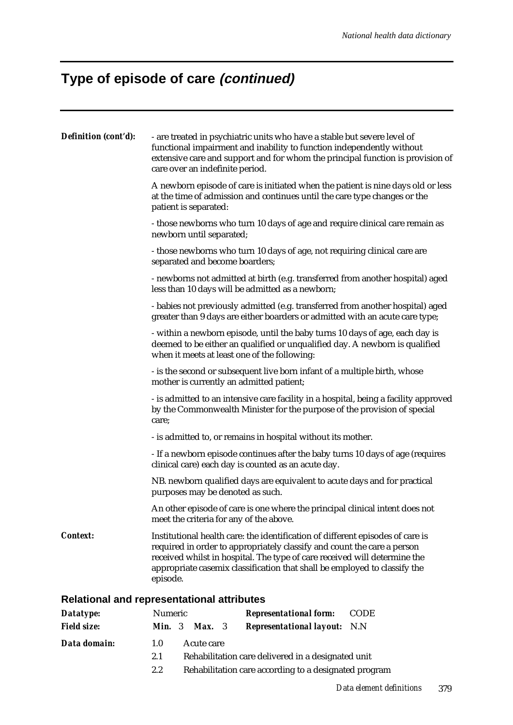# **Type of episode of care (continued)**

|                      | An other episode of care is one where the principal clinical intent does not                                                                                                               |  |  |  |
|----------------------|--------------------------------------------------------------------------------------------------------------------------------------------------------------------------------------------|--|--|--|
|                      | purposes may be denoted as such.                                                                                                                                                           |  |  |  |
|                      | NB. newborn qualified days are equivalent to acute days and for practical                                                                                                                  |  |  |  |
|                      | - If a newborn episode continues after the baby turns 10 days of age (requires<br>clinical care) each day is counted as an acute day.                                                      |  |  |  |
|                      | - is admitted to, or remains in hospital without its mother.                                                                                                                               |  |  |  |
|                      | - is admitted to an intensive care facility in a hospital, being a facility approved<br>by the Commonwealth Minister for the purpose of the provision of special<br>care;                  |  |  |  |
|                      | - is the second or subsequent live born infant of a multiple birth, whose<br>mother is currently an admitted patient;                                                                      |  |  |  |
|                      | when it meets at least one of the following:                                                                                                                                               |  |  |  |
|                      | - within a newborn episode, until the baby turns 10 days of age, each day is<br>deemed to be either an qualified or unqualified day. A newborn is qualified                                |  |  |  |
|                      | - babies not previously admitted (e.g. transferred from another hospital) aged<br>greater than 9 days are either boarders or admitted with an acute care type;                             |  |  |  |
|                      | - newborns not admitted at birth (e.g. transferred from another hospital) aged<br>less than 10 days will be admitted as a newborn;                                                         |  |  |  |
|                      | - those newborns who turn 10 days of age, not requiring clinical care are<br>separated and become boarders;                                                                                |  |  |  |
|                      | - those newborns who turn 10 days of age and require clinical care remain as<br>newborn until separated;                                                                                   |  |  |  |
|                      | A newborn episode of care is initiated when the patient is nine days old or less<br>at the time of admission and continues until the care type changes or the<br>patient is separated:     |  |  |  |
|                      | functional impairment and inability to function independently without<br>extensive care and support and for whom the principal function is provision of<br>care over an indefinite period. |  |  |  |
| Definition (cont'd): | - are treated in psychiatric units who have a stable but severe level of                                                                                                                   |  |  |  |

| Data domain: | 1.0 | Acute care                                            |
|--------------|-----|-------------------------------------------------------|
|              | 2.1 | Rehabilitation care delivered in a designated unit    |
|              | 2.2 | Rehabilitation care according to a designated program |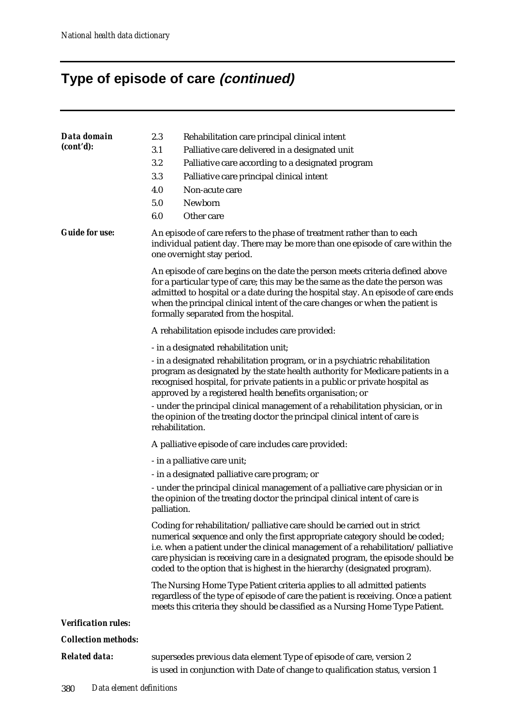# **Type of episode of care (continued)**

| Data domain                | 2.3         | Rehabilitation care principal clinical intent                                                                                                                                                                                                                                                                                                                                                                 |
|----------------------------|-------------|---------------------------------------------------------------------------------------------------------------------------------------------------------------------------------------------------------------------------------------------------------------------------------------------------------------------------------------------------------------------------------------------------------------|
| (cont'd):                  | 3.1         | Palliative care delivered in a designated unit                                                                                                                                                                                                                                                                                                                                                                |
|                            | 3.2         | Palliative care according to a designated program                                                                                                                                                                                                                                                                                                                                                             |
|                            | 3.3         | Palliative care principal clinical intent                                                                                                                                                                                                                                                                                                                                                                     |
|                            | 4.0         | Non-acute care                                                                                                                                                                                                                                                                                                                                                                                                |
|                            | 5.0         | Newborn                                                                                                                                                                                                                                                                                                                                                                                                       |
|                            | 6.0         | Other care                                                                                                                                                                                                                                                                                                                                                                                                    |
| <b>Guide for use:</b>      |             | An episode of care refers to the phase of treatment rather than to each<br>individual patient day. There may be more than one episode of care within the<br>one overnight stay period.                                                                                                                                                                                                                        |
|                            |             | An episode of care begins on the date the person meets criteria defined above<br>for a particular type of care; this may be the same as the date the person was<br>admitted to hospital or a date during the hospital stay. An episode of care ends<br>when the principal clinical intent of the care changes or when the patient is<br>formally separated from the hospital.                                 |
|                            |             | A rehabilitation episode includes care provided:                                                                                                                                                                                                                                                                                                                                                              |
|                            |             | - in a designated rehabilitation unit;                                                                                                                                                                                                                                                                                                                                                                        |
|                            |             | - in a designated rehabilitation program, or in a psychiatric rehabilitation<br>program as designated by the state health authority for Medicare patients in a<br>recognised hospital, for private patients in a public or private hospital as<br>approved by a registered health benefits organisation; or                                                                                                   |
|                            |             | - under the principal clinical management of a rehabilitation physician, or in<br>the opinion of the treating doctor the principal clinical intent of care is<br>rehabilitation.                                                                                                                                                                                                                              |
|                            |             | A palliative episode of care includes care provided:                                                                                                                                                                                                                                                                                                                                                          |
|                            |             | - in a palliative care unit;                                                                                                                                                                                                                                                                                                                                                                                  |
|                            |             | - in a designated palliative care program; or                                                                                                                                                                                                                                                                                                                                                                 |
|                            | palliation. | - under the principal clinical management of a palliative care physician or in<br>the opinion of the treating doctor the principal clinical intent of care is                                                                                                                                                                                                                                                 |
|                            |             | Coding for rehabilitation/palliative care should be carried out in strict<br>numerical sequence and only the first appropriate category should be coded;<br>i.e. when a patient under the clinical management of a rehabilitation/palliative<br>care physician is receiving care in a designated program, the episode should be<br>coded to the option that is highest in the hierarchy (designated program). |
|                            |             | The Nursing Home Type Patient criteria applies to all admitted patients<br>regardless of the type of episode of care the patient is receiving. Once a patient<br>meets this criteria they should be classified as a Nursing Home Type Patient.                                                                                                                                                                |
| <b>Verification rules:</b> |             |                                                                                                                                                                                                                                                                                                                                                                                                               |
| <b>Collection methods:</b> |             |                                                                                                                                                                                                                                                                                                                                                                                                               |
| <b>Related data:</b>       |             | supersedes previous data element Type of episode of care, version 2                                                                                                                                                                                                                                                                                                                                           |
|                            |             | is used in conjunction with Date of change to qualification status, version 1                                                                                                                                                                                                                                                                                                                                 |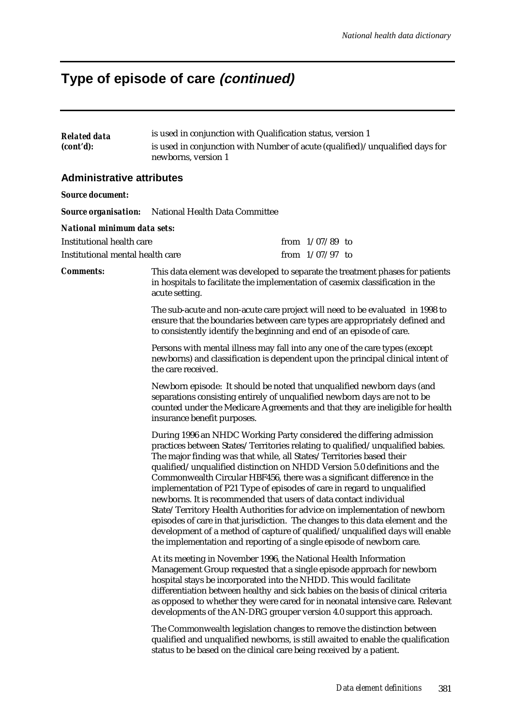# **Type of episode of care (continued)**

| <b>Related data</b><br>(cont'd):                                                                                                                                                                                                   | is used in conjunction with Qualification status, version 1<br>is used in conjunction with Number of acute (qualified)/unqualified days for<br>newborns, version 1                                                                                                                                                                                                                                                                                                                                                                                                                                                                                                                                                                                                                                                                                               |                                                                                                                                                                 |  |  |  |
|------------------------------------------------------------------------------------------------------------------------------------------------------------------------------------------------------------------------------------|------------------------------------------------------------------------------------------------------------------------------------------------------------------------------------------------------------------------------------------------------------------------------------------------------------------------------------------------------------------------------------------------------------------------------------------------------------------------------------------------------------------------------------------------------------------------------------------------------------------------------------------------------------------------------------------------------------------------------------------------------------------------------------------------------------------------------------------------------------------|-----------------------------------------------------------------------------------------------------------------------------------------------------------------|--|--|--|
| <b>Administrative attributes</b>                                                                                                                                                                                                   |                                                                                                                                                                                                                                                                                                                                                                                                                                                                                                                                                                                                                                                                                                                                                                                                                                                                  |                                                                                                                                                                 |  |  |  |
| <b>Source document:</b>                                                                                                                                                                                                            |                                                                                                                                                                                                                                                                                                                                                                                                                                                                                                                                                                                                                                                                                                                                                                                                                                                                  |                                                                                                                                                                 |  |  |  |
|                                                                                                                                                                                                                                    |                                                                                                                                                                                                                                                                                                                                                                                                                                                                                                                                                                                                                                                                                                                                                                                                                                                                  |                                                                                                                                                                 |  |  |  |
|                                                                                                                                                                                                                                    | <b>Source organisation:</b> National Health Data Committee                                                                                                                                                                                                                                                                                                                                                                                                                                                                                                                                                                                                                                                                                                                                                                                                       |                                                                                                                                                                 |  |  |  |
| National minimum data sets:<br><b>Institutional health care</b>                                                                                                                                                                    | from $1/07/89$ to                                                                                                                                                                                                                                                                                                                                                                                                                                                                                                                                                                                                                                                                                                                                                                                                                                                |                                                                                                                                                                 |  |  |  |
| Institutional mental health care                                                                                                                                                                                                   | from $1/07/97$ to                                                                                                                                                                                                                                                                                                                                                                                                                                                                                                                                                                                                                                                                                                                                                                                                                                                |                                                                                                                                                                 |  |  |  |
| <b>Comments:</b>                                                                                                                                                                                                                   | acute setting.                                                                                                                                                                                                                                                                                                                                                                                                                                                                                                                                                                                                                                                                                                                                                                                                                                                   | This data element was developed to separate the treatment phases for patients<br>in hospitals to facilitate the implementation of casemix classification in the |  |  |  |
|                                                                                                                                                                                                                                    | The sub-acute and non-acute care project will need to be evaluated in 1998 to<br>ensure that the boundaries between care types are appropriately defined and<br>to consistently identify the beginning and end of an episode of care.                                                                                                                                                                                                                                                                                                                                                                                                                                                                                                                                                                                                                            |                                                                                                                                                                 |  |  |  |
|                                                                                                                                                                                                                                    | Persons with mental illness may fall into any one of the care types (except<br>newborns) and classification is dependent upon the principal clinical intent of<br>the care received.                                                                                                                                                                                                                                                                                                                                                                                                                                                                                                                                                                                                                                                                             |                                                                                                                                                                 |  |  |  |
|                                                                                                                                                                                                                                    | Newborn episode: It should be noted that unqualified newborn days (and<br>separations consisting entirely of unqualified newborn days are not to be<br>counted under the Medicare Agreements and that they are ineligible for health<br>insurance benefit purposes.                                                                                                                                                                                                                                                                                                                                                                                                                                                                                                                                                                                              |                                                                                                                                                                 |  |  |  |
|                                                                                                                                                                                                                                    | During 1996 an NHDC Working Party considered the differing admission<br>practices between States/Territories relating to qualified/unqualified babies.<br>The major finding was that while, all States/Territories based their<br>qualified/unqualified distinction on NHDD Version 5.0 definitions and the<br>Commonwealth Circular HBF456, there was a significant difference in the<br>implementation of P21 Type of episodes of care in regard to unqualified<br>newborns. It is recommended that users of data contact individual<br>State/Territory Health Authorities for advice on implementation of newborn<br>episodes of care in that jurisdiction. The changes to this data element and the<br>development of a method of capture of qualified/unqualified days will enable<br>the implementation and reporting of a single episode of newborn care. |                                                                                                                                                                 |  |  |  |
|                                                                                                                                                                                                                                    | At its meeting in November 1996, the National Health Information<br>Management Group requested that a single episode approach for newborn<br>hospital stays be incorporated into the NHDD. This would facilitate<br>differentiation between healthy and sick babies on the basis of clinical criteria<br>as opposed to whether they were cared for in neonatal intensive care. Relevant<br>developments of the AN-DRG grouper version 4.0 support this approach.                                                                                                                                                                                                                                                                                                                                                                                                 |                                                                                                                                                                 |  |  |  |
| The Commonwealth legislation changes to remove the distinction between<br>qualified and unqualified newborns, is still awaited to enable the qualification<br>status to be based on the clinical care being received by a patient. |                                                                                                                                                                                                                                                                                                                                                                                                                                                                                                                                                                                                                                                                                                                                                                                                                                                                  |                                                                                                                                                                 |  |  |  |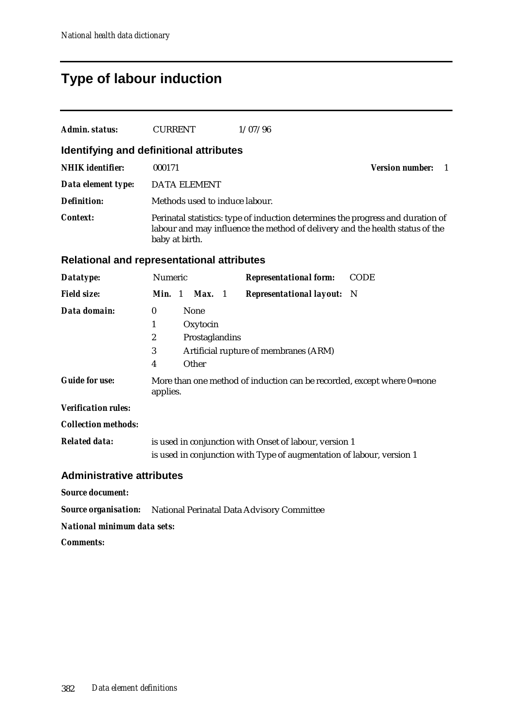### **Type of labour induction**

| Admin. status:                                                                              | <b>CURRENT</b>                                                                                                                                                                    | 1/07/96                               |                              |
|---------------------------------------------------------------------------------------------|-----------------------------------------------------------------------------------------------------------------------------------------------------------------------------------|---------------------------------------|------------------------------|
|                                                                                             | Identifying and definitional attributes                                                                                                                                           |                                       |                              |
| <b>NHIK</b> identifier:                                                                     | 000171                                                                                                                                                                            |                                       | <b>Version number:</b><br>-1 |
| Data element type:                                                                          | <b>DATA ELEMENT</b>                                                                                                                                                               |                                       |                              |
| <b>Definition:</b>                                                                          | Methods used to induce labour.                                                                                                                                                    |                                       |                              |
| <b>Context:</b>                                                                             | Perinatal statistics: type of induction determines the progress and duration of<br>labour and may influence the method of delivery and the health status of the<br>baby at birth. |                                       |                              |
|                                                                                             | <b>Relational and representational attributes</b>                                                                                                                                 |                                       |                              |
| Datatype:                                                                                   | Numeric                                                                                                                                                                           | <b>Representational form:</b>         | <b>CODE</b>                  |
| <b>Field size:</b>                                                                          | Min. 1<br><b>Max.</b> 1                                                                                                                                                           | <b>Representational layout:</b>       | -N                           |
| Data domain:                                                                                | $\bf{0}$<br>None<br>1<br>Oxytocin<br>$\boldsymbol{2}$<br>Prostaglandins<br>3<br>Other<br>4                                                                                        | Artificial rupture of membranes (ARM) |                              |
| <b>Guide for use:</b>                                                                       | More than one method of induction can be recorded, except where 0=none<br>applies.                                                                                                |                                       |                              |
| <b>Verification rules:</b>                                                                  |                                                                                                                                                                                   |                                       |                              |
| <b>Collection methods:</b>                                                                  |                                                                                                                                                                                   |                                       |                              |
| <b>Related data:</b><br>وبالملائم والمسارق والمتعارض المتناور<br>المنافذ والمتلفظ والمستندر | is used in conjunction with Onset of labour, version 1<br>is used in conjunction with Type of augmentation of labour, version 1                                                   |                                       |                              |

#### **Administrative attributes**

*Source document:*

*Source organisation:* National Perinatal Data Advisory Committee

*National minimum data sets:*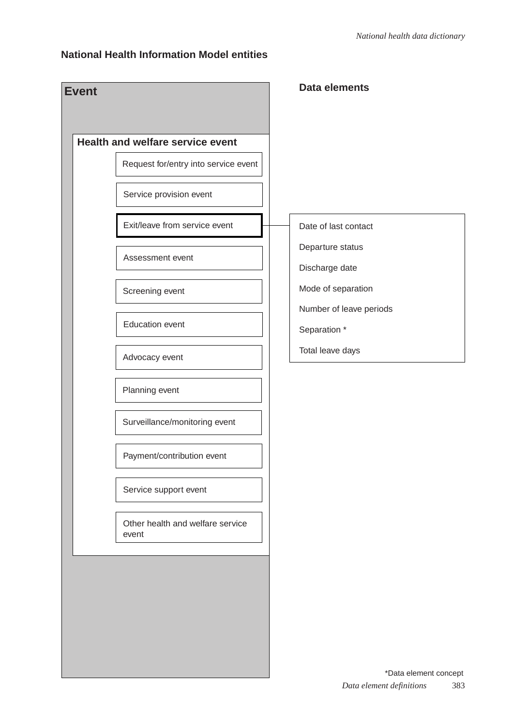#### **National Health Information Model entities**

| <b>Event</b>                              | <b>Data elements</b>                    |
|-------------------------------------------|-----------------------------------------|
| <b>Health and welfare service event</b>   |                                         |
| Request for/entry into service event      |                                         |
| Service provision event                   |                                         |
| Exit/leave from service event             | Date of last contact                    |
| Assessment event                          | Departure status<br>Discharge date      |
| Screening event                           | Mode of separation                      |
| <b>Education event</b>                    | Number of leave periods<br>Separation * |
| Advocacy event                            | Total leave days                        |
| Planning event                            |                                         |
| Surveillance/monitoring event             |                                         |
| Payment/contribution event                |                                         |
| Service support event                     |                                         |
| Other health and welfare service<br>event |                                         |
|                                           |                                         |
|                                           |                                         |
|                                           |                                         |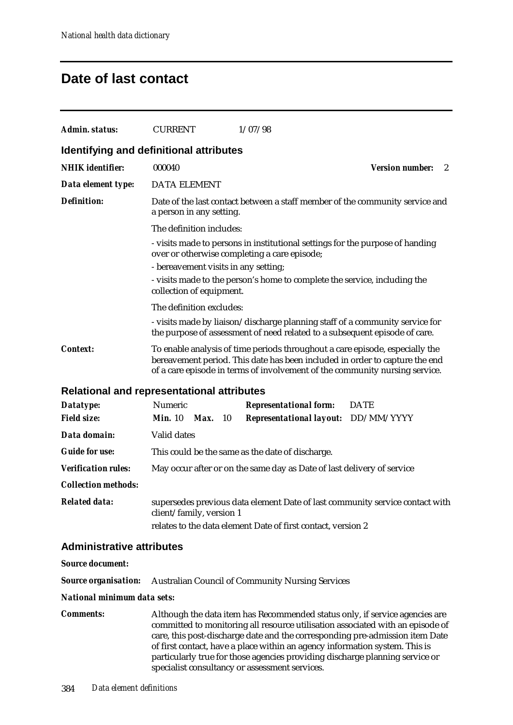### **Date of last contact**

| Admin. status:                                    | <b>CURRENT</b>           |      |           | 1/07/98                                                                                                                                                                                                                                    |                                        |
|---------------------------------------------------|--------------------------|------|-----------|--------------------------------------------------------------------------------------------------------------------------------------------------------------------------------------------------------------------------------------------|----------------------------------------|
| Identifying and definitional attributes           |                          |      |           |                                                                                                                                                                                                                                            |                                        |
| <b>NHIK</b> identifier:                           | 000040                   |      |           |                                                                                                                                                                                                                                            | <b>Version number:</b><br>$\mathbf{2}$ |
| Data element type:                                | <b>DATA ELEMENT</b>      |      |           |                                                                                                                                                                                                                                            |                                        |
| <b>Definition:</b>                                | a person in any setting. |      |           | Date of the last contact between a staff member of the community service and                                                                                                                                                               |                                        |
|                                                   | The definition includes: |      |           |                                                                                                                                                                                                                                            |                                        |
|                                                   |                          |      |           | - visits made to persons in institutional settings for the purpose of handing<br>over or otherwise completing a care episode;                                                                                                              |                                        |
|                                                   |                          |      |           | - bereavement visits in any setting;                                                                                                                                                                                                       |                                        |
|                                                   | collection of equipment. |      |           | - visits made to the person's home to complete the service, including the                                                                                                                                                                  |                                        |
|                                                   |                          |      |           |                                                                                                                                                                                                                                            |                                        |
|                                                   |                          |      |           | - visits made by liaison/discharge planning staff of a community service for<br>the purpose of assessment of need related to a subsequent episode of care.                                                                                 |                                        |
| <b>Context:</b>                                   |                          |      |           | To enable analysis of time periods throughout a care episode, especially the<br>bereavement period. This date has been included in order to capture the end<br>of a care episode in terms of involvement of the community nursing service. |                                        |
| <b>Relational and representational attributes</b> |                          |      |           |                                                                                                                                                                                                                                            |                                        |
| Datatype:                                         | Numeric                  |      |           | <b>Representational form:</b>                                                                                                                                                                                                              | <b>DATE</b>                            |
| <b>Field size:</b>                                | <b>Min.</b> 10           | Max. | <b>10</b> | Representational layout: DD/MM/YYYY                                                                                                                                                                                                        |                                        |
| Data domain:                                      | Valid dates              |      |           |                                                                                                                                                                                                                                            |                                        |
| <b>Guide for use:</b>                             |                          |      |           | This could be the same as the date of discharge.                                                                                                                                                                                           |                                        |
| <b>Verification rules:</b>                        |                          |      |           | May occur after or on the same day as Date of last delivery of service                                                                                                                                                                     |                                        |
| <b>Collection methods:</b>                        |                          |      |           |                                                                                                                                                                                                                                            |                                        |
| Related data:                                     | client/family, version 1 |      |           | supersedes previous data element Date of last community service contact with                                                                                                                                                               |                                        |
|                                                   |                          |      |           | relates to the data element Date of first contact, version 2                                                                                                                                                                               |                                        |
| <b>Administrative attributes</b>                  |                          |      |           |                                                                                                                                                                                                                                            |                                        |
| <b>Source document:</b>                           |                          |      |           |                                                                                                                                                                                                                                            |                                        |
|                                                   |                          |      |           | <b>Source organisation:</b> Australian Council of Community Nursing Services                                                                                                                                                               |                                        |
| <b>National minimum data sets:</b>                |                          |      |           |                                                                                                                                                                                                                                            |                                        |
| <b>Comments:</b>                                  |                          |      |           | Although the data item has Recommended status only, if service agencies are<br>tthe d to menitoring all recourses utilication accordated with                                                                                              |                                        |

committed to monitoring all resource utilisation associated with an episode of care, this post-discharge date and the corresponding pre-admission item Date of first contact, have a place within an agency information system. This is particularly true for those agencies providing discharge planning service or specialist consultancy or assessment services.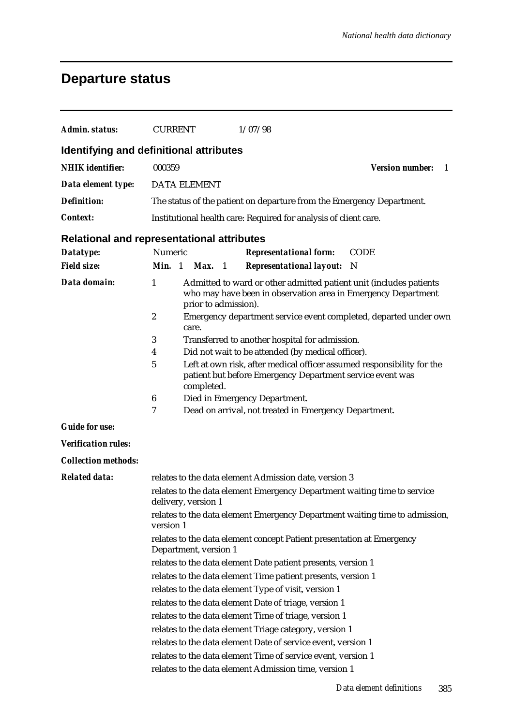## **Departure status**

| <b>Admin. status:</b>      | <b>CURRENT</b><br>1/07/98                                                                                                                                                   |
|----------------------------|-----------------------------------------------------------------------------------------------------------------------------------------------------------------------------|
|                            | Identifying and definitional attributes                                                                                                                                     |
| <b>NHIK</b> identifier:    | <b>Version number:</b><br>000359<br>1                                                                                                                                       |
| Data element type:         | <b>DATA ELEMENT</b>                                                                                                                                                         |
| <b>Definition:</b>         | The status of the patient on departure from the Emergency Department.                                                                                                       |
| <b>Context:</b>            | Institutional health care: Required for analysis of client care.                                                                                                            |
|                            | <b>Relational and representational attributes</b>                                                                                                                           |
| Datatype:                  | Numeric<br><b>Representational form:</b><br><b>CODE</b>                                                                                                                     |
| <b>Field size:</b>         | Min. 1<br>Max. 1<br><b>Representational layout:</b><br>N                                                                                                                    |
| Data domain:               | $\mathbf{1}$<br>Admitted to ward or other admitted patient unit (includes patients<br>who may have been in observation area in Emergency Department<br>prior to admission). |
|                            | $\boldsymbol{2}$<br>Emergency department service event completed, departed under own<br>care.                                                                               |
|                            | 3<br>Transferred to another hospital for admission.                                                                                                                         |
|                            | Did not wait to be attended (by medical officer).<br>4                                                                                                                      |
|                            | 5<br>Left at own risk, after medical officer assumed responsibility for the<br>patient but before Emergency Department service event was<br>completed.                      |
|                            | 6<br>Died in Emergency Department.                                                                                                                                          |
|                            | 7<br>Dead on arrival, not treated in Emergency Department.                                                                                                                  |
| <b>Guide for use:</b>      |                                                                                                                                                                             |
| <b>Verification rules:</b> |                                                                                                                                                                             |
| <b>Collection methods:</b> |                                                                                                                                                                             |
| <b>Related data:</b>       | relates to the data element Admission date, version 3                                                                                                                       |
|                            | relates to the data element Emergency Department waiting time to service<br>delivery, version 1                                                                             |
|                            | relates to the data element Emergency Department waiting time to admission,<br>version 1                                                                                    |
|                            | relates to the data element concept Patient presentation at Emergency<br>Department, version 1                                                                              |
|                            | relates to the data element Date patient presents, version 1                                                                                                                |
|                            | relates to the data element Time patient presents, version 1                                                                                                                |
|                            | relates to the data element Type of visit, version 1                                                                                                                        |
|                            | relates to the data element Date of triage, version 1                                                                                                                       |
|                            | relates to the data element Time of triage, version 1                                                                                                                       |
|                            | relates to the data element Triage category, version 1                                                                                                                      |
|                            | relates to the data element Date of service event, version 1                                                                                                                |
|                            | relates to the data element Time of service event, version 1                                                                                                                |
|                            | relates to the data element Admission time, version 1                                                                                                                       |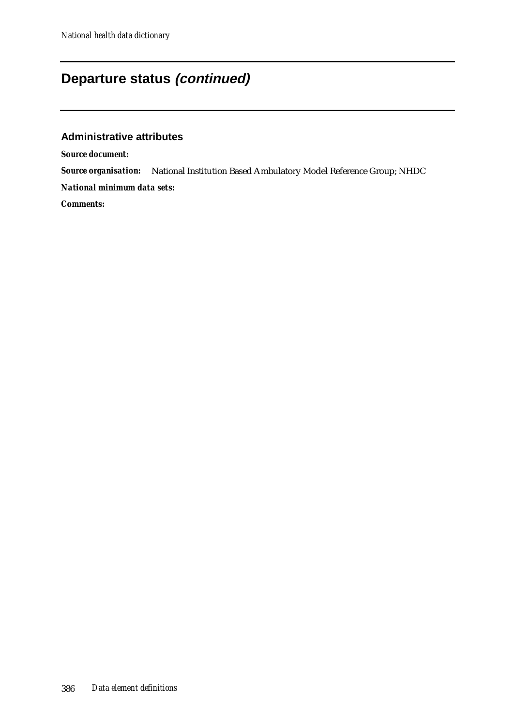### **Departure status (continued)**

#### **Administrative attributes**

*Source document:*

*Source organisation:* National Institution Based Ambulatory Model Reference Group; NHDC

*National minimum data sets:*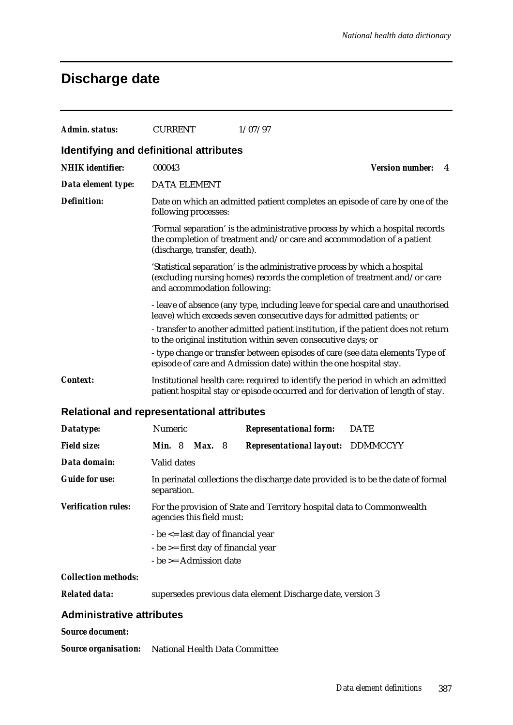## **Discharge date**

| Admin. status:                                    | <b>CURRENT</b>                | 1/07/97                                                                                                                                                            |                        |   |
|---------------------------------------------------|-------------------------------|--------------------------------------------------------------------------------------------------------------------------------------------------------------------|------------------------|---|
| Identifying and definitional attributes           |                               |                                                                                                                                                                    |                        |   |
| <b>NHIK</b> identifier:                           | 000043                        |                                                                                                                                                                    | <b>Version number:</b> | 4 |
| Data element type:                                | <b>DATA ELEMENT</b>           |                                                                                                                                                                    |                        |   |
| <b>Definition:</b>                                | following processes:          | Date on which an admitted patient completes an episode of care by one of the                                                                                       |                        |   |
|                                                   | (discharge, transfer, death). | 'Formal separation' is the administrative process by which a hospital records<br>the completion of treatment and/or care and accommodation of a patient            |                        |   |
|                                                   | and accommodation following:  | 'Statistical separation' is the administrative process by which a hospital<br>(excluding nursing homes) records the completion of treatment and/or care            |                        |   |
|                                                   |                               | - leave of absence (any type, including leave for special care and unauthorised<br>leave) which exceeds seven consecutive days for admitted patients; or           |                        |   |
|                                                   |                               | - transfer to another admitted patient institution, if the patient does not return<br>to the original institution within seven consecutive days; or                |                        |   |
|                                                   |                               | - type change or transfer between episodes of care (see data elements Type of<br>episode of care and Admission date) within the one hospital stay.                 |                        |   |
| Context:                                          |                               | Institutional health care: required to identify the period in which an admitted<br>patient hospital stay or episode occurred and for derivation of length of stay. |                        |   |
| <b>Relational and representational attributes</b> |                               |                                                                                                                                                                    |                        |   |

| Datatype:                  | Numeric                                                                                             |  |       |  | <b>Representational form:</b>                              | <b>DATE</b> |
|----------------------------|-----------------------------------------------------------------------------------------------------|--|-------|--|------------------------------------------------------------|-------------|
| <b>Field size:</b>         | <b>Min.</b> 8                                                                                       |  | Max.8 |  | <b>Representational layout: DDMMCCYY</b>                   |             |
| Data domain:               | Valid dates                                                                                         |  |       |  |                                                            |             |
| <b>Guide for use:</b>      | In perinatal collections the discharge date provided is to be the date of formal<br>separation.     |  |       |  |                                                            |             |
| <b>Verification rules:</b> | For the provision of State and Territory hospital data to Commonwealth<br>agencies this field must: |  |       |  |                                                            |             |
|                            | $-be \leq -$ last day of financial year                                                             |  |       |  |                                                            |             |
|                            | $-be$ >= first day of financial year                                                                |  |       |  |                                                            |             |
|                            | $-be$ >= Admission date                                                                             |  |       |  |                                                            |             |
| <b>Collection methods:</b> |                                                                                                     |  |       |  |                                                            |             |
| <b>Related data:</b>       |                                                                                                     |  |       |  | supersedes previous data element Discharge date, version 3 |             |

#### **Administrative attributes**

#### *Source document:*

*Source organisation:* National Health Data Committee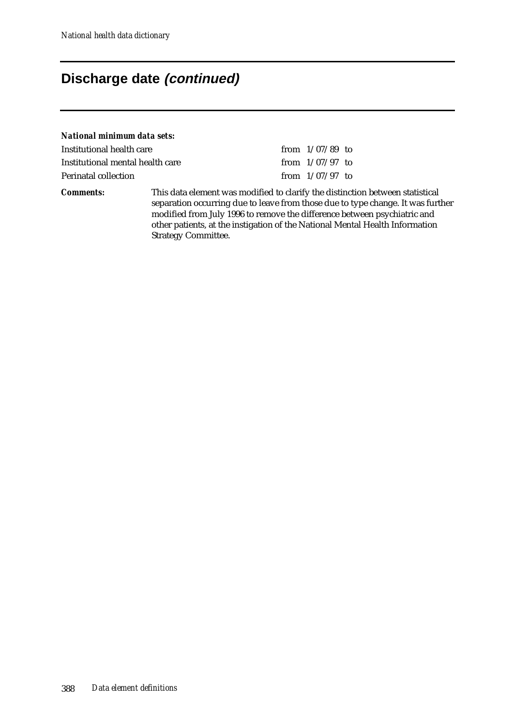### **Discharge date (continued)**

#### *National minimum data sets:*

| Institutional health care        | from $1/07/89$ to |  |
|----------------------------------|-------------------|--|
| Institutional mental health care | from $1/07/97$ to |  |
| Perinatal collection             | from $1/07/97$ to |  |

*Comments:* This data element was modified to clarify the distinction between statistical separation occurring due to leave from those due to type change. It was further modified from July 1996 to remove the difference between psychiatric and other patients, at the instigation of the National Mental Health Information Strategy Committee.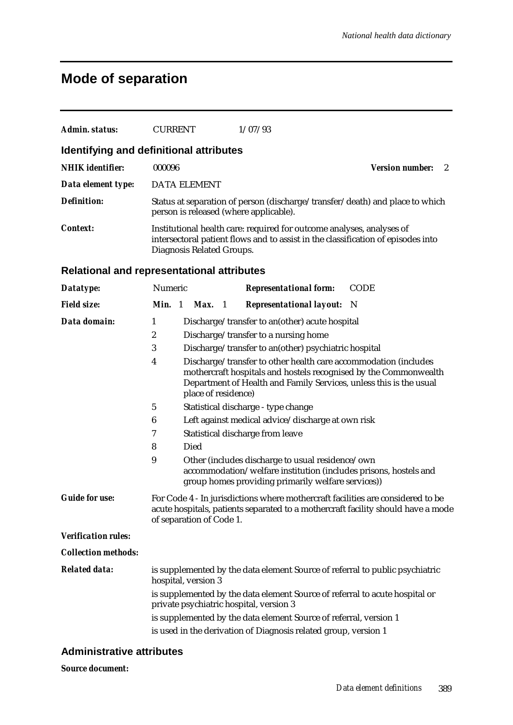# **Mode of separation**

| Admin. status:                                    | <b>CURRENT</b>                                                                                                                                                                                                                                                                                                                                                        |                                                                                                                                                                                        | 1/07/93                                                                                                                                                                                                                                                                                                                                                                                                                                                                                                                                                                                              |                                                                  |  |  |  |
|---------------------------------------------------|-----------------------------------------------------------------------------------------------------------------------------------------------------------------------------------------------------------------------------------------------------------------------------------------------------------------------------------------------------------------------|----------------------------------------------------------------------------------------------------------------------------------------------------------------------------------------|------------------------------------------------------------------------------------------------------------------------------------------------------------------------------------------------------------------------------------------------------------------------------------------------------------------------------------------------------------------------------------------------------------------------------------------------------------------------------------------------------------------------------------------------------------------------------------------------------|------------------------------------------------------------------|--|--|--|
| Identifying and definitional attributes           |                                                                                                                                                                                                                                                                                                                                                                       |                                                                                                                                                                                        |                                                                                                                                                                                                                                                                                                                                                                                                                                                                                                                                                                                                      |                                                                  |  |  |  |
| <b>NHIK</b> identifier:                           | 000096                                                                                                                                                                                                                                                                                                                                                                |                                                                                                                                                                                        |                                                                                                                                                                                                                                                                                                                                                                                                                                                                                                                                                                                                      | <b>Version number:</b><br>2                                      |  |  |  |
| Data element type:                                | <b>DATA ELEMENT</b>                                                                                                                                                                                                                                                                                                                                                   |                                                                                                                                                                                        |                                                                                                                                                                                                                                                                                                                                                                                                                                                                                                                                                                                                      |                                                                  |  |  |  |
| <b>Definition:</b>                                |                                                                                                                                                                                                                                                                                                                                                                       | Status at separation of person (discharge/transfer/death) and place to which<br>person is released (where applicable).                                                                 |                                                                                                                                                                                                                                                                                                                                                                                                                                                                                                                                                                                                      |                                                                  |  |  |  |
| Context:                                          |                                                                                                                                                                                                                                                                                                                                                                       | Institutional health care: required for outcome analyses, analyses of<br>intersectoral patient flows and to assist in the classification of episodes into<br>Diagnosis Related Groups. |                                                                                                                                                                                                                                                                                                                                                                                                                                                                                                                                                                                                      |                                                                  |  |  |  |
| <b>Relational and representational attributes</b> |                                                                                                                                                                                                                                                                                                                                                                       |                                                                                                                                                                                        |                                                                                                                                                                                                                                                                                                                                                                                                                                                                                                                                                                                                      |                                                                  |  |  |  |
| Datatype:                                         | Numeric                                                                                                                                                                                                                                                                                                                                                               |                                                                                                                                                                                        | <b>Representational form:</b>                                                                                                                                                                                                                                                                                                                                                                                                                                                                                                                                                                        | <b>CODE</b>                                                      |  |  |  |
| <b>Field size:</b>                                | Min. 1                                                                                                                                                                                                                                                                                                                                                                | Max.<br>$\blacksquare$                                                                                                                                                                 | <b>Representational layout:</b>                                                                                                                                                                                                                                                                                                                                                                                                                                                                                                                                                                      | N                                                                |  |  |  |
| Data domain:<br><b>Guide for use:</b>             | 1<br>2<br>3<br>4<br>$\mathbf 5$<br>$\boldsymbol{6}$<br>7<br>8<br>9                                                                                                                                                                                                                                                                                                    | place of residence)<br>Died                                                                                                                                                            | Discharge/transfer to an(other) acute hospital<br>Discharge/transfer to a nursing home<br>Discharge/transfer to an(other) psychiatric hospital<br>Discharge/transfer to other health care accommodation (includes<br>Department of Health and Family Services, unless this is the usual<br>Statistical discharge - type change<br>Left against medical advice/discharge at own risk<br>Statistical discharge from leave<br>Other (includes discharge to usual residence/own<br>accommodation/welfare institution (includes prisons, hostels and<br>group homes providing primarily welfare services) | mothercraft hospitals and hostels recognised by the Commonwealth |  |  |  |
|                                                   | For Code 4 - In jurisdictions where mothercraft facilities are considered to be<br>acute hospitals, patients separated to a mothercraft facility should have a mode<br>of separation of Code 1.                                                                                                                                                                       |                                                                                                                                                                                        |                                                                                                                                                                                                                                                                                                                                                                                                                                                                                                                                                                                                      |                                                                  |  |  |  |
| <b>Verification rules:</b>                        |                                                                                                                                                                                                                                                                                                                                                                       |                                                                                                                                                                                        |                                                                                                                                                                                                                                                                                                                                                                                                                                                                                                                                                                                                      |                                                                  |  |  |  |
| <b>Collection methods:</b>                        |                                                                                                                                                                                                                                                                                                                                                                       |                                                                                                                                                                                        |                                                                                                                                                                                                                                                                                                                                                                                                                                                                                                                                                                                                      |                                                                  |  |  |  |
| <b>Related data:</b>                              | is supplemented by the data element Source of referral to public psychiatric<br>hospital, version 3<br>is supplemented by the data element Source of referral to acute hospital or<br>private psychiatric hospital, version 3<br>is supplemented by the data element Source of referral, version 1<br>is used in the derivation of Diagnosis related group, version 1 |                                                                                                                                                                                        |                                                                                                                                                                                                                                                                                                                                                                                                                                                                                                                                                                                                      |                                                                  |  |  |  |

#### **Administrative attributes**

*Source document:*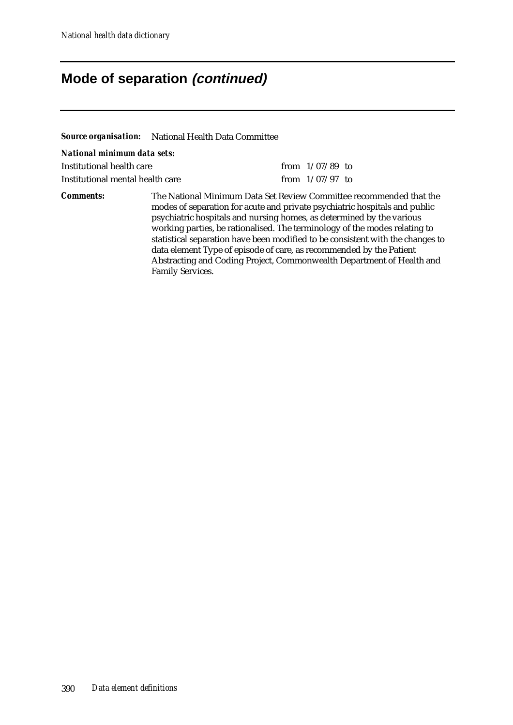# **Mode of separation (continued)**

|                                  | <b>Source organisation:</b> National Health Data Committee                                                                                                                                                                                                                                                                                                                                                                                                                                                                                                            |                   |  |
|----------------------------------|-----------------------------------------------------------------------------------------------------------------------------------------------------------------------------------------------------------------------------------------------------------------------------------------------------------------------------------------------------------------------------------------------------------------------------------------------------------------------------------------------------------------------------------------------------------------------|-------------------|--|
| National minimum data sets:      |                                                                                                                                                                                                                                                                                                                                                                                                                                                                                                                                                                       |                   |  |
| Institutional health care        |                                                                                                                                                                                                                                                                                                                                                                                                                                                                                                                                                                       | from $1/07/89$ to |  |
| Institutional mental health care |                                                                                                                                                                                                                                                                                                                                                                                                                                                                                                                                                                       | from $1/07/97$ to |  |
| <i>Comments:</i>                 | The National Minimum Data Set Review Committee recommended that the<br>modes of separation for acute and private psychiatric hospitals and public<br>psychiatric hospitals and nursing homes, as determined by the various<br>working parties, be rationalised. The terminology of the modes relating to<br>statistical separation have been modified to be consistent with the changes to<br>data element Type of episode of care, as recommended by the Patient<br>Abstracting and Coding Project, Commonwealth Department of Health and<br><b>Family Services.</b> |                   |  |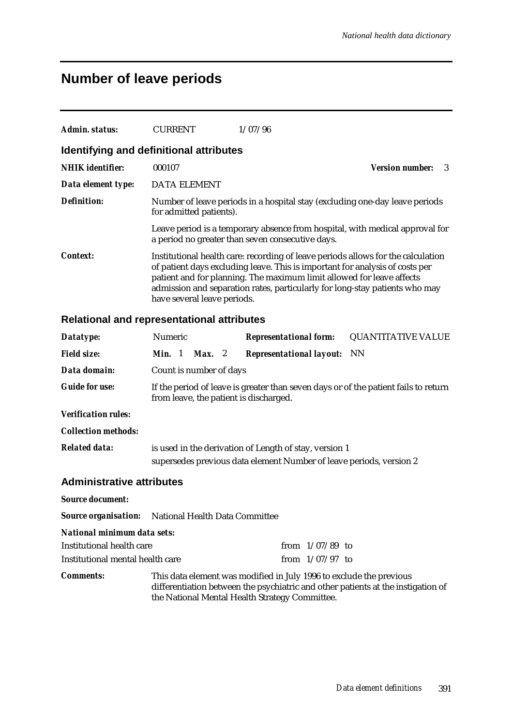### **Number of leave periods**

| Admin. status:     | <b>CURRENT</b>                          | 1/07/96                                                                                                                                                                                                                                                                                                                  |  |
|--------------------|-----------------------------------------|--------------------------------------------------------------------------------------------------------------------------------------------------------------------------------------------------------------------------------------------------------------------------------------------------------------------------|--|
|                    | Identifying and definitional attributes |                                                                                                                                                                                                                                                                                                                          |  |
| NHIK identifier:   | 000107                                  | <b>Version number:</b><br>- 3                                                                                                                                                                                                                                                                                            |  |
| Data element type: | <b>DATA ELEMENT</b>                     |                                                                                                                                                                                                                                                                                                                          |  |
| Definition:        | for admitted patients).                 | Number of leave periods in a hospital stay (excluding one-day leave periods                                                                                                                                                                                                                                              |  |
|                    |                                         | Leave period is a temporary absence from hospital, with medical approval for<br>a period no greater than seven consecutive days.                                                                                                                                                                                         |  |
| <i>Context:</i>    | have several leave periods.             | Institutional health care: recording of leave periods allows for the calculation<br>of patient days excluding leave. This is important for analysis of costs per<br>patient and for planning. The maximum limit allowed for leave affects<br>admission and separation rates, particularly for long-stay patients who may |  |

#### **Relational and representational attributes**

| Datatype:                        | Numeric                                                             |                                                                                                                               |          |  |                                    | <b>Representational form:</b> QUANTITATIVE VALUE |
|----------------------------------|---------------------------------------------------------------------|-------------------------------------------------------------------------------------------------------------------------------|----------|--|------------------------------------|--------------------------------------------------|
| <b>Field size:</b>               | <b>Min.</b> 1                                                       |                                                                                                                               | $Max.$ 2 |  | <b>Representational layout:</b> NN |                                                  |
| Data domain:                     | Count is number of days                                             |                                                                                                                               |          |  |                                    |                                                  |
| <b>Guide for use:</b>            |                                                                     | If the period of leave is greater than seven days or of the patient fails to return<br>from leave, the patient is discharged. |          |  |                                    |                                                  |
| <b>Verification rules:</b>       |                                                                     |                                                                                                                               |          |  |                                    |                                                  |
| <b>Collection methods:</b>       |                                                                     |                                                                                                                               |          |  |                                    |                                                  |
| <b>Related data:</b>             |                                                                     | is used in the derivation of Length of stay, version 1                                                                        |          |  |                                    |                                                  |
|                                  |                                                                     | supersedes previous data element Number of leave periods, version 2                                                           |          |  |                                    |                                                  |
| <b>Administrative attributes</b> |                                                                     |                                                                                                                               |          |  |                                    |                                                  |
| <b>Source document:</b>          |                                                                     |                                                                                                                               |          |  |                                    |                                                  |
|                                  |                                                                     | <b>Source organisation:</b> National Health Data Committee                                                                    |          |  |                                    |                                                  |
| National minimum data sets:      |                                                                     |                                                                                                                               |          |  |                                    |                                                  |
| Institutional health care        |                                                                     |                                                                                                                               |          |  | from $1/07/89$ to                  |                                                  |
| Institutional mental health care |                                                                     |                                                                                                                               |          |  | from $1/07/97$ to                  |                                                  |
| <b>Comments:</b>                 | This data element was modified in July 1996 to exclude the previous |                                                                                                                               |          |  |                                    |                                                  |

differentiation between the psychiatric and other patients at the instigation of the National Mental Health Strategy Committee.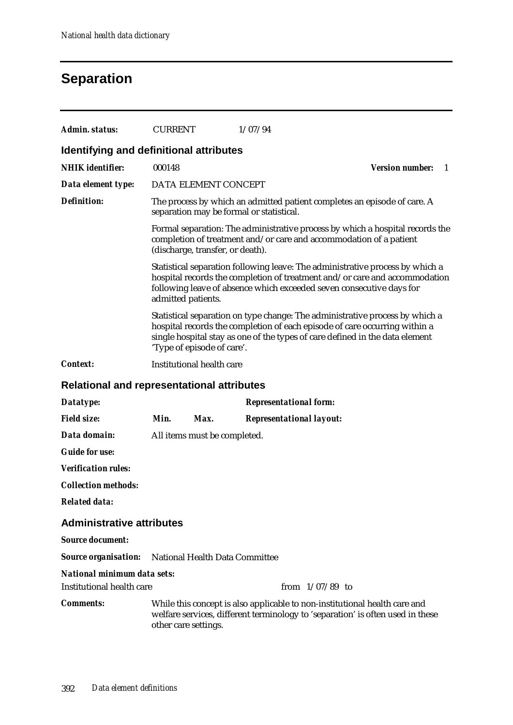# **Separation**

| Admin. status:                                             | <b>CURRENT</b>                   | 1/07/94                                                                                                                                                                                                                                    |                              |  |  |  |  |
|------------------------------------------------------------|----------------------------------|--------------------------------------------------------------------------------------------------------------------------------------------------------------------------------------------------------------------------------------------|------------------------------|--|--|--|--|
| Identifying and definitional attributes                    |                                  |                                                                                                                                                                                                                                            |                              |  |  |  |  |
| <b>NHIK</b> identifier:                                    | 000148                           |                                                                                                                                                                                                                                            | <b>Version number:</b><br>-1 |  |  |  |  |
| Data element type:                                         | DATA ELEMENT CONCEPT             |                                                                                                                                                                                                                                            |                              |  |  |  |  |
| <b>Definition:</b>                                         |                                  | The process by which an admitted patient completes an episode of care. A<br>separation may be formal or statistical.                                                                                                                       |                              |  |  |  |  |
|                                                            | (discharge, transfer, or death). | Formal separation: The administrative process by which a hospital records the<br>completion of treatment and/or care and accommodation of a patient                                                                                        |                              |  |  |  |  |
|                                                            | admitted patients.               | Statistical separation following leave: The administrative process by which a<br>hospital records the completion of treatment and/or care and accommodation<br>following leave of absence which exceeded seven consecutive days for        |                              |  |  |  |  |
|                                                            | 'Type of episode of care'.       | Statistical separation on type change: The administrative process by which a<br>hospital records the completion of each episode of care occurring within a<br>single hospital stay as one of the types of care defined in the data element |                              |  |  |  |  |
| <b>Context:</b>                                            |                                  | Institutional health care                                                                                                                                                                                                                  |                              |  |  |  |  |
| <b>Relational and representational attributes</b>          |                                  |                                                                                                                                                                                                                                            |                              |  |  |  |  |
| Datatype:                                                  |                                  | <b>Representational form:</b>                                                                                                                                                                                                              |                              |  |  |  |  |
| <b>Field size:</b>                                         | Min.<br>Max.                     | <b>Representational layout:</b>                                                                                                                                                                                                            |                              |  |  |  |  |
| Data domain:                                               | All items must be completed.     |                                                                                                                                                                                                                                            |                              |  |  |  |  |
| <b>Guide for use:</b>                                      |                                  |                                                                                                                                                                                                                                            |                              |  |  |  |  |
| <b>Verification rules:</b>                                 |                                  |                                                                                                                                                                                                                                            |                              |  |  |  |  |
| <b>Collection methods:</b>                                 |                                  |                                                                                                                                                                                                                                            |                              |  |  |  |  |
| <b>Related data:</b>                                       |                                  |                                                                                                                                                                                                                                            |                              |  |  |  |  |
| <b>Administrative attributes</b>                           |                                  |                                                                                                                                                                                                                                            |                              |  |  |  |  |
| <b>Source document:</b>                                    |                                  |                                                                                                                                                                                                                                            |                              |  |  |  |  |
| <b>Source organisation:</b> National Health Data Committee |                                  |                                                                                                                                                                                                                                            |                              |  |  |  |  |
| National minimum data sets:                                |                                  |                                                                                                                                                                                                                                            |                              |  |  |  |  |
| <b>Institutional health care</b>                           |                                  | from $1/07/89$ to                                                                                                                                                                                                                          |                              |  |  |  |  |
| <b>Comments:</b>                                           | other care settings.             | While this concept is also applicable to non-institutional health care and<br>welfare services, different terminology to 'separation' is often used in these                                                                               |                              |  |  |  |  |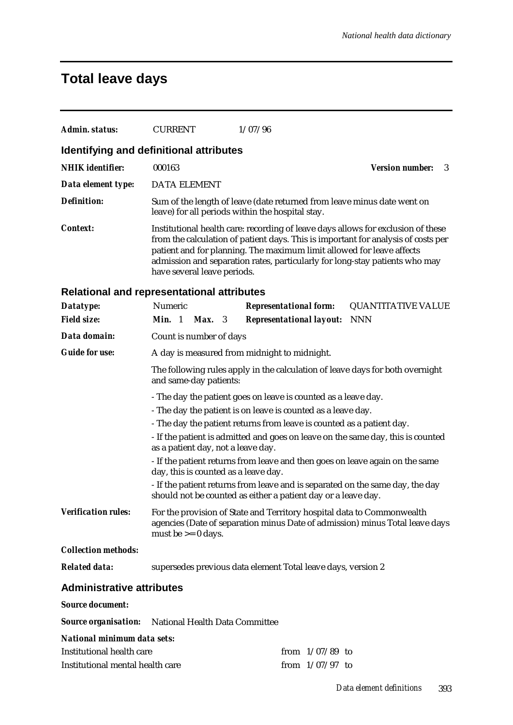# **Total leave days**

| <b>Admin. status:</b>                             | <b>CURRENT</b>                                                                                                                                                                                                                                                                                                                                               |                                                                                                                             | 1/07/96                                                                                                                                                  |                             |  |
|---------------------------------------------------|--------------------------------------------------------------------------------------------------------------------------------------------------------------------------------------------------------------------------------------------------------------------------------------------------------------------------------------------------------------|-----------------------------------------------------------------------------------------------------------------------------|----------------------------------------------------------------------------------------------------------------------------------------------------------|-----------------------------|--|
| Identifying and definitional attributes           |                                                                                                                                                                                                                                                                                                                                                              |                                                                                                                             |                                                                                                                                                          |                             |  |
| <b>NHIK</b> identifier:                           | 000163                                                                                                                                                                                                                                                                                                                                                       |                                                                                                                             |                                                                                                                                                          | <b>Version number:</b><br>3 |  |
| Data element type:                                | <b>DATA ELEMENT</b>                                                                                                                                                                                                                                                                                                                                          |                                                                                                                             |                                                                                                                                                          |                             |  |
| <b>Definition:</b>                                |                                                                                                                                                                                                                                                                                                                                                              | Sum of the length of leave (date returned from leave minus date went on<br>leave) for all periods within the hospital stay. |                                                                                                                                                          |                             |  |
| <b>Context:</b>                                   | Institutional health care: recording of leave days allows for exclusion of these<br>from the calculation of patient days. This is important for analysis of costs per<br>patient and for planning. The maximum limit allowed for leave affects<br>admission and separation rates, particularly for long-stay patients who may<br>have several leave periods. |                                                                                                                             |                                                                                                                                                          |                             |  |
| <b>Relational and representational attributes</b> |                                                                                                                                                                                                                                                                                                                                                              |                                                                                                                             |                                                                                                                                                          |                             |  |
| Datatype:                                         | Numeric                                                                                                                                                                                                                                                                                                                                                      |                                                                                                                             | <b>Representational form:</b>                                                                                                                            | <b>QUANTITATIVE VALUE</b>   |  |
| <b>Field size:</b>                                | Min. 1                                                                                                                                                                                                                                                                                                                                                       | Max. 3                                                                                                                      | <b>Representational layout:</b>                                                                                                                          | <b>NNN</b>                  |  |
| Data domain:                                      |                                                                                                                                                                                                                                                                                                                                                              | Count is number of days                                                                                                     |                                                                                                                                                          |                             |  |
| <b>Guide for use:</b>                             | A day is measured from midnight to midnight.                                                                                                                                                                                                                                                                                                                 |                                                                                                                             |                                                                                                                                                          |                             |  |
|                                                   | The following rules apply in the calculation of leave days for both overnight<br>and same-day patients:                                                                                                                                                                                                                                                      |                                                                                                                             |                                                                                                                                                          |                             |  |
|                                                   | - The day the patient goes on leave is counted as a leave day.                                                                                                                                                                                                                                                                                               |                                                                                                                             |                                                                                                                                                          |                             |  |
|                                                   |                                                                                                                                                                                                                                                                                                                                                              |                                                                                                                             | - The day the patient is on leave is counted as a leave day.                                                                                             |                             |  |
|                                                   | as a patient day, not a leave day.                                                                                                                                                                                                                                                                                                                           |                                                                                                                             | - The day the patient returns from leave is counted as a patient day.<br>- If the patient is admitted and goes on leave on the same day, this is counted |                             |  |
|                                                   | day, this is counted as a leave day.                                                                                                                                                                                                                                                                                                                         |                                                                                                                             | - If the patient returns from leave and then goes on leave again on the same                                                                             |                             |  |
|                                                   |                                                                                                                                                                                                                                                                                                                                                              |                                                                                                                             | - If the patient returns from leave and is separated on the same day, the day<br>should not be counted as either a patient day or a leave day.           |                             |  |
| <b>Verification rules:</b>                        | For the provision of State and Territory hospital data to Commonwealth<br>agencies (Date of separation minus Date of admission) minus Total leave days<br>must be $>= 0$ days.                                                                                                                                                                               |                                                                                                                             |                                                                                                                                                          |                             |  |
| <b>Collection methods:</b>                        |                                                                                                                                                                                                                                                                                                                                                              |                                                                                                                             |                                                                                                                                                          |                             |  |
| <b>Related data:</b>                              |                                                                                                                                                                                                                                                                                                                                                              |                                                                                                                             | supersedes previous data element Total leave days, version 2                                                                                             |                             |  |
| <b>Administrative attributes</b>                  |                                                                                                                                                                                                                                                                                                                                                              |                                                                                                                             |                                                                                                                                                          |                             |  |
| <b>Source document:</b>                           |                                                                                                                                                                                                                                                                                                                                                              |                                                                                                                             |                                                                                                                                                          |                             |  |
| <b>Source organisation:</b>                       | National Health Data Committee                                                                                                                                                                                                                                                                                                                               |                                                                                                                             |                                                                                                                                                          |                             |  |
| <b>National minimum data sets:</b>                |                                                                                                                                                                                                                                                                                                                                                              |                                                                                                                             |                                                                                                                                                          |                             |  |
| <b>Institutional health care</b>                  |                                                                                                                                                                                                                                                                                                                                                              |                                                                                                                             | from $1/07/89$ to                                                                                                                                        |                             |  |
| Institutional mental health care                  |                                                                                                                                                                                                                                                                                                                                                              |                                                                                                                             | from $1/07/97$ to                                                                                                                                        |                             |  |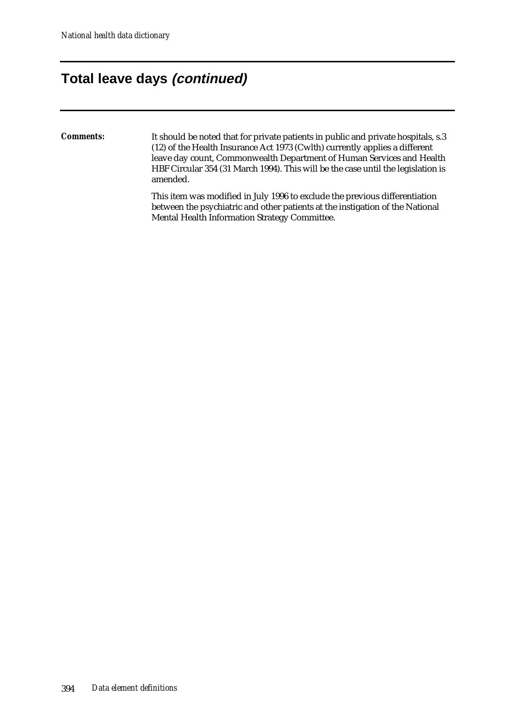### **Total leave days (continued)**

*Comments:* It should be noted that for private patients in public and private hospitals, s.3 (12) of the Health Insurance Act 1973 (Cwlth) currently applies a different leave day count, Commonwealth Department of Human Services and Health HBF Circular 354 (31 March 1994). This will be the case until the legislation is amended.

> This item was modified in July 1996 to exclude the previous differentiation between the psychiatric and other patients at the instigation of the National Mental Health Information Strategy Committee.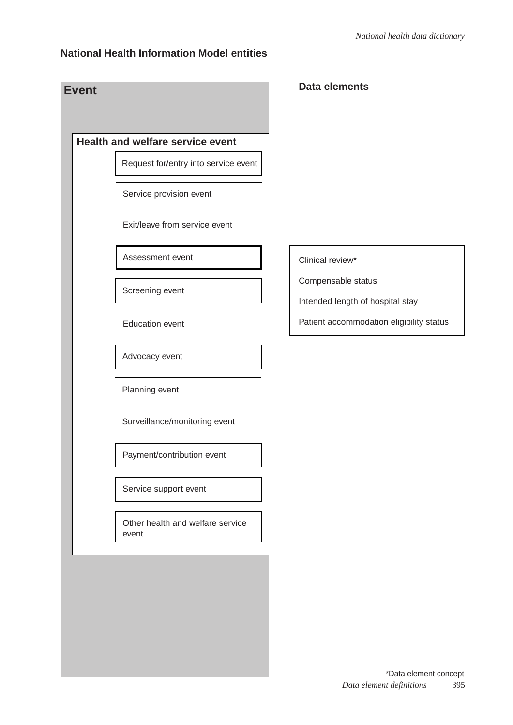#### **National Health Information Model entities**

| <b>Event</b> |                                           | Data elements                                          |
|--------------|-------------------------------------------|--------------------------------------------------------|
|              | <b>Health and welfare service event</b>   |                                                        |
|              | Request for/entry into service event      |                                                        |
|              | Service provision event                   |                                                        |
|              | Exit/leave from service event             |                                                        |
|              | Assessment event                          | Clinical review*                                       |
|              | Screening event                           | Compensable status<br>Intended length of hospital stay |
|              | <b>Education event</b>                    | Patient accommodation eligibility status               |
|              | Advocacy event                            |                                                        |
|              | Planning event                            |                                                        |
|              | Surveillance/monitoring event             |                                                        |
|              | Payment/contribution event                |                                                        |
|              | Service support event                     |                                                        |
|              | Other health and welfare service<br>event |                                                        |
|              |                                           |                                                        |
|              |                                           |                                                        |
|              |                                           |                                                        |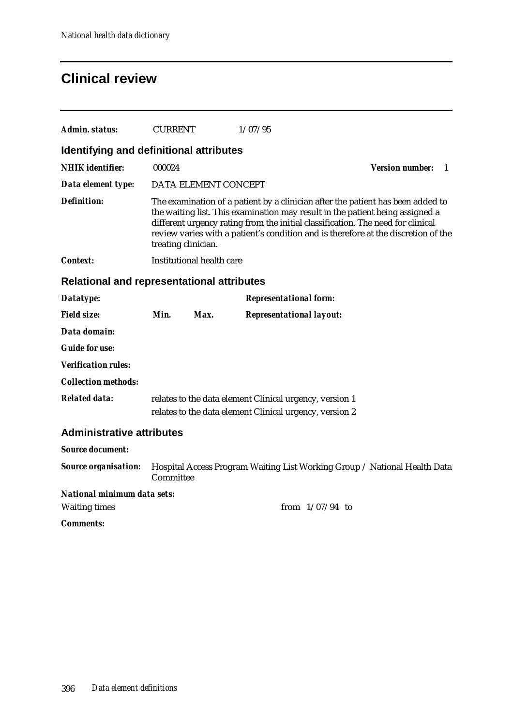### **Clinical review**

| Admin. status:                                    | <b>CURRENT</b> |                                                                                                                                                                                                                                                                                                                                                                  | 1/07/95                                                                                                            |                                                                           |  |  |
|---------------------------------------------------|----------------|------------------------------------------------------------------------------------------------------------------------------------------------------------------------------------------------------------------------------------------------------------------------------------------------------------------------------------------------------------------|--------------------------------------------------------------------------------------------------------------------|---------------------------------------------------------------------------|--|--|
| Identifying and definitional attributes           |                |                                                                                                                                                                                                                                                                                                                                                                  |                                                                                                                    |                                                                           |  |  |
| <b>NHIK</b> identifier:                           | 000024         |                                                                                                                                                                                                                                                                                                                                                                  |                                                                                                                    | <b>Version number:</b><br>- 1                                             |  |  |
| Data element type:                                |                | DATA ELEMENT CONCEPT                                                                                                                                                                                                                                                                                                                                             |                                                                                                                    |                                                                           |  |  |
| <b>Definition:</b>                                |                | The examination of a patient by a clinician after the patient has been added to<br>the waiting list. This examination may result in the patient being assigned a<br>different urgency rating from the initial classification. The need for clinical<br>review varies with a patient's condition and is therefore at the discretion of the<br>treating clinician. |                                                                                                                    |                                                                           |  |  |
| <b>Context:</b>                                   |                | <b>Institutional health care</b>                                                                                                                                                                                                                                                                                                                                 |                                                                                                                    |                                                                           |  |  |
| <b>Relational and representational attributes</b> |                |                                                                                                                                                                                                                                                                                                                                                                  |                                                                                                                    |                                                                           |  |  |
| Datatype:                                         |                |                                                                                                                                                                                                                                                                                                                                                                  | <b>Representational form:</b>                                                                                      |                                                                           |  |  |
| <b>Field size:</b>                                | Min.           | Max.                                                                                                                                                                                                                                                                                                                                                             | <b>Representational layout:</b>                                                                                    |                                                                           |  |  |
| Data domain:                                      |                |                                                                                                                                                                                                                                                                                                                                                                  |                                                                                                                    |                                                                           |  |  |
| <b>Guide for use:</b>                             |                |                                                                                                                                                                                                                                                                                                                                                                  |                                                                                                                    |                                                                           |  |  |
| <b>Verification rules:</b>                        |                |                                                                                                                                                                                                                                                                                                                                                                  |                                                                                                                    |                                                                           |  |  |
| <b>Collection methods:</b>                        |                |                                                                                                                                                                                                                                                                                                                                                                  |                                                                                                                    |                                                                           |  |  |
| <b>Related data:</b>                              |                |                                                                                                                                                                                                                                                                                                                                                                  | relates to the data element Clinical urgency, version 1<br>relates to the data element Clinical urgency, version 2 |                                                                           |  |  |
| <b>Administrative attributes</b>                  |                |                                                                                                                                                                                                                                                                                                                                                                  |                                                                                                                    |                                                                           |  |  |
| <b>Source document:</b>                           |                |                                                                                                                                                                                                                                                                                                                                                                  |                                                                                                                    |                                                                           |  |  |
| <b>Source organisation:</b>                       | Committee      |                                                                                                                                                                                                                                                                                                                                                                  |                                                                                                                    | Hospital Access Program Waiting List Working Group / National Health Data |  |  |
| National minimum data sets:                       |                |                                                                                                                                                                                                                                                                                                                                                                  |                                                                                                                    |                                                                           |  |  |
| <b>Waiting times</b>                              |                |                                                                                                                                                                                                                                                                                                                                                                  | from $1/07/94$ to                                                                                                  |                                                                           |  |  |
| <b>Comments:</b>                                  |                |                                                                                                                                                                                                                                                                                                                                                                  |                                                                                                                    |                                                                           |  |  |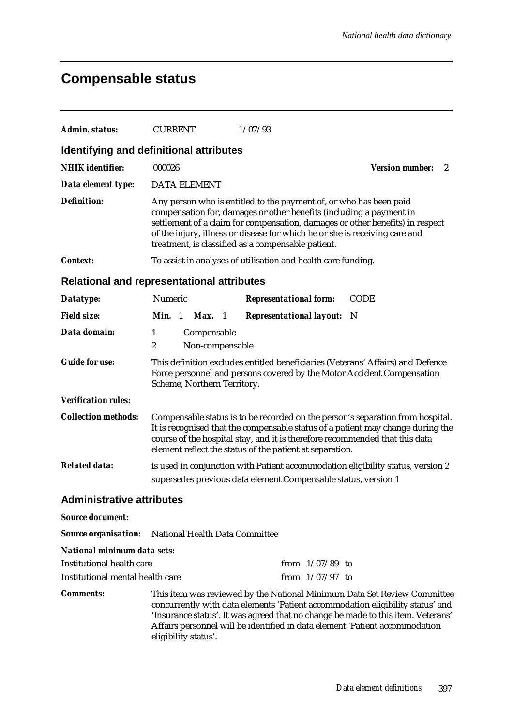# **Compensable status**

| Admin. status:                   | <b>CURRENT</b>                                                                                                                                                                                                                                                                                                                                                  | 1/07/93                                                                                                                                                                                                                                                                                                                       |                             |  |  |  |
|----------------------------------|-----------------------------------------------------------------------------------------------------------------------------------------------------------------------------------------------------------------------------------------------------------------------------------------------------------------------------------------------------------------|-------------------------------------------------------------------------------------------------------------------------------------------------------------------------------------------------------------------------------------------------------------------------------------------------------------------------------|-----------------------------|--|--|--|
|                                  | Identifying and definitional attributes                                                                                                                                                                                                                                                                                                                         |                                                                                                                                                                                                                                                                                                                               |                             |  |  |  |
| <b>NHIK</b> identifier:          | 000026                                                                                                                                                                                                                                                                                                                                                          |                                                                                                                                                                                                                                                                                                                               | <b>Version number:</b><br>2 |  |  |  |
| Data element type:               | <b>DATA ELEMENT</b>                                                                                                                                                                                                                                                                                                                                             |                                                                                                                                                                                                                                                                                                                               |                             |  |  |  |
| <b>Definition:</b>               | Any person who is entitled to the payment of, or who has been paid<br>compensation for, damages or other benefits (including a payment in<br>settlement of a claim for compensation, damages or other benefits) in respect<br>of the injury, illness or disease for which he or she is receiving care and<br>treatment, is classified as a compensable patient. |                                                                                                                                                                                                                                                                                                                               |                             |  |  |  |
| <b>Context:</b>                  |                                                                                                                                                                                                                                                                                                                                                                 | To assist in analyses of utilisation and health care funding.                                                                                                                                                                                                                                                                 |                             |  |  |  |
|                                  | <b>Relational and representational attributes</b>                                                                                                                                                                                                                                                                                                               |                                                                                                                                                                                                                                                                                                                               |                             |  |  |  |
| Datatype:                        | Numeric                                                                                                                                                                                                                                                                                                                                                         | <b>Representational form:</b>                                                                                                                                                                                                                                                                                                 | <b>CODE</b>                 |  |  |  |
| <b>Field size:</b>               | Min. 1<br><b>Max.</b> 1                                                                                                                                                                                                                                                                                                                                         | <b>Representational layout:</b>                                                                                                                                                                                                                                                                                               | - N                         |  |  |  |
| Data domain:                     | $\mathbf{1}$<br>Compensable<br>$\boldsymbol{2}$<br>Non-compensable                                                                                                                                                                                                                                                                                              |                                                                                                                                                                                                                                                                                                                               |                             |  |  |  |
| <b>Guide for use:</b>            | This definition excludes entitled beneficiaries (Veterans' Affairs) and Defence<br>Force personnel and persons covered by the Motor Accident Compensation<br>Scheme, Northern Territory.                                                                                                                                                                        |                                                                                                                                                                                                                                                                                                                               |                             |  |  |  |
| <b>Verification rules:</b>       |                                                                                                                                                                                                                                                                                                                                                                 |                                                                                                                                                                                                                                                                                                                               |                             |  |  |  |
| <b>Collection methods:</b>       | Compensable status is to be recorded on the person's separation from hospital.<br>It is recognised that the compensable status of a patient may change during the<br>course of the hospital stay, and it is therefore recommended that this data<br>element reflect the status of the patient at separation.                                                    |                                                                                                                                                                                                                                                                                                                               |                             |  |  |  |
| <b>Related data:</b>             |                                                                                                                                                                                                                                                                                                                                                                 | is used in conjunction with Patient accommodation eligibility status, version 2<br>supersedes previous data element Compensable status, version 1                                                                                                                                                                             |                             |  |  |  |
| <b>Administrative attributes</b> |                                                                                                                                                                                                                                                                                                                                                                 |                                                                                                                                                                                                                                                                                                                               |                             |  |  |  |
| <b>Source document:</b>          |                                                                                                                                                                                                                                                                                                                                                                 |                                                                                                                                                                                                                                                                                                                               |                             |  |  |  |
| <b>Source organisation:</b>      | National Health Data Committee                                                                                                                                                                                                                                                                                                                                  |                                                                                                                                                                                                                                                                                                                               |                             |  |  |  |
| National minimum data sets:      |                                                                                                                                                                                                                                                                                                                                                                 |                                                                                                                                                                                                                                                                                                                               |                             |  |  |  |
| <b>Institutional health care</b> |                                                                                                                                                                                                                                                                                                                                                                 | from $1/07/89$ to                                                                                                                                                                                                                                                                                                             |                             |  |  |  |
| Institutional mental health care |                                                                                                                                                                                                                                                                                                                                                                 | from $1/07/97$ to                                                                                                                                                                                                                                                                                                             |                             |  |  |  |
| <b>Comments:</b>                 | eligibility status'.                                                                                                                                                                                                                                                                                                                                            | This item was reviewed by the National Minimum Data Set Review Committee<br>concurrently with data elements 'Patient accommodation eligibility status' and<br>'Insurance status'. It was agreed that no change be made to this item. Veterans'<br>Affairs personnel will be identified in data element 'Patient accommodation |                             |  |  |  |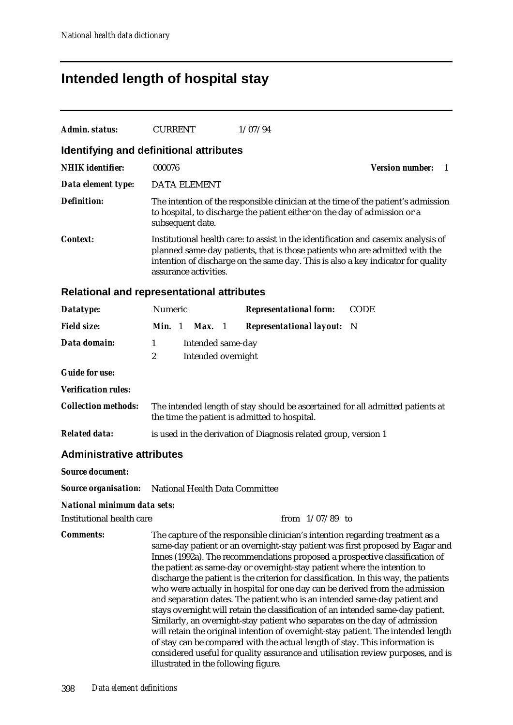### **Intended length of hospital stay**

| Admin. status:                   | <b>CURRENT</b>                                                 | 1/07/94                                                                                                                                                                                                                                                                                                                                                                                                                                                                                                                                                                                                                                                                                                                                                                                                                                                                                                            |                                        |
|----------------------------------|----------------------------------------------------------------|--------------------------------------------------------------------------------------------------------------------------------------------------------------------------------------------------------------------------------------------------------------------------------------------------------------------------------------------------------------------------------------------------------------------------------------------------------------------------------------------------------------------------------------------------------------------------------------------------------------------------------------------------------------------------------------------------------------------------------------------------------------------------------------------------------------------------------------------------------------------------------------------------------------------|----------------------------------------|
|                                  | Identifying and definitional attributes                        |                                                                                                                                                                                                                                                                                                                                                                                                                                                                                                                                                                                                                                                                                                                                                                                                                                                                                                                    |                                        |
| <b>NHIK</b> identifier:          | 000076                                                         |                                                                                                                                                                                                                                                                                                                                                                                                                                                                                                                                                                                                                                                                                                                                                                                                                                                                                                                    | <b>Version number:</b><br>$\mathbf{1}$ |
| Data element type:               | <b>DATA ELEMENT</b>                                            |                                                                                                                                                                                                                                                                                                                                                                                                                                                                                                                                                                                                                                                                                                                                                                                                                                                                                                                    |                                        |
| <b>Definition:</b>               | subsequent date.                                               | The intention of the responsible clinician at the time of the patient's admission<br>to hospital, to discharge the patient either on the day of admission or a                                                                                                                                                                                                                                                                                                                                                                                                                                                                                                                                                                                                                                                                                                                                                     |                                        |
| <b>Context:</b>                  | assurance activities.                                          | Institutional health care: to assist in the identification and casemix analysis of<br>planned same-day patients, that is those patients who are admitted with the<br>intention of discharge on the same day. This is also a key indicator for quality                                                                                                                                                                                                                                                                                                                                                                                                                                                                                                                                                                                                                                                              |                                        |
|                                  | <b>Relational and representational attributes</b>              |                                                                                                                                                                                                                                                                                                                                                                                                                                                                                                                                                                                                                                                                                                                                                                                                                                                                                                                    |                                        |
| Datatype:                        | Numeric                                                        | <b>Representational form:</b>                                                                                                                                                                                                                                                                                                                                                                                                                                                                                                                                                                                                                                                                                                                                                                                                                                                                                      | <b>CODE</b>                            |
| <b>Field size:</b>               | Min. 1<br>Max. 1                                               | <b>Representational layout:</b>                                                                                                                                                                                                                                                                                                                                                                                                                                                                                                                                                                                                                                                                                                                                                                                                                                                                                    | - N                                    |
| Data domain:                     | Intended same-day<br>1<br>$\overline{2}$<br>Intended overnight |                                                                                                                                                                                                                                                                                                                                                                                                                                                                                                                                                                                                                                                                                                                                                                                                                                                                                                                    |                                        |
| <b>Guide for use:</b>            |                                                                |                                                                                                                                                                                                                                                                                                                                                                                                                                                                                                                                                                                                                                                                                                                                                                                                                                                                                                                    |                                        |
| <b>Verification rules:</b>       |                                                                |                                                                                                                                                                                                                                                                                                                                                                                                                                                                                                                                                                                                                                                                                                                                                                                                                                                                                                                    |                                        |
| <b>Collection methods:</b>       |                                                                | The intended length of stay should be ascertained for all admitted patients at<br>the time the patient is admitted to hospital.                                                                                                                                                                                                                                                                                                                                                                                                                                                                                                                                                                                                                                                                                                                                                                                    |                                        |
| <b>Related data:</b>             |                                                                | is used in the derivation of Diagnosis related group, version 1                                                                                                                                                                                                                                                                                                                                                                                                                                                                                                                                                                                                                                                                                                                                                                                                                                                    |                                        |
| <b>Administrative attributes</b> |                                                                |                                                                                                                                                                                                                                                                                                                                                                                                                                                                                                                                                                                                                                                                                                                                                                                                                                                                                                                    |                                        |
| <b>Source document:</b>          |                                                                |                                                                                                                                                                                                                                                                                                                                                                                                                                                                                                                                                                                                                                                                                                                                                                                                                                                                                                                    |                                        |
| <b>Source organisation:</b>      | National Health Data Committee                                 |                                                                                                                                                                                                                                                                                                                                                                                                                                                                                                                                                                                                                                                                                                                                                                                                                                                                                                                    |                                        |
| National minimum data sets:      |                                                                |                                                                                                                                                                                                                                                                                                                                                                                                                                                                                                                                                                                                                                                                                                                                                                                                                                                                                                                    |                                        |
| <b>Institutional health care</b> |                                                                | from $1/07/89$ to                                                                                                                                                                                                                                                                                                                                                                                                                                                                                                                                                                                                                                                                                                                                                                                                                                                                                                  |                                        |
| <b>Comments:</b>                 |                                                                | The capture of the responsible clinician's intention regarding treatment as a<br>same-day patient or an overnight-stay patient was first proposed by Eagar and<br>Innes (1992a). The recommendations proposed a prospective classification of<br>the patient as same-day or overnight-stay patient where the intention to<br>discharge the patient is the criterion for classification. In this way, the patients<br>who were actually in hospital for one day can be derived from the admission<br>and separation dates. The patient who is an intended same-day patient and<br>stays overnight will retain the classification of an intended same-day patient.<br>Similarly, an overnight-stay patient who separates on the day of admission<br>will retain the original intention of overnight-stay patient. The intended length<br>of stay can be compared with the actual length of stay. This information is |                                        |

considered useful for quality assurance and utilisation review purposes, and is

illustrated in the following figure.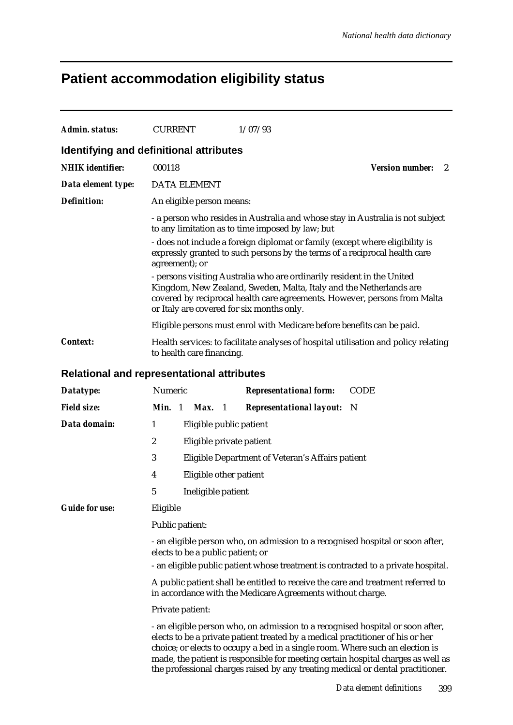## **Patient accommodation eligibility status**

| <b>Admin. status:</b>                             | <b>CURRENT</b>                                                                                                                                 | 1/07/93                                                                                                                                                                                                                                                                                                                               |             |  |  |  |
|---------------------------------------------------|------------------------------------------------------------------------------------------------------------------------------------------------|---------------------------------------------------------------------------------------------------------------------------------------------------------------------------------------------------------------------------------------------------------------------------------------------------------------------------------------|-------------|--|--|--|
| Identifying and definitional attributes           |                                                                                                                                                |                                                                                                                                                                                                                                                                                                                                       |             |  |  |  |
| <b>NHIK</b> identifier:                           | <b>Version number:</b><br>000118<br>2                                                                                                          |                                                                                                                                                                                                                                                                                                                                       |             |  |  |  |
| Data element type:                                | <b>DATA ELEMENT</b>                                                                                                                            |                                                                                                                                                                                                                                                                                                                                       |             |  |  |  |
| <b>Definition:</b>                                | An eligible person means:                                                                                                                      |                                                                                                                                                                                                                                                                                                                                       |             |  |  |  |
|                                                   |                                                                                                                                                | - a person who resides in Australia and whose stay in Australia is not subject<br>to any limitation as to time imposed by law; but                                                                                                                                                                                                    |             |  |  |  |
|                                                   | agreement); or                                                                                                                                 | - does not include a foreign diplomat or family (except where eligibility is<br>expressly granted to such persons by the terms of a reciprocal health care                                                                                                                                                                            |             |  |  |  |
|                                                   |                                                                                                                                                | - persons visiting Australia who are ordinarily resident in the United<br>Kingdom, New Zealand, Sweden, Malta, Italy and the Netherlands are<br>covered by reciprocal health care agreements. However, persons from Malta<br>or Italy are covered for six months only.                                                                |             |  |  |  |
|                                                   |                                                                                                                                                | Eligible persons must enrol with Medicare before benefits can be paid.                                                                                                                                                                                                                                                                |             |  |  |  |
| <b>Context:</b>                                   | Health services: to facilitate analyses of hospital utilisation and policy relating<br>to health care financing.                               |                                                                                                                                                                                                                                                                                                                                       |             |  |  |  |
| <b>Relational and representational attributes</b> |                                                                                                                                                |                                                                                                                                                                                                                                                                                                                                       |             |  |  |  |
| Datatype:                                         | Numeric                                                                                                                                        | <b>Representational form:</b>                                                                                                                                                                                                                                                                                                         | <b>CODE</b> |  |  |  |
| <b>Field size:</b>                                | Min. 1<br>Max.<br>$\overline{\mathbf{1}}$                                                                                                      | <b>Representational layout:</b>                                                                                                                                                                                                                                                                                                       | - N         |  |  |  |
| Data domain:                                      | 1<br>Eligible public patient                                                                                                                   |                                                                                                                                                                                                                                                                                                                                       |             |  |  |  |
|                                                   | $\boldsymbol{2}$                                                                                                                               | Eligible private patient                                                                                                                                                                                                                                                                                                              |             |  |  |  |
|                                                   | 3                                                                                                                                              | Eligible Department of Veteran's Affairs patient                                                                                                                                                                                                                                                                                      |             |  |  |  |
|                                                   | 4<br>Eligible other patient                                                                                                                    |                                                                                                                                                                                                                                                                                                                                       |             |  |  |  |
|                                                   | 5<br>Ineligible patient                                                                                                                        |                                                                                                                                                                                                                                                                                                                                       |             |  |  |  |
| <b>Guide for use:</b>                             | Eligible                                                                                                                                       |                                                                                                                                                                                                                                                                                                                                       |             |  |  |  |
|                                                   | Public patient:                                                                                                                                |                                                                                                                                                                                                                                                                                                                                       |             |  |  |  |
|                                                   | elects to be a public patient; or                                                                                                              | - an eligible person who, on admission to a recognised hospital or soon after,                                                                                                                                                                                                                                                        |             |  |  |  |
|                                                   | - an eligible public patient whose treatment is contracted to a private hospital.                                                              |                                                                                                                                                                                                                                                                                                                                       |             |  |  |  |
|                                                   | A public patient shall be entitled to receive the care and treatment referred to<br>in accordance with the Medicare Agreements without charge. |                                                                                                                                                                                                                                                                                                                                       |             |  |  |  |
|                                                   | Private patient:                                                                                                                               |                                                                                                                                                                                                                                                                                                                                       |             |  |  |  |
|                                                   |                                                                                                                                                | - an eligible person who, on admission to a recognised hospital or soon after,<br>elects to be a private patient treated by a medical practitioner of his or her<br>choice; or elects to occupy a bed in a single room. Where such an election is<br>made, the patient is responsible for meeting certain hospital charges as well as |             |  |  |  |

the professional charges raised by any treating medical or dental practitioner.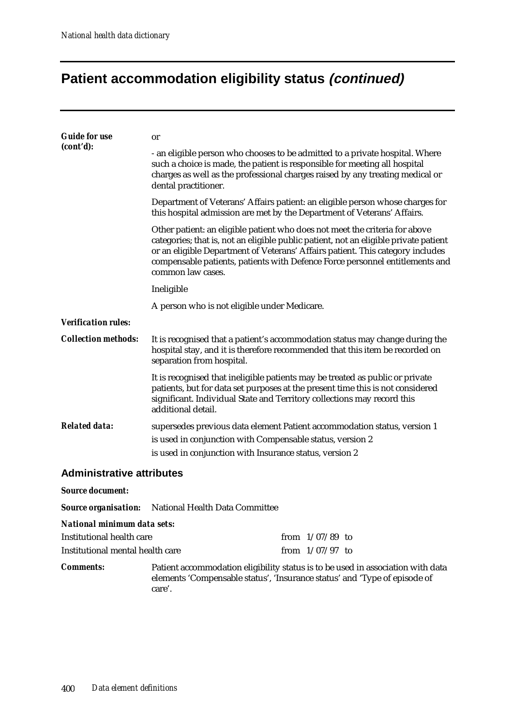# **Patient accommodation eligibility status (continued)**

| <b>Guide for use</b>             | or                                                                                                                                                                                                                                                                                                                                                         |  |  |  |  |  |  |
|----------------------------------|------------------------------------------------------------------------------------------------------------------------------------------------------------------------------------------------------------------------------------------------------------------------------------------------------------------------------------------------------------|--|--|--|--|--|--|
| (cont'd):                        | - an eligible person who chooses to be admitted to a private hospital. Where<br>such a choice is made, the patient is responsible for meeting all hospital<br>charges as well as the professional charges raised by any treating medical or<br>dental practitioner.                                                                                        |  |  |  |  |  |  |
|                                  | Department of Veterans' Affairs patient: an eligible person whose charges for<br>this hospital admission are met by the Department of Veterans' Affairs.                                                                                                                                                                                                   |  |  |  |  |  |  |
|                                  | Other patient: an eligible patient who does not meet the criteria for above<br>categories; that is, not an eligible public patient, not an eligible private patient<br>or an eligible Department of Veterans' Affairs patient. This category includes<br>compensable patients, patients with Defence Force personnel entitlements and<br>common law cases. |  |  |  |  |  |  |
|                                  | Ineligible                                                                                                                                                                                                                                                                                                                                                 |  |  |  |  |  |  |
|                                  | A person who is not eligible under Medicare.                                                                                                                                                                                                                                                                                                               |  |  |  |  |  |  |
| <b>Verification rules:</b>       |                                                                                                                                                                                                                                                                                                                                                            |  |  |  |  |  |  |
| <b>Collection methods:</b>       | It is recognised that a patient's accommodation status may change during the<br>hospital stay, and it is therefore recommended that this item be recorded on<br>separation from hospital.                                                                                                                                                                  |  |  |  |  |  |  |
|                                  | It is recognised that ineligible patients may be treated as public or private<br>patients, but for data set purposes at the present time this is not considered<br>significant. Individual State and Territory collections may record this<br>additional detail.                                                                                           |  |  |  |  |  |  |
| <b>Related data:</b>             | supersedes previous data element Patient accommodation status, version 1                                                                                                                                                                                                                                                                                   |  |  |  |  |  |  |
|                                  | is used in conjunction with Compensable status, version 2                                                                                                                                                                                                                                                                                                  |  |  |  |  |  |  |
|                                  | is used in conjunction with Insurance status, version 2                                                                                                                                                                                                                                                                                                    |  |  |  |  |  |  |
| <b>Administrative attributes</b> |                                                                                                                                                                                                                                                                                                                                                            |  |  |  |  |  |  |
| <b>Source document:</b>          |                                                                                                                                                                                                                                                                                                                                                            |  |  |  |  |  |  |
| <b>Source organisation:</b>      | National Health Data Committee                                                                                                                                                                                                                                                                                                                             |  |  |  |  |  |  |
| National minimum data sets:      |                                                                                                                                                                                                                                                                                                                                                            |  |  |  |  |  |  |
| <b>Institutional health care</b> | from $1/07/89$ to                                                                                                                                                                                                                                                                                                                                          |  |  |  |  |  |  |
| Institutional mental health care | from $1/07/97$ to                                                                                                                                                                                                                                                                                                                                          |  |  |  |  |  |  |
| <b>Comments:</b>                 | Patient accommodation eligibility status is to be used in association with data<br>elements 'Compensable status', 'Insurance status' and 'Type of episode of<br>care'.                                                                                                                                                                                     |  |  |  |  |  |  |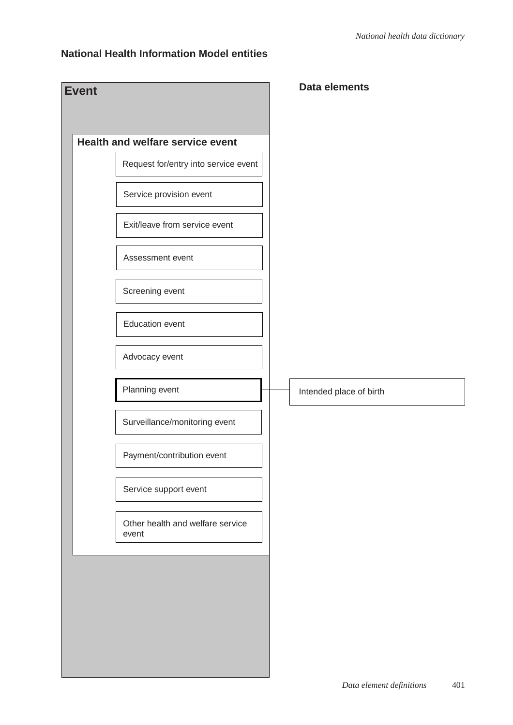#### **National Health Information Model entities**

| <b>Event</b> |                                           | <b>Data elements</b>    |
|--------------|-------------------------------------------|-------------------------|
|              | Health and welfare service event          |                         |
|              | Request for/entry into service event      |                         |
|              | Service provision event                   |                         |
|              | Exit/leave from service event             |                         |
|              | Assessment event                          |                         |
|              | Screening event                           |                         |
|              | <b>Education event</b>                    |                         |
|              | Advocacy event                            |                         |
|              | Planning event                            | Intended place of birth |
|              | Surveillance/monitoring event             |                         |
|              | Payment/contribution event                |                         |
|              | Service support event                     |                         |
|              | Other health and welfare service<br>event |                         |
|              |                                           |                         |
|              |                                           |                         |
|              |                                           |                         |
|              |                                           |                         |
|              |                                           |                         |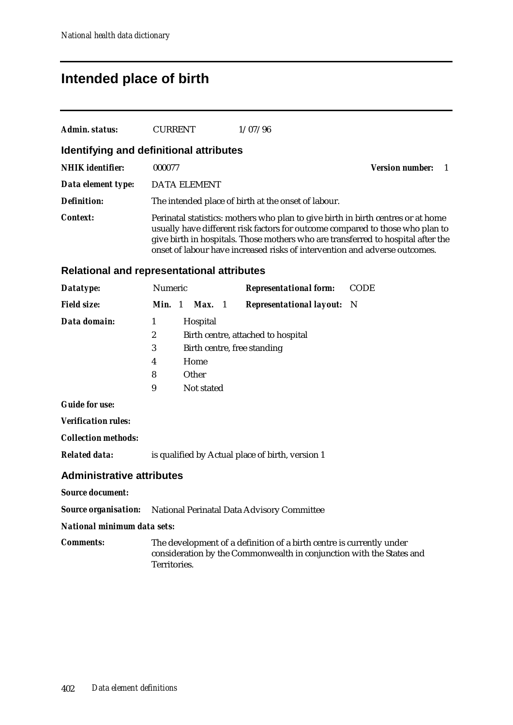### **Intended place of birth**

| Admin. status:          | <b>CURRENT</b>                          | 1/07/96                                                                                                                                                                                                                                                                                                                             |                        |
|-------------------------|-----------------------------------------|-------------------------------------------------------------------------------------------------------------------------------------------------------------------------------------------------------------------------------------------------------------------------------------------------------------------------------------|------------------------|
|                         | Identifying and definitional attributes |                                                                                                                                                                                                                                                                                                                                     |                        |
| <b>NHIK</b> identifier: | 000077                                  |                                                                                                                                                                                                                                                                                                                                     | <b>Version number:</b> |
| Data element type:      | <b>DATA ELEMENT</b>                     |                                                                                                                                                                                                                                                                                                                                     |                        |
| <b>Definition:</b>      |                                         | The intended place of birth at the onset of labour.                                                                                                                                                                                                                                                                                 |                        |
| Context:                |                                         | Perinatal statistics: mothers who plan to give birth in birth centres or at home<br>usually have different risk factors for outcome compared to those who plan to<br>give birth in hospitals. Those mothers who are transferred to hospital after the<br>onset of labour have increased risks of intervention and adverse outcomes. |                        |

#### **Relational and representational attributes**

| Datatype:          | Numeric                                 |                 | <b>Representational form:</b>     | <b>CODE</b> |  |  |  |
|--------------------|-----------------------------------------|-----------------|-----------------------------------|-------------|--|--|--|
| <b>Field size:</b> | $Min.$ 1                                | Max. 1          | <b>Representational layout:</b> N |             |  |  |  |
| Data domain:       |                                         | <b>Hospital</b> |                                   |             |  |  |  |
|                    | 2<br>Birth centre, attached to hospital |                 |                                   |             |  |  |  |
|                    | 3<br>Birth centre, free standing        |                 |                                   |             |  |  |  |
|                    | 4                                       | Home            |                                   |             |  |  |  |
|                    | 8                                       | Other           |                                   |             |  |  |  |
|                    | 9                                       | Not stated      |                                   |             |  |  |  |
|                    |                                         |                 |                                   |             |  |  |  |

*Guide for use:*

| <b>Verification rules:</b> |  |
|----------------------------|--|
|----------------------------|--|

*Collection methods:*

*Related data:* is qualified by Actual place of birth, version 1

#### **Administrative attributes**

*Source document:*

#### *Source organisation:* National Perinatal Data Advisory Committee

#### *National minimum data sets:*

**Comments:** The development of a definition of a birth centre is currently under consideration by the Commonwealth in conjunction with the States and Territories.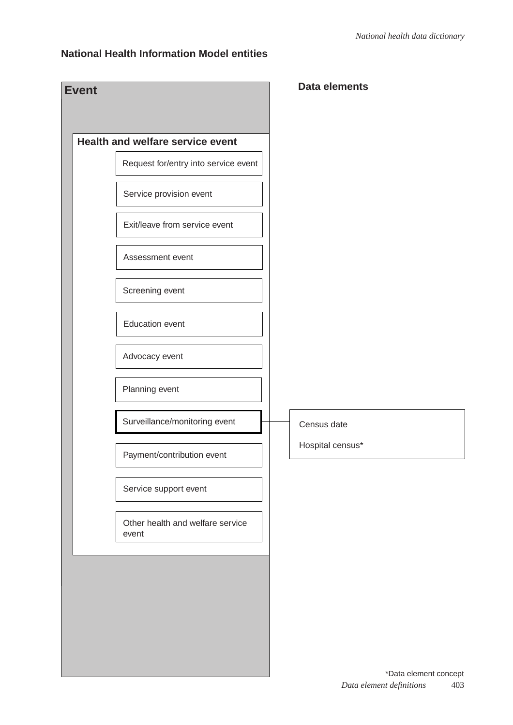#### **National Health Information Model entities**

| Event |                                           | <b>Data elements</b>  |
|-------|-------------------------------------------|-----------------------|
|       | Health and welfare service event          |                       |
|       | Request for/entry into service event      |                       |
|       | Service provision event                   |                       |
|       | Exit/leave from service event             |                       |
|       | Assessment event                          |                       |
|       | Screening event                           |                       |
|       | Education event                           |                       |
|       | Advocacy event                            |                       |
|       | Planning event                            |                       |
|       | Surveillance/monitoring event             | Census date           |
|       | Payment/contribution event                | Hospital census*      |
|       | Service support event                     |                       |
|       | Other health and welfare service<br>event |                       |
|       |                                           |                       |
|       |                                           |                       |
|       |                                           |                       |
|       |                                           |                       |
|       |                                           | *Data element concept |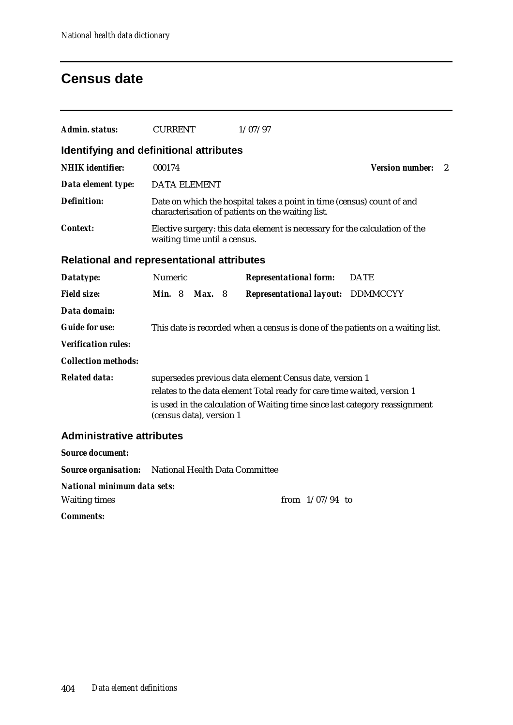### **Census date**

| <b>Admin. status:</b>                               | <b>CURRENT</b>                 |                                                                                                             |  | 1/07/97                                                                                                                                                                                                           |                             |
|-----------------------------------------------------|--------------------------------|-------------------------------------------------------------------------------------------------------------|--|-------------------------------------------------------------------------------------------------------------------------------------------------------------------------------------------------------------------|-----------------------------|
| <b>Identifying and definitional attributes</b>      |                                |                                                                                                             |  |                                                                                                                                                                                                                   |                             |
| <b>NHIK</b> identifier:                             | 000174                         |                                                                                                             |  |                                                                                                                                                                                                                   | <b>Version number:</b><br>2 |
| Data element type:                                  | <b>DATA ELEMENT</b>            |                                                                                                             |  |                                                                                                                                                                                                                   |                             |
| <b>Definition:</b>                                  |                                |                                                                                                             |  | Date on which the hospital takes a point in time (census) count of and<br>characterisation of patients on the waiting list.                                                                                       |                             |
| <i>Context:</i>                                     |                                | Elective surgery: this data element is necessary for the calculation of the<br>waiting time until a census. |  |                                                                                                                                                                                                                   |                             |
| <b>Relational and representational attributes</b>   |                                |                                                                                                             |  |                                                                                                                                                                                                                   |                             |
| Datatype:                                           | Numeric                        |                                                                                                             |  | <b>Representational form:</b>                                                                                                                                                                                     | <b>DATE</b>                 |
| <b>Field size:</b>                                  | <b>Min.</b> 8                  | Max.8                                                                                                       |  | <b>Representational layout: DDMMCCYY</b>                                                                                                                                                                          |                             |
| Data domain:                                        |                                |                                                                                                             |  |                                                                                                                                                                                                                   |                             |
| <b>Guide for use:</b>                               |                                |                                                                                                             |  | This date is recorded when a census is done of the patients on a waiting list.                                                                                                                                    |                             |
| <b>Verification rules:</b>                          |                                |                                                                                                             |  |                                                                                                                                                                                                                   |                             |
| <b>Collection methods:</b>                          |                                |                                                                                                             |  |                                                                                                                                                                                                                   |                             |
| <b>Related data:</b>                                | (census data), version 1       |                                                                                                             |  | supersedes previous data element Census date, version 1<br>relates to the data element Total ready for care time waited, version 1<br>is used in the calculation of Waiting time since last category reassignment |                             |
| <b>Administrative attributes</b>                    |                                |                                                                                                             |  |                                                                                                                                                                                                                   |                             |
| <b>Source document:</b>                             |                                |                                                                                                             |  |                                                                                                                                                                                                                   |                             |
| <b>Source organisation:</b>                         | National Health Data Committee |                                                                                                             |  |                                                                                                                                                                                                                   |                             |
| National minimum data sets:<br><b>Waiting times</b> |                                |                                                                                                             |  | from $1/07/94$ to                                                                                                                                                                                                 |                             |
| <b>Comments:</b>                                    |                                |                                                                                                             |  |                                                                                                                                                                                                                   |                             |